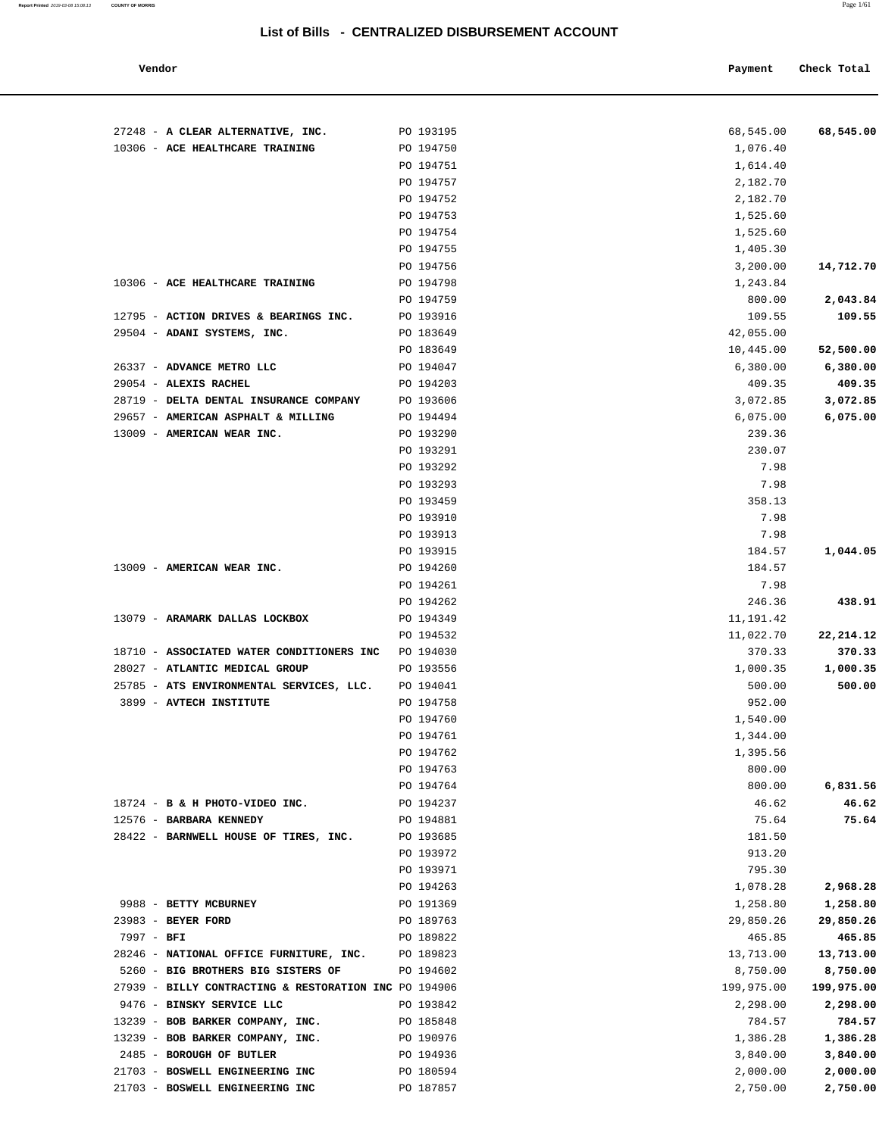| Vendor | Payment Check Total |
|--------|---------------------|

| 27248 - A CLEAR ALTERNATIVE, INC.                                             | PO 193195              | 68,545.00             | 68,545.00             |
|-------------------------------------------------------------------------------|------------------------|-----------------------|-----------------------|
| 10306 - ACE HEALTHCARE TRAINING                                               | PO 194750              | 1,076.40              |                       |
|                                                                               | PO 194751              | 1,614.40              |                       |
|                                                                               | PO 194757              | 2,182.70              |                       |
|                                                                               | PO 194752<br>PO 194753 | 2,182.70<br>1,525.60  |                       |
|                                                                               | PO 194754              | 1,525.60              |                       |
|                                                                               | PO 194755              | 1,405.30              |                       |
|                                                                               | PO 194756              | 3,200.00              | 14,712.70             |
| 10306 - ACE HEALTHCARE TRAINING                                               | PO 194798              | 1,243.84              |                       |
|                                                                               | PO 194759              | 800.00                | 2,043.84              |
| 12795 - ACTION DRIVES & BEARINGS INC.                                         | PO 193916              | 109.55                | 109.55                |
| 29504 - ADANI SYSTEMS, INC.                                                   | PO 183649              | 42,055.00             |                       |
|                                                                               | PO 183649              | 10,445.00             | 52,500.00             |
| 26337 - ADVANCE METRO LLC                                                     | PO 194047              | 6,380.00              | 6,380.00              |
| 29054 - ALEXIS RACHEL                                                         | PO 194203              | 409.35                | 409.35                |
| 28719 - DELTA DENTAL INSURANCE COMPANY                                        | PO 193606              | 3,072.85              | 3,072.85              |
| 29657 - AMERICAN ASPHALT & MILLING                                            | PO 194494              | 6,075.00              | 6,075.00              |
| 13009 - AMERICAN WEAR INC.                                                    | PO 193290              | 239.36                |                       |
|                                                                               | PO 193291              | 230.07                |                       |
|                                                                               | PO 193292              | 7.98                  |                       |
|                                                                               | PO 193293              | 7.98                  |                       |
|                                                                               | PO 193459              | 358.13                |                       |
|                                                                               | PO 193910              | 7.98                  |                       |
|                                                                               | PO 193913              | 7.98                  |                       |
|                                                                               | PO 193915              | 184.57<br>184.57      | 1,044.05              |
| 13009 - AMERICAN WEAR INC.                                                    | PO 194260<br>PO 194261 | 7.98                  |                       |
|                                                                               | PO 194262              | 246.36                | 438.91                |
| 13079 - ARAMARK DALLAS LOCKBOX                                                | PO 194349              | 11,191.42             |                       |
|                                                                               | PO 194532              | 11,022.70             | 22, 214. 12           |
| 18710 - ASSOCIATED WATER CONDITIONERS INC                                     | PO 194030              | 370.33                | 370.33                |
| 28027 - ATLANTIC MEDICAL GROUP                                                | PO 193556              | 1,000.35              | 1,000.35              |
| 25785 - ATS ENVIRONMENTAL SERVICES, LLC. PO 194041                            |                        | 500.00                | 500.00                |
| 3899 - AVTECH INSTITUTE                                                       | PO 194758              | 952.00                |                       |
|                                                                               | PO 194760              | 1,540.00              |                       |
|                                                                               | PO 194761              | 1,344.00              |                       |
|                                                                               | PO 194762              | 1,395.56              |                       |
|                                                                               | PO 194763              | 800.00                |                       |
|                                                                               | PO 194764              | 800.00                | 6,831.56              |
| 18724 - B & H PHOTO-VIDEO INC.                                                | PO 194237              | 46.62                 | 46.62                 |
| 12576 - BARBARA KENNEDY                                                       | PO 194881              | 75.64                 | 75.64                 |
| 28422 - BARNWELL HOUSE OF TIRES, INC.                                         | PO 193685              | 181.50                |                       |
|                                                                               | PO 193972              | 913.20                |                       |
|                                                                               | PO 193971              | 795.30                |                       |
|                                                                               | PO 194263              | 1,078.28              | 2,968.28              |
| 9988 - BETTY MCBURNEY                                                         | PO 191369              | 1,258.80              | 1,258.80              |
| 23983 - BEYER FORD                                                            | PO 189763              | 29,850.26             | 29,850.26             |
| $7997 - BFI$                                                                  | PO 189822              | 465.85                | 465.85                |
| 28246 - NATIONAL OFFICE FURNITURE, INC.<br>5260 - BIG BROTHERS BIG SISTERS OF | PO 189823<br>PO 194602 | 13,713.00<br>8,750.00 | 13,713.00<br>8,750.00 |
| 27939 - BILLY CONTRACTING & RESTORATION INC PO 194906                         |                        | 199,975.00            | 199,975.00            |
| 9476 - BINSKY SERVICE LLC                                                     | PO 193842              | 2,298.00              | 2,298.00              |
| 13239 - BOB BARKER COMPANY, INC.                                              | PO 185848              | 784.57                | 784.57                |
| 13239 - BOB BARKER COMPANY, INC.                                              | PO 190976              | 1,386.28              | 1,386.28              |
| 2485 - BOROUGH OF BUTLER                                                      | PO 194936              | 3,840.00              | 3,840.00              |
| 21703 - BOSWELL ENGINEERING INC                                               | PO 180594              | 2,000.00              | 2,000.00              |
| 21703 - BOSWELL ENGINEERING INC                                               | PO 187857              | 2,750.00              | 2,750.00              |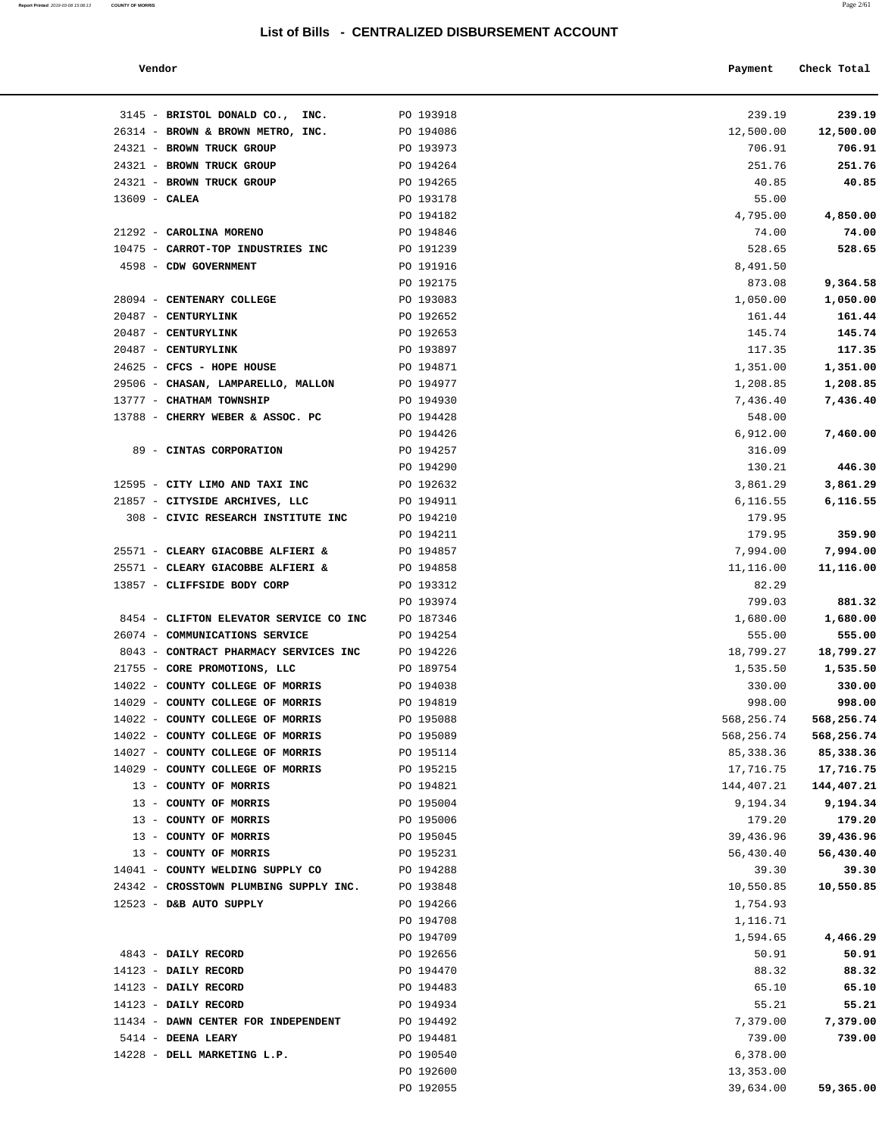**Report Printed** 2019-03-08 15:08:13 **COUNTY OF MORRIS** Page 2/61

| Vendor | Payment | Check Total<br>. |
|--------|---------|------------------|
|        |         |                  |

| 3145 - BRISTOL DONALD CO., INC.                                         | PO 193918              | 239.19             | 239.19             |
|-------------------------------------------------------------------------|------------------------|--------------------|--------------------|
| 26314 - BROWN & BROWN METRO, INC.                                       | PO 194086              | 12,500.00          | 12,500.00          |
| 24321 - BROWN TRUCK GROUP                                               | PO 193973              | 706.91             | 706.91             |
| 24321 - BROWN TRUCK GROUP                                               | PO 194264              | 251.76             | 251.76             |
| 24321 - BROWN TRUCK GROUP                                               | PO 194265              | 40.85              | 40.85              |
| $13609$ - CALEA                                                         | PO 193178              | 55.00              |                    |
|                                                                         | PO 194182              | 4,795.00           | 4,850.00           |
| 21292 - CAROLINA MORENO                                                 | PO 194846              | 74.00              | 74.00              |
| 10475 - CARROT-TOP INDUSTRIES INC                                       | PO 191239              | 528.65             | 528.65             |
| 4598 - CDW GOVERNMENT                                                   | PO 191916              | 8,491.50           |                    |
|                                                                         | PO 192175              | 873.08             | 9,364.58           |
| 28094 - CENTENARY COLLEGE                                               | PO 193083              | 1,050.00           | 1,050.00           |
| 20487 - CENTURYLINK                                                     | PO 192652              | 161.44             | 161.44             |
| 20487 - CENTURYLINK                                                     | PO 192653              | 145.74             | 145.74             |
| 20487 - CENTURYLINK                                                     | PO 193897              | 117.35             | 117.35             |
| 24625 - CFCS - HOPE HOUSE                                               | PO 194871              | 1,351.00           | 1,351.00           |
| 29506 - CHASAN, LAMPARELLO, MALLON                                      | PO 194977              | 1,208.85           | 1,208.85           |
| 13777 - CHATHAM TOWNSHIP                                                | PO 194930              | 7,436.40           | 7,436.40           |
| 13788 - CHERRY WEBER & ASSOC. PC                                        | PO 194428              | 548.00             |                    |
|                                                                         | PO 194426              | 6,912.00           | 7,460.00           |
| 89 - CINTAS CORPORATION                                                 | PO 194257              | 316.09             |                    |
|                                                                         | PO 194290              | 130.21             | 446.30             |
| 12595 - CITY LIMO AND TAXI INC                                          | PO 192632              | 3,861.29           | 3,861.29           |
| 21857 - CITYSIDE ARCHIVES, LLC                                          | PO 194911              | 6,116.55           | 6,116.55           |
| 308 - CIVIC RESEARCH INSTITUTE INC                                      | PO 194210              | 179.95             |                    |
|                                                                         | PO 194211              | 179.95             | 359.90             |
| 25571 - CLEARY GIACOBBE ALFIERI &                                       | PO 194857              | 7,994.00           | 7,994.00           |
| 25571 - CLEARY GIACOBBE ALFIERI &                                       | PO 194858              | 11,116.00          | 11,116.00          |
| 13857 - CLIFFSIDE BODY CORP                                             | PO 193312              | 82.29              |                    |
|                                                                         | PO 193974              | 799.03             | 881.32             |
| 8454 - CLIFTON ELEVATOR SERVICE CO INC                                  | PO 187346              | 1,680.00           | 1,680.00           |
| 26074 - COMMUNICATIONS SERVICE<br>8043 - CONTRACT PHARMACY SERVICES INC | PO 194254<br>PO 194226 | 555.00             | 555.00             |
| 21755 - CORE PROMOTIONS, LLC                                            | PO 189754              | 18,799.27          | 18,799.27          |
| 14022 - COUNTY COLLEGE OF MORRIS                                        | PO 194038              | 1,535.50<br>330.00 | 1,535.50<br>330.00 |
| 14029 - COUNTY COLLEGE OF MORRIS                                        | PO 194819              | 998.00             | 998.00             |
| 14022 - COUNTY COLLEGE OF MORRIS                                        | PO 195088              | 568,256.74         | 568,256.74         |
| 14022 - COUNTY COLLEGE OF MORRIS                                        | PO 195089              | 568,256.74         | 568,256.74         |
| 14027 - COUNTY COLLEGE OF MORRIS                                        | PO 195114              | 85, 338.36         | 85,338.36          |
| 14029 - COUNTY COLLEGE OF MORRIS                                        | PO 195215              | 17,716.75          | 17,716.75          |
| 13 - COUNTY OF MORRIS                                                   | PO 194821              | 144,407.21         | 144,407.21         |
| 13 - COUNTY OF MORRIS                                                   | PO 195004              | 9,194.34           | 9,194.34           |
| 13 - COUNTY OF MORRIS                                                   | PO 195006              | 179.20             | 179.20             |
| 13 - COUNTY OF MORRIS                                                   | PO 195045              | 39,436.96          | 39,436.96          |
| 13 - COUNTY OF MORRIS                                                   | PO 195231              | 56,430.40          | 56,430.40          |
| 14041 - COUNTY WELDING SUPPLY CO                                        | PO 194288              | 39.30              | 39.30              |
| 24342 - CROSSTOWN PLUMBING SUPPLY INC.                                  | PO 193848              | 10,550.85          | 10,550.85          |
| 12523 - D&B AUTO SUPPLY                                                 | PO 194266              | 1,754.93           |                    |
|                                                                         | PO 194708              | 1,116.71           |                    |
|                                                                         | PO 194709              | 1,594.65           | 4,466.29           |
| 4843 - DAILY RECORD                                                     | PO 192656              | 50.91              | 50.91              |
| 14123 - DAILY RECORD                                                    | PO 194470              | 88.32              | 88.32              |
| 14123 - DAILY RECORD                                                    | PO 194483              | 65.10              | 65.10              |
| 14123 - DAILY RECORD                                                    | PO 194934              | 55.21              | 55.21              |
| 11434 - DAWN CENTER FOR INDEPENDENT                                     | PO 194492              | 7,379.00           | 7,379.00           |
| 5414 - DEENA LEARY                                                      | PO 194481              | 739.00             | 739.00             |
| 14228 - DELL MARKETING L.P.                                             | PO 190540              | 6,378.00           |                    |
|                                                                         | PO 192600              | 13,353.00          |                    |
|                                                                         | PO 192055              | 39,634.00          | 59,365.00          |
|                                                                         |                        |                    |                    |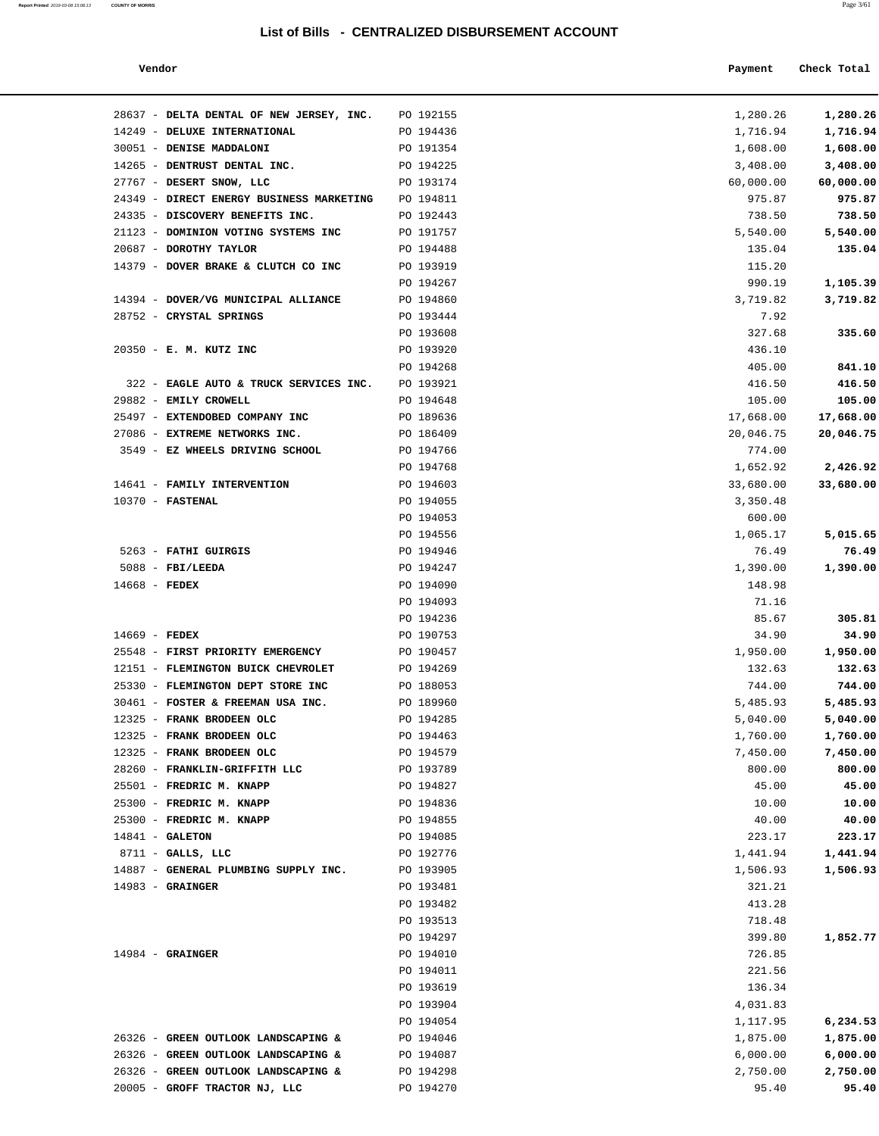| Report Printed 2019-03-08 15:08:13 | <b>COUNTY OF MORRIS</b> |  |  | Page 3/61 |
|------------------------------------|-------------------------|--|--|-----------|
|                                    |                         |  |  |           |

| Vendor                                                      |                        | Payment            | Check Total        |
|-------------------------------------------------------------|------------------------|--------------------|--------------------|
| 28637 - DELTA DENTAL OF NEW JERSEY, INC.                    | PO 192155              | 1,280.26           | 1,280.26           |
| 14249 - DELUXE INTERNATIONAL                                | PO 194436              | 1,716.94           | 1,716.94           |
| 30051 - DENISE MADDALONI                                    | PO 191354              | 1,608.00           | 1,608.00           |
| 14265 - DENTRUST DENTAL INC.                                | PO 194225              | 3,408.00           | 3,408.00           |
| 27767 - DESERT SNOW, LLC                                    | PO 193174              | 60,000.00          | 60,000.00          |
| 24349 - DIRECT ENERGY BUSINESS MARKETING                    | PO 194811              | 975.87             | 975.87             |
| 24335 - DISCOVERY BENEFITS INC.                             | PO 192443              | 738.50             | 738.50             |
| 21123 - DOMINION VOTING SYSTEMS INC                         | PO 191757              | 5,540.00           | 5,540.00           |
| 20687 - DOROTHY TAYLOR                                      | PO 194488              | 135.04             | 135.04             |
| 14379 - DOVER BRAKE & CLUTCH CO INC                         | PO 193919              | 115.20             |                    |
|                                                             | PO 194267              | 990.19             | 1,105.39           |
| 14394 - DOVER/VG MUNICIPAL ALLIANCE                         | PO 194860              | 3,719.82           | 3,719.82           |
| 28752 - CRYSTAL SPRINGS                                     | PO 193444              | 7.92               |                    |
|                                                             | PO 193608              | 327.68             | 335.60             |
| 20350 - E. M. KUTZ INC                                      | PO 193920              | 436.10             |                    |
|                                                             | PO 194268              | 405.00             | 841.10             |
| 322 - EAGLE AUTO & TRUCK SERVICES INC.                      | PO 193921              | 416.50             | 416.50             |
| 29882 - EMILY CROWELL                                       | PO 194648              | 105.00             | 105.00             |
| 25497 - EXTENDOBED COMPANY INC                              | PO 189636              | 17,668.00          | 17,668.00          |
| 27086 - EXTREME NETWORKS INC.                               | PO 186409              | 20,046.75          | 20,046.75          |
| 3549 - EZ WHEELS DRIVING SCHOOL                             | PO 194766              | 774.00             |                    |
|                                                             | PO 194768              | 1,652.92           | 2,426.92           |
| 14641 - FAMILY INTERVENTION                                 | PO 194603              | 33,680.00          | 33,680.00          |
| $10370$ - FASTENAL                                          | PO 194055              | 3,350.48           |                    |
|                                                             | PO 194053              | 600.00             |                    |
|                                                             | PO 194556              | 1,065.17           | 5,015.65           |
| 5263 - FATHI GUIRGIS                                        | PO 194946              | 76.49              | 76.49              |
| $5088$ - FBI/LEEDA                                          | PO 194247              | 1,390.00           | 1,390.00           |
| $14668$ - FEDEX                                             | PO 194090              | 148.98             |                    |
|                                                             | PO 194093              | 71.16              |                    |
|                                                             | PO 194236              | 85.67              | 305.81             |
| $14669$ - FEDEX                                             | PO 190753              | 34.90              | 34.90              |
| 25548 - FIRST PRIORITY EMERGENCY                            | PO 190457              | 1,950.00           | 1,950.00           |
| 12151 - FLEMINGTON BUICK CHEVROLET                          | PO 194269              | 132.63             | 132.63             |
| 25330 - FLEMINGTON DEPT STORE INC                           | PO 188053              | 744.00             | 744.00             |
| 30461 - FOSTER & FREEMAN USA INC.                           | PO 189960              | 5,485.93           | 5,485.93           |
| 12325 - FRANK BRODEEN OLC                                   | PO 194285              | 5,040.00           | 5,040.00           |
| 12325 - FRANK BRODEEN OLC                                   | PO 194463              | 1,760.00           | 1,760.00           |
| 12325 - FRANK BRODEEN OLC                                   | PO 194579              | 7,450.00           | 7,450.00           |
| 28260 - FRANKLIN-GRIFFITH LLC                               | PO 193789              | 800.00             | 800.00             |
| 25501 - FREDRIC M. KNAPP                                    | PO 194827              | 45.00              | 45.00              |
| 25300 - FREDRIC M. KNAPP                                    | PO 194836              | 10.00              | 10.00              |
| 25300 - FREDRIC M. KNAPP<br>$14841 - GALETON$               | PO 194855              | 40.00              | 40.00              |
|                                                             | PO 194085              | 223.17             | 223.17<br>1,441.94 |
| $8711 -$ GALLS, LLC<br>14887 - GENERAL PLUMBING SUPPLY INC. | PO 192776<br>PO 193905 | 1,441.94           |                    |
| $14983$ - GRAINGER                                          | PO 193481              | 1,506.93<br>321.21 | 1,506.93           |
|                                                             | PO 193482              | 413.28             |                    |
|                                                             | PO 193513              | 718.48             |                    |
|                                                             | PO 194297              | 399.80             | 1,852.77           |
| $14984$ - GRAINGER                                          | PO 194010              | 726.85             |                    |
|                                                             | PO 194011              | 221.56             |                    |
|                                                             | PO 193619              | 136.34             |                    |
|                                                             |                        |                    |                    |
|                                                             | PO 193904              | 4,031.83           |                    |
|                                                             | PO 194054              | 1,117.95           | 6,234.53           |
| 26326 - GREEN OUTLOOK LANDSCAPING &                         | PO 194046              | 1,875.00           | 1,875.00           |
| 26326 - GREEN OUTLOOK LANDSCAPING &                         | PO 194087              | 6,000.00           | 6,000.00           |
| 26326 - GREEN OUTLOOK LANDSCAPING &                         | PO 194298              | 2,750.00           | 2,750.00           |
| 20005 - GROFF TRACTOR NJ, LLC                               | PO 194270              | 95.40              | 95.40              |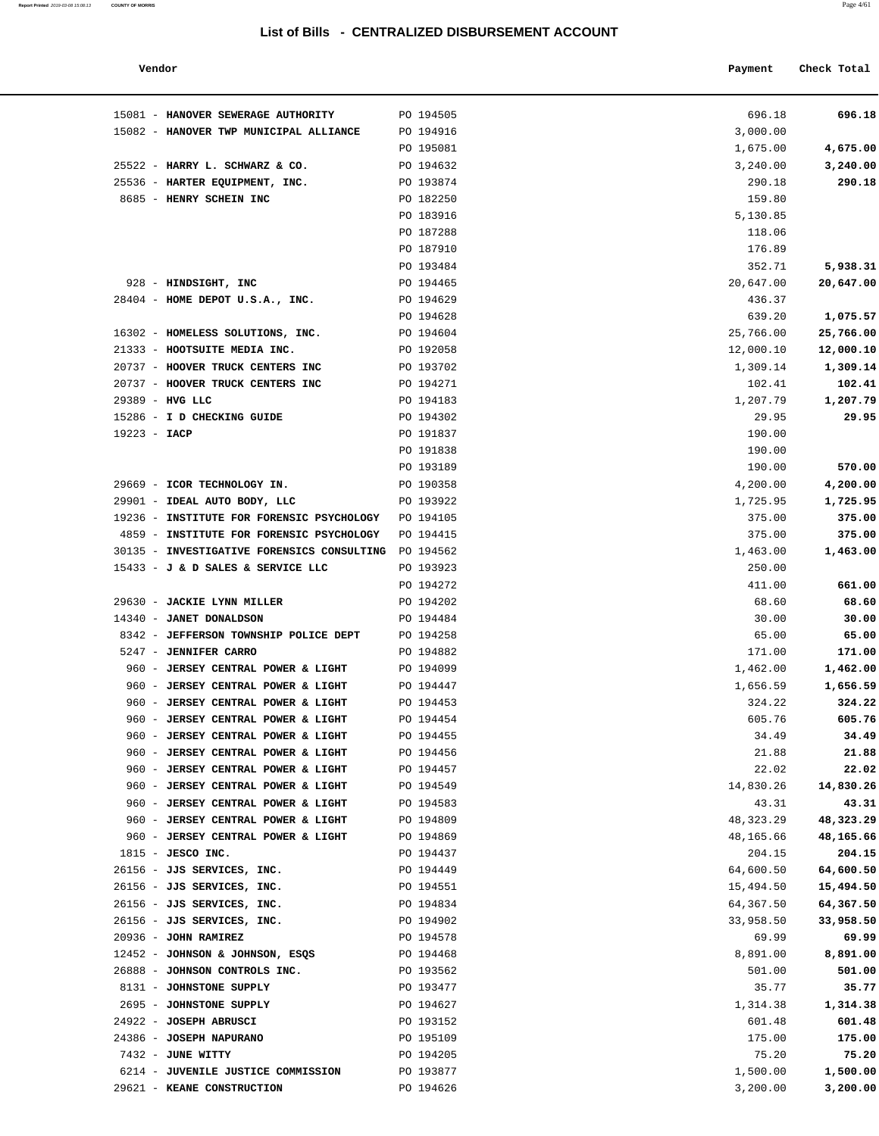**Report Printed** 2019-03-08 15:08:13 **COUNTY OF MORRIS** Page 4/61

| Vendor                              |           | Payment  | Check Total |
|-------------------------------------|-----------|----------|-------------|
| 81 - HANOVER SEWERAGE AUTHORITY     | PO 194505 | 696.18   | 696.18      |
| 82 - HANOVER TWP MUNICIPAL ALLIANCE | PO 194916 | 3,000.00 |             |
|                                     | PO 195081 | 1,675.00 | 4,675.00    |
| $22 - H$ ARRY I. SCHWARZ & CO.      | PO 194632 | 3 240 00 | 3.240.00    |

| 15081 - HANOVER SEWERAGE AUTHORITY                   | PO 194505 | 696.18    | 696.18    |
|------------------------------------------------------|-----------|-----------|-----------|
| 15082 - HANOVER TWP MUNICIPAL ALLIANCE               | PO 194916 | 3,000.00  |           |
|                                                      | PO 195081 | 1,675.00  | 4,675.00  |
| 25522 - HARRY L. SCHWARZ & CO.                       | PO 194632 | 3,240.00  | 3,240.00  |
| 25536 - HARTER EQUIPMENT, INC.                       | PO 193874 | 290.18    | 290.18    |
| 8685 - HENRY SCHEIN INC                              | PO 182250 | 159.80    |           |
|                                                      | PO 183916 | 5,130.85  |           |
|                                                      | PO 187288 | 118.06    |           |
|                                                      | PO 187910 | 176.89    |           |
|                                                      | PO 193484 | 352.71    | 5,938.31  |
| 928 - HINDSIGHT, INC                                 | PO 194465 | 20,647.00 | 20,647.00 |
| 28404 - HOME DEPOT U.S.A., INC.                      | PO 194629 | 436.37    |           |
|                                                      | PO 194628 | 639.20    | 1,075.57  |
| 16302 - HOMELESS SOLUTIONS, INC.                     | PO 194604 | 25,766.00 | 25,766.00 |
| 21333 - HOOTSUITE MEDIA INC.                         | PO 192058 | 12,000.10 | 12,000.10 |
| 20737 - HOOVER TRUCK CENTERS INC                     | PO 193702 | 1,309.14  | 1,309.14  |
| 20737 - HOOVER TRUCK CENTERS INC                     | PO 194271 | 102.41    | 102.41    |
| 29389 - HVG LLC                                      | PO 194183 | 1,207.79  | 1,207.79  |
| 15286 - I D CHECKING GUIDE                           | PO 194302 | 29.95     | 29.95     |
| $19223 - IACP$                                       | PO 191837 | 190.00    |           |
|                                                      | PO 191838 | 190.00    |           |
|                                                      | PO 193189 | 190.00    | 570.00    |
| 29669 - ICOR TECHNOLOGY IN.                          | PO 190358 | 4,200.00  | 4,200.00  |
| 29901 - IDEAL AUTO BODY, LLC                         | PO 193922 | 1,725.95  | 1,725.95  |
| 19236 - INSTITUTE FOR FORENSIC PSYCHOLOGY            | PO 194105 | 375.00    | 375.00    |
| 4859 - INSTITUTE FOR FORENSIC PSYCHOLOGY             | PO 194415 | 375.00    | 375.00    |
| 30135 - INVESTIGATIVE FORENSICS CONSULTING PO 194562 |           | 1,463.00  | 1,463.00  |
| 15433 - J & D SALES & SERVICE LLC                    | PO 193923 | 250.00    |           |
|                                                      | PO 194272 | 411.00    | 661.00    |
| 29630 - JACKIE LYNN MILLER                           | PO 194202 | 68.60     | 68.60     |
| 14340 - JANET DONALDSON                              | PO 194484 | 30.00     | 30.00     |
| 8342 - JEFFERSON TOWNSHIP POLICE DEPT                | PO 194258 | 65.00     | 65.00     |
| 5247 - JENNIFER CARRO                                | PO 194882 | 171.00    | 171.00    |
| 960 - JERSEY CENTRAL POWER & LIGHT                   | PO 194099 | 1,462.00  | 1,462.00  |
| 960 - JERSEY CENTRAL POWER & LIGHT                   | PO 194447 | 1,656.59  | 1,656.59  |
| 960 - JERSEY CENTRAL POWER & LIGHT                   | PO 194453 | 324.22    | 324.22    |
| 960 - JERSEY CENTRAL POWER & LIGHT                   | PO 194454 | 605.76    | 605.76    |
| 960 - JERSEY CENTRAL POWER & LIGHT                   | PO 194455 | 34.49     | 34.49     |
| 960 - JERSEY CENTRAL POWER & LIGHT                   | PO 194456 | 21.88     | 21.88     |
| 960 - JERSEY CENTRAL POWER & LIGHT                   | PO 194457 | 22.02     | 22.02     |
| 960 - JERSEY CENTRAL POWER & LIGHT                   | PO 194549 | 14,830.26 | 14,830.26 |
| 960 - JERSEY CENTRAL POWER & LIGHT                   | PO 194583 | 43.31     | 43.31     |
| 960 - JERSEY CENTRAL POWER & LIGHT                   | PO 194809 | 48,323.29 | 48,323.29 |
| 960 - JERSEY CENTRAL POWER & LIGHT                   | PO 194869 | 48,165.66 | 48,165.66 |
| $1815$ - JESCO INC.                                  | PO 194437 | 204.15    | 204.15    |
| 26156 - JJS SERVICES, INC.                           | PO 194449 | 64,600.50 | 64,600.50 |
| 26156 - JJS SERVICES, INC.                           | PO 194551 | 15,494.50 | 15,494.50 |
| 26156 - JJS SERVICES, INC.                           | PO 194834 | 64,367.50 | 64,367.50 |
| 26156 - JJS SERVICES, INC.                           | PO 194902 | 33,958.50 | 33,958.50 |
| 20936 - JOHN RAMIREZ                                 | PO 194578 | 69.99     | 69.99     |
| 12452 - JOHNSON & JOHNSON, ESQS                      | PO 194468 | 8,891.00  | 8,891.00  |
| 26888 - JOHNSON CONTROLS INC.                        | PO 193562 | 501.00    | 501.00    |
| 8131 - JOHNSTONE SUPPLY                              | PO 193477 | 35.77     | 35.77     |
| 2695 - JOHNSTONE SUPPLY                              | PO 194627 | 1,314.38  | 1,314.38  |
| 24922 - JOSEPH ABRUSCI                               | PO 193152 | 601.48    | 601.48    |
| 24386 - JOSEPH NAPURANO                              | PO 195109 | 175.00    | 175.00    |
| 7432 - JUNE WITTY                                    | PO 194205 | 75.20     | 75.20     |
| 6214 - JUVENILE JUSTICE COMMISSION                   | PO 193877 | 1,500.00  | 1,500.00  |
| 29621 - KEANE CONSTRUCTION                           | PO 194626 | 3,200.00  | 3,200.00  |
|                                                      |           |           |           |
|                                                      |           |           |           |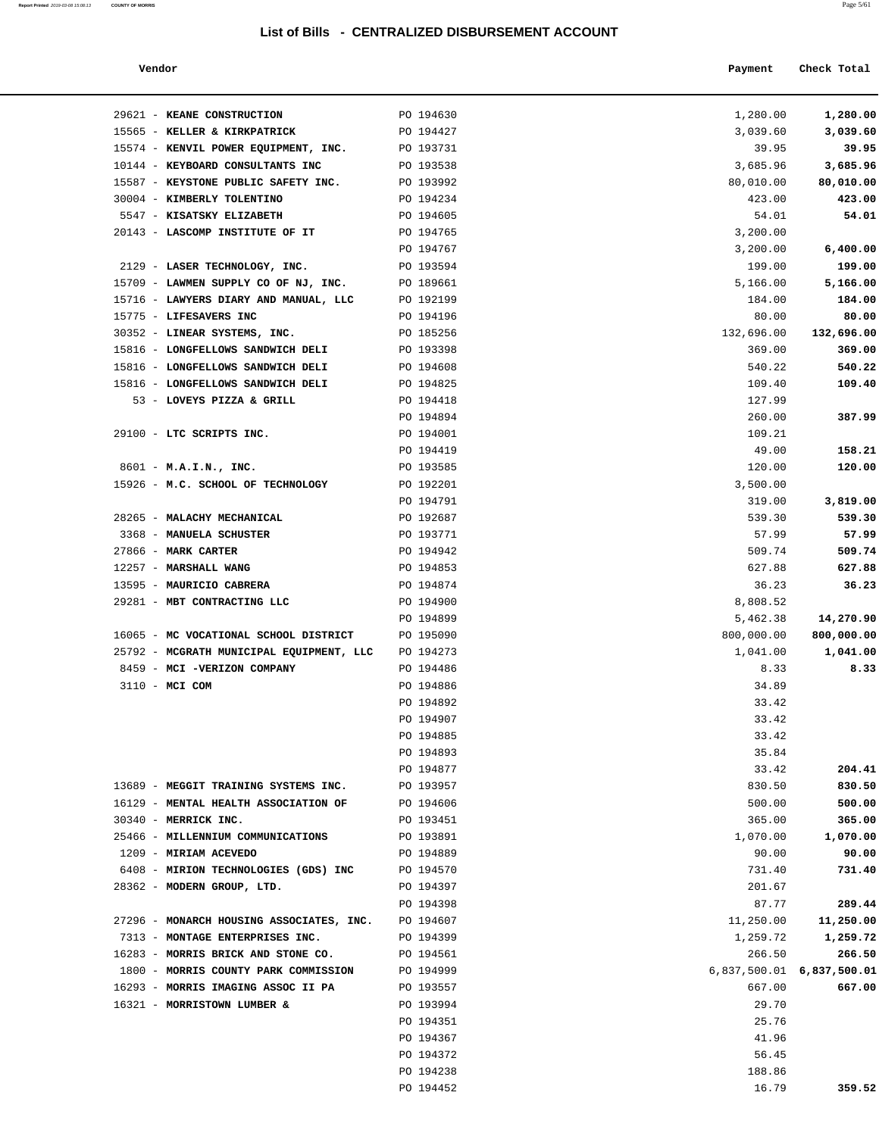#### **Vendor Payment** Check Total

**Report Printed** 2019-03-08 15:08:13 **COUNTY OF MORRIS** 

| 1,280.00     | 1,280.00       |
|--------------|----------------|
| 3,039.60     | 3,039.60       |
| 39.95        | 39.95          |
| 3,685.96     | 3,685.96       |
| 80,010.00    | 80,010.00      |
| 423.00       | 423.00         |
| 54.01        | 54.01          |
|              | 3,200.00       |
| 6,400.00     | 3,200.00       |
| 199.00       | 199.00         |
| 5,166.00     | 5,166.00       |
| 184.00       | 184.00         |
| 80.00        | 80.00          |
| 132,696.00   | 132,696.00     |
| 369.00       | 369.00         |
| 540.22       | 540.22         |
| 109.40       | 109.40         |
|              | 127.99         |
| 387.99       | 260.00         |
|              | 109.21         |
| 158.21       | 49.00          |
| 120.00       | 120.00         |
|              | 3,500.00       |
| 3,819.00     | 319.00         |
| 539.30       | 539.30         |
| 57.99        | 57.99          |
| 509.74       | 509.74         |
| 627.88       | 627.88         |
| 36.23        | 36.23          |
|              | 8,808.52       |
| 14,270.90    | 5,462.38       |
| 800,000.00   | 800,000.00     |
| 1,041.00     | 1,041.00       |
| 8.33         | 8.33           |
|              | 34.89<br>33.42 |
|              | 33.42          |
|              | 33.42          |
|              | 35.84          |
| 204.41       | 33.42          |
| 830.50       | 830.50         |
| 500.00       | 500.00         |
| 365.00       | 365.00         |
| 1,070.00     | 1,070.00       |
| 90.00        | 90.00          |
| 731.40       | 731.40         |
|              | 201.67         |
| 289.44       | 87.77          |
| 11,250.00    | 11,250.00      |
| 1,259.72     | 1,259.72       |
| 266.50       | 266.50         |
| 6,837,500.01 | 6,837,500.01   |
| 667.00       | 667.00         |
|              | 29.70          |
|              | 25.76          |
|              | 41.96          |
|              | 56.45          |
|              | 188.86         |
| 359.52       | 16.79          |
|              |                |
|              |                |
|              |                |

| 29621 - KEANE CONSTRUCTION                     | PO 194630 | 1,280.00                      | 1,280.00   |
|------------------------------------------------|-----------|-------------------------------|------------|
| 15565 - KELLER & KIRKPATRICK                   | PO 194427 | 3,039.60                      | 3,039.60   |
| 15574 - KENVIL POWER EQUIPMENT, INC. PO 193731 |           | 39.95                         | 39.95      |
| 10144 - KEYBOARD CONSULTANTS INC               | PO 193538 | 3,685.96                      | 3,685.96   |
| 15587 - KEYSTONE PUBLIC SAFETY INC. PO 193992  |           | 80,010.00                     | 80,010.00  |
| 30004 - KIMBERLY TOLENTINO                     | PO 194234 | 423.00                        | 423.00     |
| 5547 - KISATSKY ELIZABETH                      | PO 194605 | 54.01                         | 54.01      |
| 20143 - LASCOMP INSTITUTE OF IT                | PO 194765 | 3,200.00                      |            |
|                                                | PO 194767 | 3,200.00                      | 6,400.00   |
| 2129 - LASER TECHNOLOGY, INC.                  | PO 193594 | 199.00                        | 199.00     |
| 15709 - LAWMEN SUPPLY CO OF NJ, INC.           | PO 189661 | 5,166.00                      | 5,166.00   |
| 15716 - LAWYERS DIARY AND MANUAL, LLC          | PO 192199 | 184.00                        | 184.00     |
| 15775 - LIFESAVERS INC                         | PO 194196 | 80.00                         | 80.00      |
| 30352 - LINEAR SYSTEMS, INC.                   | PO 185256 | 132,696.00                    | 132,696.00 |
| 15816 - LONGFELLOWS SANDWICH DELI              | PO 193398 | 369.00                        | 369.00     |
| 15816 - LONGFELLOWS SANDWICH DELI              | PO 194608 | 540.22                        | 540.22     |
| 15816 - LONGFELLOWS SANDWICH DELI              | PO 194825 | 109.40                        | 109.40     |
| 53 - LOVEYS PIZZA & GRILL                      | PO 194418 | 127.99                        |            |
|                                                | PO 194894 | 260.00                        | 387.99     |
| 29100 - LTC SCRIPTS INC.                       | PO 194001 | 109.21                        |            |
|                                                | PO 194419 | 49.00                         | 158.21     |
| 8601 - M.A.I.N., INC.                          | PO 193585 | 120.00                        | 120.00     |
| 15926 - M.C. SCHOOL OF TECHNOLOGY PO 192201    |           | 3,500.00                      |            |
|                                                | PO 194791 | 319.00                        | 3,819.00   |
| 28265 - MALACHY MECHANICAL                     | PO 192687 | 539.30                        | 539.30     |
| 3368 - MANUELA SCHUSTER                        | PO 193771 | 57.99                         | 57.99      |
| 27866 - MARK CARTER                            | PO 194942 | 509.74                        | 509.74     |
| 12257 - MARSHALL WANG                          | PO 194853 | 627.88                        | 627.88     |
| 13595 - MAURICIO CABRERA                       | PO 194874 | 36.23                         | 36.23      |
| 29281 - MBT CONTRACTING LLC                    | PO 194900 | 8,808.52                      |            |
|                                                | PO 194899 | 5,462.38                      | 14,270.90  |
| 16065 - MC VOCATIONAL SCHOOL DISTRICT          | PO 195090 | 800,000.00                    | 800,000.00 |
| 25792 - MCGRATH MUNICIPAL EQUIPMENT, LLC       | PO 194273 | 1,041.00                      | 1,041.00   |
| 8459 - MCI -VERIZON COMPANY                    | PO 194486 | 8.33                          | 8.33       |
| 3110 - MCI COM                                 | PO 194886 | 34.89                         |            |
|                                                | PO 194892 | 33.42                         |            |
|                                                | PO 194907 | 33.42                         |            |
|                                                | PO 194885 | 33.42                         |            |
|                                                | PO 194893 | 35.84                         |            |
|                                                | PO 194877 | 33.42                         | 204.41     |
| 13689 - MEGGIT TRAINING SYSTEMS INC.           | PO 193957 | 830.50                        | 830.50     |
| 16129 - MENTAL HEALTH ASSOCIATION OF           | PO 194606 | 500.00                        | 500.00     |
| 30340 - MERRICK INC.                           | PO 193451 | 365.00                        | 365.00     |
| 25466 - MILLENNIUM COMMUNICATIONS              | PO 193891 | 1,070.00                      | 1,070.00   |
| 1209 - MIRIAM ACEVEDO                          | PO 194889 | 90.00                         | 90.00      |
| 6408 - MIRION TECHNOLOGIES (GDS) INC           | PO 194570 | 731.40                        | 731.40     |
| 28362 - MODERN GROUP, LTD.                     | PO 194397 | 201.67                        |            |
|                                                | PO 194398 | 87.77                         | 289.44     |
| 27296 - MONARCH HOUSING ASSOCIATES, INC.       | PO 194607 | 11,250.00                     | 11,250.00  |
| 7313 - MONTAGE ENTERPRISES INC.                | PO 194399 | 1,259.72                      | 1,259.72   |
| 16283 - MORRIS BRICK AND STONE CO.             | PO 194561 | 266.50                        | 266.50     |
| 1800 - MORRIS COUNTY PARK COMMISSION           | PO 194999 | $6,837,500.01$ $6,837,500.01$ |            |
| 16293 - MORRIS IMAGING ASSOC II PA             | PO 193557 | 667.00                        | 667.00     |
| 16321 - MORRISTOWN LUMBER &                    | PO 193994 | 29.70                         |            |
|                                                | PO 194351 | 25.76                         |            |
|                                                | PO 194367 | 41.96                         |            |
|                                                |           |                               |            |
|                                                | PO 194372 | 56.45                         |            |
|                                                | PO 194238 | 188.86                        |            |

PO 194452 16.79 **359.52**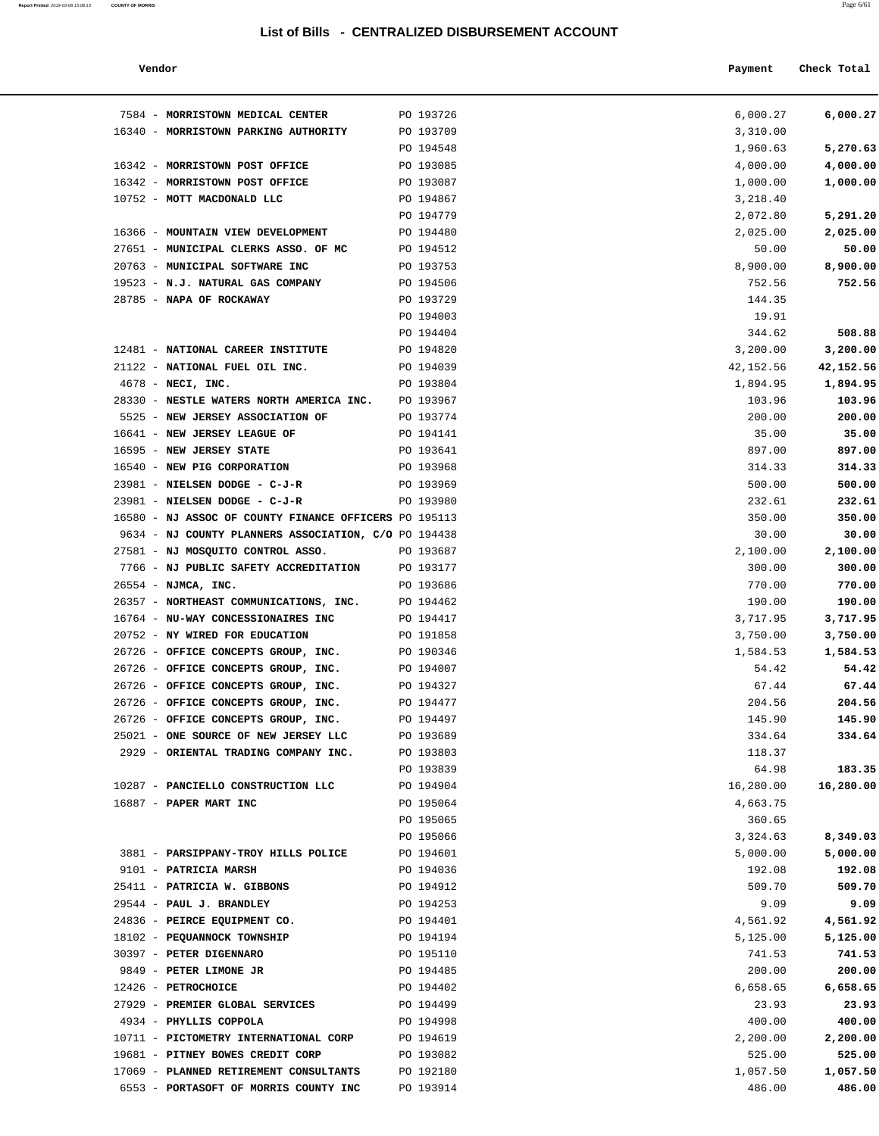#### **Vendor Payment Check Total**

7584 - **MORRISTOWN MEDICAL CENTER** PO 193726 6,000.27 **6,000.27**

**Report Printed** 2019-03-08 15:08:13 **COUNTY OF MORRIS** Page 6/61

| 6,000.27             | 6,000.27             |
|----------------------|----------------------|
|                      | 3,310.00             |
| 5,270.63             | 1,960.63             |
| 4,000.00             | 4,000.00             |
| 1,000.00             | 1,000.00<br>3,218.40 |
| 5,291.20             | 2,072.80             |
| 2,025.00             | 2,025.00             |
| 50.00                | 50.00                |
| 8,900.00             | 8,900.00             |
| 752.56               | 752.56               |
|                      | 144.35               |
|                      | 19.91                |
| 508.88               | 344.62               |
| 3,200.00             | 3,200.00             |
| 42,152.56            | 42,152.56            |
| 1,894.95             | 1,894.95             |
| 103.96               | 103.96               |
| 200.00               | 200.00               |
| 35.00                | 35.00                |
| 897.00               | 897.00               |
| 314.33               | 314.33               |
| 500.00               | 500.00               |
| 232.61               | 232.61               |
| 350.00               | 350.00               |
| 30.00                | 30.00                |
| 2,100.00             | 2,100.00             |
| 300.00               | 300.00               |
| 770.00               | 770.00               |
| 190.00               | 190.00               |
| 3,717.95<br>3,750.00 | 3,717.95<br>3,750.00 |
| 1,584.53             | 1,584.53             |
| 54.42                | 54.42                |
| 67.44                | 67.44                |
| 204.56               | 204.56               |
| 145.90               | 145.90               |
| 334.64               | 334.64               |
|                      | 118.37               |
| 183.35               | 64.98                |
| 16,280.00            | 16,280.00            |
|                      | 4,663.75             |
|                      | 360.65               |
| 8,349.03             | 3,324.63             |
| 5,000.00             | 5,000.00             |
| 192.08               | 192.08               |
| 509.70               | 509.70               |
| 9.09                 | 9.09                 |
| 4,561.92             | 4,561.92             |
| 5,125.00             | 5,125.00             |
| 741.53               | 741.53               |
| 200.00               | 200.00               |
| 6,658.65             | 6,658.65             |
| 23.93                | 23.93                |

| 16340 - MORRISTOWN PARKING AUTHORITY                                            | PO 193709 | 3,310.00  |           |
|---------------------------------------------------------------------------------|-----------|-----------|-----------|
|                                                                                 | PO 194548 | 1,960.63  | 5,270.63  |
| 16342 - MORRISTOWN POST OFFICE                                                  | PO 193085 | 4,000.00  | 4,000.00  |
| 16342 - MORRISTOWN POST OFFICE                                                  | PO 193087 | 1,000.00  | 1,000.00  |
| 10752 - MOTT MACDONALD LLC                                                      | PO 194867 | 3,218.40  |           |
|                                                                                 | PO 194779 | 2,072.80  | 5,291.20  |
| 16366 - MOUNTAIN VIEW DEVELOPMENT                                               | PO 194480 | 2,025.00  | 2,025.00  |
| 27651 - MUNICIPAL CLERKS ASSO. OF MC                                            | PO 194512 | 50.00     | 50.00     |
| 20763 - MUNICIPAL SOFTWARE INC                                                  | PO 193753 | 8,900.00  | 8,900.00  |
| 19523 - N.J. NATURAL GAS COMPANY                                                | PO 194506 | 752.56    | 752.56    |
| 28785 - NAPA OF ROCKAWAY                                                        | PO 193729 | 144.35    |           |
|                                                                                 | PO 194003 | 19.91     |           |
|                                                                                 | PO 194404 | 344.62    | 508.88    |
| 12481 - NATIONAL CAREER INSTITUTE                                               | PO 194820 | 3,200.00  | 3,200.00  |
| 21122 - NATIONAL FUEL OIL INC.                                                  | PO 194039 | 42,152.56 | 42,152.56 |
| $4678$ - NECI, INC.                                                             | PO 193804 | 1,894.95  | 1,894.95  |
| 28330 - NESTLE WATERS NORTH AMERICA INC. PO 193967                              |           | 103.96    | 103.96    |
| 5525 - NEW JERSEY ASSOCIATION OF                                                | PO 193774 | 200.00    | 200.00    |
| 16641 - NEW JERSEY LEAGUE OF                                                    | PO 194141 | 35.00     | 35.00     |
| 16595 - NEW JERSEY STATE                                                        | PO 193641 | 897.00    | 897.00    |
| 16540 - NEW PIG CORPORATION                                                     | PO 193968 | 314.33    | 314.33    |
| 23981 - NIELSEN DODGE - C-J-R                                                   | PO 193969 | 500.00    | 500.00    |
| 23981 - NIELSEN DODGE - C-J-R                                                   | PO 193980 | 232.61    | 232.61    |
| 16580 - NJ ASSOC OF COUNTY FINANCE OFFICERS PO 195113                           |           | 350.00    | 350.00    |
| 9634 - NJ COUNTY PLANNERS ASSOCIATION, C/O PO 194438                            |           | 30.00     | 30.00     |
| 27581 - NJ MOSQUITO CONTROL ASSO.                                               | PO 193687 | 2,100.00  | 2,100.00  |
| 7766 - NJ PUBLIC SAFETY ACCREDITATION                                           | PO 193177 | 300.00    | 300.00    |
| 26554 - NJMCA, INC.                                                             | PO 193686 | 770.00    | 770.00    |
| 26357 - NORTHEAST COMMUNICATIONS, INC.                                          | PO 194462 | 190.00    | 190.00    |
| 16764 - NU-WAY CONCESSIONAIRES INC                                              | PO 194417 | 3,717.95  | 3,717.95  |
| 20752 - NY WIRED FOR EDUCATION                                                  | PO 191858 | 3,750.00  | 3,750.00  |
| 26726 - OFFICE CONCEPTS GROUP, INC.                                             | PO 190346 | 1,584.53  | 1,584.53  |
| 26726 - OFFICE CONCEPTS GROUP, INC.                                             | PO 194007 | 54.42     | 54.42     |
| 26726 - OFFICE CONCEPTS GROUP, INC.                                             | PO 194327 | 67.44     | 67.44     |
| 26726 - OFFICE CONCEPTS GROUP, INC.                                             | PO 194477 | 204.56    | 204.56    |
| 26726 - OFFICE CONCEPTS GROUP, INC.                                             | PO 194497 | 145.90    | 145.90    |
| 25021 - ONE SOURCE OF NEW JERSEY LLC                                            | PO 193689 | 334.64    | 334.64    |
| 2929 - ORIENTAL TRADING COMPANY INC.                                            | PO 193803 | 118.37    |           |
|                                                                                 | PO 193839 | 64.98     | 183.35    |
| 10287 - PANCIELLO CONSTRUCTION LLC                                              | PO 194904 | 16,280.00 | 16,280.00 |
| 16887 - PAPER MART INC                                                          | PO 195064 | 4,663.75  |           |
|                                                                                 | PO 195065 | 360.65    |           |
|                                                                                 | PO 195066 | 3,324.63  | 8,349.03  |
| 3881 - PARSIPPANY-TROY HILLS POLICE                                             | PO 194601 | 5,000.00  | 5,000.00  |
| 9101 - PATRICIA MARSH                                                           | PO 194036 | 192.08    | 192.08    |
| 25411 - PATRICIA W. GIBBONS                                                     | PO 194912 | 509.70    | 509.70    |
| 29544 - PAUL J. BRANDLEY                                                        | PO 194253 | 9.09      | 9.09      |
| 24836 - PEIRCE EQUIPMENT CO.                                                    | PO 194401 | 4,561.92  | 4,561.92  |
| 18102 - PEQUANNOCK TOWNSHIP                                                     | PO 194194 | 5,125.00  | 5,125.00  |
| 30397 - PETER DIGENNARO                                                         | PO 195110 | 741.53    | 741.53    |
| 9849 - PETER LIMONE JR                                                          | PO 194485 | 200.00    | 200.00    |
| 12426 - PETROCHOICE                                                             | PO 194402 | 6,658.65  | 6,658.65  |
| 27929 - PREMIER GLOBAL SERVICES                                                 | PO 194499 | 23.93     | 23.93     |
| 4934 - PHYLLIS COPPOLA                                                          | PO 194998 | 400.00    | 400.00    |
| 10711 - PICTOMETRY INTERNATIONAL CORP                                           | PO 194619 | 2,200.00  | 2,200.00  |
| 19681 - PITNEY BOWES CREDIT CORP                                                | PO 193082 | 525.00    | 525.00    |
| 17069 - PLANNED RETIREMENT CONSULTANTS<br>6553 - PORTASOFT OF MORRIS COUNTY INC | PO 192180 | 1,057.50  | 1,057.50  |
|                                                                                 | PO 193914 | 486.00    | 486.00    |
|                                                                                 |           |           |           |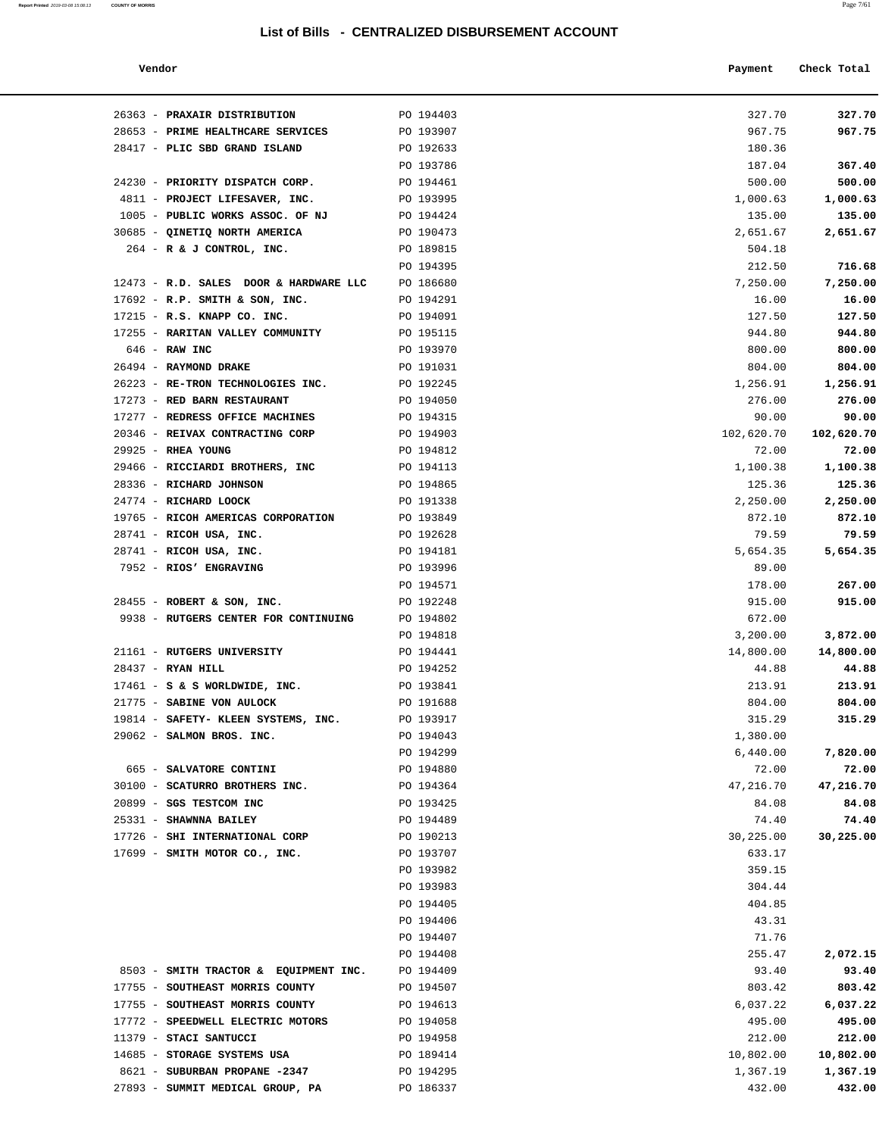**Report Printed** 2019-03-08 15:08:13 **COUNTY OF MORRIS** 

| a. | I |
|----|---|
|    |   |
|    |   |

| Vendor | Payment Check Total<br>. |
|--------|--------------------------|
|        |                          |

| 26363 - PRAXAIR DISTRIBUTION                                    | PO 194403 | 327.70           | 327.70            |
|-----------------------------------------------------------------|-----------|------------------|-------------------|
| 28653 - PRIME HEALTHCARE SERVICES                               | PO 193907 | 967.75           | 967.75            |
| 28417 - PLIC SBD GRAND ISLAND                                   | PO 192633 | 180.36           |                   |
|                                                                 | PO 193786 | 187.04           | 367.40            |
| 24230 - PRIORITY DISPATCH CORP.                                 | PO 194461 | 500.00           | 500.00            |
| 4811 - PROJECT LIFESAVER, INC.                                  | PO 193995 | 1,000.63         | 1,000.63          |
| 1005 - PUBLIC WORKS ASSOC. OF NJ                                | PO 194424 | 135.00           | 135.00            |
| 30685 - QINETIQ NORTH AMERICA                                   | PO 190473 | 2,651.67         | 2,651.67          |
| 264 - R & J CONTROL, INC.                                       | PO 189815 | 504.18           |                   |
|                                                                 | PO 194395 | 212.50           | 716.68            |
| 12473 - R.D. SALES DOOR & HARDWARE LLC                          | PO 186680 | 7,250.00         | 7,250.00          |
| $17692$ - R.P. SMITH & SON, INC.                                | PO 194291 | 16.00            | 16.00             |
| 17215 - R.S. KNAPP CO. INC.                                     | PO 194091 | 127.50           | 127.50            |
| 17255 - RARITAN VALLEY COMMUNITY PO 195115                      |           | 944.80           | 944.80            |
| $646$ - RAW INC                                                 | PO 193970 | 800.00           | 800.00            |
| 26494 - RAYMOND DRAKE                                           | PO 191031 | 804.00           | 804.00            |
| 26223 - RE-TRON TECHNOLOGIES INC. PO 192245                     |           | 1,256.91         | 1,256.91          |
| 17273 - RED BARN RESTAURANT                                     | PO 194050 | 276.00           | 276.00            |
| 17277 - REDRESS OFFICE MACHINES                                 | PO 194315 | 90.00            | 90.00             |
| 20346 - REIVAX CONTRACTING CORP                                 | PO 194903 | 102,620.70       | 102,620.70        |
| 29925 - RHEA YOUNG                                              | PO 194812 | 72.00            | 72.00             |
| 29466 - RICCIARDI BROTHERS, INC                                 | PO 194113 | 1,100.38         | 1,100.38          |
| 28336 - RICHARD JOHNSON                                         | PO 194865 | 125.36           | 125.36            |
| 24774 - RICHARD LOOCK                                           | PO 191338 | 2,250.00         | 2,250.00          |
| 19765 - RICOH AMERICAS CORPORATION                              | PO 193849 | 872.10           | 872.10            |
| 28741 - RICOH USA, INC.                                         | PO 192628 | 79.59            | 79.59             |
| 28741 - RICOH USA, INC.                                         | PO 194181 | 5,654.35         | 5,654.35          |
| 7952 - RIOS' ENGRAVING                                          | PO 193996 | 89.00            |                   |
|                                                                 | PO 194571 | 178.00           | 267.00            |
| 28455 - ROBERT & SON, INC.                                      | PO 192248 | 915.00           | 915.00            |
| 9938 - RUTGERS CENTER FOR CONTINUING                            | PO 194802 | 672.00           |                   |
|                                                                 | PO 194818 | 3,200.00         | 3,872.00          |
| 21161 - RUTGERS UNIVERSITY                                      | PO 194441 | 14,800.00        | 14,800.00         |
| $28437 - RYAN HILL$                                             | PO 194252 | 44.88            | 44.88             |
| $17461 - S$ & S WORLDWIDE, INC. $PQ$ 193841                     |           | 213.91           | 213.91            |
| 21775 - SABINE VON AULOCK                                       | PO 191688 | 804.00<br>315.29 | 804.00            |
| 19814 - SAFETY- KLEEN SYSTEMS, INC. PO 193917                   | PO 194043 |                  | 315.29            |
| 29062 - SALMON BROS. INC.                                       |           | 1,380.00         |                   |
|                                                                 | PO 194299 | 6,440.00         | 7,820.00<br>72.00 |
| 665 - SALVATORE CONTINI                                         | PO 194880 | 72.00            |                   |
| 30100 - SCATURRO BROTHERS INC.<br>20899 - SGS TESTCOM INC       | PO 194364 | 47,216.70        | 47,216.70         |
| 25331 - SHAWNNA BAILEY                                          | PO 193425 | 84.08            | 84.08<br>74.40    |
|                                                                 | PO 194489 | 74.40            |                   |
| 17726 - SHI INTERNATIONAL CORP<br>17699 - SMITH MOTOR CO., INC. | PO 190213 | 30,225.00        | 30,225.00         |
|                                                                 | PO 193707 | 633.17           |                   |
|                                                                 | PO 193982 | 359.15           |                   |
|                                                                 | PO 193983 | 304.44           |                   |
|                                                                 | PO 194405 | 404.85           |                   |
|                                                                 | PO 194406 | 43.31            |                   |
|                                                                 | PO 194407 | 71.76            |                   |
|                                                                 | PO 194408 | 255.47           | 2,072.15          |
| 8503 - SMITH TRACTOR & EQUIPMENT INC.                           | PO 194409 | 93.40            | 93.40             |
| 17755 - SOUTHEAST MORRIS COUNTY                                 | PO 194507 | 803.42           | 803.42            |
| 17755 - SOUTHEAST MORRIS COUNTY                                 | PO 194613 | 6,037.22         | 6,037.22          |
| 17772 - SPEEDWELL ELECTRIC MOTORS                               | PO 194058 | 495.00           | 495.00            |
| 11379 - STACI SANTUCCI                                          | PO 194958 | 212.00           | 212.00            |
| 14685 - STORAGE SYSTEMS USA                                     | PO 189414 | 10,802.00        | 10,802.00         |
| 8621 - SUBURBAN PROPANE -2347                                   | PO 194295 | 1,367.19         | 1,367.19          |
| 27893 - SUMMIT MEDICAL GROUP, PA                                | PO 186337 | 432.00           | 432.00            |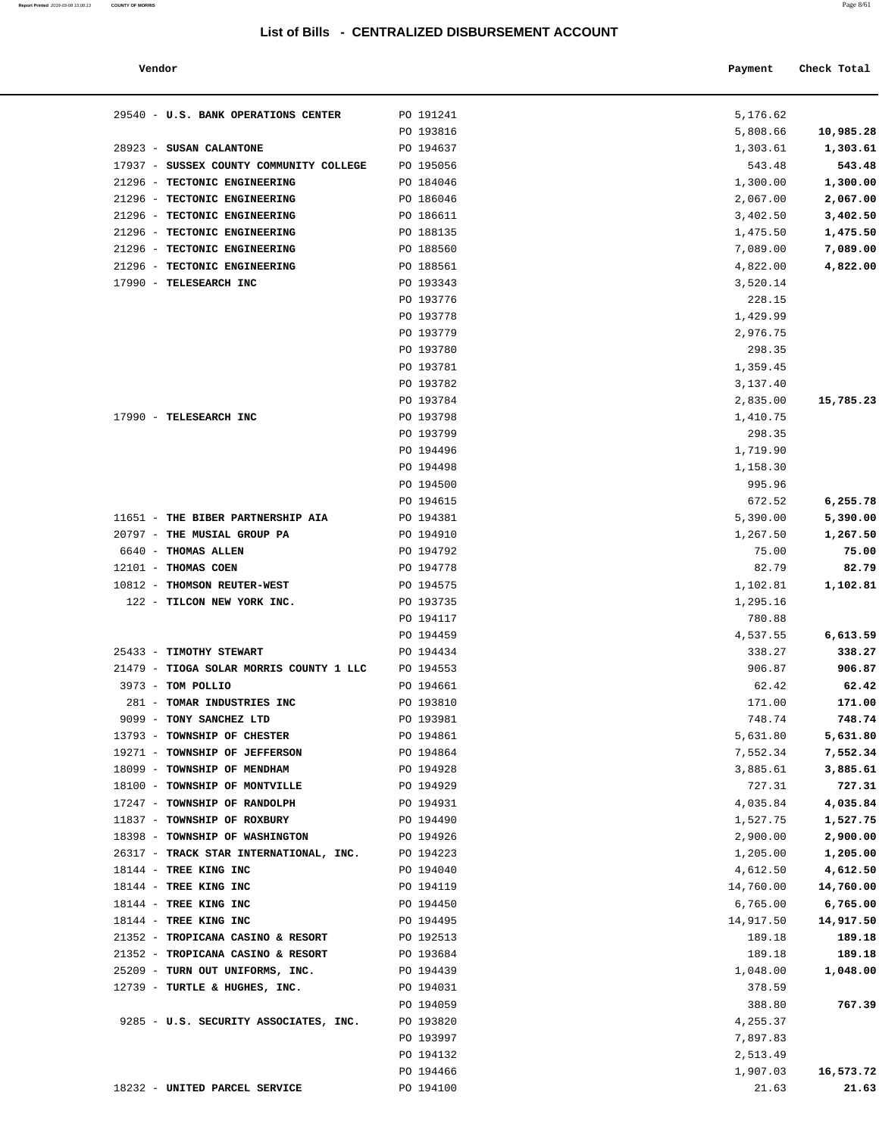#### **Vendor Payment Check Total**

| Report Printed 2019-03-08 15:08:13 | <b>COUNTY OF MORRIS</b> | Page $8/61$ |
|------------------------------------|-------------------------|-------------|
|                                    |                         |             |

| 29540 - U.S. BANK OPERATIONS CENTER                                      | PO 191241              | 5,176.62             |                      |
|--------------------------------------------------------------------------|------------------------|----------------------|----------------------|
|                                                                          | PO 193816              | 5,808.66             | 10,985.28            |
| 28923 - SUSAN CALANTONE                                                  | PO 194637              | 1,303.61             | 1,303.61             |
| 17937 - SUSSEX COUNTY COMMUNITY COLLEGE                                  | PO 195056              | 543.48               | 543.48               |
| 21296 - TECTONIC ENGINEERING                                             | PO 184046              | 1,300.00             | 1,300.00             |
| 21296 - TECTONIC ENGINEERING                                             | PO 186046              | 2,067.00             | 2,067.00             |
| 21296 - TECTONIC ENGINEERING                                             | PO 186611              | 3,402.50             | 3,402.50             |
| 21296 - TECTONIC ENGINEERING                                             | PO 188135              | 1,475.50             | 1,475.50             |
| 21296 - TECTONIC ENGINEERING                                             | PO 188560              | 7,089.00             | 7,089.00             |
| 21296 - TECTONIC ENGINEERING                                             | PO 188561              | 4,822.00             | 4,822.00             |
| 17990 - TELESEARCH INC                                                   | PO 193343              | 3,520.14             |                      |
|                                                                          | PO 193776              | 228.15               |                      |
|                                                                          | PO 193778              | 1,429.99             |                      |
|                                                                          | PO 193779              | 2,976.75             |                      |
|                                                                          | PO 193780              | 298.35               |                      |
|                                                                          | PO 193781              | 1,359.45             |                      |
|                                                                          | PO 193782              | 3,137.40             |                      |
|                                                                          | PO 193784              | 2,835.00             | 15,785.23            |
| 17990 - TELESEARCH INC                                                   | PO 193798              | 1,410.75             |                      |
|                                                                          | PO 193799              | 298.35               |                      |
|                                                                          | PO 194496              | 1,719.90             |                      |
|                                                                          | PO 194498              | 1,158.30             |                      |
|                                                                          | PO 194500              | 995.96               |                      |
|                                                                          | PO 194615              | 672.52               | 6,255.78             |
| 11651 - THE BIBER PARTNERSHIP AIA                                        | PO 194381              | 5,390.00             | 5,390.00             |
| 20797 - THE MUSIAL GROUP PA                                              | PO 194910              | 1,267.50             | 1,267.50             |
| 6640 - THOMAS ALLEN                                                      | PO 194792              | 75.00                | 75.00                |
| 12101 - THOMAS COEN                                                      | PO 194778              | 82.79                | 82.79                |
| 10812 - THOMSON REUTER-WEST                                              | PO 194575              | 1,102.81             | 1,102.81             |
| 122 - TILCON NEW YORK INC.                                               | PO 193735              | 1,295.16             |                      |
|                                                                          | PO 194117              | 780.88               |                      |
|                                                                          | PO 194459              | 4,537.55             | 6,613.59             |
| 25433 - TIMOTHY STEWART                                                  | PO 194434              | 338.27               | 338.27               |
| 21479 - TIOGA SOLAR MORRIS COUNTY 1 LLC                                  | PO 194553              | 906.87               | 906.87               |
| $3973$ - TOM POLLIO                                                      | PO 194661              | 62.42                | 62.42                |
| 281 - TOMAR INDUSTRIES INC                                               | PO 193810              | 171.00               | 171.00               |
| 9099 - TONY SANCHEZ LTD                                                  | PO 193981              | 748.74               | 748.74               |
| 13793 - TOWNSHIP OF CHESTER                                              | PO 194861              | 5,631.80             | 5,631.80             |
| 19271 - TOWNSHIP OF JEFFERSON                                            | PO 194864              | 7,552.34             | 7,552.34             |
| 18099 - TOWNSHIP OF MENDHAM                                              | PO 194928              | 3,885.61             | 3,885.61             |
| 18100 - TOWNSHIP OF MONTVILLE<br>17247 - TOWNSHIP OF RANDOLPH            | PO 194929              | 727.31               | 727.31<br>4,035.84   |
|                                                                          | PO 194931<br>PO 194490 | 4,035.84             |                      |
| 11837 - TOWNSHIP OF ROXBURY                                              |                        | 1,527.75             | 1,527.75             |
| 18398 - TOWNSHIP OF WASHINGTON<br>26317 - TRACK STAR INTERNATIONAL, INC. | PO 194926<br>PO 194223 | 2,900.00<br>1,205.00 | 2,900.00<br>1,205.00 |
| 18144 - TREE KING INC                                                    | PO 194040              | 4,612.50             | 4,612.50             |
| 18144 - TREE KING INC                                                    | PO 194119              | 14,760.00            | 14,760.00            |
| 18144 - TREE KING INC                                                    | PO 194450              | 6,765.00             | 6,765.00             |
| 18144 - TREE KING INC                                                    | PO 194495              | 14,917.50            | 14,917.50            |
| 21352 - TROPICANA CASINO & RESORT                                        | PO 192513              | 189.18               | 189.18               |
| 21352 - TROPICANA CASINO & RESORT                                        | PO 193684              | 189.18               | 189.18               |
| 25209 - TURN OUT UNIFORMS, INC.                                          | PO 194439              | 1,048.00             | 1,048.00             |
| 12739 - TURTLE & HUGHES, INC.                                            | PO 194031              | 378.59               |                      |
|                                                                          | PO 194059              | 388.80               | 767.39               |
| 9285 - U.S. SECURITY ASSOCIATES, INC.                                    | PO 193820              | 4,255.37             |                      |
|                                                                          | PO 193997              | 7,897.83             |                      |
|                                                                          | PO 194132              | 2,513.49             |                      |
|                                                                          | PO 194466              | 1,907.03             | 16,573.72            |
| 18232 - UNITED PARCEL SERVICE                                            | PO 194100              | 21.63                | 21.63                |
|                                                                          |                        |                      |                      |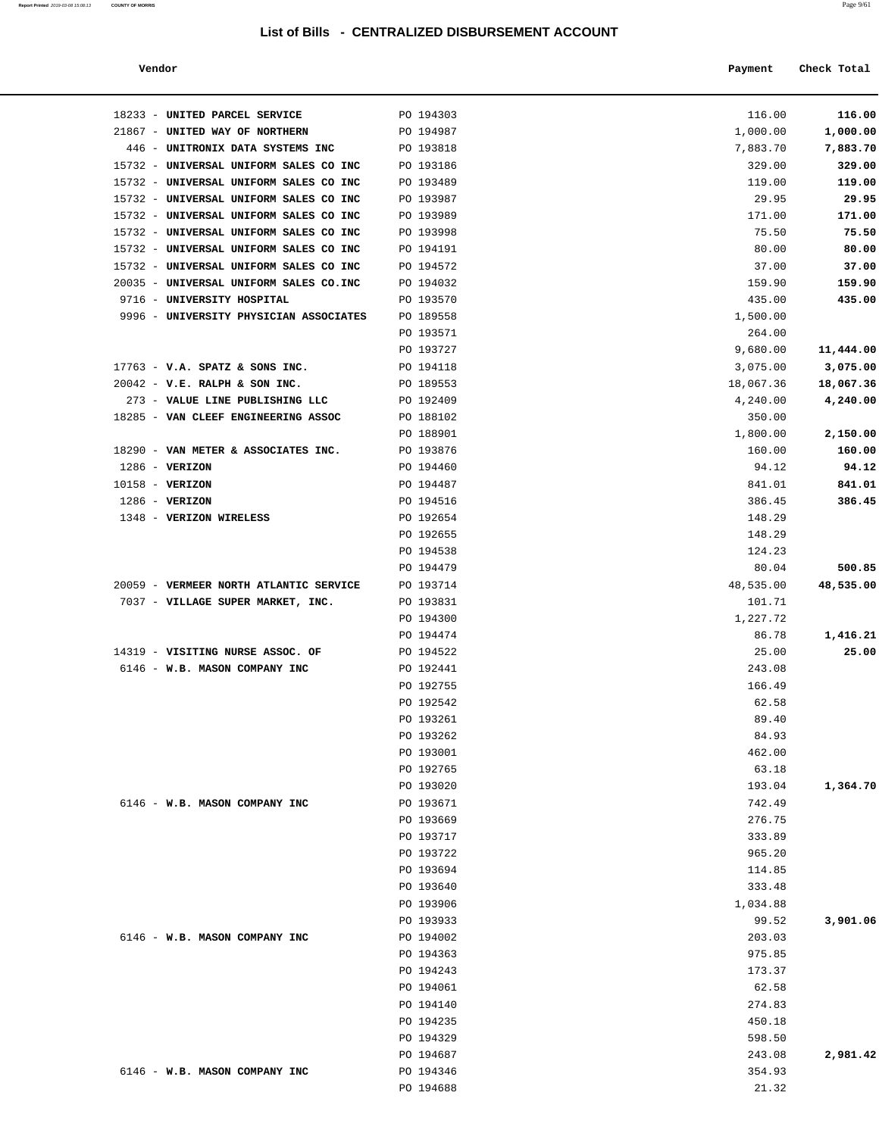| Report Printed 2019-03-08 15:08:13 | <b>COUNTY OF MORRIS</b> |  | Page 9/61 |
|------------------------------------|-------------------------|--|-----------|
|                                    |                         |  |           |

| Vendor                              |           |          | Check Total |
|-------------------------------------|-----------|----------|-------------|
| 33 - UNITED PARCEL SERVICE          | PO 194303 | 116.00   | 116.00      |
| 67 - UNITED WAY OF NORTHERN         | PO 194987 | 1,000.00 | 1,000.00    |
| 46 - UNITRONIX DATA SYSTEMS INC     | PO 193818 | 7,883.70 | 7,883.70    |
| 32 - UNIVERSAL UNIFORM SALES CO INC | PO 193186 | 329.00   | 329.00      |
| 32 - UNIVERSAL UNIFORM SALES CO INC | PO 193489 | 119.00   | 119.00      |

| 18233 - UNITED PARCEL SERVICE                                      | PO 194303              | 116.00                | 116.00                |
|--------------------------------------------------------------------|------------------------|-----------------------|-----------------------|
| 21867 - UNITED WAY OF NORTHERN                                     | PO 194987              | 1,000.00              | 1,000.00              |
| 446 - UNITRONIX DATA SYSTEMS INC                                   | PO 193818              | 7,883.70              | 7,883.70              |
| 15732 - UNIVERSAL UNIFORM SALES CO INC                             | PO 193186              | 329.00                | 329.00                |
| 15732 - UNIVERSAL UNIFORM SALES CO INC                             | PO 193489              | 119.00                | 119.00                |
| 15732 - UNIVERSAL UNIFORM SALES CO INC                             | PO 193987              | 29.95                 | 29.95                 |
| 15732 - UNIVERSAL UNIFORM SALES CO INC                             | PO 193989              | 171.00                | 171.00                |
| 15732 - UNIVERSAL UNIFORM SALES CO INC                             | PO 193998              | 75.50                 | 75.50                 |
| 15732 - UNIVERSAL UNIFORM SALES CO INC                             | PO 194191              | 80.00                 | 80.00                 |
| 15732 - UNIVERSAL UNIFORM SALES CO INC                             | PO 194572              | 37.00                 | 37.00                 |
| 20035 - UNIVERSAL UNIFORM SALES CO.INC                             | PO 194032              | 159.90                | 159.90                |
| 9716 - UNIVERSITY HOSPITAL                                         | PO 193570              | 435.00                | 435.00                |
| 9996 - UNIVERSITY PHYSICIAN ASSOCIATES                             | PO 189558              | 1,500.00              |                       |
|                                                                    | PO 193571              | 264.00                |                       |
|                                                                    | PO 193727              | 9,680.00              | 11,444.00             |
| $17763$ - V.A. SPATZ & SONS INC.                                   | PO 194118              | 3,075.00              | 3,075.00              |
| $20042$ - V.E. RALPH & SON INC.<br>273 - VALUE LINE PUBLISHING LLC | PO 189553<br>PO 192409 | 18,067.36<br>4,240.00 | 18,067.36<br>4,240.00 |
| 18285 - VAN CLEEF ENGINEERING ASSOC                                | PO 188102              |                       |                       |
|                                                                    | PO 188901              | 350.00<br>1,800.00    | 2,150.00              |
| 18290 - VAN METER & ASSOCIATES INC.                                | PO 193876              | 160.00                | 160.00                |
| $1286 - VERIZON$                                                   | PO 194460              | 94.12                 | 94.12                 |
| 10158 - VERIZON                                                    | PO 194487              | 841.01                | 841.01                |
| $1286$ - VERIZON                                                   | PO 194516              | 386.45                | 386.45                |
| 1348 - VERIZON WIRELESS                                            | PO 192654              | 148.29                |                       |
|                                                                    | PO 192655              | 148.29                |                       |
|                                                                    | PO 194538              | 124.23                |                       |
|                                                                    | PO 194479              | 80.04                 | 500.85                |
| 20059 - VERMEER NORTH ATLANTIC SERVICE                             | PO 193714              | 48,535.00             | 48,535.00             |
| 7037 - VILLAGE SUPER MARKET, INC.                                  | PO 193831              | 101.71                |                       |
|                                                                    | PO 194300              | 1,227.72              |                       |
|                                                                    | PO 194474              | 86.78                 | 1,416.21              |
| 14319 - VISITING NURSE ASSOC. OF                                   | PO 194522              | 25.00                 | 25.00                 |
| 6146 - W.B. MASON COMPANY INC                                      | PO 192441              | 243.08                |                       |
|                                                                    | PO 192755              | 166.49                |                       |
|                                                                    | PO 192542              | 62.58                 |                       |
|                                                                    | PO 193261              | 89.40                 |                       |
|                                                                    | PO 193262              | 84.93                 |                       |
|                                                                    | PO 193001              | 462.00                |                       |
|                                                                    | PO 192765              | 63.18                 |                       |
|                                                                    | PO 193020              | 193.04                | 1,364.70              |
| 6146 - W.B. MASON COMPANY INC                                      | PO 193671              | 742.49                |                       |
|                                                                    | PO 193669              | 276.75                |                       |
|                                                                    | PO 193717              | 333.89                |                       |
|                                                                    | PO 193722              | 965.20                |                       |
|                                                                    | PO 193694              | 114.85                |                       |
|                                                                    | PO 193640              | 333.48                |                       |
|                                                                    | PO 193906              | 1,034.88              |                       |
|                                                                    | PO 193933              | 99.52                 | 3,901.06              |
| 6146 - W.B. MASON COMPANY INC                                      | PO 194002              | 203.03                |                       |
|                                                                    | PO 194363              | 975.85                |                       |
|                                                                    | PO 194243              | 173.37                |                       |
|                                                                    | PO 194061              | 62.58                 |                       |
|                                                                    | PO 194140              | 274.83                |                       |
|                                                                    | PO 194235              | 450.18                |                       |
|                                                                    | PO 194329              | 598.50                |                       |
|                                                                    | PO 194687              | 243.08                | 2,981.42              |
| 6146 - W.B. MASON COMPANY INC                                      | PO 194346              | 354.93                |                       |
|                                                                    | PO 194688              | 21.32                 |                       |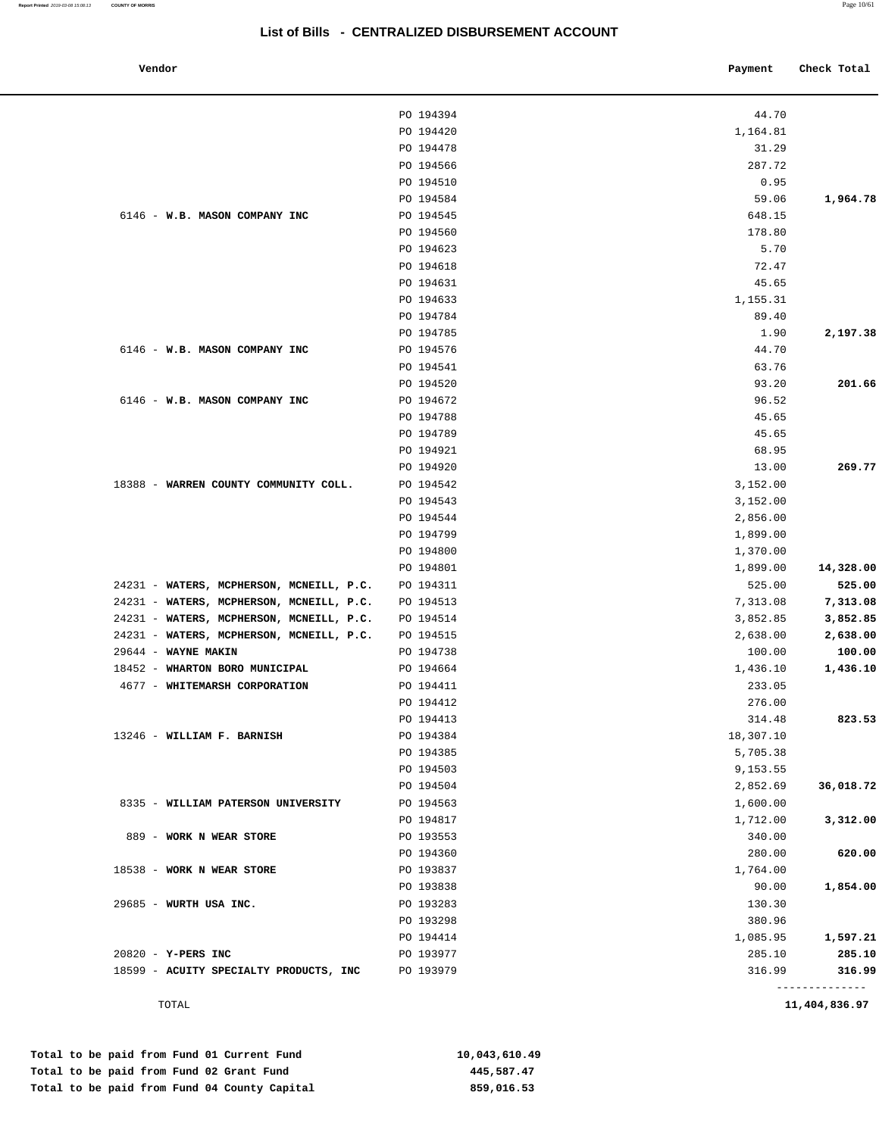| ena<br>ıT<br>ıດ |
|-----------------|

J.

| Vendor                                   |           | Payment   | Check Total    |
|------------------------------------------|-----------|-----------|----------------|
|                                          | PO 194394 | 44.70     |                |
|                                          | PO 194420 | 1,164.81  |                |
|                                          | PO 194478 | 31.29     |                |
|                                          | PO 194566 | 287.72    |                |
|                                          | PO 194510 | 0.95      |                |
|                                          | PO 194584 | 59.06     | 1,964.78       |
| 6146 - W.B. MASON COMPANY INC            | PO 194545 | 648.15    |                |
|                                          | PO 194560 | 178.80    |                |
|                                          | PO 194623 | 5.70      |                |
|                                          | PO 194618 | 72.47     |                |
|                                          | PO 194631 | 45.65     |                |
|                                          | PO 194633 | 1,155.31  |                |
|                                          | PO 194784 | 89.40     |                |
|                                          | PO 194785 | 1.90      | 2,197.38       |
| 6146 - W.B. MASON COMPANY INC            | PO 194576 | 44.70     |                |
|                                          | PO 194541 | 63.76     |                |
|                                          | PO 194520 | 93.20     | 201.66         |
| 6146 - W.B. MASON COMPANY INC            | PO 194672 | 96.52     |                |
|                                          | PO 194788 | 45.65     |                |
|                                          | PO 194789 | 45.65     |                |
|                                          | PO 194921 | 68.95     |                |
|                                          | PO 194920 | 13.00     | 269.77         |
| 18388 - WARREN COUNTY COMMUNITY COLL.    | PO 194542 | 3,152.00  |                |
|                                          | PO 194543 | 3,152.00  |                |
|                                          | PO 194544 | 2,856.00  |                |
|                                          | PO 194799 | 1,899.00  |                |
|                                          | PO 194800 |           |                |
|                                          |           | 1,370.00  |                |
|                                          | PO 194801 | 1,899.00  | 14,328.00      |
| 24231 - WATERS, MCPHERSON, MCNEILL, P.C. | PO 194311 | 525.00    | 525.00         |
| 24231 - WATERS, MCPHERSON, MCNEILL, P.C. | PO 194513 | 7,313.08  | 7,313.08       |
| 24231 - WATERS, MCPHERSON, MCNEILL, P.C. | PO 194514 | 3,852.85  | 3,852.85       |
| 24231 - WATERS, MCPHERSON, MCNEILL, P.C. | PO 194515 | 2,638.00  | 2,638.00       |
| 29644 - WAYNE MAKIN                      | PO 194738 | 100.00    | 100.00         |
| 18452 - WHARTON BORO MUNICIPAL           | PO 194664 | 1,436.10  | 1,436.10       |
| 4677 - WHITEMARSH CORPORATION            | PO 194411 | 233.05    |                |
|                                          | PO 194412 | 276.00    |                |
|                                          | PO 194413 | 314.48    | 823.53         |
| 13246 - WILLIAM F. BARNISH               | PO 194384 | 18,307.10 |                |
|                                          | PO 194385 | 5,705.38  |                |
|                                          | PO 194503 | 9,153.55  |                |
|                                          | PO 194504 | 2,852.69  | 36,018.72      |
| 8335 - WILLIAM PATERSON UNIVERSITY       | PO 194563 | 1,600.00  |                |
|                                          | PO 194817 | 1,712.00  | 3,312.00       |
| 889 - WORK N WEAR STORE                  | PO 193553 | 340.00    |                |
|                                          | PO 194360 | 280.00    | 620.00         |
| 18538 - WORK N WEAR STORE                | PO 193837 | 1,764.00  |                |
|                                          | PO 193838 | 90.00     | 1,854.00       |
| 29685 - WURTH USA INC.                   | PO 193283 | 130.30    |                |
|                                          | PO 193298 | 380.96    |                |
|                                          | PO 194414 | 1,085.95  | 1,597.21       |
| 20820 - Y-PERS INC                       | PO 193977 | 285.10    | 285.10         |
| 18599 - ACUITY SPECIALTY PRODUCTS, INC   | PO 193979 | 316.99    | 316.99         |
|                                          |           |           | -------------- |

TOTAL **11,404,836.97**

| Total to be paid from Fund 01 Current Fund   | 10,043,610.49 |
|----------------------------------------------|---------------|
| Total to be paid from Fund 02 Grant Fund     | 445,587.47    |
| Total to be paid from Fund 04 County Capital | 859,016.53    |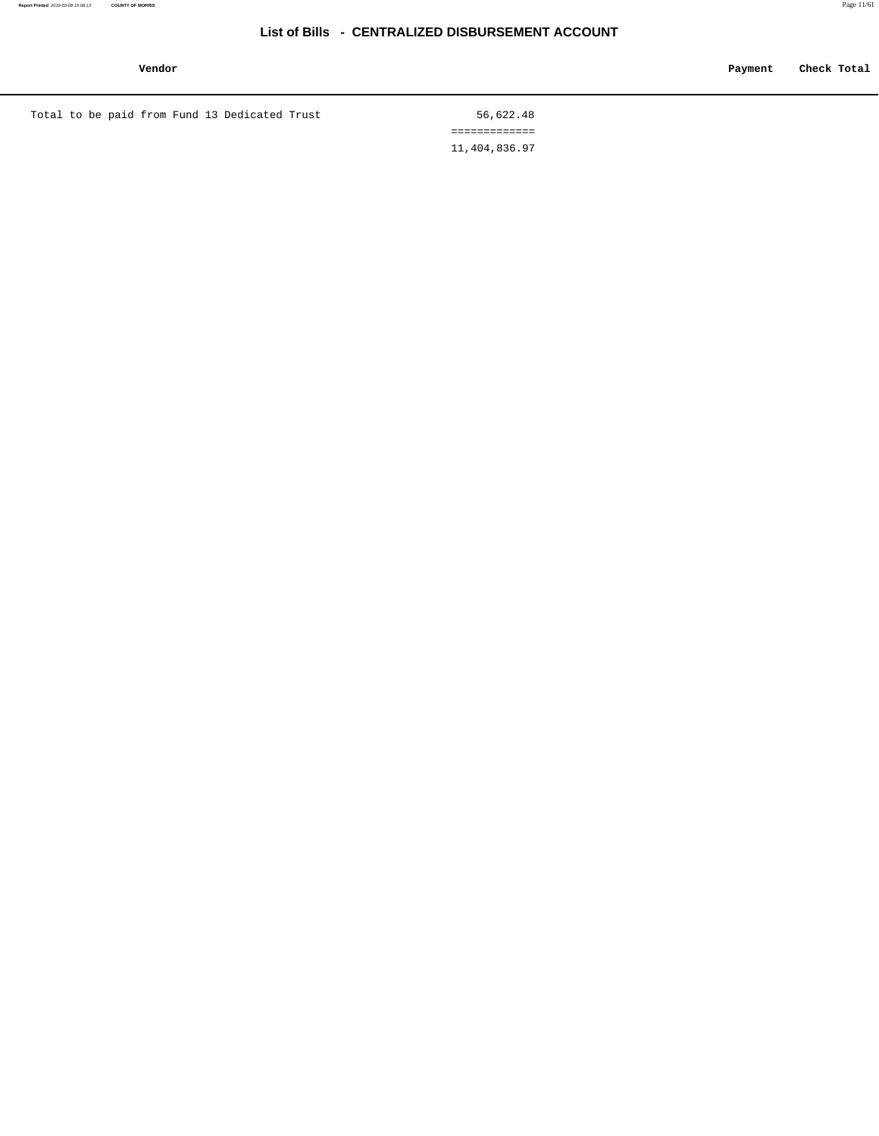**Vendor Payment Check Total**

Total to be paid from Fund 13 Dedicated Trust 56,622.48

 ============= 11,404,836.97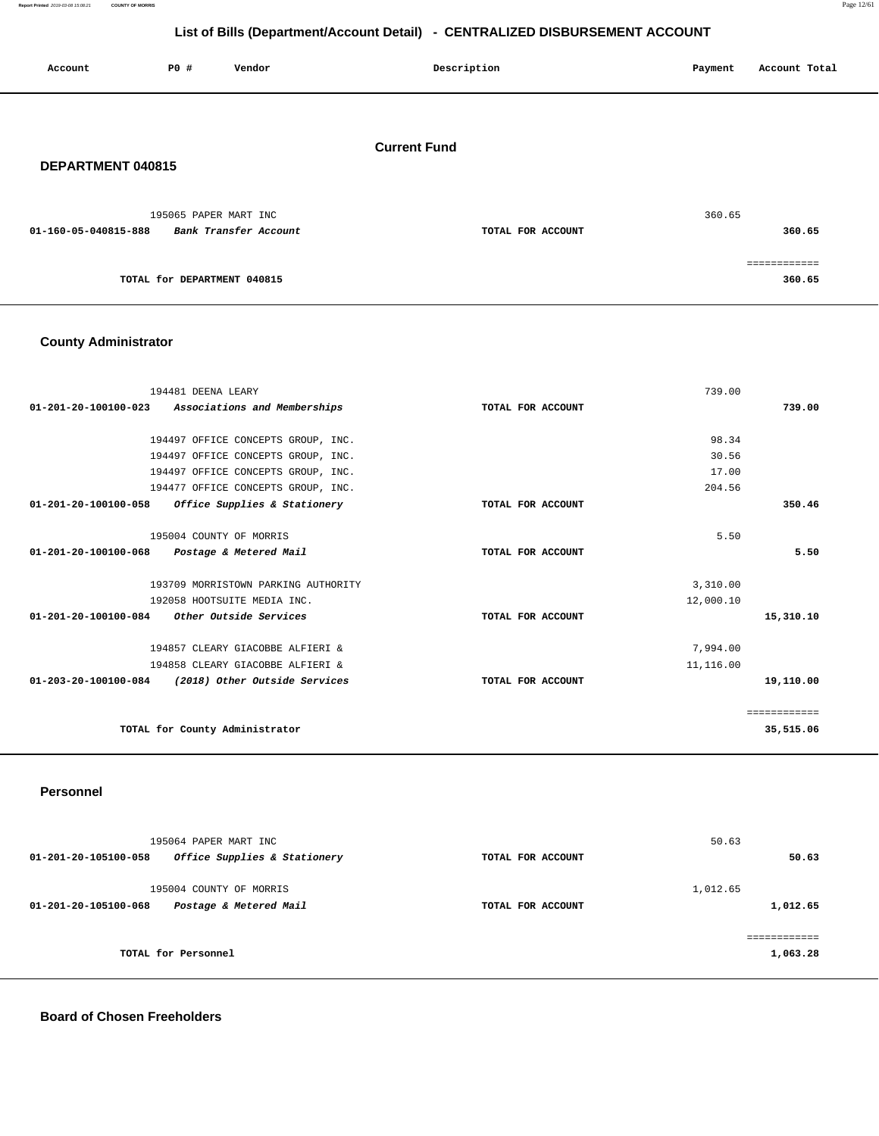**Report Printed** 2019-03-08 15:08:21 **COUNTY OF MORRIS** Page 12/61

============

## **List of Bills (Department/Account Detail) - CENTRALIZED DISBURSEMENT ACCOUNT**

| Account              | <b>PO #</b>           | Vendor                | Description         | Account Total<br>Payment |
|----------------------|-----------------------|-----------------------|---------------------|--------------------------|
| DEPARTMENT 040815    |                       |                       | <b>Current Fund</b> |                          |
| 01-160-05-040815-888 | 195065 PAPER MART INC | Bank Transfer Account | TOTAL FOR ACCOUNT   | 360.65<br>360.65         |

**TOTAL for DEPARTMENT 040815 360.65** 

## **County Administrator**

| 194481 DEENA LEARY                                    | 739.00            |              |
|-------------------------------------------------------|-------------------|--------------|
| 01-201-20-100100-023 Associations and Memberships     | TOTAL FOR ACCOUNT | 739.00       |
|                                                       |                   |              |
| 194497 OFFICE CONCEPTS GROUP, INC.                    | 98.34             |              |
| 194497 OFFICE CONCEPTS GROUP, INC.                    | 30.56             |              |
| 194497 OFFICE CONCEPTS GROUP, INC.                    | 17.00             |              |
| 194477 OFFICE CONCEPTS GROUP, INC.                    | 204.56            |              |
| 01-201-20-100100-058<br>Office Supplies & Stationery  | TOTAL FOR ACCOUNT | 350.46       |
|                                                       |                   |              |
| 195004 COUNTY OF MORRIS                               | 5.50              |              |
| 01-201-20-100100-068 Postage & Metered Mail           | TOTAL FOR ACCOUNT | 5.50         |
|                                                       |                   |              |
| 193709 MORRISTOWN PARKING AUTHORITY                   | 3,310.00          |              |
| 192058 HOOTSUITE MEDIA INC.                           | 12,000.10         |              |
| 01-201-20-100100-084<br>Other Outside Services        | TOTAL FOR ACCOUNT | 15,310.10    |
|                                                       |                   |              |
| 194857 CLEARY GIACOBBE ALFIERI &                      | 7,994.00          |              |
| 194858 CLEARY GIACOBBE ALFIERI &                      | 11,116.00         |              |
| 01-203-20-100100-084<br>(2018) Other Outside Services | TOTAL FOR ACCOUNT | 19,110.00    |
|                                                       |                   |              |
|                                                       |                   | ============ |
| TOTAL for County Administrator                        |                   | 35,515.06    |
|                                                       |                   |              |

#### **Personnel**

| 195064 PAPER MART INC<br>01-201-20-105100-058<br>Office Supplies & Stationery | TOTAL FOR ACCOUNT | 50.63<br>50.63       |
|-------------------------------------------------------------------------------|-------------------|----------------------|
| 195004 COUNTY OF MORRIS<br>Postage & Metered Mail<br>01-201-20-105100-068     | TOTAL FOR ACCOUNT | 1,012.65<br>1,012.65 |
| TOTAL for Personnel                                                           |                   | 1,063.28             |

**Board of Chosen Freeholders**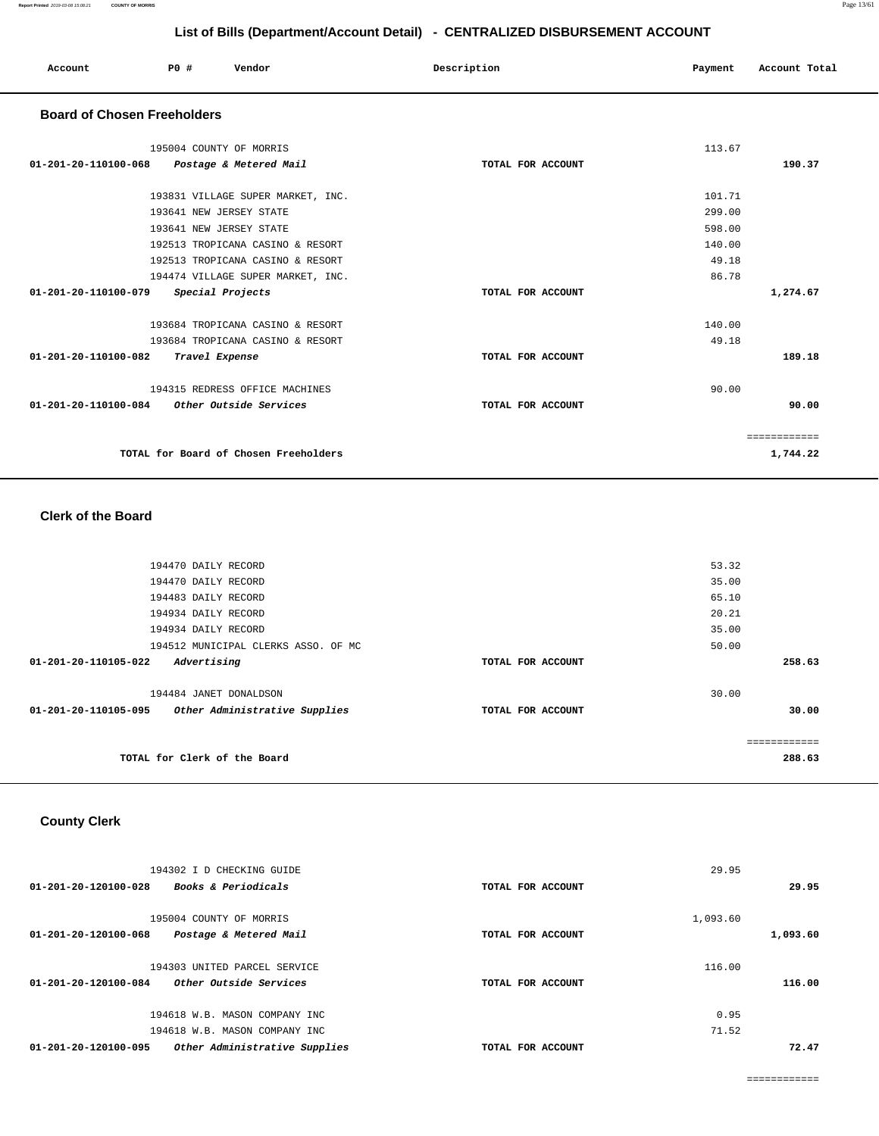| Account                            | PO#<br>Vendor                         | Description       | Account Total<br>Payment |
|------------------------------------|---------------------------------------|-------------------|--------------------------|
| <b>Board of Chosen Freeholders</b> |                                       |                   |                          |
|                                    | 195004 COUNTY OF MORRIS               |                   | 113.67                   |
| 01-201-20-110100-068               | Postage & Metered Mail                | TOTAL FOR ACCOUNT | 190.37                   |
|                                    | 193831 VILLAGE SUPER MARKET, INC.     |                   | 101.71                   |
|                                    | 193641 NEW JERSEY STATE               |                   | 299.00                   |
|                                    | 193641 NEW JERSEY STATE               |                   | 598.00                   |
|                                    | 192513 TROPICANA CASINO & RESORT      |                   | 140.00                   |
|                                    | 192513 TROPICANA CASINO & RESORT      |                   | 49.18                    |
|                                    | 194474 VILLAGE SUPER MARKET, INC.     |                   | 86.78                    |
| 01-201-20-110100-079               | Special Projects                      | TOTAL FOR ACCOUNT | 1,274.67                 |
|                                    | 193684 TROPICANA CASINO & RESORT      |                   | 140.00                   |
|                                    | 193684 TROPICANA CASINO & RESORT      |                   | 49.18                    |
| 01-201-20-110100-082               | Travel Expense                        | TOTAL FOR ACCOUNT | 189.18                   |
|                                    | 194315 REDRESS OFFICE MACHINES        |                   | 90.00                    |
| 01-201-20-110100-084               | Other Outside Services                | TOTAL FOR ACCOUNT | 90.00                    |
|                                    |                                       |                   | ============             |
|                                    | TOTAL for Board of Chosen Freeholders |                   | 1,744.22                 |

#### **Clerk of the Board**

| 194470 DAILY RECORD                                   |                   | 53.32        |
|-------------------------------------------------------|-------------------|--------------|
| 194470 DAILY RECORD                                   |                   | 35.00        |
| 194483 DAILY RECORD                                   |                   | 65.10        |
| 194934 DAILY RECORD                                   |                   | 20.21        |
| 194934 DAILY RECORD                                   |                   | 35.00        |
| 194512 MUNICIPAL CLERKS ASSO. OF MC                   |                   | 50.00        |
| $01 - 201 - 20 - 110105 - 022$<br>Advertising         | TOTAL FOR ACCOUNT | 258.63       |
| 194484 JANET DONALDSON                                |                   | 30.00        |
| 01-201-20-110105-095<br>Other Administrative Supplies | TOTAL FOR ACCOUNT | 30.00        |
|                                                       |                   |              |
|                                                       |                   | ============ |
| TOTAL for Clerk of the Board                          |                   | 288.63       |
|                                                       |                   |              |

## **County Clerk**

| 194302 I D CHECKING GUIDE<br>$01 - 201 - 20 - 120100 - 028$<br><b>Books &amp; Periodicals</b> | TOTAL FOR ACCOUNT | 29.95    | 29.95    |
|-----------------------------------------------------------------------------------------------|-------------------|----------|----------|
|                                                                                               |                   |          |          |
| 195004 COUNTY OF MORRIS                                                                       |                   | 1,093.60 |          |
| Postage & Metered Mail<br>01-201-20-120100-068                                                | TOTAL FOR ACCOUNT |          | 1,093.60 |
|                                                                                               |                   |          |          |
| 194303 UNITED PARCEL SERVICE                                                                  |                   | 116.00   |          |
| Other Outside Services<br>01-201-20-120100-084                                                | TOTAL FOR ACCOUNT |          | 116.00   |
| 194618 W.B. MASON COMPANY INC                                                                 |                   | 0.95     |          |
|                                                                                               |                   |          |          |
| 194618 W.B. MASON COMPANY INC                                                                 |                   | 71.52    |          |
| 01-201-20-120100-095<br>Other Administrative Supplies                                         | TOTAL FOR ACCOUNT |          | 72.47    |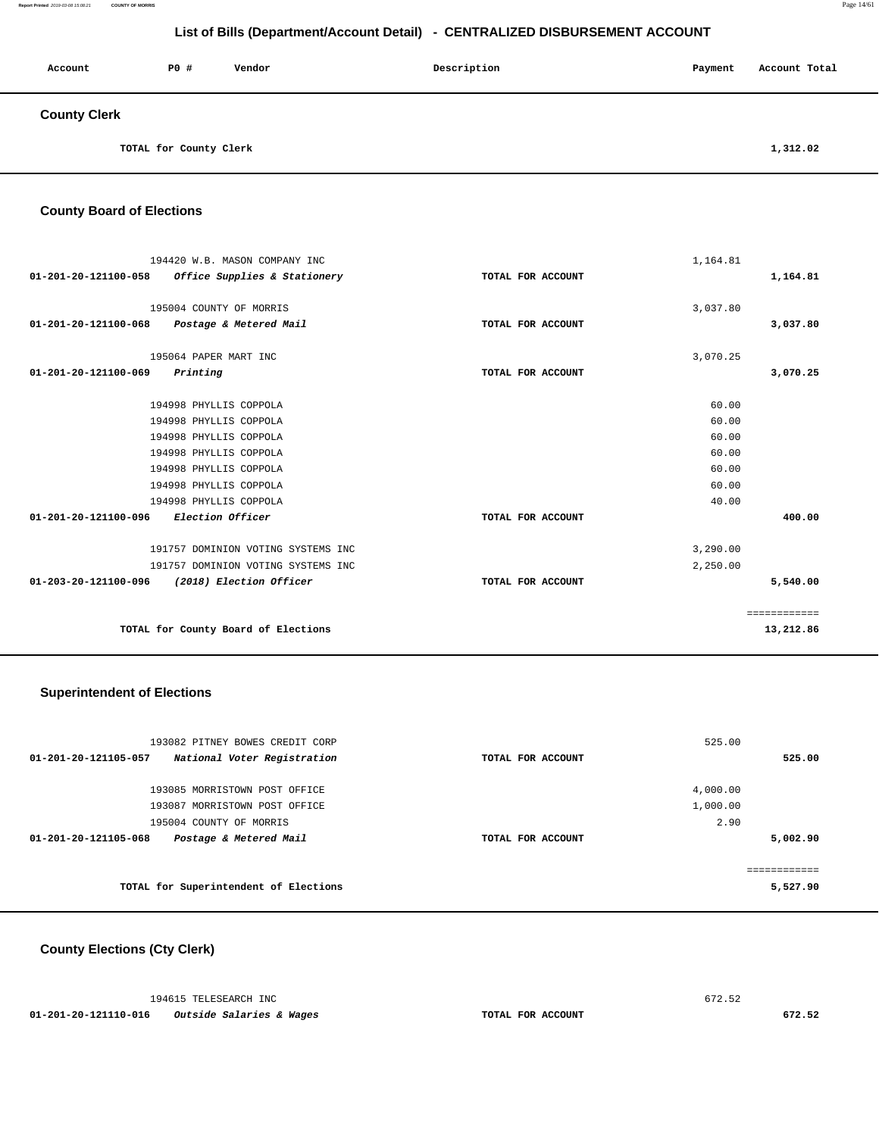| Account             | <b>PO #</b>            | Vendor | Description | Payment | Account Total |
|---------------------|------------------------|--------|-------------|---------|---------------|
| <b>County Clerk</b> |                        |        |             |         |               |
|                     | TOTAL for County Clerk |        |             |         | 1,312.02      |

**County Board of Elections**

| 194420 W.B. MASON COMPANY INC<br>01-201-20-121100-058<br>Office Supplies & Stationery | TOTAL FOR ACCOUNT | 1,164.81<br>1,164.81 |  |
|---------------------------------------------------------------------------------------|-------------------|----------------------|--|
| 195004 COUNTY OF MORRIS<br>01-201-20-121100-068<br>Postage & Metered Mail             | TOTAL FOR ACCOUNT | 3,037.80<br>3,037.80 |  |
| 195064 PAPER MART INC<br>01-201-20-121100-069<br>Printing                             | TOTAL FOR ACCOUNT | 3,070.25<br>3,070.25 |  |
| 194998 PHYLLIS COPPOLA                                                                |                   | 60.00                |  |
| 194998 PHYLLIS COPPOLA                                                                |                   | 60.00                |  |
| 194998 PHYLLIS COPPOLA                                                                |                   | 60.00                |  |
| 194998 PHYLLIS COPPOLA                                                                |                   | 60.00                |  |
| 194998 PHYLLIS COPPOLA                                                                |                   | 60.00                |  |
| 194998 PHYLLIS COPPOLA                                                                |                   | 60.00                |  |
| 194998 PHYLLIS COPPOLA                                                                |                   | 40.00                |  |
| Election Officer<br>01-201-20-121100-096                                              | TOTAL FOR ACCOUNT | 400.00               |  |
| 191757 DOMINION VOTING SYSTEMS INC                                                    |                   | 3,290.00             |  |
| 191757 DOMINION VOTING SYSTEMS INC                                                    |                   | 2,250.00             |  |
| 01-203-20-121100-096 (2018) Election Officer                                          | TOTAL FOR ACCOUNT | 5,540.00             |  |
|                                                                                       |                   | ============         |  |
| TOTAL for County Board of Elections                                                   |                   | 13,212.86            |  |

#### **Superintendent of Elections**

| 193082 PITNEY BOWES CREDIT CORP                     |                   | 525.00   |
|-----------------------------------------------------|-------------------|----------|
| National Voter Registration<br>01-201-20-121105-057 | TOTAL FOR ACCOUNT | 525.00   |
| 193085 MORRISTOWN POST OFFICE                       |                   | 4,000.00 |
| 193087 MORRISTOWN POST OFFICE                       |                   | 1,000.00 |
| 195004 COUNTY OF MORRIS                             |                   | 2.90     |
| Postage & Metered Mail<br>01-201-20-121105-068      | TOTAL FOR ACCOUNT | 5,002.90 |
|                                                     |                   |          |
| TOTAL for Superintendent of Elections               |                   | 5,527.90 |

## **County Elections (Cty Clerk)**

194615 TELESEARCH INC 672.52

 **01-201-20-121110-016 Outside Salaries & Wages TOTAL FOR ACCOUNT 672.52**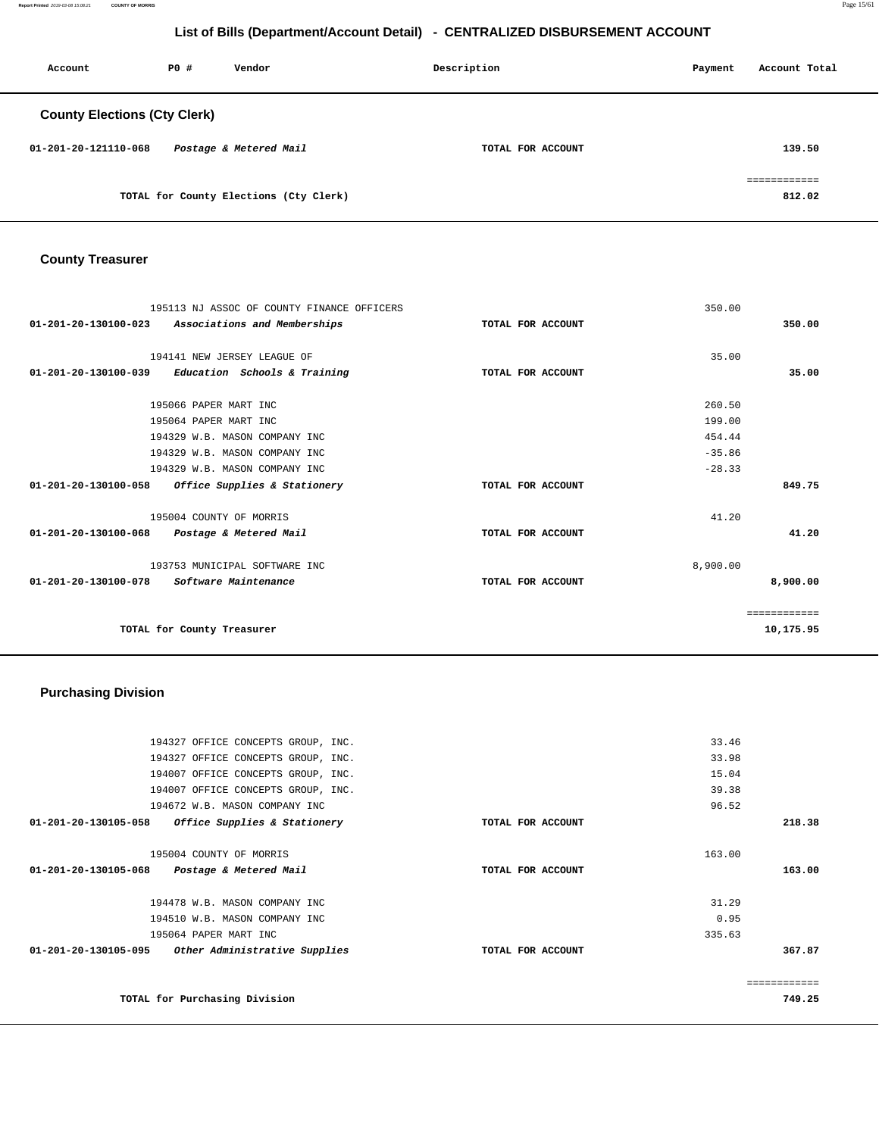**Report Printed** 2019-03-08 15:08:21 **COUNTY OF MORRIS** Page 15/61

## **List of Bills (Department/Account Detail) - CENTRALIZED DISBURSEMENT ACCOUNT**

| Account                             | PO# | Vendor                                 | Description       | Payment | Account Total          |
|-------------------------------------|-----|----------------------------------------|-------------------|---------|------------------------|
| <b>County Elections (Cty Clerk)</b> |     |                                        |                   |         |                        |
| 01-201-20-121110-068                |     | Postage & Metered Mail                 | TOTAL FOR ACCOUNT |         | 139.50                 |
|                                     |     | TOTAL for County Elections (Cty Clerk) |                   |         | ============<br>812.02 |

## **County Treasurer**

| 195113 NJ ASSOC OF COUNTY FINANCE OFFICERS                     |                   | 350.00       |          |
|----------------------------------------------------------------|-------------------|--------------|----------|
| 01-201-20-130100-023<br>Associations and Memberships           | TOTAL FOR ACCOUNT |              | 350.00   |
|                                                                |                   |              |          |
| 194141 NEW JERSEY LEAGUE OF                                    |                   | 35.00        |          |
| $01 - 201 - 20 - 130100 - 039$<br>Education Schools & Training | TOTAL FOR ACCOUNT |              | 35.00    |
| 195066 PAPER MART INC                                          |                   | 260.50       |          |
| 195064 PAPER MART INC                                          |                   | 199.00       |          |
|                                                                |                   |              |          |
| 194329 W.B. MASON COMPANY INC                                  |                   | 454.44       |          |
| 194329 W.B. MASON COMPANY INC                                  |                   | $-35.86$     |          |
| 194329 W.B. MASON COMPANY INC                                  |                   | $-28.33$     |          |
| 01-201-20-130100-058<br>Office Supplies & Stationery           | TOTAL FOR ACCOUNT |              | 849.75   |
| 195004 COUNTY OF MORRIS                                        |                   | 41.20        |          |
| 01-201-20-130100-068<br>Postage & Metered Mail                 | TOTAL FOR ACCOUNT |              | 41.20    |
| 193753 MUNICIPAL SOFTWARE INC                                  |                   | 8,900.00     |          |
| 01-201-20-130100-078<br>Software Maintenance                   | TOTAL FOR ACCOUNT |              | 8,900.00 |
|                                                                |                   | ============ |          |
| TOTAL for County Treasurer                                     |                   | 10,175.95    |          |

## **Purchasing Division**

| 194327 OFFICE CONCEPTS GROUP, INC.                    |                   | 33.46  |
|-------------------------------------------------------|-------------------|--------|
| 194327 OFFICE CONCEPTS GROUP, INC.                    |                   | 33.98  |
| 194007 OFFICE CONCEPTS GROUP, INC.                    |                   | 15.04  |
| 194007 OFFICE CONCEPTS GROUP, INC.                    |                   | 39.38  |
| 194672 W.B. MASON COMPANY INC                         |                   | 96.52  |
| 01-201-20-130105-058<br>Office Supplies & Stationery  | TOTAL FOR ACCOUNT | 218.38 |
|                                                       |                   |        |
| 195004 COUNTY OF MORRIS                               |                   | 163.00 |
| 01-201-20-130105-068 Postage & Metered Mail           | TOTAL FOR ACCOUNT | 163.00 |
|                                                       |                   |        |
| 194478 W.B. MASON COMPANY INC                         |                   | 31.29  |
| 194510 W.B. MASON COMPANY INC                         |                   | 0.95   |
| 195064 PAPER MART INC                                 |                   | 335.63 |
| 01-201-20-130105-095<br>Other Administrative Supplies | TOTAL FOR ACCOUNT | 367.87 |
|                                                       |                   |        |
|                                                       |                   |        |
| TOTAL for Purchasing Division                         |                   | 749.25 |
|                                                       |                   |        |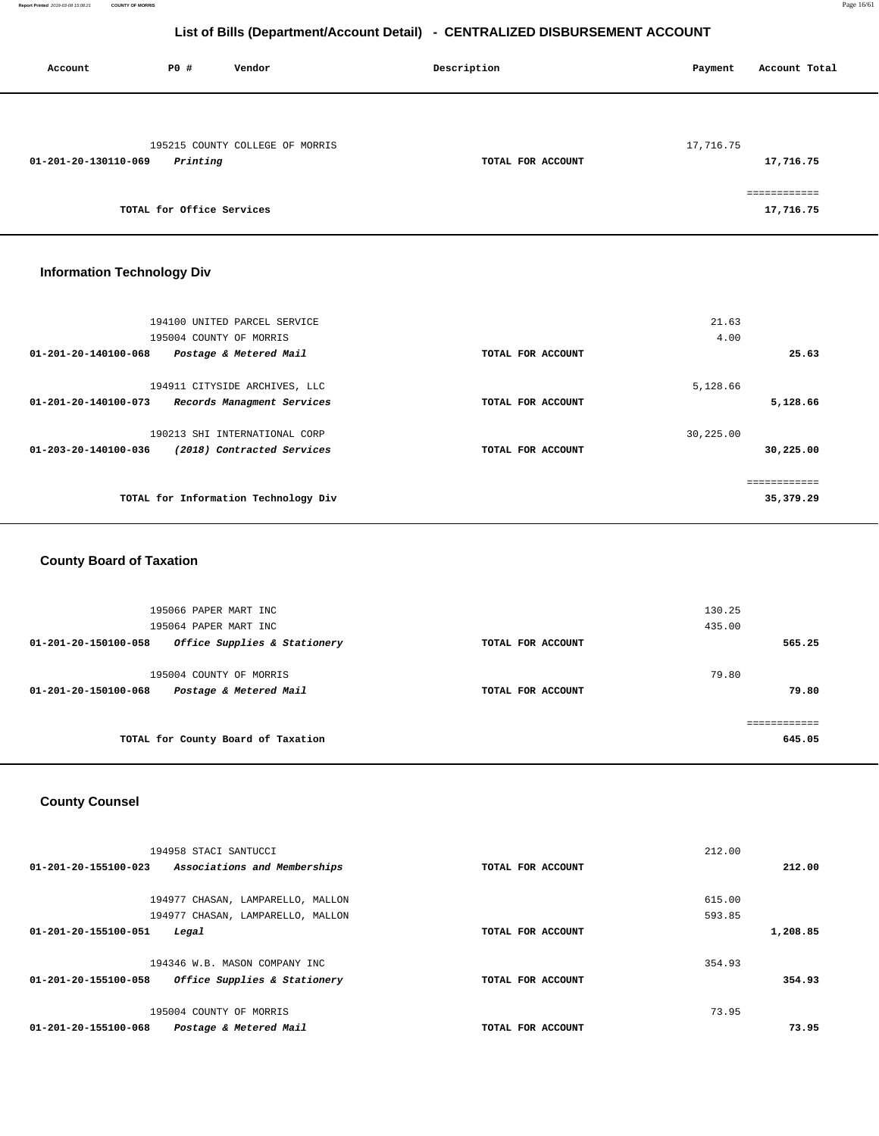| Account              | P0#                       | Vendor                          | Description       | Payment   | Account Total             |
|----------------------|---------------------------|---------------------------------|-------------------|-----------|---------------------------|
| 01-201-20-130110-069 | Printing                  | 195215 COUNTY COLLEGE OF MORRIS | TOTAL FOR ACCOUNT | 17,716.75 | 17,716.75                 |
|                      | TOTAL for Office Services |                                 |                   |           | ============<br>17,716.75 |

## **Information Technology Div**

| 194100 UNITED PARCEL SERVICE<br>195004 COUNTY OF MORRIS                             |                   | 21.63<br>4.00 |                           |
|-------------------------------------------------------------------------------------|-------------------|---------------|---------------------------|
| 01-201-20-140100-068<br>Postage & Metered Mail                                      | TOTAL FOR ACCOUNT |               | 25.63                     |
| 194911 CITYSIDE ARCHIVES, LLC<br>01-201-20-140100-073<br>Records Managment Services | TOTAL FOR ACCOUNT | 5,128.66      | 5,128.66                  |
| 190213 SHI INTERNATIONAL CORP<br>01-203-20-140100-036<br>(2018) Contracted Services | TOTAL FOR ACCOUNT | 30,225.00     | 30,225.00                 |
| TOTAL for Information Technology Div                                                |                   |               | ------------<br>35,379.29 |

## **County Board of Taxation**

| 195066 PAPER MART INC                                                     |                   | 130.25         |
|---------------------------------------------------------------------------|-------------------|----------------|
| 195064 PAPER MART INC                                                     |                   | 435.00         |
| Office Supplies & Stationery<br>01-201-20-150100-058                      | TOTAL FOR ACCOUNT | 565.25         |
| 195004 COUNTY OF MORRIS<br>Postage & Metered Mail<br>01-201-20-150100-068 | TOTAL FOR ACCOUNT | 79.80<br>79.80 |
|                                                                           |                   |                |
| TOTAL for County Board of Taxation                                        |                   | 645.05         |

## **County Counsel**

| 194958 STACI SANTUCCI                                |                   | 212.00 |          |
|------------------------------------------------------|-------------------|--------|----------|
| 01-201-20-155100-023<br>Associations and Memberships | TOTAL FOR ACCOUNT |        | 212.00   |
| 194977 CHASAN, LAMPARELLO, MALLON                    |                   | 615.00 |          |
|                                                      |                   |        |          |
| 194977 CHASAN, LAMPARELLO, MALLON                    |                   | 593.85 |          |
| 01-201-20-155100-051<br>Legal                        | TOTAL FOR ACCOUNT |        | 1,208.85 |
|                                                      |                   |        |          |
| 194346 W.B. MASON COMPANY INC                        |                   | 354.93 |          |
| 01-201-20-155100-058<br>Office Supplies & Stationery | TOTAL FOR ACCOUNT |        | 354.93   |
|                                                      |                   |        |          |
| 195004 COUNTY OF MORRIS                              |                   | 73.95  |          |
| 01-201-20-155100-068<br>Postage & Metered Mail       | TOTAL FOR ACCOUNT |        | 73.95    |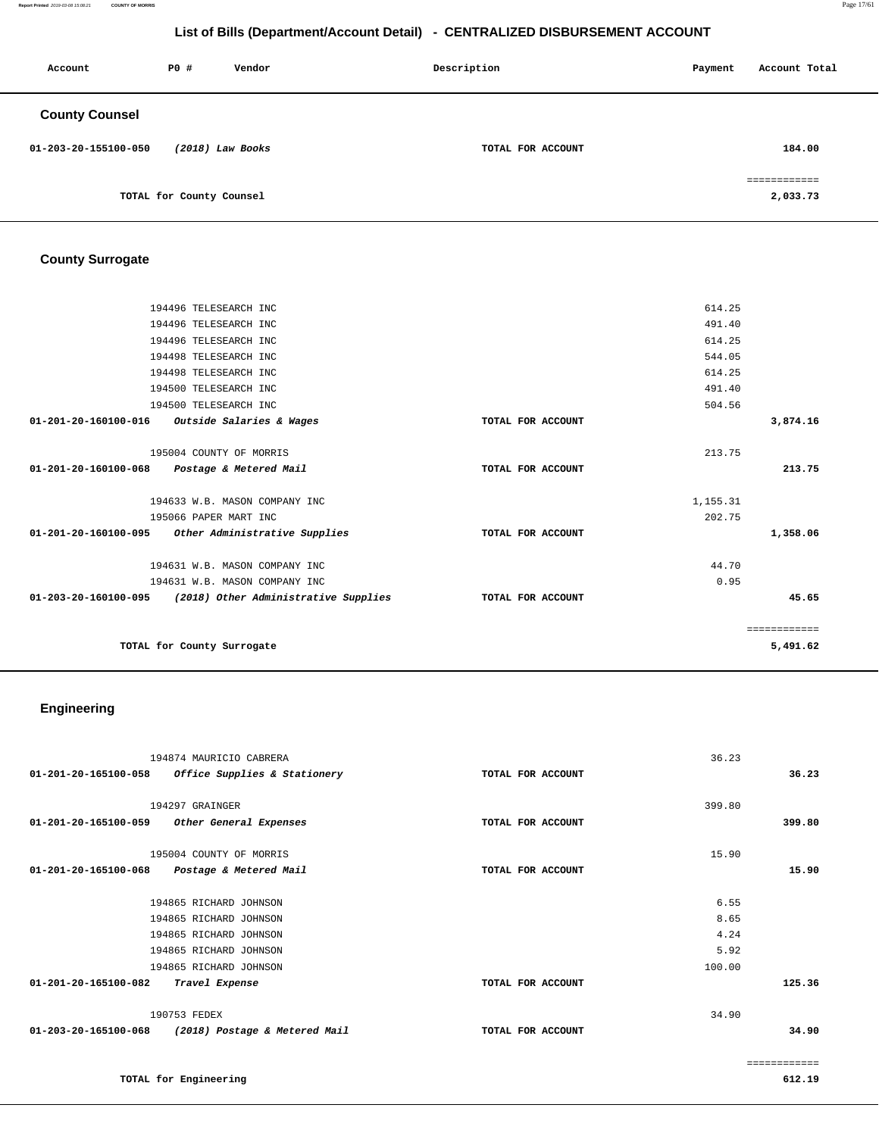**Report Printed** 2019-03-08 15:08:21 **COUNTY OF MORRIS** Page 17/61

## **List of Bills (Department/Account Detail) - CENTRALIZED DISBURSEMENT ACCOUNT**

| Account               | PO#                      | Vendor | Description       | Payment | Account Total            |
|-----------------------|--------------------------|--------|-------------------|---------|--------------------------|
| <b>County Counsel</b> |                          |        |                   |         |                          |
| 01-203-20-155100-050  | $(2018)$ Law Books       |        | TOTAL FOR ACCOUNT |         | 184.00                   |
|                       | TOTAL for County Counsel |        |                   |         | ============<br>2,033.73 |

## **County Surrogate**

|                                | 194496 TELESEARCH INC                                     |                   | 614.25   |              |
|--------------------------------|-----------------------------------------------------------|-------------------|----------|--------------|
|                                | 194496 TELESEARCH INC                                     |                   | 491.40   |              |
|                                | 194496 TELESEARCH INC                                     |                   | 614.25   |              |
|                                | 194498 TELESEARCH INC                                     |                   | 544.05   |              |
|                                | 194498 TELESEARCH INC                                     |                   | 614.25   |              |
|                                | 194500 TELESEARCH INC                                     |                   | 491.40   |              |
|                                | 194500 TELESEARCH INC                                     |                   | 504.56   |              |
| $01 - 201 - 20 - 160100 - 016$ | Outside Salaries & Wages                                  | TOTAL FOR ACCOUNT |          | 3,874.16     |
|                                |                                                           |                   |          |              |
|                                | 195004 COUNTY OF MORRIS                                   |                   | 213.75   |              |
| 01-201-20-160100-068           | Postage & Metered Mail                                    | TOTAL FOR ACCOUNT |          | 213.75       |
|                                |                                                           |                   |          |              |
|                                | 194633 W.B. MASON COMPANY INC                             |                   | 1,155.31 |              |
|                                | 195066 PAPER MART INC                                     |                   | 202.75   |              |
| 01-201-20-160100-095           | Other Administrative Supplies                             | TOTAL FOR ACCOUNT |          | 1,358.06     |
|                                |                                                           |                   |          |              |
|                                | 194631 W.B. MASON COMPANY INC                             |                   | 44.70    |              |
|                                | 194631 W.B. MASON COMPANY INC                             |                   | 0.95     |              |
|                                | 01-203-20-160100-095 (2018) Other Administrative Supplies | TOTAL FOR ACCOUNT |          | 45.65        |
|                                |                                                           |                   |          |              |
|                                |                                                           |                   |          | ============ |
|                                | TOTAL for County Surrogate                                |                   |          | 5,491.62     |
|                                |                                                           |                   |          |              |

# **Engineering**

| 36.23  |
|--------|
|        |
|        |
| 399.80 |
|        |
| 15.90  |
|        |
|        |
|        |
|        |
|        |
| 125.36 |
|        |
| 34.90  |
|        |

============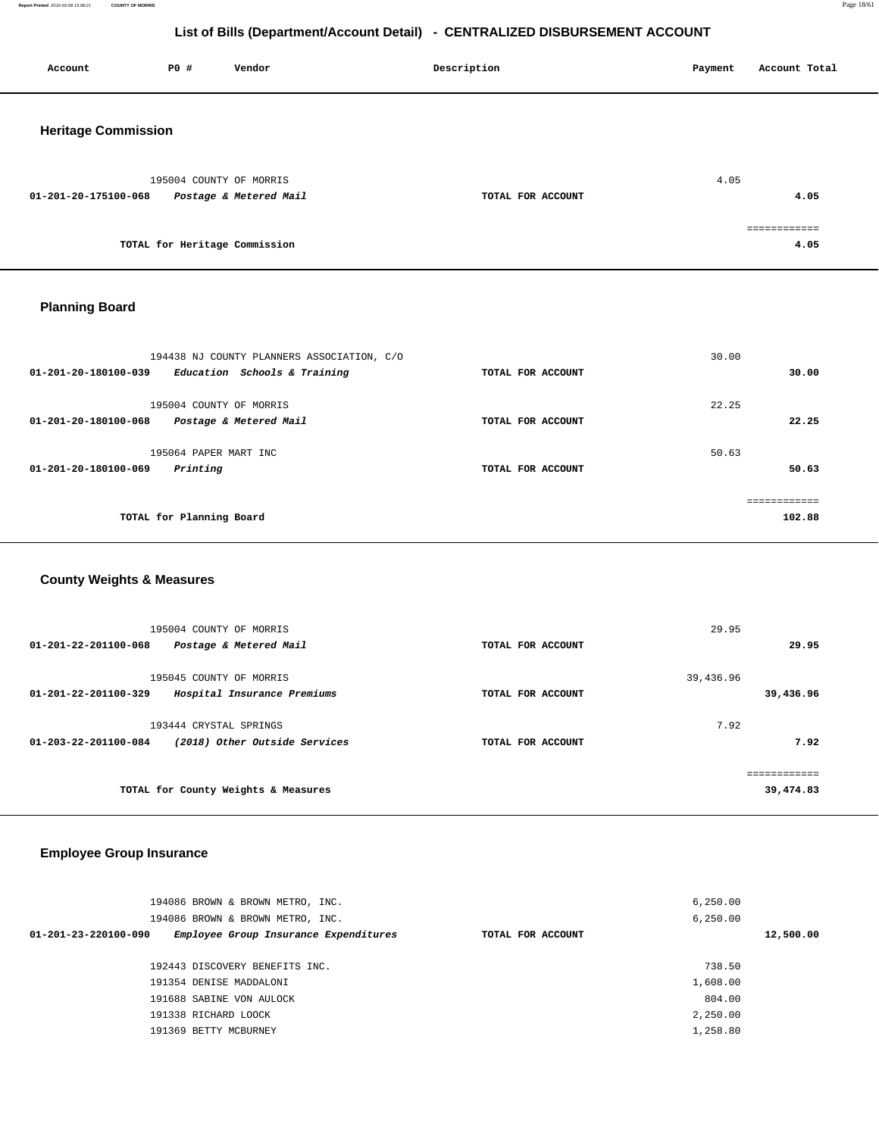**Report Printed** 2019-03-08 15:08:21 **COUNTY OF MORRIS** Page 18/61

## **List of Bills (Department/Account Detail) - CENTRALIZED DISBURSEMENT ACCOUNT**

| Account                    | P0 #                          | Vendor                                            | Description       | Payment | Account Total |
|----------------------------|-------------------------------|---------------------------------------------------|-------------------|---------|---------------|
| <b>Heritage Commission</b> |                               |                                                   |                   |         |               |
| 01-201-20-175100-068       |                               | 195004 COUNTY OF MORRIS<br>Postage & Metered Mail | TOTAL FOR ACCOUNT | 4.05    | 4.05          |
|                            | TOTAL for Heritage Commission |                                                   |                   |         | 4.05          |
|                            |                               |                                                   |                   |         |               |

## **Planning Board**

| 194438 NJ COUNTY PLANNERS ASSOCIATION, C/O                     |                   | 30.00  |
|----------------------------------------------------------------|-------------------|--------|
| Education Schools & Training<br>$01 - 201 - 20 - 180100 - 039$ | TOTAL FOR ACCOUNT | 30.00  |
| 195004 COUNTY OF MORRIS                                        |                   | 22.25  |
| 01-201-20-180100-068<br>Postage & Metered Mail                 | TOTAL FOR ACCOUNT | 22.25  |
| 195064 PAPER MART INC                                          |                   | 50.63  |
| $01 - 201 - 20 - 180100 - 069$<br>Printing                     | TOTAL FOR ACCOUNT | 50.63  |
|                                                                |                   |        |
| TOTAL for Planning Board                                       |                   | 102.88 |

## **County Weights & Measures**

| 195004 COUNTY OF MORRIS<br>01-201-22-201100-068<br>Postage & Metered Mail       | TOTAL FOR ACCOUNT | 29.95<br>29.95                     |  |
|---------------------------------------------------------------------------------|-------------------|------------------------------------|--|
| 195045 COUNTY OF MORRIS<br>01-201-22-201100-329<br>Hospital Insurance Premiums  | TOTAL FOR ACCOUNT | 39,436.96<br>39,436.96             |  |
| 193444 CRYSTAL SPRINGS<br>(2018) Other Outside Services<br>01-203-22-201100-084 | TOTAL FOR ACCOUNT | 7.92<br>7.92                       |  |
| TOTAL for County Weights & Measures                                             |                   | . = = = = = = = = = =<br>39,474.83 |  |

## **Employee Group Insurance**

| 194086 BROWN & BROWN METRO, INC.                              |                   | 6, 250.00 |
|---------------------------------------------------------------|-------------------|-----------|
| 194086 BROWN & BROWN METRO, INC.                              |                   | 6, 250.00 |
| Employee Group Insurance Expenditures<br>01-201-23-220100-090 | TOTAL FOR ACCOUNT | 12,500.00 |
|                                                               |                   |           |
| 192443 DISCOVERY BENEFITS INC.                                |                   | 738.50    |
| 191354 DENISE MADDALONI                                       |                   | 1,608.00  |
| 191688 SABINE VON AULOCK                                      |                   | 804.00    |
| 191338 RICHARD LOOCK                                          |                   | 2,250.00  |
| 191369 BETTY MCBURNEY                                         |                   | 1,258.80  |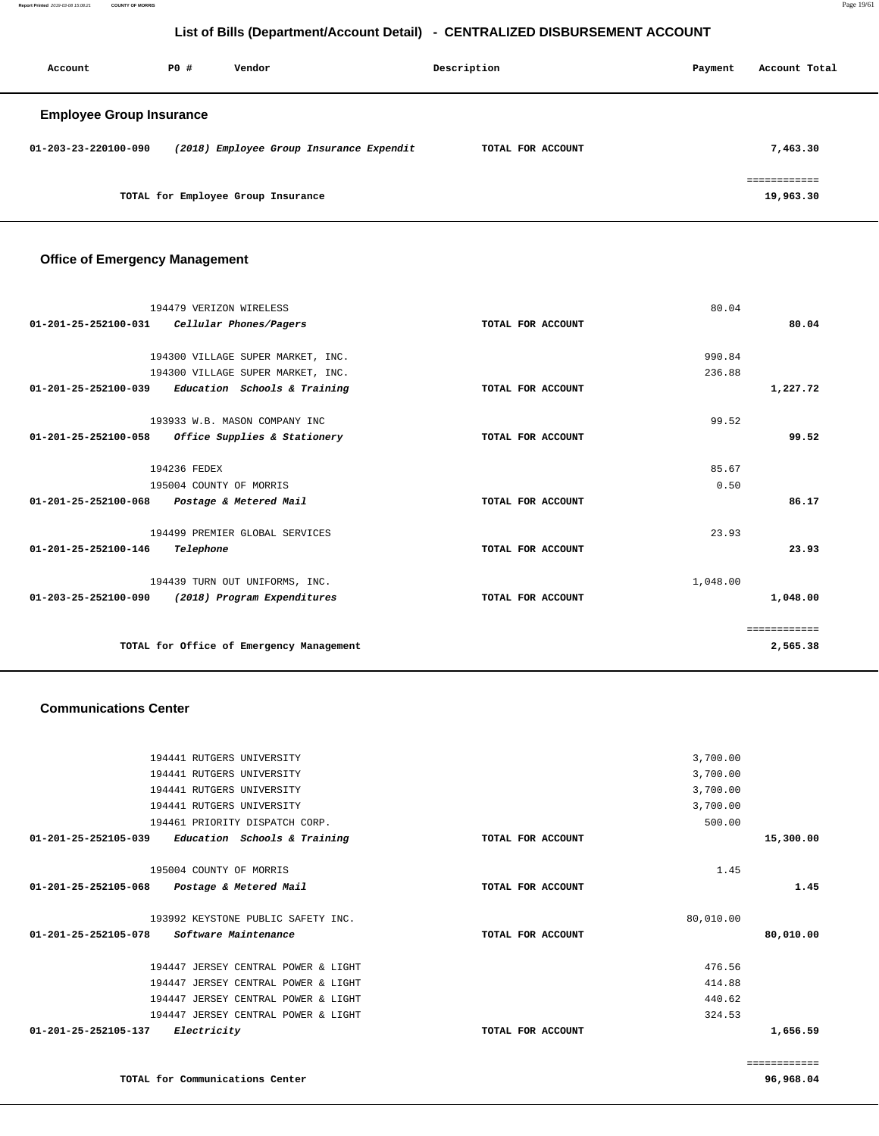| Account                         | PO# | Vendor                                   | Description       | Payment | Account Total             |
|---------------------------------|-----|------------------------------------------|-------------------|---------|---------------------------|
| <b>Employee Group Insurance</b> |     |                                          |                   |         |                           |
| 01-203-23-220100-090            |     | (2018) Employee Group Insurance Expendit | TOTAL FOR ACCOUNT |         | 7,463.30                  |
|                                 |     | TOTAL for Employee Group Insurance       |                   |         | essessessess<br>19,963.30 |

## **Office of Emergency Management**

| 194479 VERIZON WIRELESS                                        | 80.04             |              |
|----------------------------------------------------------------|-------------------|--------------|
| Cellular Phones/Pagers<br>01-201-25-252100-031                 | TOTAL FOR ACCOUNT | 80.04        |
|                                                                |                   |              |
| 194300 VILLAGE SUPER MARKET, INC.                              | 990.84            |              |
| 194300 VILLAGE SUPER MARKET, INC.                              | 236.88            |              |
| Education Schools & Training<br>01-201-25-252100-039           | TOTAL FOR ACCOUNT | 1,227.72     |
| 193933 W.B. MASON COMPANY INC                                  | 99.52             |              |
| $01 - 201 - 25 - 252100 - 058$<br>Office Supplies & Stationery | TOTAL FOR ACCOUNT | 99.52        |
| 194236 FEDEX                                                   | 85.67             |              |
| 195004 COUNTY OF MORRIS                                        | 0.50              |              |
| $01 - 201 - 25 - 252100 - 068$<br>Postage & Metered Mail       | TOTAL FOR ACCOUNT | 86.17        |
| 194499 PREMIER GLOBAL SERVICES                                 | 23.93             |              |
| 01-201-25-252100-146<br>Telephone                              | TOTAL FOR ACCOUNT | 23.93        |
| 194439 TURN OUT UNIFORMS, INC.                                 | 1,048.00          |              |
| $01 - 203 - 25 - 252100 - 090$<br>(2018) Program Expenditures  | TOTAL FOR ACCOUNT | 1,048.00     |
|                                                                |                   | ============ |
| TOTAL for Office of Emergency Management                       |                   | 2,565.38     |

#### **Communications Center**

| 194441 RUTGERS UNIVERSITY                                |                   | 3,700.00  |              |
|----------------------------------------------------------|-------------------|-----------|--------------|
| 194441 RUTGERS UNIVERSITY                                |                   | 3,700.00  |              |
| 194441 RUTGERS UNIVERSITY                                |                   | 3,700.00  |              |
| 194441 RUTGERS UNIVERSITY                                |                   | 3,700.00  |              |
| 194461 PRIORITY DISPATCH CORP.                           |                   | 500.00    |              |
| 01-201-25-252105-039<br>Education Schools & Training     | TOTAL FOR ACCOUNT |           | 15,300.00    |
| 195004 COUNTY OF MORRIS                                  |                   | 1.45      |              |
| $01 - 201 - 25 - 252105 - 068$<br>Postage & Metered Mail | TOTAL FOR ACCOUNT |           | 1.45         |
|                                                          |                   |           |              |
| 193992 KEYSTONE PUBLIC SAFETY INC.                       |                   | 80,010.00 |              |
| 01-201-25-252105-078<br>Software Maintenance             | TOTAL FOR ACCOUNT |           | 80,010.00    |
| 194447 JERSEY CENTRAL POWER & LIGHT                      |                   | 476.56    |              |
| 194447 JERSEY CENTRAL POWER & LIGHT                      |                   | 414.88    |              |
| 194447 JERSEY CENTRAL POWER & LIGHT                      |                   | 440.62    |              |
| 194447 JERSEY CENTRAL POWER & LIGHT                      |                   | 324.53    |              |
| $01 - 201 - 25 - 252105 - 137$<br>Electricity            | TOTAL FOR ACCOUNT |           | 1,656.59     |
|                                                          |                   |           |              |
|                                                          |                   |           | ============ |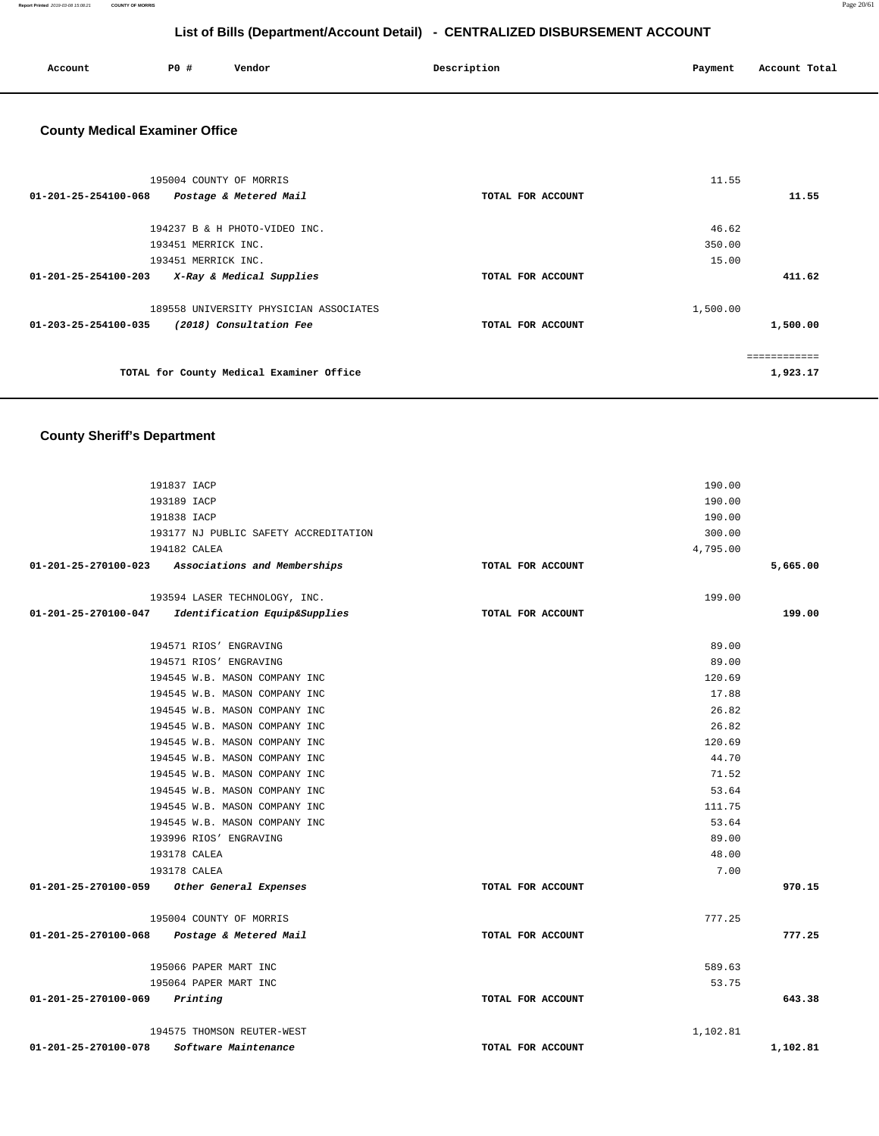**Report Printed** 2019-03-08 15:08:21 **COUNTY OF MORRIS** Page 20/61

## **List of Bills (Department/Account Detail) - CENTRALIZED DISBURSEMENT ACCOUNT**

| Account | P0 # | Vendor | Description | Payment | Account Total |
|---------|------|--------|-------------|---------|---------------|
|         |      |        |             |         |               |

## **County Medical Examiner Office**

| 195004 COUNTY OF MORRIS                          |                   | 11.55    |              |
|--------------------------------------------------|-------------------|----------|--------------|
| 01-201-25-254100-068<br>Postage & Metered Mail   | TOTAL FOR ACCOUNT |          | 11.55        |
|                                                  |                   |          |              |
| 194237 B & H PHOTO-VIDEO INC.                    |                   | 46.62    |              |
| 193451 MERRICK INC.                              |                   | 350.00   |              |
| 193451 MERRICK INC.                              |                   | 15.00    |              |
| 01-201-25-254100-203<br>X-Ray & Medical Supplies | TOTAL FOR ACCOUNT |          | 411.62       |
| 189558 UNIVERSITY PHYSICIAN ASSOCIATES           |                   | 1,500.00 |              |
| 01-203-25-254100-035<br>(2018) Consultation Fee  | TOTAL FOR ACCOUNT |          | 1,500.00     |
|                                                  |                   |          | ============ |
| TOTAL for County Medical Examiner Office         |                   |          | 1,923.17     |
|                                                  |                   |          |              |

## **County Sheriff's Department**

| 191837 IACP                                        |                   | 190.00   |          |
|----------------------------------------------------|-------------------|----------|----------|
| 193189 IACP                                        |                   | 190.00   |          |
| 191838 IACP                                        |                   | 190.00   |          |
|                                                    |                   |          |          |
| 193177 NJ PUBLIC SAFETY ACCREDITATION              |                   | 300.00   |          |
| 194182 CALEA                                       |                   | 4,795.00 |          |
| 01-201-25-270100-023 Associations and Memberships  | TOTAL FOR ACCOUNT |          | 5,665.00 |
| 193594 LASER TECHNOLOGY, INC.                      |                   | 199.00   |          |
| 01-201-25-270100-047 Identification Equip&Supplies | TOTAL FOR ACCOUNT |          | 199.00   |
|                                                    |                   |          |          |
| 194571 RIOS' ENGRAVING                             |                   | 89.00    |          |
| 194571 RIOS' ENGRAVING                             |                   | 89.00    |          |
| 194545 W.B. MASON COMPANY INC                      |                   | 120.69   |          |
| 194545 W.B. MASON COMPANY INC                      |                   | 17.88    |          |
| 194545 W.B. MASON COMPANY INC                      |                   | 26.82    |          |
| 194545 W.B. MASON COMPANY INC                      |                   | 26.82    |          |
| 194545 W.B. MASON COMPANY INC                      |                   | 120.69   |          |
| 194545 W.B. MASON COMPANY INC                      |                   | 44.70    |          |
| 194545 W.B. MASON COMPANY INC                      |                   | 71.52    |          |
| 194545 W.B. MASON COMPANY INC                      |                   | 53.64    |          |
| 194545 W.B. MASON COMPANY INC                      |                   | 111.75   |          |
| 194545 W.B. MASON COMPANY INC                      |                   | 53.64    |          |
| 193996 RIOS' ENGRAVING                             |                   | 89.00    |          |
| 193178 CALEA                                       |                   | 48.00    |          |
| 193178 CALEA                                       |                   | 7.00     |          |
| 01-201-25-270100-059 Other General Expenses        | TOTAL FOR ACCOUNT |          | 970.15   |
| 195004 COUNTY OF MORRIS                            |                   | 777.25   |          |
| 01-201-25-270100-068 Postage & Metered Mail        | TOTAL FOR ACCOUNT |          | 777.25   |
| 195066 PAPER MART INC                              |                   | 589.63   |          |
| 195064 PAPER MART INC                              |                   | 53.75    |          |
| $01 - 201 - 25 - 270100 - 069$ Printing            | TOTAL FOR ACCOUNT |          | 643.38   |
| 194575 THOMSON REUTER-WEST                         |                   | 1,102.81 |          |
| 01-201-25-270100-078<br>Software Maintenance       | TOTAL FOR ACCOUNT |          | 1,102.81 |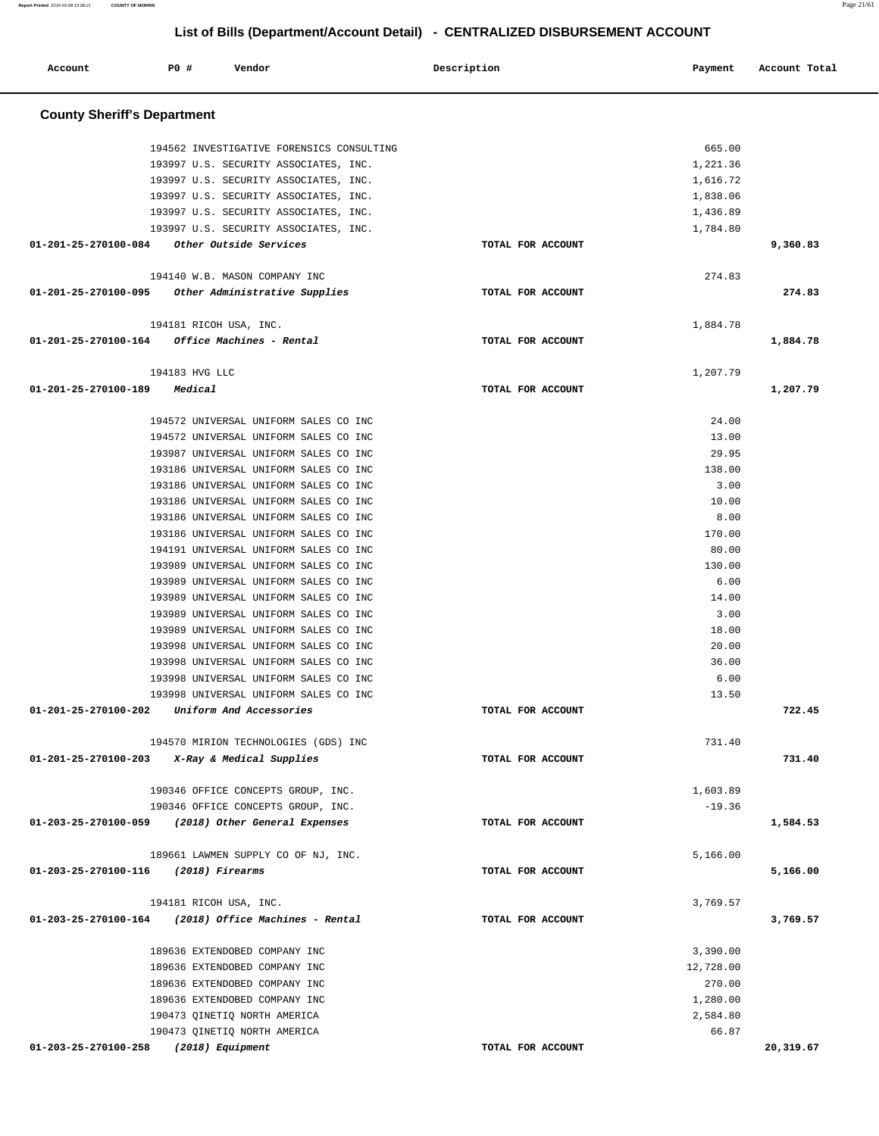**Account P0 # Vendor Description Payment Account Total County Sheriff's Department** 194562 INVESTIGATIVE FORENSICS CONSULTING 193997 U.S. SECURITY ASSOCIATES, INC. 193997 U.S. SECURITY ASSOCIATES, INC. 193997 U.S. SECURITY ASSOCIATES, INC. 193997 U.S. SECURITY ASSOCIATES, INC. 193997 U.S. SECURITY ASSOCIATES, INC. **01-201-25-270100-084 Other Outside Services TOTAL FOR ACCOUNT**  665.00 1,221.36 1,616.72 1,838.06 1,436.89 1,784.80 **9,360.83** 194140 W.B. MASON COMPANY INC **01-201-25-270100-095 Other Administrative Supplies TOTAL FOR ACCOUNT**  274.83 **274.83** 194181 RICOH USA, INC. **01-201-25-270100-164 Office Machines - Rental TOTAL FOR ACCOUNT**  1,884.78 **1,884.78** 194183 HVG LLC **01-201-25-270100-189 Medical TOTAL FOR ACCOUNT**  1,207.79 **1,207.79** 194572 UNIVERSAL UNIFORM SALES CO INC 194572 UNIVERSAL UNIFORM SALES CO INC 193987 UNIVERSAL UNIFORM SALES CO INC 193186 UNIVERSAL UNIFORM SALES CO INC 193186 UNIVERSAL UNIFORM SALES CO INC 193186 UNIVERSAL UNIFORM SALES CO INC 193186 UNIVERSAL UNIFORM SALES CO INC 193186 UNIVERSAL UNIFORM SALES CO INC 194191 UNIVERSAL UNIFORM SALES CO INC 193989 UNIVERSAL UNIFORM SALES CO INC 193989 UNIVERSAL UNIFORM SALES CO INC 193989 UNIVERSAL UNIFORM SALES CO INC 193989 UNIVERSAL UNIFORM SALES CO INC 193989 UNIVERSAL UNIFORM SALES CO INC 193998 UNIVERSAL UNIFORM SALES CO INC 193998 UNIVERSAL UNIFORM SALES CO INC 193998 UNIVERSAL UNIFORM SALES CO INC 193998 UNIVERSAL UNIFORM SALES CO INC **01-201-25-270100-202 Uniform And Accessories TOTAL FOR ACCOUNT**  24.00 13.00 29.95 138.00 3.00 10.00 8.00 170.00 80.00 130.00 6.00 14.00 3.00 18.00 20.00 36.00 6.00 13.50 **722.45** 194570 MIRION TECHNOLOGIES (GDS) INC **01-201-25-270100-203 X-Ray & Medical Supplies TOTAL FOR ACCOUNT**  731.40 **731.40** 190346 OFFICE CONCEPTS GROUP, INC. 190346 OFFICE CONCEPTS GROUP, INC. **01-203-25-270100-059 (2018) Other General Expenses TOTAL FOR ACCOUNT**  1,603.89 -19.36 **1,584.53** 189661 LAWMEN SUPPLY CO OF NJ, INC. **01-203-25-270100-116 (2018) Firearms TOTAL FOR ACCOUNT**  5,166.00 **5,166.00** 194181 RICOH USA, INC. **01-203-25-270100-164 (2018) Office Machines - Rental TOTAL FOR ACCOUNT**  3,769.57 **3,769.57** 189636 EXTENDOBED COMPANY INC 189636 EXTENDOBED COMPANY INC 189636 EXTENDOBED COMPANY INC 189636 EXTENDOBED COMPANY INC 190473 QINETIQ NORTH AMERICA 190473 QINETIQ NORTH AMERICA **01-203-25-270100-258 (2018) Equipment TOTAL FOR ACCOUNT**  3,390.00 12,728.00 270.00 1,280.00 2,584.80 66.87 **20,319.67** 

## **List of Bills (Department/Account Detail) - CENTRALIZED DISBURSEMENT ACCOUNT**

**Report Printed** 2019-03-08 15:08:21 **COUNTY OF MORRIS** Page 21/61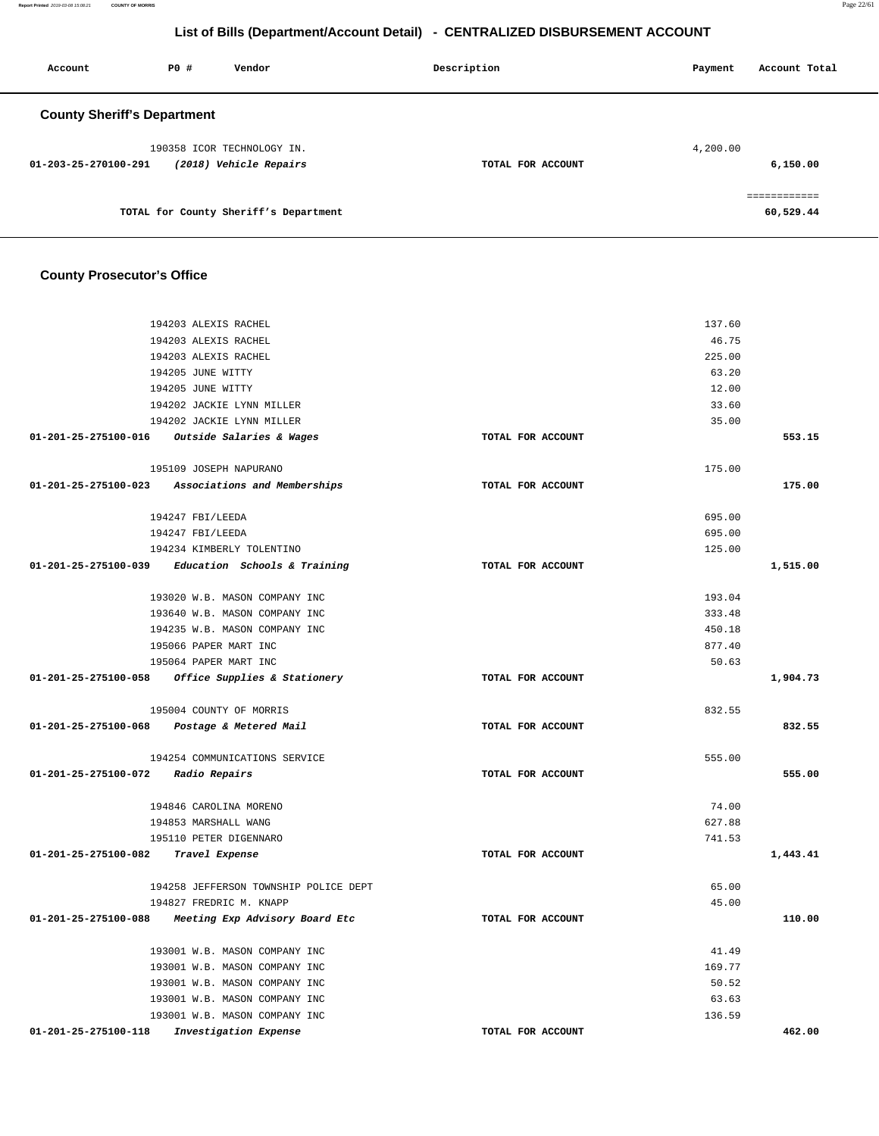**Report Printed** 2019-03-08 15:08:21 **COUNTY OF MORRIS** Page 22/61

## **List of Bills (Department/Account Detail) - CENTRALIZED DISBURSEMENT ACCOUNT**

| Account                            | PO# | Vendor                                               | Description       | Payment  | Account Total             |
|------------------------------------|-----|------------------------------------------------------|-------------------|----------|---------------------------|
| <b>County Sheriff's Department</b> |     |                                                      |                   |          |                           |
| $01 - 203 - 25 - 270100 - 291$     |     | 190358 ICOR TECHNOLOGY IN.<br>(2018) Vehicle Repairs | TOTAL FOR ACCOUNT | 4,200.00 | 6,150.00                  |
|                                    |     | TOTAL for County Sheriff's Department                |                   |          | ============<br>60,529.44 |

## **County Prosecutor's Office**

| 194203 ALEXIS RACHEL                                |                   | 137.60   |
|-----------------------------------------------------|-------------------|----------|
| 194203 ALEXIS RACHEL                                |                   | 46.75    |
| 194203 ALEXIS RACHEL                                |                   | 225.00   |
| 194205 JUNE WITTY                                   |                   | 63.20    |
| 194205 JUNE WITTY                                   |                   | 12.00    |
| 194202 JACKIE LYNN MILLER                           |                   | 33.60    |
| 194202 JACKIE LYNN MILLER                           |                   | 35.00    |
| 01-201-25-275100-016 Outside Salaries & Wages       | TOTAL FOR ACCOUNT | 553.15   |
|                                                     |                   |          |
| 195109 JOSEPH NAPURANO                              |                   | 175.00   |
| 01-201-25-275100-023 Associations and Memberships   | TOTAL FOR ACCOUNT | 175.00   |
| 194247 FBI/LEEDA                                    |                   | 695.00   |
| 194247 FBI/LEEDA                                    |                   | 695.00   |
| 194234 KIMBERLY TOLENTINO                           |                   | 125.00   |
| 01-201-25-275100-039 Education Schools & Training   | TOTAL FOR ACCOUNT | 1,515.00 |
|                                                     |                   |          |
| 193020 W.B. MASON COMPANY INC                       |                   | 193.04   |
| 193640 W.B. MASON COMPANY INC                       |                   | 333.48   |
| 194235 W.B. MASON COMPANY INC                       |                   | 450.18   |
| 195066 PAPER MART INC                               |                   | 877.40   |
| 195064 PAPER MART INC                               |                   | 50.63    |
| 01-201-25-275100-058 Office Supplies & Stationery   | TOTAL FOR ACCOUNT | 1,904.73 |
| 195004 COUNTY OF MORRIS                             |                   | 832.55   |
| 01-201-25-275100-068 Postage & Metered Mail         | TOTAL FOR ACCOUNT | 832.55   |
| 194254 COMMUNICATIONS SERVICE                       |                   | 555.00   |
| 01-201-25-275100-072 Radio Repairs                  | TOTAL FOR ACCOUNT | 555.00   |
|                                                     |                   |          |
| 194846 CAROLINA MORENO                              |                   | 74.00    |
| 194853 MARSHALL WANG                                |                   | 627.88   |
| 195110 PETER DIGENNARO                              |                   | 741.53   |
| 01-201-25-275100-082 Travel Expense                 | TOTAL FOR ACCOUNT | 1,443.41 |
| 194258 JEFFERSON TOWNSHIP POLICE DEPT               |                   | 65.00    |
| 194827 FREDRIC M. KNAPP                             |                   | 45.00    |
| 01-201-25-275100-088 Meeting Exp Advisory Board Etc | TOTAL FOR ACCOUNT | 110.00   |
|                                                     |                   |          |
| 193001 W.B. MASON COMPANY INC                       |                   | 41.49    |
| 193001 W.B. MASON COMPANY INC                       |                   | 169.77   |
| 193001 W.B. MASON COMPANY INC                       |                   | 50.52    |
| 193001 W.B. MASON COMPANY INC                       |                   | 63.63    |
| 193001 W.B. MASON COMPANY INC                       |                   | 136.59   |
| 01-201-25-275100-118<br>Investigation Expense       | TOTAL FOR ACCOUNT | 462.00   |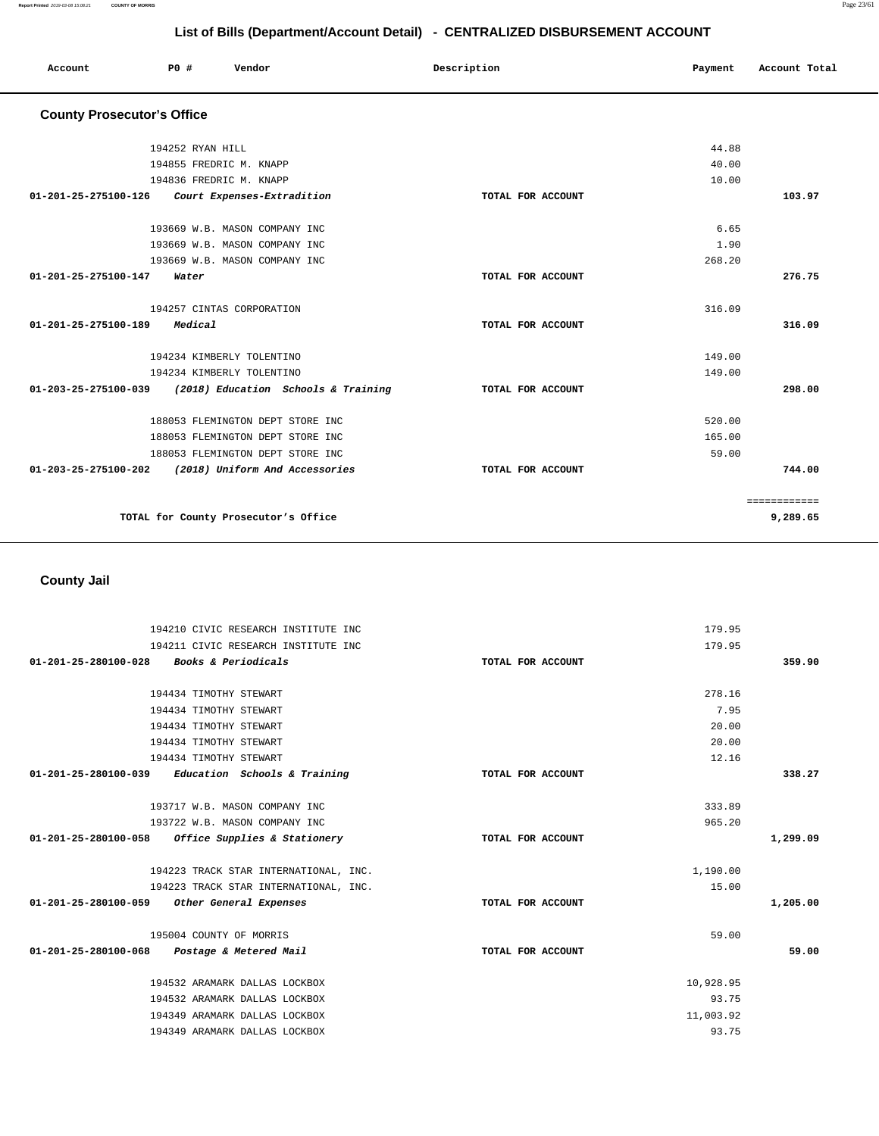| Account                           | PO#<br>Vendor                                            | Description       | Payment | Account Total            |
|-----------------------------------|----------------------------------------------------------|-------------------|---------|--------------------------|
| <b>County Prosecutor's Office</b> |                                                          |                   |         |                          |
|                                   | 194252 RYAN HILL                                         |                   | 44.88   |                          |
|                                   | 194855 FREDRIC M. KNAPP                                  |                   | 40.00   |                          |
|                                   | 194836 FREDRIC M. KNAPP                                  |                   | 10.00   |                          |
|                                   | 01-201-25-275100-126 Court Expenses-Extradition          | TOTAL FOR ACCOUNT |         | 103.97                   |
|                                   | 193669 W.B. MASON COMPANY INC                            |                   | 6.65    |                          |
|                                   | 193669 W.B. MASON COMPANY INC                            |                   | 1.90    |                          |
|                                   | 193669 W.B. MASON COMPANY INC                            |                   | 268.20  |                          |
| 01-201-25-275100-147              | Water                                                    | TOTAL FOR ACCOUNT |         | 276.75                   |
|                                   | 194257 CINTAS CORPORATION                                |                   | 316.09  |                          |
| 01-201-25-275100-189 Medical      |                                                          | TOTAL FOR ACCOUNT |         | 316.09                   |
|                                   | 194234 KIMBERLY TOLENTINO                                |                   | 149.00  |                          |
|                                   | 194234 KIMBERLY TOLENTINO                                |                   | 149.00  |                          |
|                                   | 01-203-25-275100-039 (2018) Education Schools & Training | TOTAL FOR ACCOUNT |         | 298.00                   |
|                                   | 188053 FLEMINGTON DEPT STORE INC                         |                   | 520.00  |                          |
|                                   | 188053 FLEMINGTON DEPT STORE INC                         |                   | 165.00  |                          |
|                                   | 188053 FLEMINGTON DEPT STORE INC                         |                   | 59.00   |                          |
|                                   | 01-203-25-275100-202 (2018) Uniform And Accessories      | TOTAL FOR ACCOUNT |         | 744.00                   |
|                                   | TOTAL for County Prosecutor's Office                     |                   |         | ============<br>9,289.65 |
|                                   |                                                          |                   |         |                          |

## **County Jail**

| 194210 CIVIC RESEARCH INSTITUTE INC                  |                   | 179.95    |          |
|------------------------------------------------------|-------------------|-----------|----------|
| 194211 CIVIC RESEARCH INSTITUTE INC                  |                   | 179.95    |          |
| 01-201-25-280100-028 Books & Periodicals             | TOTAL FOR ACCOUNT |           | 359.90   |
|                                                      |                   |           |          |
| 194434 TIMOTHY STEWART                               |                   | 278.16    |          |
| 194434 TIMOTHY STEWART                               |                   | 7.95      |          |
| 194434 TIMOTHY STEWART                               |                   | 20.00     |          |
| 194434 TIMOTHY STEWART                               |                   | 20.00     |          |
| 194434 TIMOTHY STEWART                               |                   | 12.16     |          |
| $01-201-25-280100-039$ Education Schools & Training  | TOTAL FOR ACCOUNT |           | 338.27   |
|                                                      |                   |           |          |
| 193717 W.B. MASON COMPANY INC                        |                   | 333.89    |          |
| 193722 W.B. MASON COMPANY INC                        |                   | 965.20    |          |
| 01-201-25-280100-058<br>Office Supplies & Stationery | TOTAL FOR ACCOUNT |           | 1,299.09 |
|                                                      |                   |           |          |
| 194223 TRACK STAR INTERNATIONAL, INC.                |                   | 1,190.00  |          |
| 194223 TRACK STAR INTERNATIONAL, INC.                |                   | 15.00     |          |
| 01-201-25-280100-059<br>Other General Expenses       | TOTAL FOR ACCOUNT |           | 1,205.00 |
|                                                      |                   |           |          |
| 195004 COUNTY OF MORRIS                              |                   | 59.00     |          |
| 01-201-25-280100-068 Postage & Metered Mail          | TOTAL FOR ACCOUNT |           | 59.00    |
|                                                      |                   |           |          |
| 194532 ARAMARK DALLAS LOCKBOX                        |                   | 10,928.95 |          |
|                                                      |                   |           |          |
| 194532 ARAMARK DALLAS LOCKBOX                        |                   | 93.75     |          |
| 194349 ARAMARK DALLAS LOCKBOX                        |                   | 11,003.92 |          |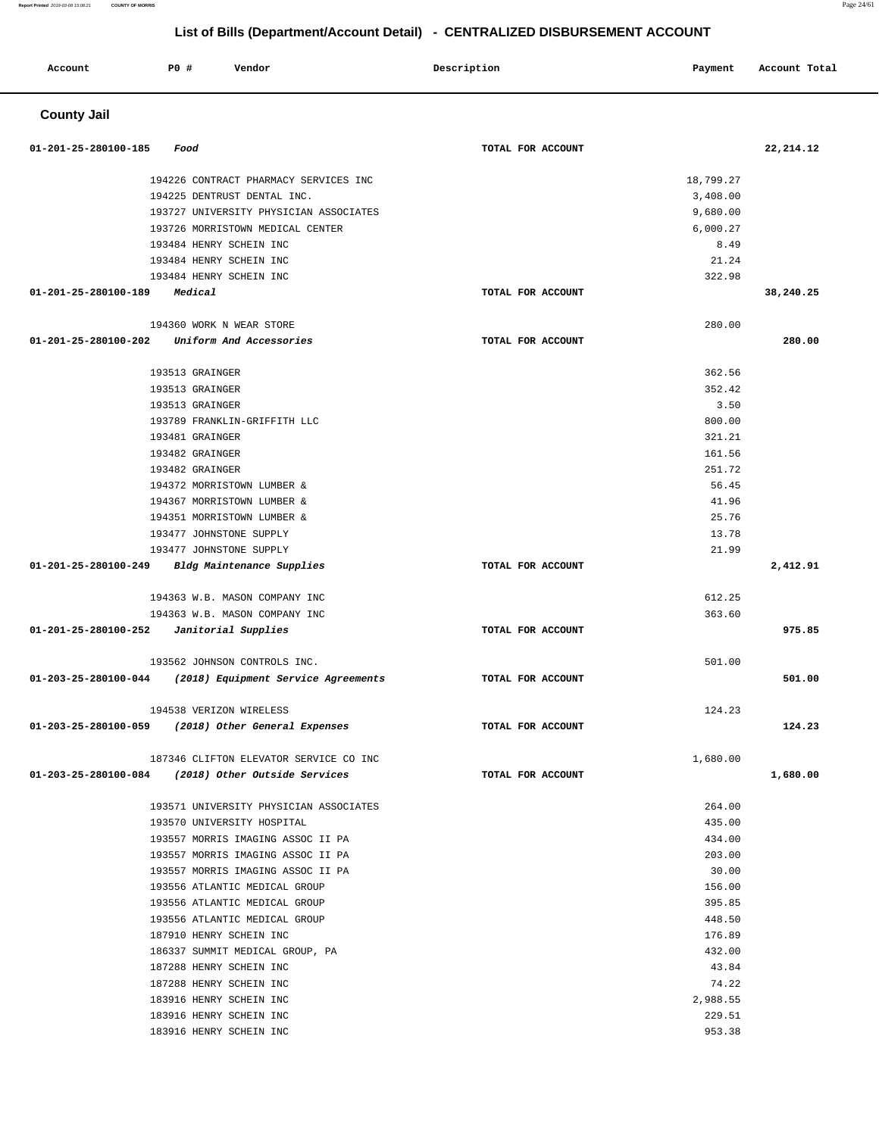#### **Report Printed** 2019-03-08 15:08:21 **COUNTY OF MORRIS** Page 24/61

## **List of Bills (Department/Account Detail) - CENTRALIZED DISBURSEMENT ACCOUNT**

| Account              | P0 # | Vendor                                                                 | Description       | Payment          | Account Total |
|----------------------|------|------------------------------------------------------------------------|-------------------|------------------|---------------|
| <b>County Jail</b>   |      |                                                                        |                   |                  |               |
| 01-201-25-280100-185 |      | Food                                                                   | TOTAL FOR ACCOUNT |                  | 22, 214.12    |
|                      |      | 194226 CONTRACT PHARMACY SERVICES INC                                  |                   | 18,799.27        |               |
|                      |      | 194225 DENTRUST DENTAL INC.                                            |                   | 3,408.00         |               |
|                      |      | 193727 UNIVERSITY PHYSICIAN ASSOCIATES                                 |                   | 9,680.00         |               |
|                      |      | 193726 MORRISTOWN MEDICAL CENTER                                       |                   | 6,000.27         |               |
|                      |      | 193484 HENRY SCHEIN INC                                                |                   | 8.49             |               |
|                      |      | 193484 HENRY SCHEIN INC                                                |                   | 21.24            |               |
|                      |      | 193484 HENRY SCHEIN INC                                                |                   | 322.98           |               |
| 01-201-25-280100-189 |      | Medical                                                                | TOTAL FOR ACCOUNT |                  | 38,240.25     |
|                      |      | 194360 WORK N WEAR STORE                                               |                   | 280.00           |               |
| 01-201-25-280100-202 |      | Uniform And Accessories                                                | TOTAL FOR ACCOUNT |                  | 280.00        |
|                      |      | 193513 GRAINGER                                                        |                   | 362.56           |               |
|                      |      | 193513 GRAINGER                                                        |                   | 352.42           |               |
|                      |      | 193513 GRAINGER                                                        |                   | 3.50             |               |
|                      |      | 193789 FRANKLIN-GRIFFITH LLC                                           |                   | 800.00           |               |
|                      |      | 193481 GRAINGER                                                        |                   | 321.21           |               |
|                      |      | 193482 GRAINGER                                                        |                   | 161.56           |               |
|                      |      | 193482 GRAINGER                                                        |                   | 251.72           |               |
|                      |      | 194372 MORRISTOWN LUMBER &                                             |                   | 56.45            |               |
|                      |      | 194367 MORRISTOWN LUMBER &                                             |                   | 41.96            |               |
|                      |      | 194351 MORRISTOWN LUMBER &                                             |                   | 25.76            |               |
|                      |      | 193477 JOHNSTONE SUPPLY                                                |                   | 13.78            |               |
|                      |      | 193477 JOHNSTONE SUPPLY                                                |                   | 21.99            |               |
| 01-201-25-280100-249 |      | Bldg Maintenance Supplies                                              | TOTAL FOR ACCOUNT |                  | 2,412.91      |
|                      |      | 194363 W.B. MASON COMPANY INC                                          |                   | 612.25           |               |
|                      |      | 194363 W.B. MASON COMPANY INC                                          |                   | 363.60           |               |
| 01-201-25-280100-252 |      | Janitorial Supplies                                                    | TOTAL FOR ACCOUNT |                  | 975.85        |
|                      |      | 193562 JOHNSON CONTROLS INC.                                           |                   | 501.00           |               |
| 01-203-25-280100-044 |      | (2018) Equipment Service Agreements                                    | TOTAL FOR ACCOUNT |                  | 501.00        |
|                      |      | 194538 VERIZON WIRELESS                                                |                   | 124.23           |               |
|                      |      | 01-203-25-280100-059 (2018) Other General Expenses                     | TOTAL FOR ACCOUNT |                  | 124.23        |
|                      |      | 187346 CLIFTON ELEVATOR SERVICE CO INC                                 |                   | 1,680.00         |               |
|                      |      | 01-203-25-280100-084 (2018) Other Outside Services                     | TOTAL FOR ACCOUNT |                  | 1,680.00      |
|                      |      |                                                                        |                   |                  |               |
|                      |      | 193571 UNIVERSITY PHYSICIAN ASSOCIATES                                 |                   | 264.00           |               |
|                      |      | 193570 UNIVERSITY HOSPITAL                                             |                   | 435.00<br>434.00 |               |
|                      |      | 193557 MORRIS IMAGING ASSOC II PA<br>193557 MORRIS IMAGING ASSOC II PA |                   | 203.00           |               |
|                      |      | 193557 MORRIS IMAGING ASSOC II PA                                      |                   | 30.00            |               |
|                      |      | 193556 ATLANTIC MEDICAL GROUP                                          |                   | 156.00           |               |
|                      |      | 193556 ATLANTIC MEDICAL GROUP                                          |                   | 395.85           |               |
|                      |      | 193556 ATLANTIC MEDICAL GROUP                                          |                   | 448.50           |               |
|                      |      | 187910 HENRY SCHEIN INC                                                |                   | 176.89           |               |
|                      |      | 186337 SUMMIT MEDICAL GROUP, PA                                        |                   | 432.00           |               |
|                      |      | 187288 HENRY SCHEIN INC                                                |                   | 43.84            |               |
|                      |      | 187288 HENRY SCHEIN INC                                                |                   | 74.22            |               |
|                      |      | 183916 HENRY SCHEIN INC                                                |                   | 2,988.55         |               |
|                      |      | 183916 HENRY SCHEIN INC                                                |                   | 229.51           |               |
|                      |      | 183916 HENRY SCHEIN INC                                                |                   | 953.38           |               |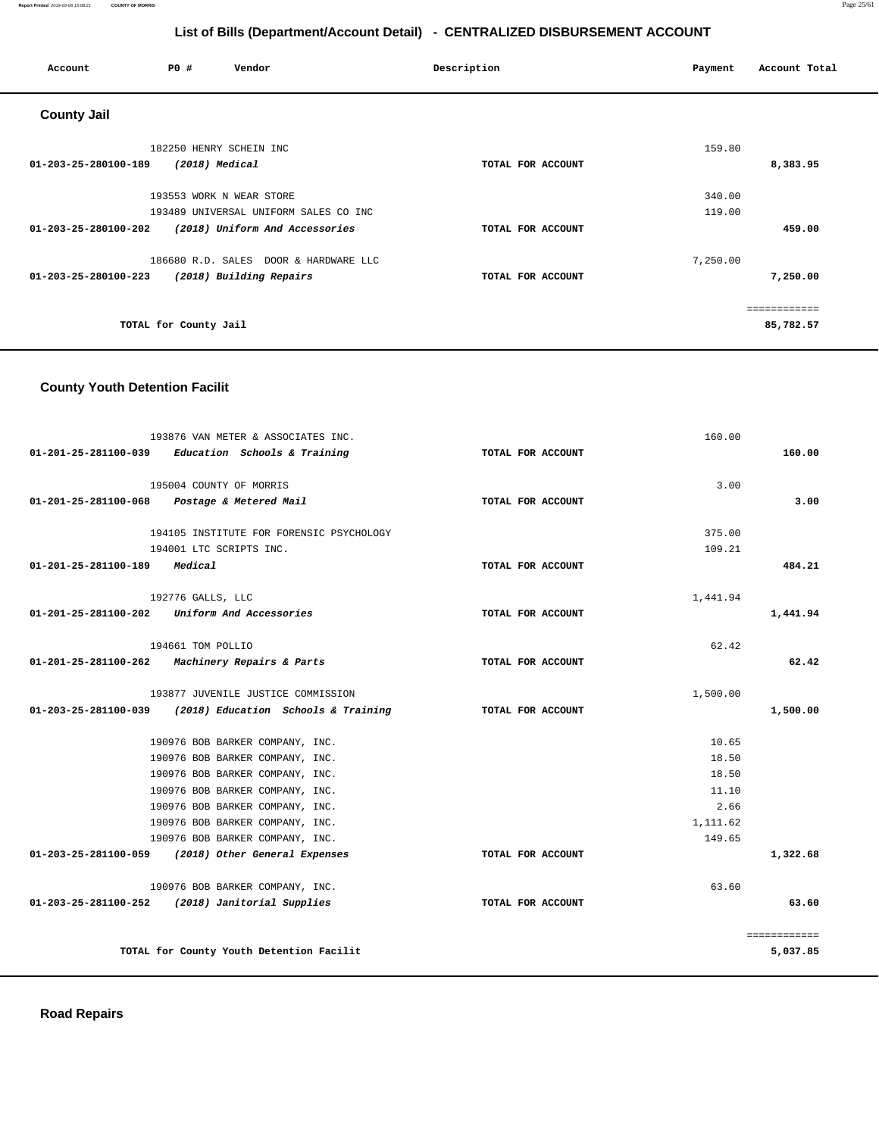#### **Report Printed** 2019-03-08 15:08:21 **COUNTY OF MORRIS** Page 25/61

## **List of Bills (Department/Account Detail) - CENTRALIZED DISBURSEMENT ACCOUNT**

| Account              | P0 #                     | Vendor                                | Description       | Payment  | Account Total |
|----------------------|--------------------------|---------------------------------------|-------------------|----------|---------------|
| <b>County Jail</b>   |                          |                                       |                   |          |               |
|                      | 182250 HENRY SCHEIN INC  |                                       |                   | 159.80   |               |
| 01-203-25-280100-189 | (2018) Medical           |                                       | TOTAL FOR ACCOUNT |          | 8,383.95      |
|                      | 193553 WORK N WEAR STORE |                                       |                   | 340.00   |               |
|                      |                          | 193489 UNIVERSAL UNIFORM SALES CO INC |                   | 119.00   |               |
| 01-203-25-280100-202 |                          | (2018) Uniform And Accessories        | TOTAL FOR ACCOUNT |          | 459.00        |
|                      |                          | 186680 R.D. SALES DOOR & HARDWARE LLC |                   | 7,250.00 |               |
| 01-203-25-280100-223 |                          | (2018) Building Repairs               | TOTAL FOR ACCOUNT |          | 7,250.00      |
|                      |                          |                                       |                   |          | ------------  |
|                      | TOTAL for County Jail    |                                       |                   |          | 85,782.57     |

## **County Youth Detention Facilit**

|                                                 | 193876 VAN METER & ASSOCIATES INC.                       |                   | 160.00   |              |
|-------------------------------------------------|----------------------------------------------------------|-------------------|----------|--------------|
|                                                 | $01-201-25-281100-039$ Education Schools & Training      | TOTAL FOR ACCOUNT |          | 160.00       |
|                                                 |                                                          |                   |          |              |
|                                                 | 195004 COUNTY OF MORRIS                                  |                   | 3.00     |              |
| 01-201-25-281100-068 Postage & Metered Mail     |                                                          | TOTAL FOR ACCOUNT |          | 3.00         |
|                                                 | 194105 INSTITUTE FOR FORENSIC PSYCHOLOGY                 |                   | 375.00   |              |
|                                                 | 194001 LTC SCRIPTS INC.                                  |                   | 109.21   |              |
| 01-201-25-281100-189 Medical                    |                                                          | TOTAL FOR ACCOUNT |          | 484.21       |
|                                                 | 192776 GALLS, LLC                                        |                   | 1,441.94 |              |
| 01-201-25-281100-202                            | Uniform And Accessories                                  | TOTAL FOR ACCOUNT |          | 1,441.94     |
|                                                 |                                                          |                   |          |              |
|                                                 | 194661 TOM POLLIO                                        |                   | 62.42    |              |
| 01-201-25-281100-262 Machinery Repairs & Parts  |                                                          | TOTAL FOR ACCOUNT |          | 62.42        |
|                                                 |                                                          |                   |          |              |
|                                                 | 193877 JUVENILE JUSTICE COMMISSION                       |                   | 1,500.00 |              |
|                                                 | 01-203-25-281100-039 (2018) Education Schools & Training | TOTAL FOR ACCOUNT |          | 1,500.00     |
|                                                 |                                                          |                   |          |              |
|                                                 | 190976 BOB BARKER COMPANY, INC.                          |                   | 10.65    |              |
|                                                 | 190976 BOB BARKER COMPANY, INC.                          |                   | 18.50    |              |
|                                                 | 190976 BOB BARKER COMPANY, INC.                          |                   | 18.50    |              |
|                                                 | 190976 BOB BARKER COMPANY, INC.                          |                   | 11.10    |              |
|                                                 | 190976 BOB BARKER COMPANY, INC.                          |                   | 2.66     |              |
|                                                 | 190976 BOB BARKER COMPANY, INC.                          |                   | 1,111.62 |              |
|                                                 | 190976 BOB BARKER COMPANY, INC.                          |                   | 149.65   |              |
|                                                 | 01-203-25-281100-059 (2018) Other General Expenses       | TOTAL FOR ACCOUNT |          | 1,322.68     |
|                                                 | 190976 BOB BARKER COMPANY, INC.                          |                   | 63.60    |              |
| 01-203-25-281100-252 (2018) Janitorial Supplies |                                                          | TOTAL FOR ACCOUNT |          | 63.60        |
|                                                 |                                                          |                   |          | ============ |
|                                                 | TOTAL for County Youth Detention Facilit                 |                   |          | 5,037.85     |
|                                                 |                                                          |                   |          |              |

**Road Repairs**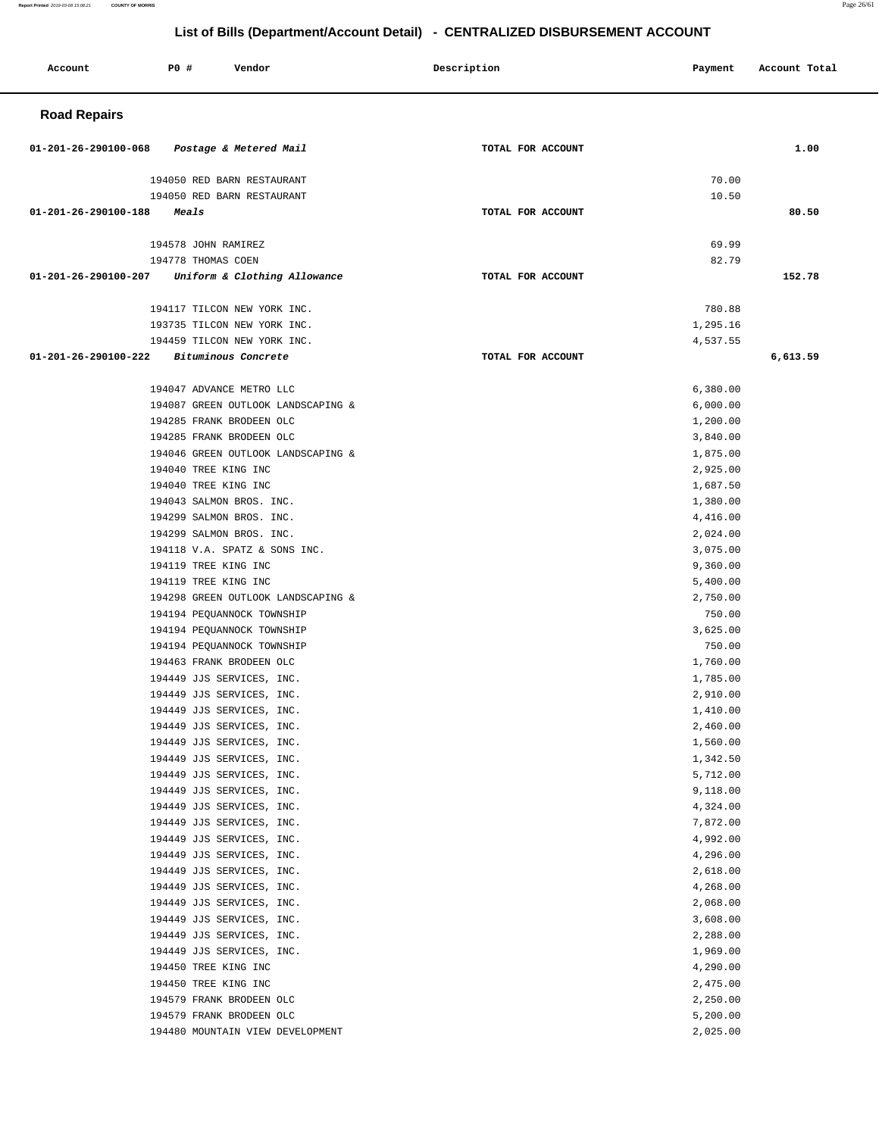| Report Printed 2019-03-08 15:08:21<br><b>COUNTY OF MORRIS</b> |                     |                              |                                                                              |         |               | Page 26/61 |
|---------------------------------------------------------------|---------------------|------------------------------|------------------------------------------------------------------------------|---------|---------------|------------|
|                                                               |                     |                              | List of Bills (Department/Account Detail) - CENTRALIZED DISBURSEMENT ACCOUNT |         |               |            |
| Account                                                       | P0 #                | Vendor                       | Description                                                                  | Payment | Account Total |            |
| <b>Road Repairs</b>                                           |                     |                              |                                                                              |         |               |            |
| $01 - 201 - 26 - 290100 - 068$                                |                     | Postage & Metered Mail       | TOTAL FOR ACCOUNT                                                            |         | 1.00          |            |
|                                                               |                     | 194050 RED BARN RESTAURANT   |                                                                              | 70.00   |               |            |
|                                                               |                     | 194050 RED BARN RESTAURANT   |                                                                              | 10.50   |               |            |
| $01 - 201 - 26 - 290100 - 188$                                | Meals               |                              | TOTAL FOR ACCOUNT                                                            |         | 80.50         |            |
|                                                               | 194578 JOHN RAMIREZ |                              |                                                                              | 69.99   |               |            |
|                                                               | 194778 THOMAS COEN  |                              |                                                                              | 82.79   |               |            |
| 01-201-26-290100-207                                          |                     | Uniform & Clothing Allowance | TOTAL FOR ACCOUNT                                                            |         | 152.78        |            |

## **Road Re**

| 194050 RED BARN RESTAURANT                             |                   | 70.00                |          |
|--------------------------------------------------------|-------------------|----------------------|----------|
| 194050 RED BARN RESTAURANT                             |                   | 10.50                |          |
| 01-201-26-290100-188 Meals                             | TOTAL FOR ACCOUNT |                      | 80.50    |
|                                                        |                   |                      |          |
| 194578 JOHN RAMIREZ<br>194778 THOMAS COEN              |                   | 69.99<br>82.79       |          |
| 01-201-26-290100-207 Uniform & Clothing Allowance      | TOTAL FOR ACCOUNT |                      | 152.78   |
|                                                        |                   |                      |          |
| 194117 TILCON NEW YORK INC.                            |                   | 780.88               |          |
| 193735 TILCON NEW YORK INC.                            |                   | 1,295.16             |          |
| 194459 TILCON NEW YORK INC.                            |                   | 4,537.55             |          |
| 01-201-26-290100-222<br><i>Bituminous Concrete</i>     | TOTAL FOR ACCOUNT |                      | 6,613.59 |
|                                                        |                   |                      |          |
| 194047 ADVANCE METRO LLC                               |                   | 6,380.00             |          |
| 194087 GREEN OUTLOOK LANDSCAPING &                     |                   | 6,000.00             |          |
| 194285 FRANK BRODEEN OLC                               |                   | 1,200.00             |          |
| 194285 FRANK BRODEEN OLC                               |                   | 3,840.00             |          |
| 194046 GREEN OUTLOOK LANDSCAPING &                     |                   | 1,875.00             |          |
| 194040 TREE KING INC                                   |                   | 2,925.00             |          |
| 194040 TREE KING INC                                   |                   | 1,687.50             |          |
| 194043 SALMON BROS. INC.                               |                   | 1,380.00             |          |
| 194299 SALMON BROS. INC.<br>194299 SALMON BROS. INC.   |                   | 4,416.00<br>2,024.00 |          |
| 194118 V.A. SPATZ & SONS INC.                          |                   | 3,075.00             |          |
| 194119 TREE KING INC                                   |                   | 9,360.00             |          |
| 194119 TREE KING INC                                   |                   | 5,400.00             |          |
| 194298 GREEN OUTLOOK LANDSCAPING &                     |                   | 2,750.00             |          |
| 194194 PEQUANNOCK TOWNSHIP                             |                   | 750.00               |          |
| 194194 PEQUANNOCK TOWNSHIP                             |                   | 3,625.00             |          |
| 194194 PEQUANNOCK TOWNSHIP                             |                   | 750.00               |          |
| 194463 FRANK BRODEEN OLC                               |                   | 1,760.00             |          |
| 194449 JJS SERVICES, INC.                              |                   | 1,785.00             |          |
| 194449 JJS SERVICES, INC.                              |                   | 2,910.00             |          |
| 194449 JJS SERVICES, INC.                              |                   | 1,410.00             |          |
| 194449 JJS SERVICES, INC.                              |                   | 2,460.00             |          |
| 194449 JJS SERVICES, INC.                              |                   | 1,560.00             |          |
| 194449 JJS SERVICES, INC.                              |                   | 1,342.50             |          |
| 194449 JJS SERVICES, INC.                              |                   | 5,712.00             |          |
| 194449 JJS SERVICES, INC.                              |                   | 9,118.00             |          |
| 194449 JJS SERVICES, INC.                              |                   | 4,324.00             |          |
| 194449 JJS SERVICES, INC.<br>194449 JJS SERVICES, INC. |                   | 7,872.00<br>4,992.00 |          |
| 194449 JJS SERVICES, INC.                              |                   | 4,296.00             |          |
| 194449 JJS SERVICES, INC.                              |                   | 2,618.00             |          |
| 194449 JJS SERVICES, INC.                              |                   | 4,268.00             |          |
| 194449 JJS SERVICES, INC.                              |                   | 2,068.00             |          |
| 194449 JJS SERVICES, INC.                              |                   | 3,608.00             |          |
| 194449 JJS SERVICES, INC.                              |                   | 2,288.00             |          |
| 194449 JJS SERVICES, INC.                              |                   | 1,969.00             |          |
| 194450 TREE KING INC                                   |                   | 4,290.00             |          |
| 194450 TREE KING INC                                   |                   | 2,475.00             |          |
| 194579 FRANK BRODEEN OLC                               |                   | 2,250.00             |          |
| 194579 FRANK BRODEEN OLC                               |                   | 5,200.00             |          |
| 194480 MOUNTAIN VIEW DEVELOPMENT                       |                   | 2,025.00             |          |
|                                                        |                   |                      |          |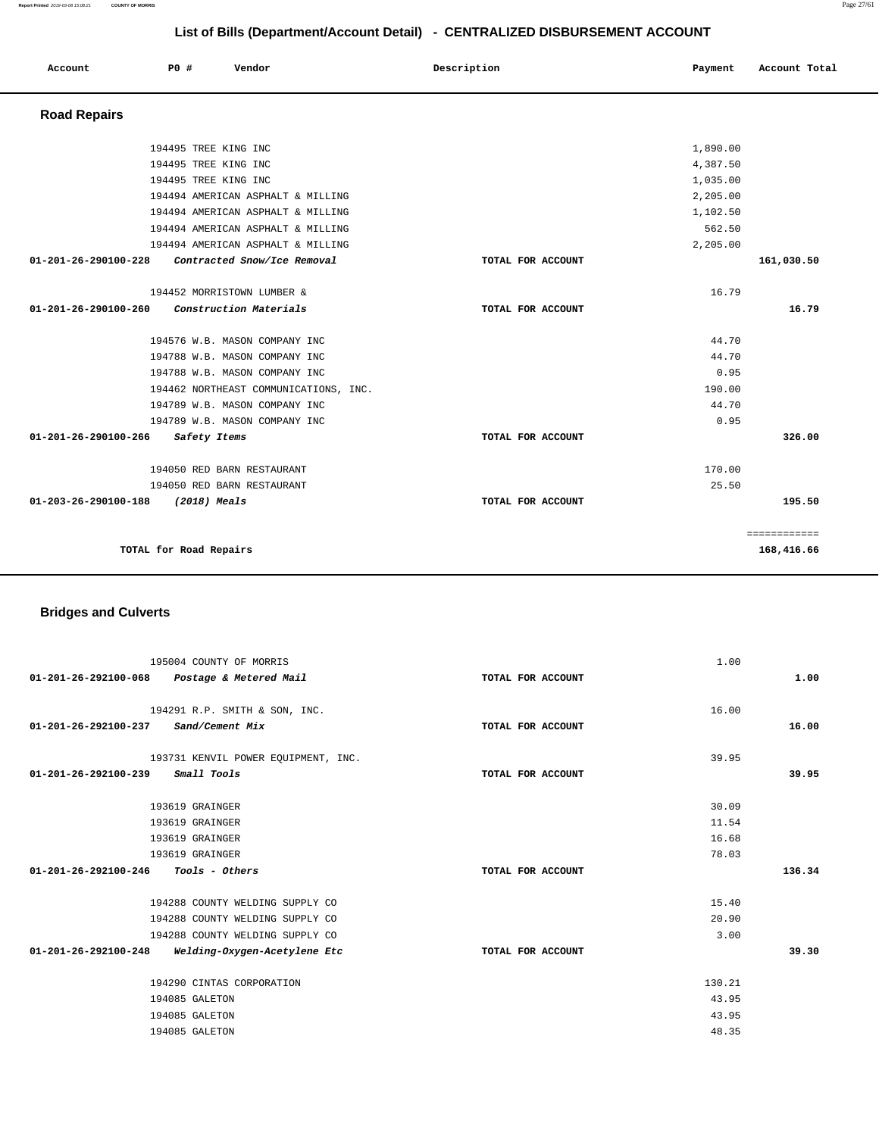| Account              | P0 #<br>Vendor                        | Description       | Payment  | Account Total |
|----------------------|---------------------------------------|-------------------|----------|---------------|
| <b>Road Repairs</b>  |                                       |                   |          |               |
|                      | 194495 TREE KING INC                  |                   | 1,890.00 |               |
|                      | 194495 TREE KING INC                  |                   | 4,387.50 |               |
|                      | 194495 TREE KING INC                  |                   | 1,035.00 |               |
|                      | 194494 AMERICAN ASPHALT & MILLING     |                   | 2,205.00 |               |
|                      | 194494 AMERICAN ASPHALT & MILLING     |                   | 1,102.50 |               |
|                      | 194494 AMERICAN ASPHALT & MILLING     |                   | 562.50   |               |
|                      | 194494 AMERICAN ASPHALT & MILLING     |                   | 2,205.00 |               |
| 01-201-26-290100-228 | Contracted Snow/Ice Removal           | TOTAL FOR ACCOUNT |          | 161,030.50    |
|                      | 194452 MORRISTOWN LUMBER &            |                   | 16.79    |               |
| 01-201-26-290100-260 | Construction Materials                | TOTAL FOR ACCOUNT |          | 16.79         |
|                      | 194576 W.B. MASON COMPANY INC         |                   | 44.70    |               |
|                      | 194788 W.B. MASON COMPANY INC         |                   | 44.70    |               |
|                      | 194788 W.B. MASON COMPANY INC         |                   | 0.95     |               |
|                      | 194462 NORTHEAST COMMUNICATIONS, INC. |                   | 190.00   |               |
|                      | 194789 W.B. MASON COMPANY INC         |                   | 44.70    |               |
|                      | 194789 W.B. MASON COMPANY INC         |                   | 0.95     |               |
| 01-201-26-290100-266 | Safety Items                          | TOTAL FOR ACCOUNT |          | 326.00        |
|                      | 194050 RED BARN RESTAURANT            |                   | 170.00   |               |
|                      | 194050 RED BARN RESTAURANT            |                   | 25.50    |               |
| 01-203-26-290100-188 | (2018) Meals                          | TOTAL FOR ACCOUNT |          | 195.50        |
|                      |                                       |                   |          | ============  |
|                      | TOTAL for Road Repairs                |                   |          | 168,416.66    |

# **Bridges and Culverts**

| 195004 COUNTY OF MORRIS<br>01-201-26-292100-068 Postage & Metered Mail | TOTAL FOR ACCOUNT | 1.00<br>1.00 |
|------------------------------------------------------------------------|-------------------|--------------|
|                                                                        |                   |              |
| 194291 R.P. SMITH & SON, INC.                                          |                   | 16.00        |
| 01-201-26-292100-237<br>Sand/Cement Mix                                | TOTAL FOR ACCOUNT | 16.00        |
| 193731 KENVIL POWER EQUIPMENT, INC.                                    |                   | 39.95        |
| <i>Small Tools</i><br>01-201-26-292100-239                             | TOTAL FOR ACCOUNT | 39.95        |
| 193619 GRAINGER                                                        |                   | 30.09        |
| 193619 GRAINGER                                                        |                   | 11.54        |
|                                                                        |                   |              |
| 193619 GRAINGER                                                        |                   | 16.68        |
| 193619 GRAINGER                                                        |                   | 78.03        |
| $01 - 201 - 26 - 292100 - 246$ Tools - Others                          | TOTAL FOR ACCOUNT | 136.34       |
|                                                                        |                   |              |
| 194288 COUNTY WELDING SUPPLY CO                                        |                   | 15.40        |
| 194288 COUNTY WELDING SUPPLY CO                                        |                   | 20.90        |
| 194288 COUNTY WELDING SUPPLY CO                                        |                   | 3.00         |
| 01-201-26-292100-248<br>Welding-Oxygen-Acetylene Etc                   | TOTAL FOR ACCOUNT | 39.30        |
|                                                                        |                   |              |
| 194290 CINTAS CORPORATION                                              |                   | 130.21       |
| 194085 GALETON                                                         |                   | 43.95        |
| 194085 GALETON                                                         |                   | 43.95        |
| 194085 GALETON                                                         |                   | 48.35        |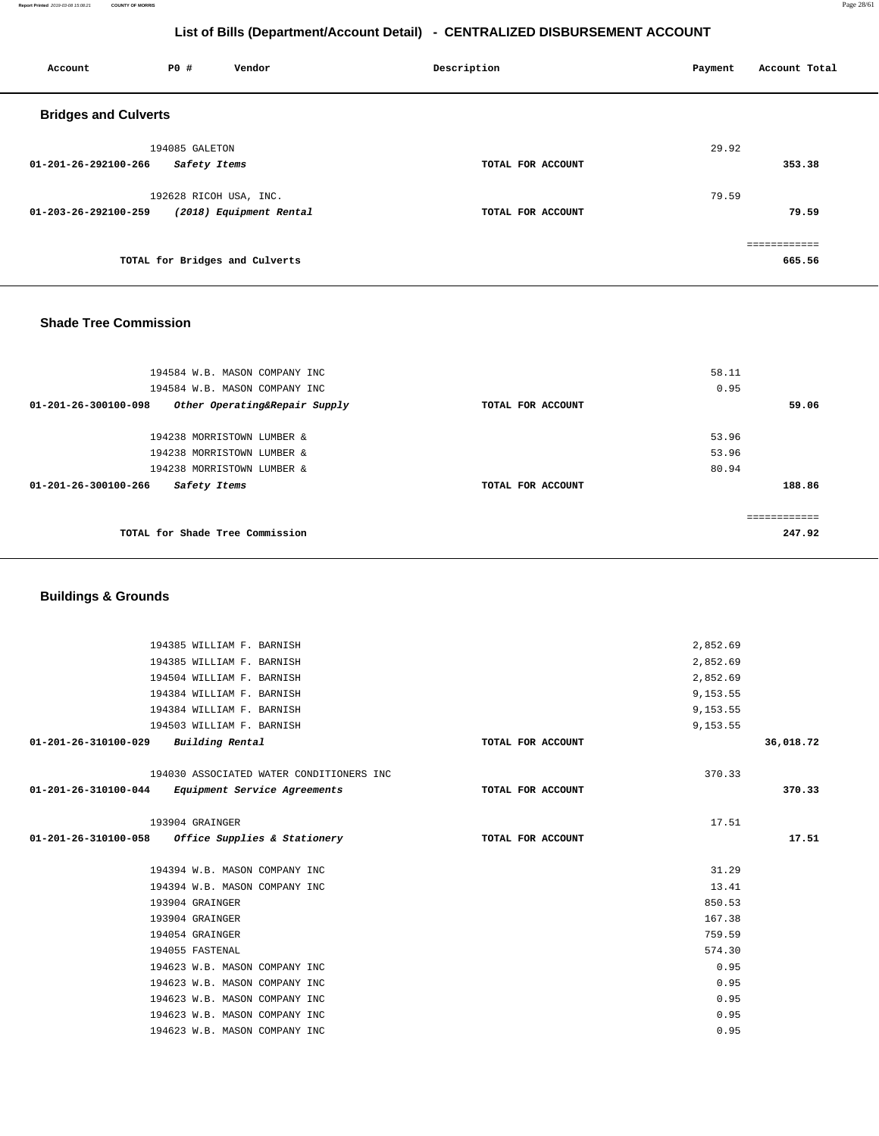**Report Printed** 2019-03-08 15:08:21 **COUNTY OF MORRIS** Page 28/61

# **List of Bills (Department/Account Detail) - CENTRALIZED DISBURSEMENT ACCOUNT**

| Account                     | P0 #                   | Vendor                         | Description       | Payment | Account Total |
|-----------------------------|------------------------|--------------------------------|-------------------|---------|---------------|
| <b>Bridges and Culverts</b> |                        |                                |                   |         |               |
|                             | 194085 GALETON         |                                |                   | 29.92   |               |
| 01-201-26-292100-266        | Safety Items           |                                | TOTAL FOR ACCOUNT |         | 353.38        |
|                             | 192628 RICOH USA, INC. |                                |                   | 79.59   |               |
| 01-203-26-292100-259        |                        | (2018) Equipment Rental        | TOTAL FOR ACCOUNT |         | 79.59         |
|                             |                        |                                |                   |         | ============  |
|                             |                        | TOTAL for Bridges and Culverts |                   |         | 665.56        |
|                             |                        |                                |                   |         |               |

## **Shade Tree Commission**

| 194584 W.B. MASON COMPANY INC                                   |                   | 58.11        |
|-----------------------------------------------------------------|-------------------|--------------|
| 194584 W.B. MASON COMPANY INC                                   |                   | 0.95         |
| $01 - 201 - 26 - 300100 - 098$<br>Other Operating&Repair Supply | TOTAL FOR ACCOUNT | 59.06        |
|                                                                 |                   |              |
| 194238 MORRISTOWN LUMBER &                                      |                   | 53.96        |
| 194238 MORRISTOWN LUMBER &                                      |                   | 53.96        |
| 194238 MORRISTOWN LUMBER &                                      |                   | 80.94        |
| 01-201-26-300100-266<br>Safety Items                            | TOTAL FOR ACCOUNT | 188.86       |
|                                                                 |                   | ------------ |
| TOTAL for Shade Tree Commission                                 |                   | 247.92       |
|                                                                 |                   |              |

## **Buildings & Grounds**

|                      | 194385 WILLIAM F. BARNISH                         |                   | 2,852.69 |           |
|----------------------|---------------------------------------------------|-------------------|----------|-----------|
|                      | 194385 WILLIAM F. BARNISH                         |                   | 2,852.69 |           |
|                      | 194504 WILLIAM F. BARNISH                         |                   | 2,852.69 |           |
|                      | 194384 WILLIAM F. BARNISH                         |                   | 9,153.55 |           |
|                      | 194384 WILLIAM F. BARNISH                         |                   | 9,153.55 |           |
|                      | 194503 WILLIAM F. BARNISH                         |                   | 9,153.55 |           |
| 01-201-26-310100-029 | Building Rental                                   | TOTAL FOR ACCOUNT |          | 36,018.72 |
|                      | 194030 ASSOCIATED WATER CONDITIONERS INC          |                   | 370.33   |           |
|                      | 01-201-26-310100-044 Equipment Service Agreements | TOTAL FOR ACCOUNT |          | 370.33    |
|                      | 193904 GRAINGER                                   |                   | 17.51    |           |
|                      | 01-201-26-310100-058 Office Supplies & Stationery | TOTAL FOR ACCOUNT |          | 17.51     |
|                      | 194394 W.B. MASON COMPANY INC                     |                   | 31.29    |           |
|                      | 194394 W.B. MASON COMPANY INC                     |                   | 13.41    |           |
|                      | 193904 GRAINGER                                   |                   | 850.53   |           |
|                      | 193904 GRAINGER                                   |                   | 167.38   |           |
|                      | 194054 GRAINGER                                   |                   | 759.59   |           |
|                      | 194055 FASTENAL                                   |                   | 574.30   |           |
|                      | 194623 W.B. MASON COMPANY INC                     |                   | 0.95     |           |
|                      | 194623 W.B. MASON COMPANY INC                     |                   | 0.95     |           |
|                      | 194623 W.B. MASON COMPANY INC                     |                   | 0.95     |           |
|                      | 194623 W.B. MASON COMPANY INC                     |                   | 0.95     |           |
|                      | 194623 W.B. MASON COMPANY INC                     |                   | 0.95     |           |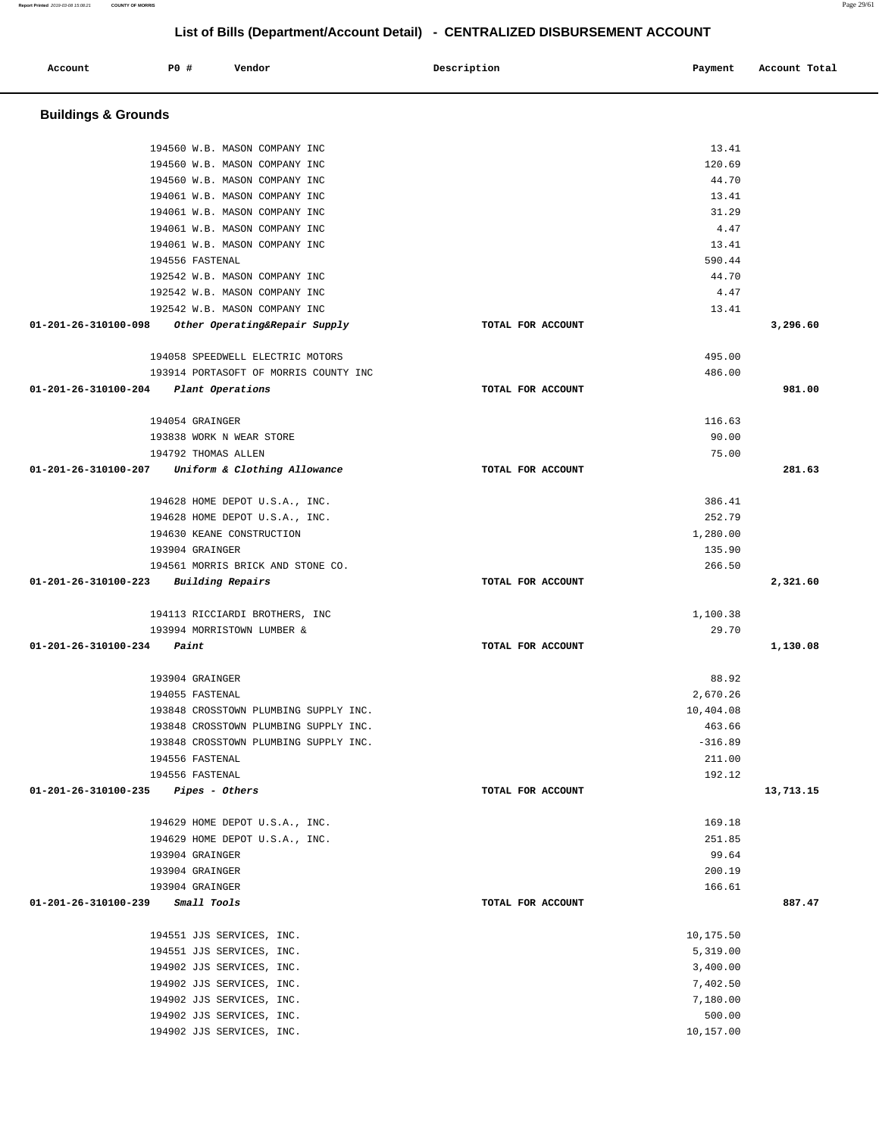| ccount | PO# | Vendor | Description | Payment | Account Total |
|--------|-----|--------|-------------|---------|---------------|

| Account                        | P0 #<br>Vendor                                               | Description       | Payment              | Account Total |
|--------------------------------|--------------------------------------------------------------|-------------------|----------------------|---------------|
|                                |                                                              |                   |                      |               |
| <b>Buildings &amp; Grounds</b> |                                                              |                   |                      |               |
|                                |                                                              |                   |                      |               |
|                                | 194560 W.B. MASON COMPANY INC                                |                   | 13.41                |               |
|                                | 194560 W.B. MASON COMPANY INC                                |                   | 120.69               |               |
|                                | 194560 W.B. MASON COMPANY INC                                |                   | 44.70                |               |
|                                | 194061 W.B. MASON COMPANY INC                                |                   | 13.41                |               |
|                                | 194061 W.B. MASON COMPANY INC                                |                   | 31.29                |               |
|                                | 194061 W.B. MASON COMPANY INC                                |                   | 4.47                 |               |
|                                | 194061 W.B. MASON COMPANY INC                                |                   | 13.41                |               |
|                                | 194556 FASTENAL<br>192542 W.B. MASON COMPANY INC             |                   | 590.44<br>44.70      |               |
|                                | 192542 W.B. MASON COMPANY INC                                |                   | 4.47                 |               |
|                                | 192542 W.B. MASON COMPANY INC                                |                   | 13.41                |               |
| 01-201-26-310100-098           | Other Operating&Repair Supply                                | TOTAL FOR ACCOUNT |                      | 3,296.60      |
|                                |                                                              |                   |                      |               |
|                                | 194058 SPEEDWELL ELECTRIC MOTORS                             |                   | 495.00               |               |
|                                | 193914 PORTASOFT OF MORRIS COUNTY INC                        |                   | 486.00               |               |
| 01-201-26-310100-204           | Plant Operations                                             | TOTAL FOR ACCOUNT |                      | 981.00        |
|                                |                                                              |                   |                      |               |
|                                | 194054 GRAINGER                                              |                   | 116.63               |               |
|                                | 193838 WORK N WEAR STORE                                     |                   | 90.00                |               |
|                                | 194792 THOMAS ALLEN                                          |                   | 75.00                |               |
| 01-201-26-310100-207           | Uniform & Clothing Allowance                                 | TOTAL FOR ACCOUNT |                      | 281.63        |
|                                | 194628 HOME DEPOT U.S.A., INC.                               |                   | 386.41               |               |
|                                | 194628 HOME DEPOT U.S.A., INC.                               |                   | 252.79               |               |
|                                | 194630 KEANE CONSTRUCTION                                    |                   | 1,280.00             |               |
|                                | 193904 GRAINGER                                              |                   | 135.90               |               |
|                                | 194561 MORRIS BRICK AND STONE CO.                            |                   | 266.50               |               |
| 01-201-26-310100-223           | <b>Building Repairs</b>                                      | TOTAL FOR ACCOUNT |                      | 2,321.60      |
|                                |                                                              |                   |                      |               |
|                                | 194113 RICCIARDI BROTHERS, INC<br>193994 MORRISTOWN LUMBER & |                   | 1,100.38<br>29.70    |               |
| 01-201-26-310100-234           | Paint                                                        | TOTAL FOR ACCOUNT |                      | 1,130.08      |
|                                |                                                              |                   |                      |               |
|                                | 193904 GRAINGER                                              |                   | 88.92                |               |
|                                | 194055 FASTENAL                                              |                   | 2,670.26             |               |
|                                | 193848 CROSSTOWN PLUMBING SUPPLY INC.                        |                   | 10,404.08            |               |
|                                | 193848 CROSSTOWN PLUMBING SUPPLY INC.                        |                   | 463.66               |               |
|                                | 193848 CROSSTOWN PLUMBING SUPPLY INC.                        |                   | $-316.89$            |               |
|                                | 194556 FASTENAL                                              |                   | 211.00               |               |
|                                | 194556 FASTENAL                                              |                   | 192.12               |               |
| 01-201-26-310100-235           | <i>Pipes - Others</i>                                        | TOTAL FOR ACCOUNT |                      | 13,713.15     |
|                                | 194629 HOME DEPOT U.S.A., INC.                               |                   | 169.18               |               |
|                                | 194629 HOME DEPOT U.S.A., INC.                               |                   | 251.85               |               |
|                                | 193904 GRAINGER                                              |                   | 99.64                |               |
|                                | 193904 GRAINGER                                              |                   | 200.19               |               |
|                                | 193904 GRAINGER                                              |                   | 166.61               |               |
| 01-201-26-310100-239           | Small Tools                                                  | TOTAL FOR ACCOUNT |                      | 887.47        |
|                                |                                                              |                   |                      |               |
|                                | 194551 JJS SERVICES, INC.                                    |                   | 10,175.50            |               |
|                                | 194551 JJS SERVICES, INC.                                    |                   | 5,319.00             |               |
|                                | 194902 JJS SERVICES, INC.                                    |                   | 3,400.00             |               |
|                                | 194902 JJS SERVICES, INC.                                    |                   | 7,402.50<br>7,180.00 |               |
|                                | 194902 JJS SERVICES, INC.<br>194902 JJS SERVICES, INC.       |                   | 500.00               |               |
|                                | 194902 JJS SERVICES, INC.                                    |                   | 10,157.00            |               |
|                                |                                                              |                   |                      |               |

**Report Printed** 2019-03-08 15:08:21 **COUNTY OF MORRIS** Page 29/61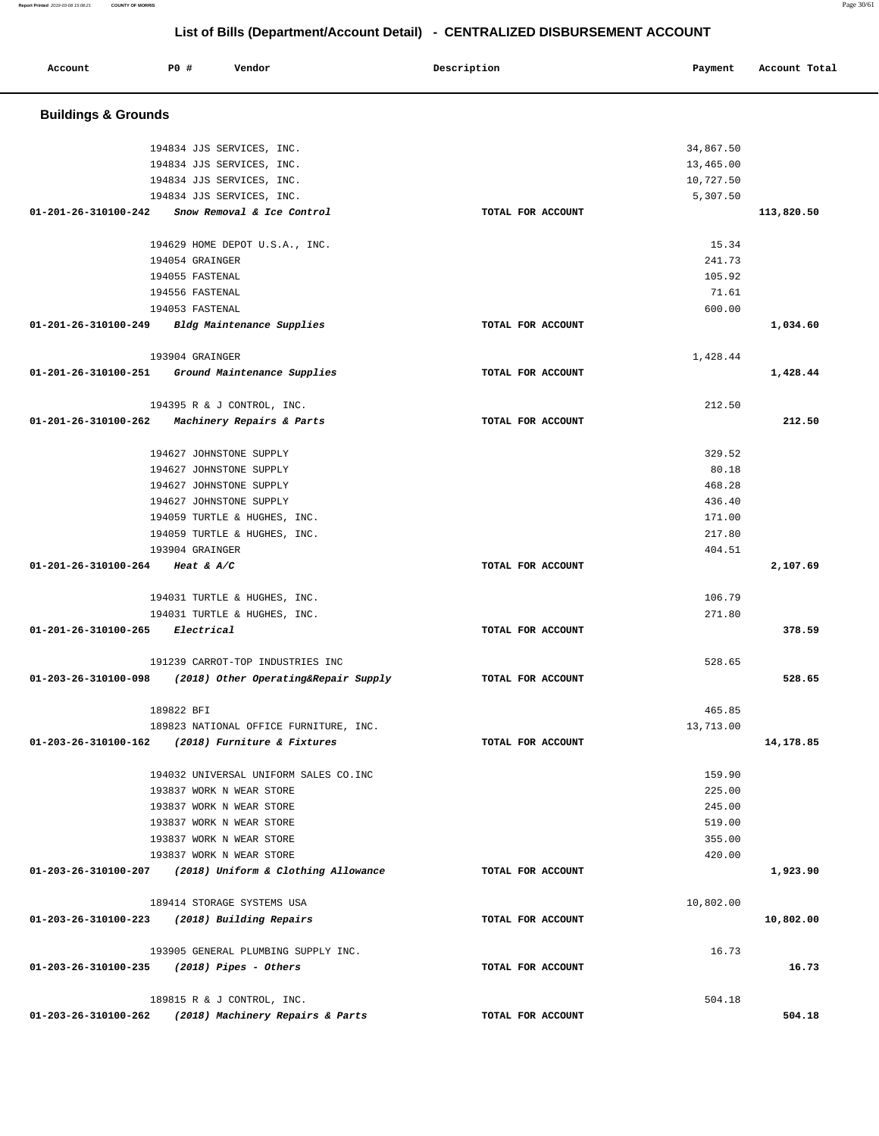| Account                        | <b>PO #</b><br>Vendor                                    | Description       | Payment   | Account Total |
|--------------------------------|----------------------------------------------------------|-------------------|-----------|---------------|
| <b>Buildings &amp; Grounds</b> |                                                          |                   |           |               |
|                                | 194834 JJS SERVICES, INC.                                |                   | 34,867.50 |               |
|                                | 194834 JJS SERVICES, INC.                                |                   | 13,465.00 |               |
|                                | 194834 JJS SERVICES, INC.                                |                   | 10,727.50 |               |
|                                | 194834 JJS SERVICES, INC.                                |                   | 5,307.50  |               |
|                                | 01-201-26-310100-242 Snow Removal & Ice Control          | TOTAL FOR ACCOUNT |           | 113,820.50    |
|                                |                                                          |                   |           |               |
|                                | 194629 HOME DEPOT U.S.A., INC.                           |                   | 15.34     |               |
|                                | 194054 GRAINGER                                          |                   | 241.73    |               |
|                                | 194055 FASTENAL                                          |                   | 105.92    |               |
|                                | 194556 FASTENAL                                          |                   | 71.61     |               |
|                                | 194053 FASTENAL                                          |                   | 600.00    |               |
|                                | 01-201-26-310100-249 Bldg Maintenance Supplies           | TOTAL FOR ACCOUNT |           | 1,034.60      |
|                                | 193904 GRAINGER                                          |                   | 1,428.44  |               |
| 01-201-26-310100-251           | Ground Maintenance Supplies                              | TOTAL FOR ACCOUNT |           | 1,428.44      |
|                                | 194395 R & J CONTROL, INC.                               |                   | 212.50    |               |
| 01-201-26-310100-262           | <i>Machinery Repairs &amp; Parts</i>                     | TOTAL FOR ACCOUNT |           | 212.50        |
|                                |                                                          |                   |           |               |
|                                | 194627 JOHNSTONE SUPPLY                                  |                   | 329.52    |               |
|                                | 194627 JOHNSTONE SUPPLY                                  |                   | 80.18     |               |
|                                | 194627 JOHNSTONE SUPPLY                                  |                   | 468.28    |               |
|                                | 194627 JOHNSTONE SUPPLY                                  |                   | 436.40    |               |
|                                | 194059 TURTLE & HUGHES, INC.                             |                   | 171.00    |               |
|                                | 194059 TURTLE & HUGHES, INC.                             |                   | 217.80    |               |
|                                | 193904 GRAINGER                                          |                   | 404.51    |               |
| 01-201-26-310100-264           | Heat & $\mathit{A}/\mathit{C}$                           | TOTAL FOR ACCOUNT |           | 2,107.69      |
|                                | 194031 TURTLE & HUGHES, INC.                             |                   | 106.79    |               |
|                                | 194031 TURTLE & HUGHES, INC.                             |                   | 271.80    |               |
| 01-201-26-310100-265           | Electrical                                               | TOTAL FOR ACCOUNT |           | 378.59        |
|                                | 191239 CARROT-TOP INDUSTRIES INC                         |                   | 528.65    |               |
| 01-203-26-310100-098           | (2018) Other Operating&Repair Supply                     | TOTAL FOR ACCOUNT |           | 528.65        |
|                                | 189822 BFI                                               |                   | 465.85    |               |
|                                | 189823 NATIONAL OFFICE FURNITURE, INC.                   |                   | 13,713.00 |               |
|                                | 01-203-26-310100-162 (2018) Furniture & Fixtures         |                   |           | 14,178.85     |
|                                |                                                          | TOTAL FOR ACCOUNT |           |               |
|                                | 194032 UNIVERSAL UNIFORM SALES CO. INC                   |                   | 159.90    |               |
|                                | 193837 WORK N WEAR STORE                                 |                   | 225.00    |               |
|                                | 193837 WORK N WEAR STORE                                 |                   | 245.00    |               |
|                                | 193837 WORK N WEAR STORE                                 |                   | 519.00    |               |
|                                | 193837 WORK N WEAR STORE                                 |                   | 355.00    |               |
|                                | 193837 WORK N WEAR STORE                                 |                   | 420.00    |               |
|                                | 01-203-26-310100-207 (2018) Uniform & Clothing Allowance | TOTAL FOR ACCOUNT |           | 1,923.90      |
|                                | 189414 STORAGE SYSTEMS USA                               |                   | 10,802.00 |               |
|                                | 01-203-26-310100-223 (2018) Building Repairs             | TOTAL FOR ACCOUNT |           | 10,802.00     |
|                                | 193905 GENERAL PLUMBING SUPPLY INC.                      |                   | 16.73     |               |
|                                | $01-203-26-310100-235$ (2018) Pipes - Others             | TOTAL FOR ACCOUNT |           | 16.73         |
|                                |                                                          |                   |           |               |
|                                | 189815 R & J CONTROL, INC.                               |                   | 504.18    |               |
|                                | 01-203-26-310100-262 (2018) Machinery Repairs & Parts    | TOTAL FOR ACCOUNT |           | 504.18        |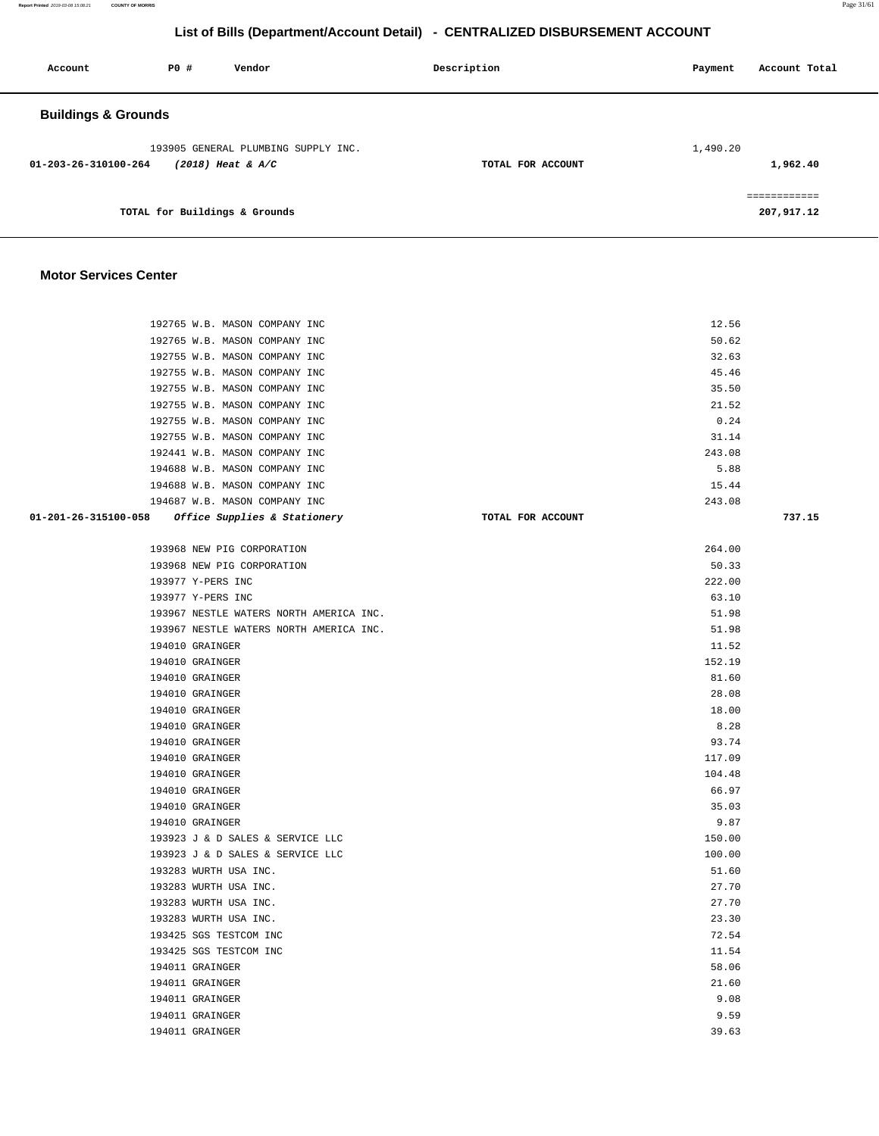**Report Printed** 2019-03-08 15:08:21 **COUNTY OF MORRIS** Page 31/61

## **List of Bills (Department/Account Detail) - CENTRALIZED DISBURSEMENT ACCOUNT**

| Account                        | <b>PO #</b>                   | Vendor                                                     | Description       | Account Total<br>Payment   |
|--------------------------------|-------------------------------|------------------------------------------------------------|-------------------|----------------------------|
| <b>Buildings &amp; Grounds</b> |                               |                                                            |                   |                            |
| 01-203-26-310100-264           |                               | 193905 GENERAL PLUMBING SUPPLY INC.<br>$(2018)$ Heat & A/C | TOTAL FOR ACCOUNT | 1,490.20<br>1,962.40       |
|                                | TOTAL for Buildings & Grounds |                                                            |                   | ------------<br>207,917.12 |

#### **Motor Services Center**

| 192765 W.B. MASON COMPANY INC                     |                   | 12.56  |        |
|---------------------------------------------------|-------------------|--------|--------|
| 192765 W.B. MASON COMPANY INC                     |                   | 50.62  |        |
| 192755 W.B. MASON COMPANY INC                     |                   | 32.63  |        |
| 192755 W.B. MASON COMPANY INC                     |                   | 45.46  |        |
| 192755 W.B. MASON COMPANY INC                     |                   | 35.50  |        |
| 192755 W.B. MASON COMPANY INC                     |                   | 21.52  |        |
| 192755 W.B. MASON COMPANY INC                     |                   | 0.24   |        |
| 192755 W.B. MASON COMPANY INC                     |                   | 31.14  |        |
| 192441 W.B. MASON COMPANY INC                     |                   | 243.08 |        |
| 194688 W.B. MASON COMPANY INC                     |                   | 5.88   |        |
| 194688 W.B. MASON COMPANY INC                     |                   | 15.44  |        |
| 194687 W.B. MASON COMPANY INC                     |                   | 243.08 |        |
| 01-201-26-315100-058 Office Supplies & Stationery | TOTAL FOR ACCOUNT |        | 737.15 |
| 193968 NEW PIG CORPORATION                        |                   | 264.00 |        |
| 193968 NEW PIG CORPORATION                        |                   | 50.33  |        |
| 193977 Y-PERS INC                                 |                   | 222.00 |        |
| 193977 Y-PERS INC                                 |                   | 63.10  |        |
| 193967 NESTLE WATERS NORTH AMERICA INC.           |                   | 51.98  |        |
| 193967 NESTLE WATERS NORTH AMERICA INC.           |                   | 51.98  |        |
| 194010 GRAINGER                                   |                   | 11.52  |        |
| 194010 GRAINGER                                   |                   | 152.19 |        |
| 194010 GRAINGER                                   |                   | 81.60  |        |
| 194010 GRAINGER                                   |                   | 28.08  |        |
| 194010 GRAINGER                                   |                   | 18.00  |        |
| 194010 GRAINGER                                   |                   | 8.28   |        |
| 194010 GRAINGER                                   |                   | 93.74  |        |
| 194010 GRAINGER                                   |                   | 117.09 |        |
| 194010 GRAINGER                                   |                   | 104.48 |        |
| 194010 GRAINGER                                   |                   | 66.97  |        |
| 194010 GRAINGER                                   |                   | 35.03  |        |
| 194010 GRAINGER                                   |                   | 9.87   |        |
| 193923 J & D SALES & SERVICE LLC                  |                   | 150.00 |        |
| 193923 J & D SALES & SERVICE LLC                  |                   | 100.00 |        |
| 193283 WURTH USA INC.                             |                   | 51.60  |        |
| 193283 WURTH USA INC.                             |                   | 27.70  |        |
| 193283 WURTH USA INC.                             |                   | 27.70  |        |
| 193283 WURTH USA INC.                             |                   | 23.30  |        |
| 193425 SGS TESTCOM INC                            |                   | 72.54  |        |
| 193425 SGS TESTCOM INC                            |                   | 11.54  |        |
| 194011 GRAINGER                                   |                   | 58.06  |        |
| 194011 GRAINGER                                   |                   | 21.60  |        |
| 194011 GRAINGER                                   |                   | 9.08   |        |
| 194011 GRAINGER                                   |                   | 9.59   |        |
| 194011 GRAINGER                                   |                   | 39.63  |        |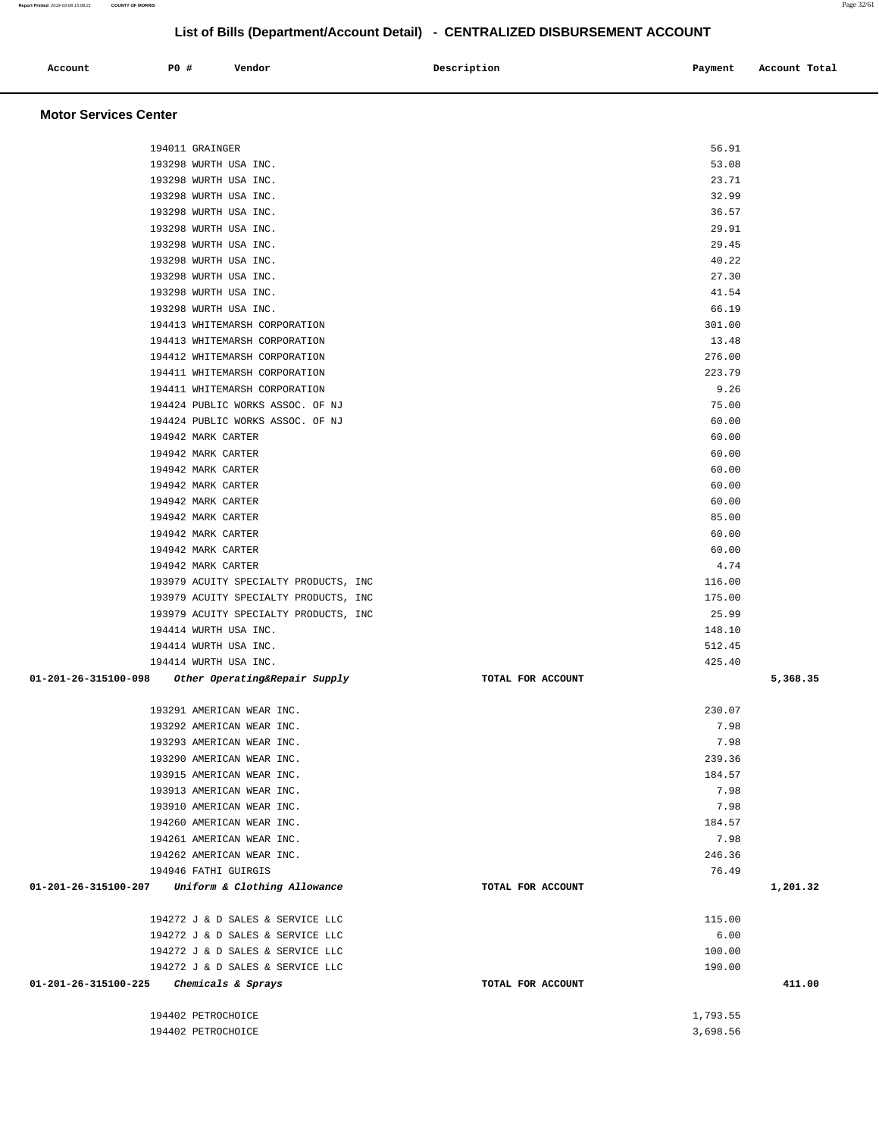|                      | 194011 GRAINGER                                                      |                   | 56.91            |          |
|----------------------|----------------------------------------------------------------------|-------------------|------------------|----------|
|                      | 193298 WURTH USA INC.                                                |                   | 53.08            |          |
|                      | 193298 WURTH USA INC.                                                |                   | 23.71            |          |
|                      | 193298 WURTH USA INC.                                                |                   | 32.99            |          |
|                      | 193298 WURTH USA INC.                                                |                   | 36.57            |          |
|                      | 193298 WURTH USA INC.                                                |                   | 29.91            |          |
|                      | 193298 WURTH USA INC.                                                |                   | 29.45            |          |
|                      | 193298 WURTH USA INC.                                                |                   | 40.22            |          |
|                      | 193298 WURTH USA INC.                                                |                   | 27.30            |          |
|                      | 193298 WURTH USA INC.                                                |                   | 41.54            |          |
|                      | 193298 WURTH USA INC.                                                |                   | 66.19            |          |
|                      | 194413 WHITEMARSH CORPORATION                                        |                   | 301.00           |          |
|                      | 194413 WHITEMARSH CORPORATION                                        |                   | 13.48            |          |
|                      | 194412 WHITEMARSH CORPORATION                                        |                   | 276.00           |          |
|                      | 194411 WHITEMARSH CORPORATION                                        |                   | 223.79           |          |
|                      | 194411 WHITEMARSH CORPORATION                                        |                   | 9.26             |          |
|                      | 194424 PUBLIC WORKS ASSOC. OF NJ                                     |                   | 75.00            |          |
|                      | 194424 PUBLIC WORKS ASSOC. OF NJ                                     |                   | 60.00            |          |
|                      | 194942 MARK CARTER                                                   |                   | 60.00            |          |
|                      | 194942 MARK CARTER                                                   |                   | 60.00            |          |
|                      | 194942 MARK CARTER                                                   |                   | 60.00            |          |
|                      | 194942 MARK CARTER                                                   |                   | 60.00            |          |
|                      | 194942 MARK CARTER                                                   |                   | 60.00            |          |
|                      | 194942 MARK CARTER                                                   |                   | 85.00            |          |
|                      | 194942 MARK CARTER                                                   |                   | 60.00            |          |
|                      | 194942 MARK CARTER                                                   |                   | 60.00            |          |
|                      | 194942 MARK CARTER                                                   |                   | 4.74             |          |
|                      | 193979 ACUITY SPECIALTY PRODUCTS, INC                                |                   | 116.00           |          |
|                      | 193979 ACUITY SPECIALTY PRODUCTS, INC                                |                   | 175.00           |          |
|                      | 193979 ACUITY SPECIALTY PRODUCTS, INC                                |                   | 25.99            |          |
|                      | 194414 WURTH USA INC.                                                |                   | 148.10           |          |
|                      | 194414 WURTH USA INC.                                                |                   | 512.45           |          |
|                      | 194414 WURTH USA INC.                                                |                   | 425.40           |          |
| 01-201-26-315100-098 | Other Operating&Repair Supply                                        | TOTAL FOR ACCOUNT |                  | 5,368.35 |
|                      |                                                                      |                   |                  |          |
|                      | 193291 AMERICAN WEAR INC.                                            |                   | 230.07           |          |
|                      | 193292 AMERICAN WEAR INC.                                            |                   | 7.98             |          |
|                      | 193293 AMERICAN WEAR INC.                                            |                   | 7.98             |          |
|                      | 193290 AMERICAN WEAR INC.                                            |                   | 239.36           |          |
|                      | 193915 AMERICAN WEAR INC.                                            |                   | 184.57           |          |
|                      | 193913 AMERICAN WEAR INC.                                            |                   | 7.98             |          |
|                      | 193910 AMERICAN WEAR INC.                                            |                   | 7.98             |          |
|                      | 194260 AMERICAN WEAR INC.                                            |                   | 184.57           |          |
|                      | 194261 AMERICAN WEAR INC.                                            |                   | 7.98             |          |
|                      | 194262 AMERICAN WEAR INC.                                            |                   | 246.36           |          |
|                      |                                                                      |                   |                  |          |
|                      | 194946 FATHI GUIRGIS                                                 |                   | 76.49            |          |
|                      | 01-201-26-315100-207 Uniform & Clothing Allowance                    | TOTAL FOR ACCOUNT |                  | 1,201.32 |
|                      |                                                                      |                   |                  |          |
|                      | 194272 J & D SALES & SERVICE LLC                                     |                   | 115.00           |          |
|                      | 194272 J & D SALES & SERVICE LLC                                     |                   | 6.00             |          |
|                      | 194272 J & D SALES & SERVICE LLC<br>194272 J & D SALES & SERVICE LLC |                   | 100.00<br>190.00 |          |
| 01-201-26-315100-225 | Chemicals & Sprays                                                   | TOTAL FOR ACCOUNT |                  | 411.00   |
|                      |                                                                      |                   |                  |          |
|                      | 194402 PETROCHOICE                                                   |                   | 1,793.55         |          |

Account **PO #** Vendor **Description Description Payment** Account Total **Payment** 

**Motor Services Center**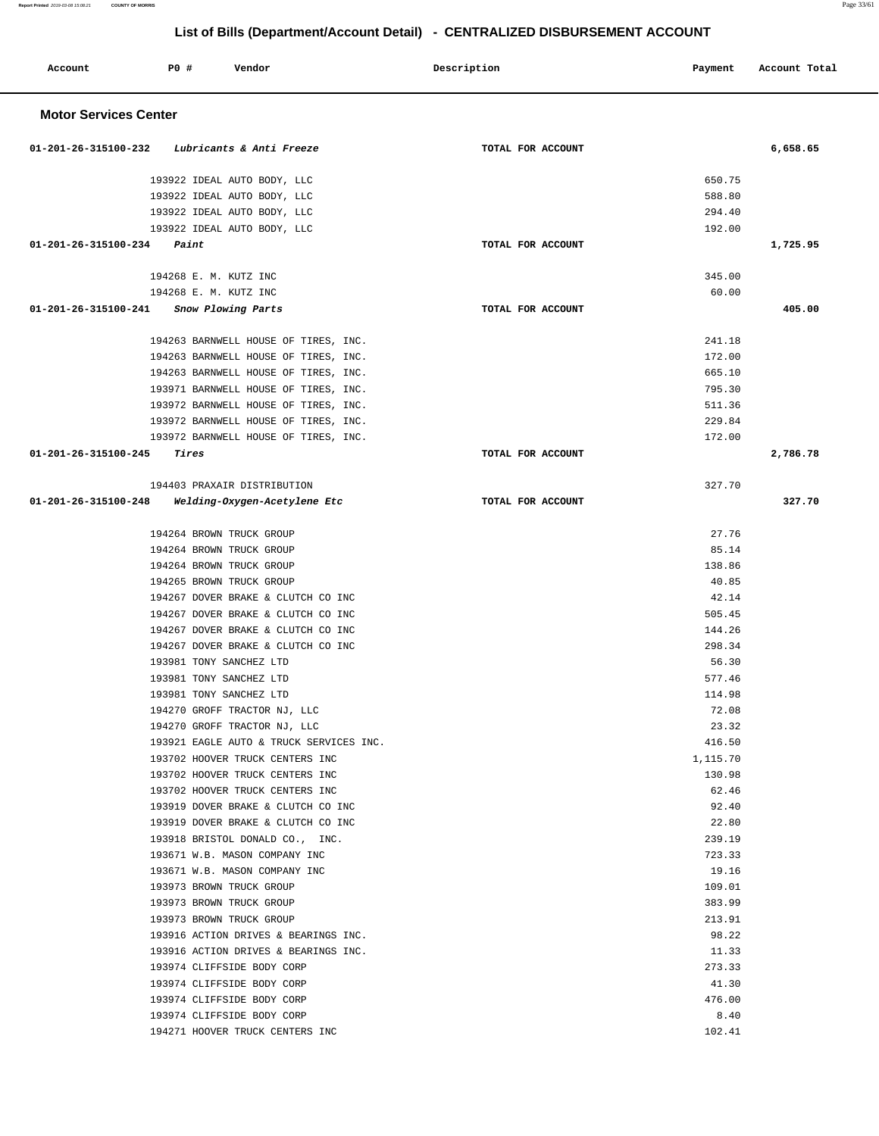Account **PO #** Vendor **Description Description Payment** Account Total

**Report Printed** 2019-03-08 15:08:21 **COUNTY OF MORRIS** 

| Page 33/61 |
|------------|
|            |

| <b>Motor Services Center</b>                         |                   |                  |          |
|------------------------------------------------------|-------------------|------------------|----------|
|                                                      |                   |                  |          |
| 01-201-26-315100-232 Lubricants & Anti Freeze        | TOTAL FOR ACCOUNT |                  | 6,658.65 |
|                                                      |                   |                  |          |
| 193922 IDEAL AUTO BODY, LLC                          |                   | 650.75           |          |
| 193922 IDEAL AUTO BODY, LLC                          |                   | 588.80           |          |
| 193922 IDEAL AUTO BODY, LLC                          |                   | 294.40           |          |
| 193922 IDEAL AUTO BODY, LLC                          |                   | 192.00           |          |
| 01-201-26-315100-234<br>Paint                        | TOTAL FOR ACCOUNT |                  | 1,725.95 |
|                                                      |                   |                  |          |
| 194268 E. M. KUTZ INC                                |                   | 345.00           |          |
| 194268 E. M. KUTZ INC                                |                   | 60.00            |          |
| 01-201-26-315100-241 Snow Plowing Parts              | TOTAL FOR ACCOUNT |                  | 405.00   |
|                                                      |                   |                  |          |
| 194263 BARNWELL HOUSE OF TIRES, INC.                 |                   | 241.18           |          |
| 194263 BARNWELL HOUSE OF TIRES, INC.                 |                   | 172.00           |          |
| 194263 BARNWELL HOUSE OF TIRES, INC.                 |                   | 665.10           |          |
| 193971 BARNWELL HOUSE OF TIRES, INC.                 |                   | 795.30           |          |
| 193972 BARNWELL HOUSE OF TIRES, INC.                 |                   | 511.36           |          |
| 193972 BARNWELL HOUSE OF TIRES, INC.                 |                   | 229.84           |          |
| 193972 BARNWELL HOUSE OF TIRES, INC.                 |                   | 172.00           |          |
| 01-201-26-315100-245<br>Tires                        | TOTAL FOR ACCOUNT |                  | 2,786.78 |
|                                                      |                   |                  |          |
| 194403 PRAXAIR DISTRIBUTION                          |                   | 327.70           |          |
| 01-201-26-315100-248<br>Welding-Oxygen-Acetylene Etc | TOTAL FOR ACCOUNT |                  | 327.70   |
|                                                      |                   |                  |          |
| 194264 BROWN TRUCK GROUP                             |                   | 27.76            |          |
| 194264 BROWN TRUCK GROUP                             |                   | 85.14            |          |
| 194264 BROWN TRUCK GROUP                             |                   | 138.86           |          |
| 194265 BROWN TRUCK GROUP                             |                   | 40.85            |          |
| 194267 DOVER BRAKE & CLUTCH CO INC                   |                   | 42.14            |          |
| 194267 DOVER BRAKE & CLUTCH CO INC                   |                   | 505.45           |          |
| 194267 DOVER BRAKE & CLUTCH CO INC                   |                   | 144.26           |          |
| 194267 DOVER BRAKE & CLUTCH CO INC                   |                   | 298.34           |          |
| 193981 TONY SANCHEZ LTD                              |                   | 56.30            |          |
| 193981 TONY SANCHEZ LTD                              |                   | 577.46           |          |
| 193981 TONY SANCHEZ LTD                              |                   | 114.98           |          |
| 194270 GROFF TRACTOR NJ, LLC                         |                   | 72.08            |          |
| 194270 GROFF TRACTOR NJ, LLC                         |                   | 23.32            |          |
| 193921 EAGLE AUTO & TRUCK SERVICES INC.              |                   | 416.50           |          |
| 193702 HOOVER TRUCK CENTERS INC                      |                   | 1,115.70         |          |
| 193702 HOOVER TRUCK CENTERS INC                      |                   | 130.98           |          |
| 193702 HOOVER TRUCK CENTERS INC                      |                   | 62.46            |          |
| 193919 DOVER BRAKE & CLUTCH CO INC                   |                   | 92.40            |          |
| 193919 DOVER BRAKE & CLUTCH CO INC                   |                   | 22.80            |          |
| 193918 BRISTOL DONALD CO., INC.                      |                   | 239.19           |          |
| 193671 W.B. MASON COMPANY INC                        |                   | 723.33           |          |
| 193671 W.B. MASON COMPANY INC                        |                   | 19.16            |          |
|                                                      |                   |                  |          |
| 193973 BROWN TRUCK GROUP<br>193973 BROWN TRUCK GROUP |                   | 109.01<br>383.99 |          |
|                                                      |                   |                  |          |
| 193973 BROWN TRUCK GROUP                             |                   | 213.91           |          |
| 193916 ACTION DRIVES & BEARINGS INC.                 |                   | 98.22            |          |
| 193916 ACTION DRIVES & BEARINGS INC.                 |                   | 11.33            |          |
| 193974 CLIFFSIDE BODY CORP                           |                   | 273.33           |          |
| 193974 CLIFFSIDE BODY CORP                           |                   | 41.30            |          |
| 193974 CLIFFSIDE BODY CORP                           |                   | 476.00           |          |
| 193974 CLIFFSIDE BODY CORP                           |                   | 8.40             |          |
| 194271 HOOVER TRUCK CENTERS INC                      |                   | 102.41           |          |
|                                                      |                   |                  |          |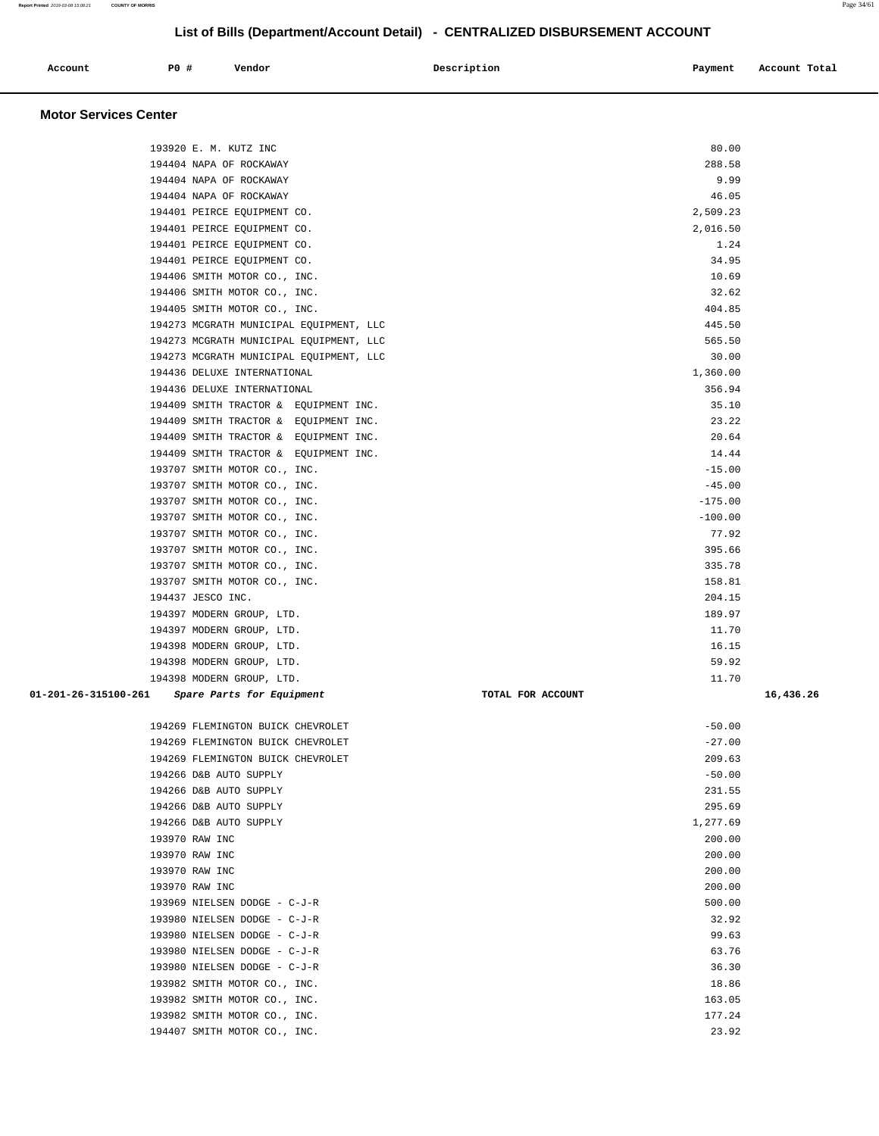| Account<br>. | PO# | Vendor | Description | Payment | Account Total |
|--------------|-----|--------|-------------|---------|---------------|
|              |     |        |             |         |               |

#### **Motor Services Center**

| 288.58<br>194404 NAPA OF ROCKAWAY<br>194404 NAPA OF ROCKAWAY<br>9.99<br>46.05<br>194404 NAPA OF ROCKAWAY<br>2,509.23<br>194401 PEIRCE EQUIPMENT CO.<br>194401 PEIRCE EQUIPMENT CO.<br>2,016.50<br>1.24<br>194401 PEIRCE EQUIPMENT CO.<br>34.95<br>194401 PEIRCE EQUIPMENT CO.<br>194406 SMITH MOTOR CO., INC.<br>10.69<br>32.62<br>194406 SMITH MOTOR CO., INC.<br>404.85<br>194405 SMITH MOTOR CO., INC.<br>445.50<br>194273 MCGRATH MUNICIPAL EQUIPMENT, LLC<br>565.50<br>194273 MCGRATH MUNICIPAL EQUIPMENT, LLC<br>30.00<br>194273 MCGRATH MUNICIPAL EQUIPMENT, LLC<br>194436 DELUXE INTERNATIONAL<br>1,360.00<br>194436 DELUXE INTERNATIONAL<br>356.94<br>35.10<br>194409 SMITH TRACTOR & EQUIPMENT INC.<br>23.22<br>194409 SMITH TRACTOR & EQUIPMENT INC.<br>20.64<br>194409 SMITH TRACTOR & EQUIPMENT INC.<br>14.44<br>194409 SMITH TRACTOR & EQUIPMENT INC.<br>193707 SMITH MOTOR CO., INC.<br>$-15.00$<br>$-45.00$<br>193707 SMITH MOTOR CO., INC.<br>193707 SMITH MOTOR CO., INC.<br>$-175.00$<br>$-100.00$<br>193707 SMITH MOTOR CO., INC.<br>77.92<br>193707 SMITH MOTOR CO., INC.<br>193707 SMITH MOTOR CO., INC.<br>395.66<br>335.78<br>193707 SMITH MOTOR CO., INC.<br>158.81<br>193707 SMITH MOTOR CO., INC.<br>194437 JESCO INC.<br>204.15<br>189.97<br>194397 MODERN GROUP, LTD.<br>11.70<br>194397 MODERN GROUP, LTD.<br>16.15<br>194398 MODERN GROUP, LTD.<br>59.92<br>194398 MODERN GROUP, LTD.<br>194398 MODERN GROUP, LTD.<br>11.70<br>01-201-26-315100-261<br>Spare Parts for Equipment<br>TOTAL FOR ACCOUNT<br>194269 FLEMINGTON BUICK CHEVROLET<br>$-50.00$<br>$-27.00$<br>194269 FLEMINGTON BUICK CHEVROLET<br>209.63<br>194269 FLEMINGTON BUICK CHEVROLET<br>194266 D&B AUTO SUPPLY<br>$-50.00$<br>194266 D&B AUTO SUPPLY<br>231.55<br>194266 D&B AUTO SUPPLY<br>295.69<br>194266 D&B AUTO SUPPLY<br>1,277.69<br>193970 RAW INC<br>200.00<br>193970 RAW INC<br>200.00<br>193970 RAW INC<br>200.00<br>193970 RAW INC<br>200.00<br>193969 NIELSEN DODGE - C-J-R<br>500.00<br>193980 NIELSEN DODGE - C-J-R<br>32.92<br>99.63<br>193980 NIELSEN DODGE - C-J-R<br>193980 NIELSEN DODGE - C-J-R<br>63.76<br>36.30<br>193980 NIELSEN DODGE - C-J-R<br>193982 SMITH MOTOR CO., INC.<br>18.86<br>193982 SMITH MOTOR CO., INC.<br>163.05<br>193982 SMITH MOTOR CO., INC.<br>177.24 | 193920 E. M. KUTZ INC | 80.00 |           |
|------------------------------------------------------------------------------------------------------------------------------------------------------------------------------------------------------------------------------------------------------------------------------------------------------------------------------------------------------------------------------------------------------------------------------------------------------------------------------------------------------------------------------------------------------------------------------------------------------------------------------------------------------------------------------------------------------------------------------------------------------------------------------------------------------------------------------------------------------------------------------------------------------------------------------------------------------------------------------------------------------------------------------------------------------------------------------------------------------------------------------------------------------------------------------------------------------------------------------------------------------------------------------------------------------------------------------------------------------------------------------------------------------------------------------------------------------------------------------------------------------------------------------------------------------------------------------------------------------------------------------------------------------------------------------------------------------------------------------------------------------------------------------------------------------------------------------------------------------------------------------------------------------------------------------------------------------------------------------------------------------------------------------------------------------------------------------------------------------------------------------------------------------------------------------------------------------------------------------------------------------------------------------------------------------|-----------------------|-------|-----------|
|                                                                                                                                                                                                                                                                                                                                                                                                                                                                                                                                                                                                                                                                                                                                                                                                                                                                                                                                                                                                                                                                                                                                                                                                                                                                                                                                                                                                                                                                                                                                                                                                                                                                                                                                                                                                                                                                                                                                                                                                                                                                                                                                                                                                                                                                                                      |                       |       |           |
|                                                                                                                                                                                                                                                                                                                                                                                                                                                                                                                                                                                                                                                                                                                                                                                                                                                                                                                                                                                                                                                                                                                                                                                                                                                                                                                                                                                                                                                                                                                                                                                                                                                                                                                                                                                                                                                                                                                                                                                                                                                                                                                                                                                                                                                                                                      |                       |       |           |
|                                                                                                                                                                                                                                                                                                                                                                                                                                                                                                                                                                                                                                                                                                                                                                                                                                                                                                                                                                                                                                                                                                                                                                                                                                                                                                                                                                                                                                                                                                                                                                                                                                                                                                                                                                                                                                                                                                                                                                                                                                                                                                                                                                                                                                                                                                      |                       |       |           |
|                                                                                                                                                                                                                                                                                                                                                                                                                                                                                                                                                                                                                                                                                                                                                                                                                                                                                                                                                                                                                                                                                                                                                                                                                                                                                                                                                                                                                                                                                                                                                                                                                                                                                                                                                                                                                                                                                                                                                                                                                                                                                                                                                                                                                                                                                                      |                       |       |           |
|                                                                                                                                                                                                                                                                                                                                                                                                                                                                                                                                                                                                                                                                                                                                                                                                                                                                                                                                                                                                                                                                                                                                                                                                                                                                                                                                                                                                                                                                                                                                                                                                                                                                                                                                                                                                                                                                                                                                                                                                                                                                                                                                                                                                                                                                                                      |                       |       |           |
|                                                                                                                                                                                                                                                                                                                                                                                                                                                                                                                                                                                                                                                                                                                                                                                                                                                                                                                                                                                                                                                                                                                                                                                                                                                                                                                                                                                                                                                                                                                                                                                                                                                                                                                                                                                                                                                                                                                                                                                                                                                                                                                                                                                                                                                                                                      |                       |       |           |
|                                                                                                                                                                                                                                                                                                                                                                                                                                                                                                                                                                                                                                                                                                                                                                                                                                                                                                                                                                                                                                                                                                                                                                                                                                                                                                                                                                                                                                                                                                                                                                                                                                                                                                                                                                                                                                                                                                                                                                                                                                                                                                                                                                                                                                                                                                      |                       |       |           |
|                                                                                                                                                                                                                                                                                                                                                                                                                                                                                                                                                                                                                                                                                                                                                                                                                                                                                                                                                                                                                                                                                                                                                                                                                                                                                                                                                                                                                                                                                                                                                                                                                                                                                                                                                                                                                                                                                                                                                                                                                                                                                                                                                                                                                                                                                                      |                       |       |           |
|                                                                                                                                                                                                                                                                                                                                                                                                                                                                                                                                                                                                                                                                                                                                                                                                                                                                                                                                                                                                                                                                                                                                                                                                                                                                                                                                                                                                                                                                                                                                                                                                                                                                                                                                                                                                                                                                                                                                                                                                                                                                                                                                                                                                                                                                                                      |                       |       |           |
|                                                                                                                                                                                                                                                                                                                                                                                                                                                                                                                                                                                                                                                                                                                                                                                                                                                                                                                                                                                                                                                                                                                                                                                                                                                                                                                                                                                                                                                                                                                                                                                                                                                                                                                                                                                                                                                                                                                                                                                                                                                                                                                                                                                                                                                                                                      |                       |       |           |
|                                                                                                                                                                                                                                                                                                                                                                                                                                                                                                                                                                                                                                                                                                                                                                                                                                                                                                                                                                                                                                                                                                                                                                                                                                                                                                                                                                                                                                                                                                                                                                                                                                                                                                                                                                                                                                                                                                                                                                                                                                                                                                                                                                                                                                                                                                      |                       |       |           |
|                                                                                                                                                                                                                                                                                                                                                                                                                                                                                                                                                                                                                                                                                                                                                                                                                                                                                                                                                                                                                                                                                                                                                                                                                                                                                                                                                                                                                                                                                                                                                                                                                                                                                                                                                                                                                                                                                                                                                                                                                                                                                                                                                                                                                                                                                                      |                       |       |           |
|                                                                                                                                                                                                                                                                                                                                                                                                                                                                                                                                                                                                                                                                                                                                                                                                                                                                                                                                                                                                                                                                                                                                                                                                                                                                                                                                                                                                                                                                                                                                                                                                                                                                                                                                                                                                                                                                                                                                                                                                                                                                                                                                                                                                                                                                                                      |                       |       |           |
|                                                                                                                                                                                                                                                                                                                                                                                                                                                                                                                                                                                                                                                                                                                                                                                                                                                                                                                                                                                                                                                                                                                                                                                                                                                                                                                                                                                                                                                                                                                                                                                                                                                                                                                                                                                                                                                                                                                                                                                                                                                                                                                                                                                                                                                                                                      |                       |       |           |
|                                                                                                                                                                                                                                                                                                                                                                                                                                                                                                                                                                                                                                                                                                                                                                                                                                                                                                                                                                                                                                                                                                                                                                                                                                                                                                                                                                                                                                                                                                                                                                                                                                                                                                                                                                                                                                                                                                                                                                                                                                                                                                                                                                                                                                                                                                      |                       |       |           |
|                                                                                                                                                                                                                                                                                                                                                                                                                                                                                                                                                                                                                                                                                                                                                                                                                                                                                                                                                                                                                                                                                                                                                                                                                                                                                                                                                                                                                                                                                                                                                                                                                                                                                                                                                                                                                                                                                                                                                                                                                                                                                                                                                                                                                                                                                                      |                       |       |           |
|                                                                                                                                                                                                                                                                                                                                                                                                                                                                                                                                                                                                                                                                                                                                                                                                                                                                                                                                                                                                                                                                                                                                                                                                                                                                                                                                                                                                                                                                                                                                                                                                                                                                                                                                                                                                                                                                                                                                                                                                                                                                                                                                                                                                                                                                                                      |                       |       |           |
|                                                                                                                                                                                                                                                                                                                                                                                                                                                                                                                                                                                                                                                                                                                                                                                                                                                                                                                                                                                                                                                                                                                                                                                                                                                                                                                                                                                                                                                                                                                                                                                                                                                                                                                                                                                                                                                                                                                                                                                                                                                                                                                                                                                                                                                                                                      |                       |       |           |
|                                                                                                                                                                                                                                                                                                                                                                                                                                                                                                                                                                                                                                                                                                                                                                                                                                                                                                                                                                                                                                                                                                                                                                                                                                                                                                                                                                                                                                                                                                                                                                                                                                                                                                                                                                                                                                                                                                                                                                                                                                                                                                                                                                                                                                                                                                      |                       |       |           |
|                                                                                                                                                                                                                                                                                                                                                                                                                                                                                                                                                                                                                                                                                                                                                                                                                                                                                                                                                                                                                                                                                                                                                                                                                                                                                                                                                                                                                                                                                                                                                                                                                                                                                                                                                                                                                                                                                                                                                                                                                                                                                                                                                                                                                                                                                                      |                       |       |           |
|                                                                                                                                                                                                                                                                                                                                                                                                                                                                                                                                                                                                                                                                                                                                                                                                                                                                                                                                                                                                                                                                                                                                                                                                                                                                                                                                                                                                                                                                                                                                                                                                                                                                                                                                                                                                                                                                                                                                                                                                                                                                                                                                                                                                                                                                                                      |                       |       |           |
|                                                                                                                                                                                                                                                                                                                                                                                                                                                                                                                                                                                                                                                                                                                                                                                                                                                                                                                                                                                                                                                                                                                                                                                                                                                                                                                                                                                                                                                                                                                                                                                                                                                                                                                                                                                                                                                                                                                                                                                                                                                                                                                                                                                                                                                                                                      |                       |       |           |
|                                                                                                                                                                                                                                                                                                                                                                                                                                                                                                                                                                                                                                                                                                                                                                                                                                                                                                                                                                                                                                                                                                                                                                                                                                                                                                                                                                                                                                                                                                                                                                                                                                                                                                                                                                                                                                                                                                                                                                                                                                                                                                                                                                                                                                                                                                      |                       |       |           |
|                                                                                                                                                                                                                                                                                                                                                                                                                                                                                                                                                                                                                                                                                                                                                                                                                                                                                                                                                                                                                                                                                                                                                                                                                                                                                                                                                                                                                                                                                                                                                                                                                                                                                                                                                                                                                                                                                                                                                                                                                                                                                                                                                                                                                                                                                                      |                       |       |           |
|                                                                                                                                                                                                                                                                                                                                                                                                                                                                                                                                                                                                                                                                                                                                                                                                                                                                                                                                                                                                                                                                                                                                                                                                                                                                                                                                                                                                                                                                                                                                                                                                                                                                                                                                                                                                                                                                                                                                                                                                                                                                                                                                                                                                                                                                                                      |                       |       |           |
|                                                                                                                                                                                                                                                                                                                                                                                                                                                                                                                                                                                                                                                                                                                                                                                                                                                                                                                                                                                                                                                                                                                                                                                                                                                                                                                                                                                                                                                                                                                                                                                                                                                                                                                                                                                                                                                                                                                                                                                                                                                                                                                                                                                                                                                                                                      |                       |       |           |
|                                                                                                                                                                                                                                                                                                                                                                                                                                                                                                                                                                                                                                                                                                                                                                                                                                                                                                                                                                                                                                                                                                                                                                                                                                                                                                                                                                                                                                                                                                                                                                                                                                                                                                                                                                                                                                                                                                                                                                                                                                                                                                                                                                                                                                                                                                      |                       |       |           |
|                                                                                                                                                                                                                                                                                                                                                                                                                                                                                                                                                                                                                                                                                                                                                                                                                                                                                                                                                                                                                                                                                                                                                                                                                                                                                                                                                                                                                                                                                                                                                                                                                                                                                                                                                                                                                                                                                                                                                                                                                                                                                                                                                                                                                                                                                                      |                       |       |           |
|                                                                                                                                                                                                                                                                                                                                                                                                                                                                                                                                                                                                                                                                                                                                                                                                                                                                                                                                                                                                                                                                                                                                                                                                                                                                                                                                                                                                                                                                                                                                                                                                                                                                                                                                                                                                                                                                                                                                                                                                                                                                                                                                                                                                                                                                                                      |                       |       |           |
|                                                                                                                                                                                                                                                                                                                                                                                                                                                                                                                                                                                                                                                                                                                                                                                                                                                                                                                                                                                                                                                                                                                                                                                                                                                                                                                                                                                                                                                                                                                                                                                                                                                                                                                                                                                                                                                                                                                                                                                                                                                                                                                                                                                                                                                                                                      |                       |       |           |
|                                                                                                                                                                                                                                                                                                                                                                                                                                                                                                                                                                                                                                                                                                                                                                                                                                                                                                                                                                                                                                                                                                                                                                                                                                                                                                                                                                                                                                                                                                                                                                                                                                                                                                                                                                                                                                                                                                                                                                                                                                                                                                                                                                                                                                                                                                      |                       |       |           |
|                                                                                                                                                                                                                                                                                                                                                                                                                                                                                                                                                                                                                                                                                                                                                                                                                                                                                                                                                                                                                                                                                                                                                                                                                                                                                                                                                                                                                                                                                                                                                                                                                                                                                                                                                                                                                                                                                                                                                                                                                                                                                                                                                                                                                                                                                                      |                       |       |           |
|                                                                                                                                                                                                                                                                                                                                                                                                                                                                                                                                                                                                                                                                                                                                                                                                                                                                                                                                                                                                                                                                                                                                                                                                                                                                                                                                                                                                                                                                                                                                                                                                                                                                                                                                                                                                                                                                                                                                                                                                                                                                                                                                                                                                                                                                                                      |                       |       |           |
|                                                                                                                                                                                                                                                                                                                                                                                                                                                                                                                                                                                                                                                                                                                                                                                                                                                                                                                                                                                                                                                                                                                                                                                                                                                                                                                                                                                                                                                                                                                                                                                                                                                                                                                                                                                                                                                                                                                                                                                                                                                                                                                                                                                                                                                                                                      |                       |       | 16,436.26 |
|                                                                                                                                                                                                                                                                                                                                                                                                                                                                                                                                                                                                                                                                                                                                                                                                                                                                                                                                                                                                                                                                                                                                                                                                                                                                                                                                                                                                                                                                                                                                                                                                                                                                                                                                                                                                                                                                                                                                                                                                                                                                                                                                                                                                                                                                                                      |                       |       |           |
|                                                                                                                                                                                                                                                                                                                                                                                                                                                                                                                                                                                                                                                                                                                                                                                                                                                                                                                                                                                                                                                                                                                                                                                                                                                                                                                                                                                                                                                                                                                                                                                                                                                                                                                                                                                                                                                                                                                                                                                                                                                                                                                                                                                                                                                                                                      |                       |       |           |
|                                                                                                                                                                                                                                                                                                                                                                                                                                                                                                                                                                                                                                                                                                                                                                                                                                                                                                                                                                                                                                                                                                                                                                                                                                                                                                                                                                                                                                                                                                                                                                                                                                                                                                                                                                                                                                                                                                                                                                                                                                                                                                                                                                                                                                                                                                      |                       |       |           |
|                                                                                                                                                                                                                                                                                                                                                                                                                                                                                                                                                                                                                                                                                                                                                                                                                                                                                                                                                                                                                                                                                                                                                                                                                                                                                                                                                                                                                                                                                                                                                                                                                                                                                                                                                                                                                                                                                                                                                                                                                                                                                                                                                                                                                                                                                                      |                       |       |           |
|                                                                                                                                                                                                                                                                                                                                                                                                                                                                                                                                                                                                                                                                                                                                                                                                                                                                                                                                                                                                                                                                                                                                                                                                                                                                                                                                                                                                                                                                                                                                                                                                                                                                                                                                                                                                                                                                                                                                                                                                                                                                                                                                                                                                                                                                                                      |                       |       |           |
|                                                                                                                                                                                                                                                                                                                                                                                                                                                                                                                                                                                                                                                                                                                                                                                                                                                                                                                                                                                                                                                                                                                                                                                                                                                                                                                                                                                                                                                                                                                                                                                                                                                                                                                                                                                                                                                                                                                                                                                                                                                                                                                                                                                                                                                                                                      |                       |       |           |
|                                                                                                                                                                                                                                                                                                                                                                                                                                                                                                                                                                                                                                                                                                                                                                                                                                                                                                                                                                                                                                                                                                                                                                                                                                                                                                                                                                                                                                                                                                                                                                                                                                                                                                                                                                                                                                                                                                                                                                                                                                                                                                                                                                                                                                                                                                      |                       |       |           |
|                                                                                                                                                                                                                                                                                                                                                                                                                                                                                                                                                                                                                                                                                                                                                                                                                                                                                                                                                                                                                                                                                                                                                                                                                                                                                                                                                                                                                                                                                                                                                                                                                                                                                                                                                                                                                                                                                                                                                                                                                                                                                                                                                                                                                                                                                                      |                       |       |           |
|                                                                                                                                                                                                                                                                                                                                                                                                                                                                                                                                                                                                                                                                                                                                                                                                                                                                                                                                                                                                                                                                                                                                                                                                                                                                                                                                                                                                                                                                                                                                                                                                                                                                                                                                                                                                                                                                                                                                                                                                                                                                                                                                                                                                                                                                                                      |                       |       |           |
|                                                                                                                                                                                                                                                                                                                                                                                                                                                                                                                                                                                                                                                                                                                                                                                                                                                                                                                                                                                                                                                                                                                                                                                                                                                                                                                                                                                                                                                                                                                                                                                                                                                                                                                                                                                                                                                                                                                                                                                                                                                                                                                                                                                                                                                                                                      |                       |       |           |
|                                                                                                                                                                                                                                                                                                                                                                                                                                                                                                                                                                                                                                                                                                                                                                                                                                                                                                                                                                                                                                                                                                                                                                                                                                                                                                                                                                                                                                                                                                                                                                                                                                                                                                                                                                                                                                                                                                                                                                                                                                                                                                                                                                                                                                                                                                      |                       |       |           |
|                                                                                                                                                                                                                                                                                                                                                                                                                                                                                                                                                                                                                                                                                                                                                                                                                                                                                                                                                                                                                                                                                                                                                                                                                                                                                                                                                                                                                                                                                                                                                                                                                                                                                                                                                                                                                                                                                                                                                                                                                                                                                                                                                                                                                                                                                                      |                       |       |           |
|                                                                                                                                                                                                                                                                                                                                                                                                                                                                                                                                                                                                                                                                                                                                                                                                                                                                                                                                                                                                                                                                                                                                                                                                                                                                                                                                                                                                                                                                                                                                                                                                                                                                                                                                                                                                                                                                                                                                                                                                                                                                                                                                                                                                                                                                                                      |                       |       |           |
|                                                                                                                                                                                                                                                                                                                                                                                                                                                                                                                                                                                                                                                                                                                                                                                                                                                                                                                                                                                                                                                                                                                                                                                                                                                                                                                                                                                                                                                                                                                                                                                                                                                                                                                                                                                                                                                                                                                                                                                                                                                                                                                                                                                                                                                                                                      |                       |       |           |
|                                                                                                                                                                                                                                                                                                                                                                                                                                                                                                                                                                                                                                                                                                                                                                                                                                                                                                                                                                                                                                                                                                                                                                                                                                                                                                                                                                                                                                                                                                                                                                                                                                                                                                                                                                                                                                                                                                                                                                                                                                                                                                                                                                                                                                                                                                      |                       |       |           |
|                                                                                                                                                                                                                                                                                                                                                                                                                                                                                                                                                                                                                                                                                                                                                                                                                                                                                                                                                                                                                                                                                                                                                                                                                                                                                                                                                                                                                                                                                                                                                                                                                                                                                                                                                                                                                                                                                                                                                                                                                                                                                                                                                                                                                                                                                                      |                       |       |           |
|                                                                                                                                                                                                                                                                                                                                                                                                                                                                                                                                                                                                                                                                                                                                                                                                                                                                                                                                                                                                                                                                                                                                                                                                                                                                                                                                                                                                                                                                                                                                                                                                                                                                                                                                                                                                                                                                                                                                                                                                                                                                                                                                                                                                                                                                                                      |                       |       |           |
|                                                                                                                                                                                                                                                                                                                                                                                                                                                                                                                                                                                                                                                                                                                                                                                                                                                                                                                                                                                                                                                                                                                                                                                                                                                                                                                                                                                                                                                                                                                                                                                                                                                                                                                                                                                                                                                                                                                                                                                                                                                                                                                                                                                                                                                                                                      |                       |       |           |
|                                                                                                                                                                                                                                                                                                                                                                                                                                                                                                                                                                                                                                                                                                                                                                                                                                                                                                                                                                                                                                                                                                                                                                                                                                                                                                                                                                                                                                                                                                                                                                                                                                                                                                                                                                                                                                                                                                                                                                                                                                                                                                                                                                                                                                                                                                      |                       |       |           |
|                                                                                                                                                                                                                                                                                                                                                                                                                                                                                                                                                                                                                                                                                                                                                                                                                                                                                                                                                                                                                                                                                                                                                                                                                                                                                                                                                                                                                                                                                                                                                                                                                                                                                                                                                                                                                                                                                                                                                                                                                                                                                                                                                                                                                                                                                                      |                       |       |           |
| 23.92<br>194407 SMITH MOTOR CO., INC.                                                                                                                                                                                                                                                                                                                                                                                                                                                                                                                                                                                                                                                                                                                                                                                                                                                                                                                                                                                                                                                                                                                                                                                                                                                                                                                                                                                                                                                                                                                                                                                                                                                                                                                                                                                                                                                                                                                                                                                                                                                                                                                                                                                                                                                                |                       |       |           |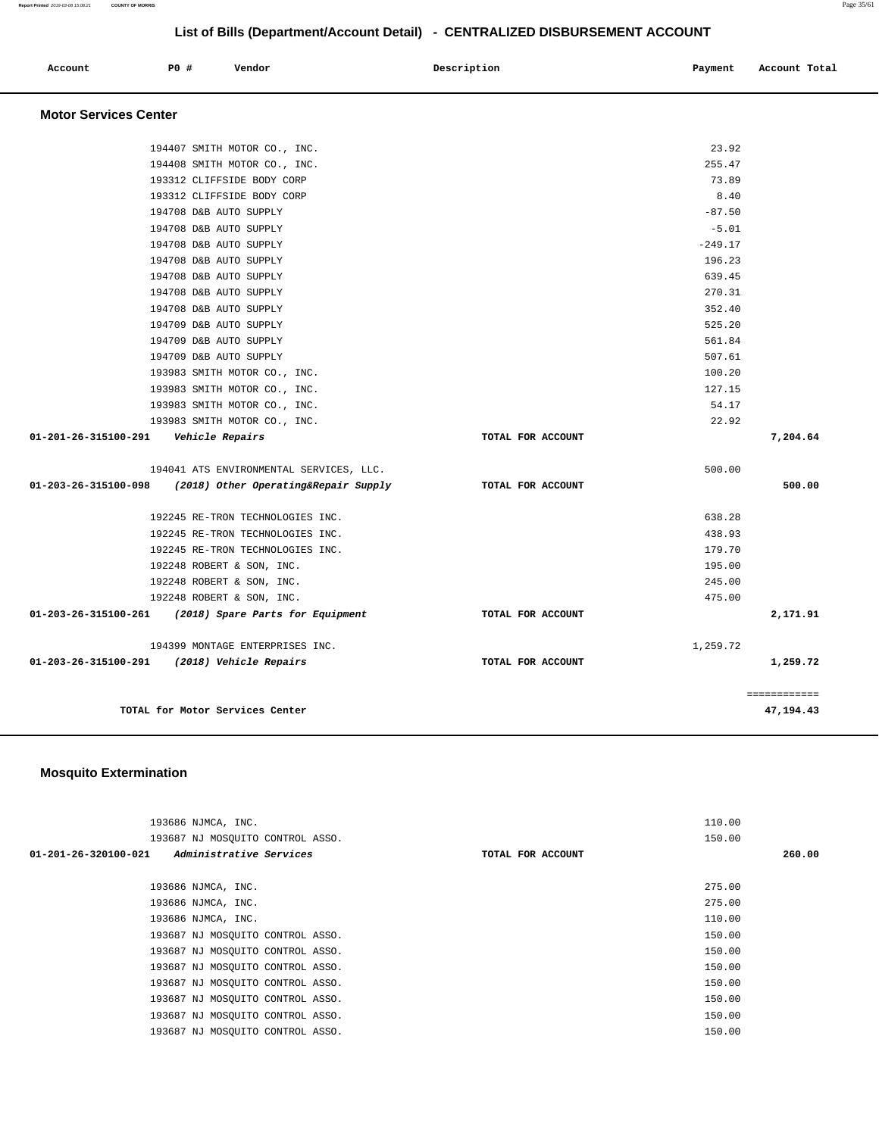| Account | <b>PO #</b> | Vendor | Description | Payment | Account Total |
|---------|-------------|--------|-------------|---------|---------------|
|         |             |        |             |         |               |

## **Motor Services Center**

|                                         | 01-203-26-315100-291 (2018) Vehicle Repairs               | TOTAL FOR ACCOUNT |           | 1,259.72<br>============ |
|-----------------------------------------|-----------------------------------------------------------|-------------------|-----------|--------------------------|
|                                         | 194399 MONTAGE ENTERPRISES INC.                           |                   | 1,259.72  |                          |
|                                         | 01-203-26-315100-261 (2018) Spare Parts for Equipment     | TOTAL FOR ACCOUNT |           | 2,171.91                 |
|                                         | 192248 ROBERT & SON, INC.                                 |                   | 475.00    |                          |
|                                         | 192248 ROBERT & SON, INC.                                 |                   | 245.00    |                          |
|                                         | 192248 ROBERT & SON, INC.                                 |                   | 195.00    |                          |
|                                         | 192245 RE-TRON TECHNOLOGIES INC.                          |                   | 179.70    |                          |
|                                         | 192245 RE-TRON TECHNOLOGIES INC.                          |                   | 438.93    |                          |
|                                         | 192245 RE-TRON TECHNOLOGIES INC.                          |                   | 638.28    |                          |
|                                         | 01-203-26-315100-098 (2018) Other Operating&Repair Supply | TOTAL FOR ACCOUNT |           | 500.00                   |
|                                         | 194041 ATS ENVIRONMENTAL SERVICES, LLC.                   |                   | 500.00    |                          |
|                                         |                                                           |                   |           |                          |
| 01-201-26-315100-291    Vehicle Repairs | 193983 SMITH MOTOR CO., INC.                              | TOTAL FOR ACCOUNT | 22.92     | 7,204.64                 |
|                                         | 193983 SMITH MOTOR CO., INC.                              |                   | 54.17     |                          |
|                                         | 193983 SMITH MOTOR CO., INC.                              |                   | 127.15    |                          |
|                                         | 193983 SMITH MOTOR CO., INC.                              |                   | 100.20    |                          |
|                                         | 194709 D&B AUTO SUPPLY                                    |                   | 507.61    |                          |
|                                         | 194709 D&B AUTO SUPPLY                                    |                   | 561.84    |                          |
|                                         | 194709 D&B AUTO SUPPLY                                    |                   | 525.20    |                          |
|                                         | 194708 D&B AUTO SUPPLY                                    |                   | 352.40    |                          |
|                                         | 194708 D&B AUTO SUPPLY                                    |                   | 270.31    |                          |
|                                         | 194708 D&B AUTO SUPPLY                                    |                   | 639.45    |                          |
|                                         | 194708 D&B AUTO SUPPLY                                    |                   | 196.23    |                          |
|                                         | 194708 D&B AUTO SUPPLY                                    |                   | $-249.17$ |                          |
|                                         | 194708 D&B AUTO SUPPLY                                    |                   | $-5.01$   |                          |
|                                         | 194708 D&B AUTO SUPPLY                                    |                   | $-87.50$  |                          |
|                                         | 193312 CLIFFSIDE BODY CORP                                |                   | 8.40      |                          |
|                                         | 193312 CLIFFSIDE BODY CORP                                |                   | 73.89     |                          |
|                                         | 194408 SMITH MOTOR CO., INC.                              |                   | 255.47    |                          |
|                                         | 194407 SMITH MOTOR CO., INC.                              |                   | 23.92     |                          |

## **Mosquito Extermination**

| 193686 NJMCA, INC.                              |                   | 110.00 |
|-------------------------------------------------|-------------------|--------|
| 193687 NJ MOSOUITO CONTROL ASSO.                |                   | 150.00 |
| Administrative Services<br>01-201-26-320100-021 | TOTAL FOR ACCOUNT | 260.00 |
|                                                 |                   |        |
| 193686 NJMCA, INC.                              |                   | 275.00 |
| 193686 NJMCA, INC.                              |                   | 275.00 |
| 193686 NJMCA, INC.                              |                   | 110.00 |
| 193687 NJ MOSOUITO CONTROL ASSO.                |                   | 150.00 |
| 193687 NJ MOSQUITO CONTROL ASSO.                |                   | 150.00 |
| 193687 NJ MOSOUITO CONTROL ASSO.                |                   | 150.00 |
| 193687 NJ MOSOUITO CONTROL ASSO.                |                   | 150.00 |
| 193687 NJ MOSQUITO CONTROL ASSO.                |                   | 150.00 |
| 193687 NJ MOSOUITO CONTROL ASSO.                |                   | 150.00 |
| 193687 NJ MOSOUITO CONTROL ASSO.                |                   | 150.00 |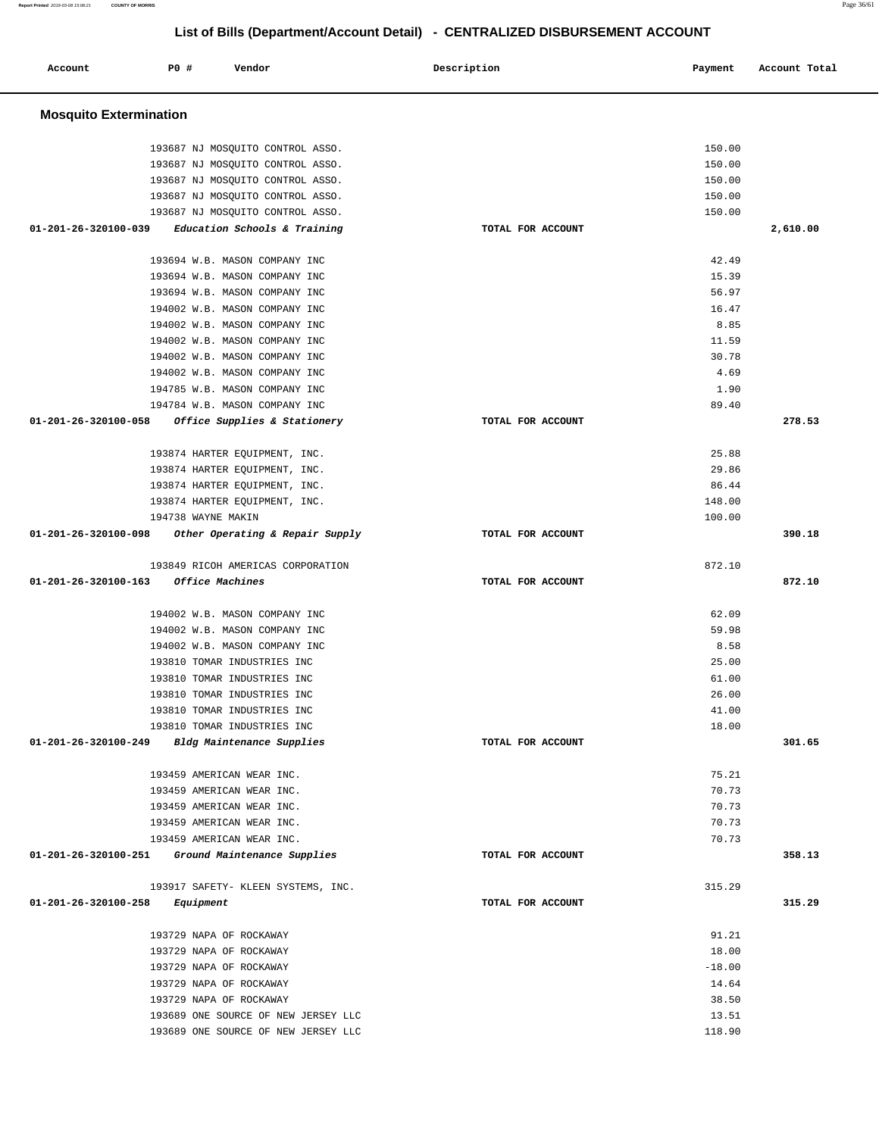**Report Printed** 2019-03-08 15:08:21 **COUNTY OF MORRIS** Page 36/61

# **List of Bills (Department/Account Detail) - CENTRALIZED DISBURSEMENT ACCOUNT**

| Account                        | P0 #<br>Vendor                                   | Description       | Payment  | Account Total |
|--------------------------------|--------------------------------------------------|-------------------|----------|---------------|
| <b>Mosquito Extermination</b>  |                                                  |                   |          |               |
|                                | 193687 NJ MOSQUITO CONTROL ASSO.                 |                   | 150.00   |               |
|                                | 193687 NJ MOSQUITO CONTROL ASSO.                 |                   | 150.00   |               |
|                                | 193687 NJ MOSQUITO CONTROL ASSO.                 |                   | 150.00   |               |
|                                | 193687 NJ MOSQUITO CONTROL ASSO.                 |                   | 150.00   |               |
|                                | 193687 NJ MOSQUITO CONTROL ASSO.                 |                   | 150.00   |               |
| 01-201-26-320100-039           | Education Schools & Training                     | TOTAL FOR ACCOUNT |          | 2,610.00      |
|                                | 193694 W.B. MASON COMPANY INC                    |                   | 42.49    |               |
|                                | 193694 W.B. MASON COMPANY INC                    |                   | 15.39    |               |
|                                | 193694 W.B. MASON COMPANY INC                    |                   | 56.97    |               |
|                                | 194002 W.B. MASON COMPANY INC                    |                   | 16.47    |               |
|                                | 194002 W.B. MASON COMPANY INC                    |                   | 8.85     |               |
|                                | 194002 W.B. MASON COMPANY INC                    |                   | 11.59    |               |
|                                | 194002 W.B. MASON COMPANY INC                    |                   | 30.78    |               |
|                                | 194002 W.B. MASON COMPANY INC                    |                   | 4.69     |               |
|                                | 194785 W.B. MASON COMPANY INC                    |                   | 1.90     |               |
|                                | 194784 W.B. MASON COMPANY INC                    |                   | 89.40    |               |
| $01 - 201 - 26 - 320100 - 058$ | Office Supplies & Stationery                     | TOTAL FOR ACCOUNT |          | 278.53        |
|                                | 193874 HARTER EQUIPMENT, INC.                    |                   | 25.88    |               |
|                                | 193874 HARTER EQUIPMENT, INC.                    |                   | 29.86    |               |
|                                | 193874 HARTER EQUIPMENT, INC.                    |                   | 86.44    |               |
|                                | 193874 HARTER EQUIPMENT, INC.                    |                   | 148.00   |               |
|                                | 194738 WAYNE MAKIN                               |                   | 100.00   |               |
| 01-201-26-320100-098           | Other Operating & Repair Supply                  | TOTAL FOR ACCOUNT |          | 390.18        |
|                                | 193849 RICOH AMERICAS CORPORATION                |                   | 872.10   |               |
| 01-201-26-320100-163           | Office Machines                                  | TOTAL FOR ACCOUNT |          | 872.10        |
|                                | 194002 W.B. MASON COMPANY INC                    |                   | 62.09    |               |
|                                | 194002 W.B. MASON COMPANY INC                    |                   | 59.98    |               |
|                                | 194002 W.B. MASON COMPANY INC                    |                   | 8.58     |               |
|                                | 193810 TOMAR INDUSTRIES INC                      |                   | 25.00    |               |
|                                | 193810 TOMAR INDUSTRIES INC                      |                   | 61.00    |               |
|                                | 193810 TOMAR INDUSTRIES INC                      |                   | 26.00    |               |
|                                | 193810 TOMAR INDUSTRIES INC                      |                   | 41.00    |               |
|                                | 193810 TOMAR INDUSTRIES INC                      |                   | 18.00    |               |
| 01-201-26-320100-249           | Bldg Maintenance Supplies                        | TOTAL FOR ACCOUNT |          | 301.65        |
|                                | 193459 AMERICAN WEAR INC.                        |                   | 75.21    |               |
|                                | 193459 AMERICAN WEAR INC.                        |                   | 70.73    |               |
|                                | 193459 AMERICAN WEAR INC.                        |                   | 70.73    |               |
|                                | 193459 AMERICAN WEAR INC.                        |                   | 70.73    |               |
|                                | 193459 AMERICAN WEAR INC.                        |                   | 70.73    |               |
|                                | 01-201-26-320100-251 Ground Maintenance Supplies | TOTAL FOR ACCOUNT |          | 358.13        |
|                                | 193917 SAFETY- KLEEN SYSTEMS, INC.               |                   | 315.29   |               |
| 01-201-26-320100-258           | Equipment                                        | TOTAL FOR ACCOUNT |          | 315.29        |
|                                | 193729 NAPA OF ROCKAWAY                          |                   | 91.21    |               |
|                                | 193729 NAPA OF ROCKAWAY                          |                   | 18.00    |               |
|                                | 193729 NAPA OF ROCKAWAY                          |                   | $-18.00$ |               |
|                                | 193729 NAPA OF ROCKAWAY                          |                   | 14.64    |               |
|                                | 193729 NAPA OF ROCKAWAY                          |                   | 38.50    |               |
|                                | 193689 ONE SOURCE OF NEW JERSEY LLC              |                   | 13.51    |               |
|                                | 193689 ONE SOURCE OF NEW JERSEY LLC              |                   | 118.90   |               |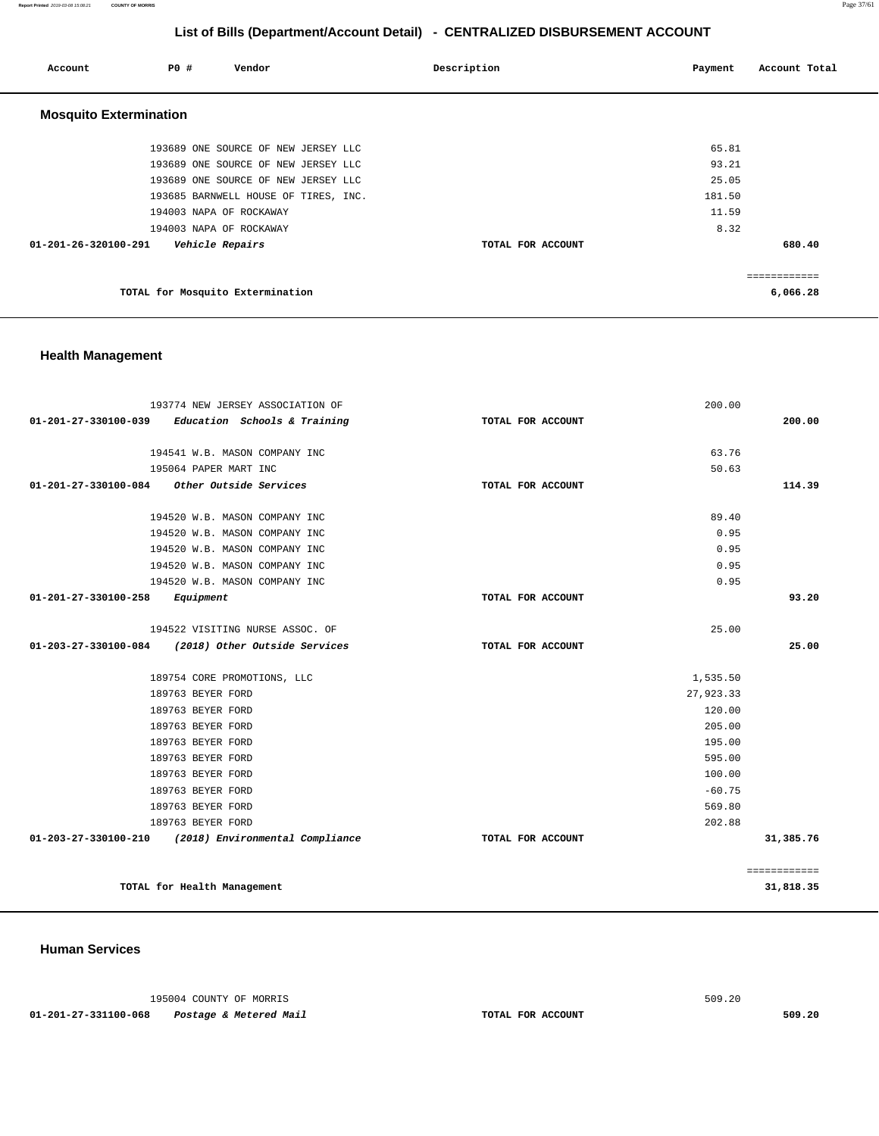**Report Printed** 2019-03-08 15:08:21 **COUNTY OF MORRIS** Page 37/61

## **List of Bills (Department/Account Detail) - CENTRALIZED DISBURSEMENT ACCOUNT**

| Account                       | P0 # | Vendor                               | Description       | Payment | Account Total |
|-------------------------------|------|--------------------------------------|-------------------|---------|---------------|
| <b>Mosquito Extermination</b> |      |                                      |                   |         |               |
|                               |      | 193689 ONE SOURCE OF NEW JERSEY LLC  |                   | 65.81   |               |
|                               |      | 193689 ONE SOURCE OF NEW JERSEY LLC  |                   | 93.21   |               |
|                               |      | 193689 ONE SOURCE OF NEW JERSEY LLC  |                   | 25.05   |               |
|                               |      | 193685 BARNWELL HOUSE OF TIRES, INC. |                   | 181.50  |               |
|                               |      | 194003 NAPA OF ROCKAWAY              |                   | 11.59   |               |
|                               |      | 194003 NAPA OF ROCKAWAY              |                   | 8.32    |               |
| 01-201-26-320100-291          |      | <i><b>Vehicle Repairs</b></i>        | TOTAL FOR ACCOUNT |         | 680.40        |
|                               |      |                                      |                   |         | ------------  |
|                               |      | TOTAL for Mosquito Extermination     |                   |         | 6,066.28      |

## **Health Management**

| 193774 NEW JERSEY ASSOCIATION OF                     |                   | 200.00    |              |
|------------------------------------------------------|-------------------|-----------|--------------|
| Education Schools & Training<br>01-201-27-330100-039 | TOTAL FOR ACCOUNT |           | 200.00       |
|                                                      |                   |           |              |
| 194541 W.B. MASON COMPANY INC                        |                   | 63.76     |              |
| 195064 PAPER MART INC                                |                   | 50.63     |              |
| $01-201-27-330100-084$ Other Outside Services        | TOTAL FOR ACCOUNT |           | 114.39       |
| 194520 W.B. MASON COMPANY INC                        |                   | 89.40     |              |
| 194520 W.B. MASON COMPANY INC                        |                   | 0.95      |              |
| 194520 W.B. MASON COMPANY INC                        |                   | 0.95      |              |
| 194520 W.B. MASON COMPANY INC                        |                   | 0.95      |              |
| 194520 W.B. MASON COMPANY INC                        |                   | 0.95      |              |
| $01 - 201 - 27 - 330100 - 258$ Equipment             | TOTAL FOR ACCOUNT |           | 93.20        |
|                                                      |                   |           |              |
| 194522 VISITING NURSE ASSOC. OF                      |                   | 25.00     |              |
| 01-203-27-330100-084 (2018) Other Outside Services   | TOTAL FOR ACCOUNT |           | 25.00        |
|                                                      |                   |           |              |
| 189754 CORE PROMOTIONS, LLC                          |                   | 1,535.50  |              |
| 189763 BEYER FORD                                    |                   | 27,923.33 |              |
| 189763 BEYER FORD                                    |                   | 120.00    |              |
| 189763 BEYER FORD                                    |                   | 205.00    |              |
| 189763 BEYER FORD                                    |                   | 195.00    |              |
| 189763 BEYER FORD                                    |                   | 595.00    |              |
| 189763 BEYER FORD                                    |                   | 100.00    |              |
| 189763 BEYER FORD                                    |                   | $-60.75$  |              |
| 189763 BEYER FORD                                    |                   | 569.80    |              |
| 189763 BEYER FORD                                    |                   | 202.88    |              |
| 01-203-27-330100-210 (2018) Environmental Compliance | TOTAL FOR ACCOUNT |           | 31,385.76    |
|                                                      |                   |           | ============ |
| TOTAL for Health Management                          |                   |           | 31,818.35    |

#### **Human Services**

195004 COUNTY OF MORRIS 509.20

 **01-201-27-331100-068 Postage & Metered Mail TOTAL FOR ACCOUNT 509.20**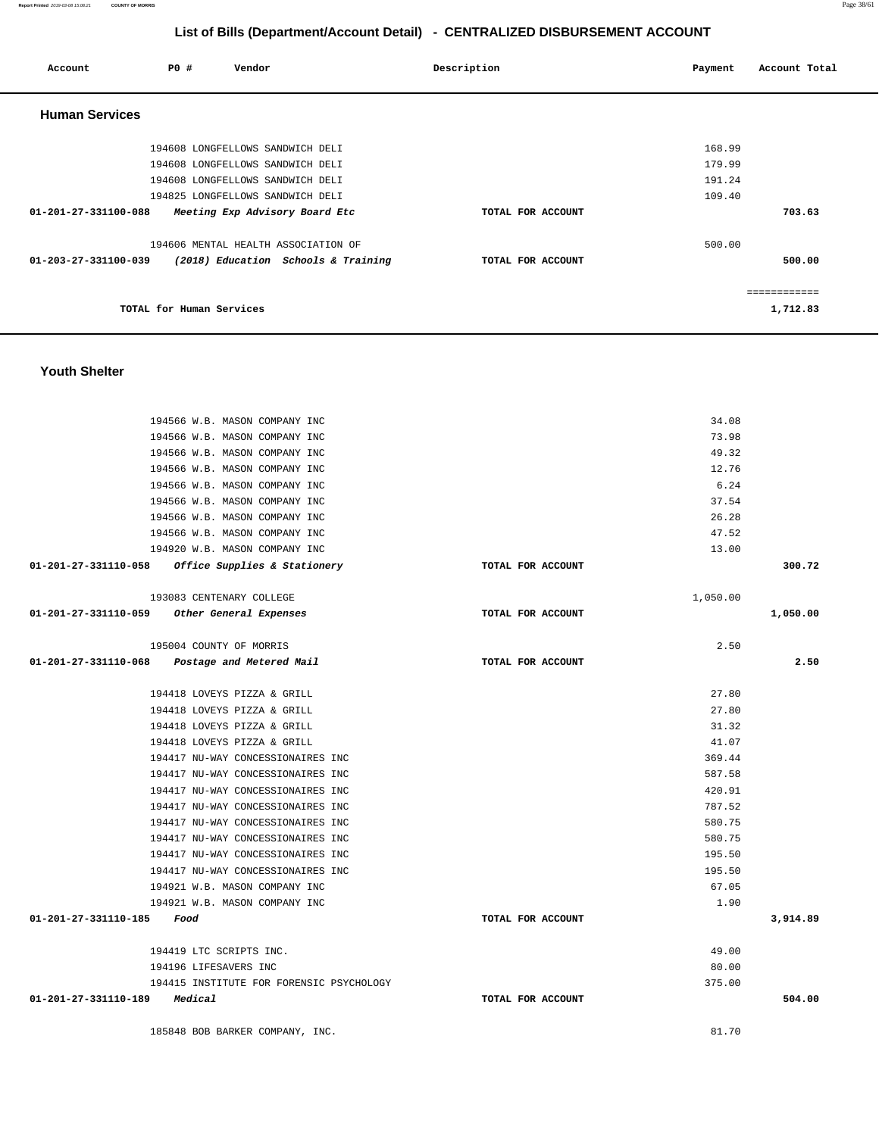**Youth Shelter**  194566 W.B. MASON COMPANY INC 194566 W.B. MASON COMPANY INC 194566 W.B. MASON COMPANY INC 194566 W.B. MASON COMPANY INC 194566 W.B. MASON COMPANY INC 194566 W.B. MASON COMPANY INC 194566 W.B. MASON COMPANY INC 194566 W.B. MASON COMPANY INC 194920 W.B. MASON COMPANY INC **01-201-27-331110-058 Office Supplies & Stationery TOTAL FOR ACCOUNT**  34.08 73.98 49.32 12.76 6.24 37.54 26.28 47.52 13.00 **300.72** 193083 CENTENARY COLLEGE **01-201-27-331110-059 Other General Expenses TOTAL FOR ACCOUNT**  1,050.00 **1,050.00** 195004 COUNTY OF MORRIS **01-201-27-331110-068 Postage and Metered Mail TOTAL FOR ACCOUNT**   $2.50$ **2.50** 194418 LOVEYS PIZZA & GRILL 194418 LOVEYS PIZZA & GRILL 194418 LOVEYS PIZZA & GRILL 194418 LOVEYS PIZZA & GRILL 194417 NU-WAY CONCESSIONAIRES INC 194417 NU-WAY CONCESSIONAIRES INC 194417 NU-WAY CONCESSIONAIRES INC 194417 NU-WAY CONCESSIONAIRES INC 194417 NU-WAY CONCESSIONAIRES INC 194417 NU-WAY CONCESSIONAIRES INC 194417 NU-WAY CONCESSIONAIRES INC 194417 NU-WAY CONCESSIONAIRES INC 194921 W.B. MASON COMPANY INC 194921 W.B. MASON COMPANY INC **01-201-27-331110-185 Food TOTAL FOR ACCOUNT**  27.80 27.80 31.32 41.07 369.44 587.58 420.91 787.52 580.75 580.75 195.50 195.50 67.05 1.90 **3,914.89** 194419 LTC SCRIPTS INC. 194196 LIFESAVERS INC 194415 INSTITUTE FOR FORENSIC PSYCHOLOGY **01-201-27-331110-189 Medical TOTAL FOR ACCOUNT**  49.00 80.00 375.00 **504.00** 185848 BOB BARKER COMPANY, INC. 81.70

| <b>Human Services</b>                                       |                   |                         |
|-------------------------------------------------------------|-------------------|-------------------------|
| 194608 LONGFELLOWS SANDWICH DELI                            |                   | 168.99                  |
| 194608 LONGFELLOWS SANDWICH DELI                            |                   | 179.99                  |
| 194608 LONGFELLOWS SANDWICH DELI                            |                   | 191.24                  |
| 194825 LONGFELLOWS SANDWICH DELI                            |                   | 109.40                  |
| Meeting Exp Advisory Board Etc<br>01-201-27-331100-088      | TOTAL FOR ACCOUNT | 703.63                  |
| 194606 MENTAL HEALTH ASSOCIATION OF                         |                   | 500.00                  |
| 01-203-27-331100-039<br>(2018) Education Schools & Training | TOTAL FOR ACCOUNT | 500.00                  |
| TOTAL for Human Services                                    |                   | ===========<br>1,712.83 |
|                                                             |                   |                         |

# **List of Bills (Department/Account Detail) - CENTRALIZED DISBURSEMENT ACCOUNT**

 **Account P0 # Vendor Description Payment Account Total**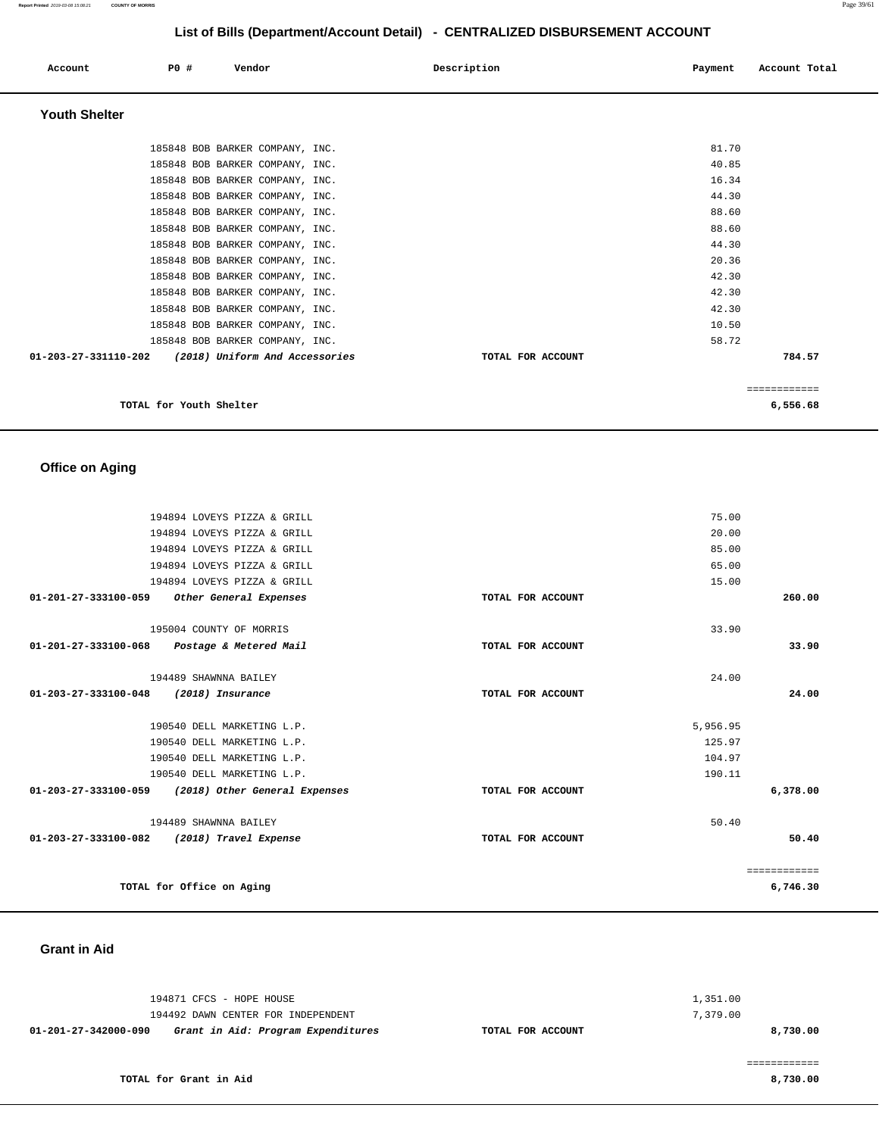| Account              | P0 #<br>Vendor                  | Description | Account Total<br>Payment |
|----------------------|---------------------------------|-------------|--------------------------|
| <b>Youth Shelter</b> |                                 |             |                          |
|                      | 185848 BOB BARKER COMPANY, INC. |             | 81.70                    |
|                      | 185848 BOB BARKER COMPANY, INC. |             | 40.85                    |
|                      | 185848 BOB BARKER COMPANY, INC. |             | 16.34                    |
|                      | 185848 BOB BARKER COMPANY, INC. |             | 44.30                    |

 185848 BOB BARKER COMPANY, INC. 88.60 185848 BOB BARKER COMPANY, INC. 88.60 185848 BOB BARKER COMPANY, INC. 44.30 185848 BOB BARKER COMPANY, INC. 20.36 185848 BOB BARKER COMPANY, INC. 42.30 185848 BOB BARKER COMPANY, INC. 42.30 185848 BOB BARKER COMPANY, INC. 42.30 185848 BOB BARKER COMPANY, INC. 10.50 185848 BOB BARKER COMPANY, INC. 58.72  **01-203-27-331110-202 (2018) Uniform And Accessories TOTAL FOR ACCOUNT 784.57**

| 6,556.68<br>TOTAL for Youth Shelter |  |
|-------------------------------------|--|
|-------------------------------------|--|

============

## **Office on Aging**

|                                | 194894 LOVEYS PIZZA & GRILL                        |                   | 75.00    |              |
|--------------------------------|----------------------------------------------------|-------------------|----------|--------------|
|                                | 194894 LOVEYS PIZZA & GRILL                        |                   | 20.00    |              |
|                                | 194894 LOVEYS PIZZA & GRILL                        |                   | 85.00    |              |
|                                | 194894 LOVEYS PIZZA & GRILL                        |                   | 65.00    |              |
|                                | 194894 LOVEYS PIZZA & GRILL                        |                   | 15.00    |              |
| 01-201-27-333100-059           | Other General Expenses                             | TOTAL FOR ACCOUNT |          | 260.00       |
|                                | 195004 COUNTY OF MORRIS                            |                   | 33.90    |              |
| 01-201-27-333100-068           | Postage & Metered Mail                             | TOTAL FOR ACCOUNT |          | 33.90        |
|                                | 194489 SHAWNNA BAILEY                              |                   | 24.00    |              |
| 01-203-27-333100-048           | (2018) Insurance                                   | TOTAL FOR ACCOUNT |          | 24.00        |
|                                | 190540 DELL MARKETING L.P.                         |                   | 5,956.95 |              |
|                                | 190540 DELL MARKETING L.P.                         |                   | 125.97   |              |
|                                | 190540 DELL MARKETING L.P.                         |                   | 104.97   |              |
|                                | 190540 DELL MARKETING L.P.                         |                   | 190.11   |              |
|                                | 01-203-27-333100-059 (2018) Other General Expenses | TOTAL FOR ACCOUNT |          | 6,378.00     |
|                                | 194489 SHAWNNA BAILEY                              |                   | 50.40    |              |
| $01 - 203 - 27 - 333100 - 082$ | (2018) Travel Expense                              | TOTAL FOR ACCOUNT |          | 50.40        |
|                                |                                                    |                   |          | ============ |
|                                | TOTAL for Office on Aging                          |                   |          | 6,746.30     |

#### **Grant in Aid**

| 01-201-27-342000-090 | Grant in Aid: Program Expenditures | TOTAL FOR ACCOUNT | 8,730.00 |
|----------------------|------------------------------------|-------------------|----------|
|                      | 194492 DAWN CENTER FOR INDEPENDENT |                   | 7,379.00 |
|                      | 194871 CFCS - HOPE HOUSE           |                   | 1,351.00 |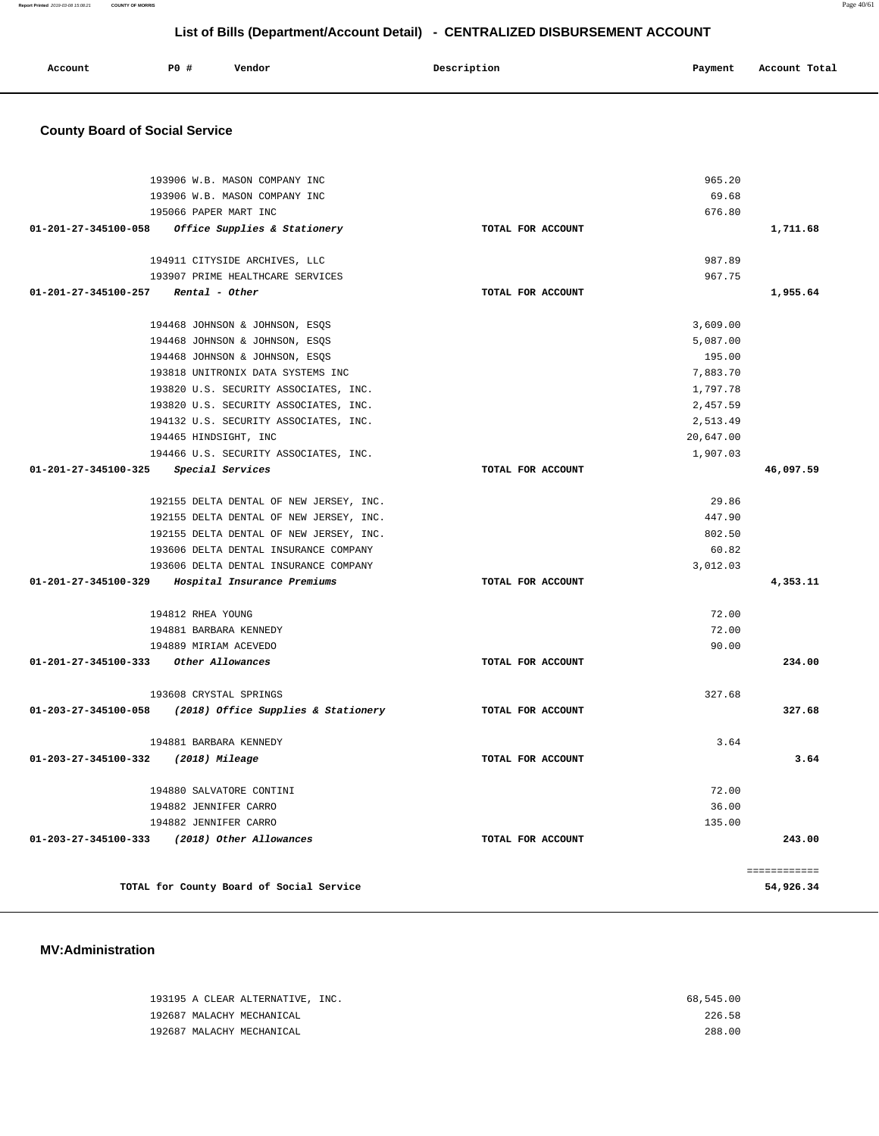| Account | <b>PO #</b> | Vendor | Description | Payment | Account Total |
|---------|-------------|--------|-------------|---------|---------------|
|         |             |        |             |         |               |

## **County Board of Social Service**

|                                              | 193906 W.B. MASON COMPANY INC                            |                   | 965.20    |                   |
|----------------------------------------------|----------------------------------------------------------|-------------------|-----------|-------------------|
|                                              | 193906 W.B. MASON COMPANY INC                            |                   | 69.68     |                   |
|                                              | 195066 PAPER MART INC                                    |                   | 676.80    |                   |
| 01-201-27-345100-058                         | <i>Office Supplies &amp; Stationery</i>                  | TOTAL FOR ACCOUNT |           | 1,711.68          |
|                                              |                                                          |                   |           |                   |
|                                              | 194911 CITYSIDE ARCHIVES, LLC                            |                   | 987.89    |                   |
|                                              | 193907 PRIME HEALTHCARE SERVICES                         |                   | 967.75    |                   |
| $01-201-27-345100-257$ Rental - Other        |                                                          | TOTAL FOR ACCOUNT |           | 1,955.64          |
|                                              |                                                          |                   |           |                   |
|                                              | 194468 JOHNSON & JOHNSON, ESQS                           |                   | 3,609.00  |                   |
|                                              | 194468 JOHNSON & JOHNSON, ESQS                           |                   | 5,087.00  |                   |
|                                              | 194468 JOHNSON & JOHNSON, ESQS                           |                   | 195.00    |                   |
|                                              | 193818 UNITRONIX DATA SYSTEMS INC                        |                   | 7,883.70  |                   |
|                                              | 193820 U.S. SECURITY ASSOCIATES, INC.                    |                   | 1,797.78  |                   |
|                                              | 193820 U.S. SECURITY ASSOCIATES, INC.                    |                   | 2,457.59  |                   |
|                                              | 194132 U.S. SECURITY ASSOCIATES, INC.                    |                   | 2,513.49  |                   |
|                                              | 194465 HINDSIGHT, INC                                    |                   | 20,647.00 |                   |
|                                              | 194466 U.S. SECURITY ASSOCIATES, INC.                    |                   | 1,907.03  |                   |
| 01-201-27-345100-325 Special Services        |                                                          | TOTAL FOR ACCOUNT |           | 46,097.59         |
|                                              | 192155 DELTA DENTAL OF NEW JERSEY, INC.                  |                   | 29.86     |                   |
|                                              | 192155 DELTA DENTAL OF NEW JERSEY, INC.                  |                   | 447.90    |                   |
|                                              | 192155 DELTA DENTAL OF NEW JERSEY, INC.                  |                   | 802.50    |                   |
|                                              | 193606 DELTA DENTAL INSURANCE COMPANY                    |                   | 60.82     |                   |
|                                              | 193606 DELTA DENTAL INSURANCE COMPANY                    |                   | 3,012.03  |                   |
| 01-201-27-345100-329                         | Hospital Insurance Premiums                              | TOTAL FOR ACCOUNT |           | 4,353.11          |
|                                              |                                                          |                   |           |                   |
| 194812 RHEA YOUNG                            |                                                          |                   | 72.00     |                   |
|                                              | 194881 BARBARA KENNEDY                                   |                   | 72.00     |                   |
|                                              | 194889 MIRIAM ACEVEDO                                    |                   | 90.00     |                   |
| 01-201-27-345100-333 Other Allowances        |                                                          | TOTAL FOR ACCOUNT |           | 234.00            |
|                                              | 193608 CRYSTAL SPRINGS                                   |                   | 327.68    |                   |
|                                              | 01-203-27-345100-058 (2018) Office Supplies & Stationery | TOTAL FOR ACCOUNT |           | 327.68            |
|                                              | 194881 BARBARA KENNEDY                                   |                   | 3.64      |                   |
|                                              |                                                          |                   |           | 3.64              |
| 01-203-27-345100-332 (2018) Mileage          |                                                          | TOTAL FOR ACCOUNT |           |                   |
|                                              | 194880 SALVATORE CONTINI                                 |                   | 72.00     |                   |
|                                              | 194882 JENNIFER CARRO                                    |                   | 36.00     |                   |
|                                              | 194882 JENNIFER CARRO                                    |                   | 135.00    |                   |
| 01-203-27-345100-333 (2018) Other Allowances |                                                          | TOTAL FOR ACCOUNT |           | 243.00            |
|                                              |                                                          |                   |           | <b>EEEEEEEEEE</b> |
|                                              | TOTAL for County Board of Social Service                 |                   |           | 54,926.34         |

## **MV:Administration**

| 193195 A CLEAR ALTERNATIVE, INC. | 68,545.00 |
|----------------------------------|-----------|
| 192687 MALACHY MECHANICAL        | 226.58    |
| 192687 MALACHY MECHANICAL        | 288.00    |

**Report Printed** 2019-03-08 15:08:21 **COUNTY OF MORRIS** Page 40/61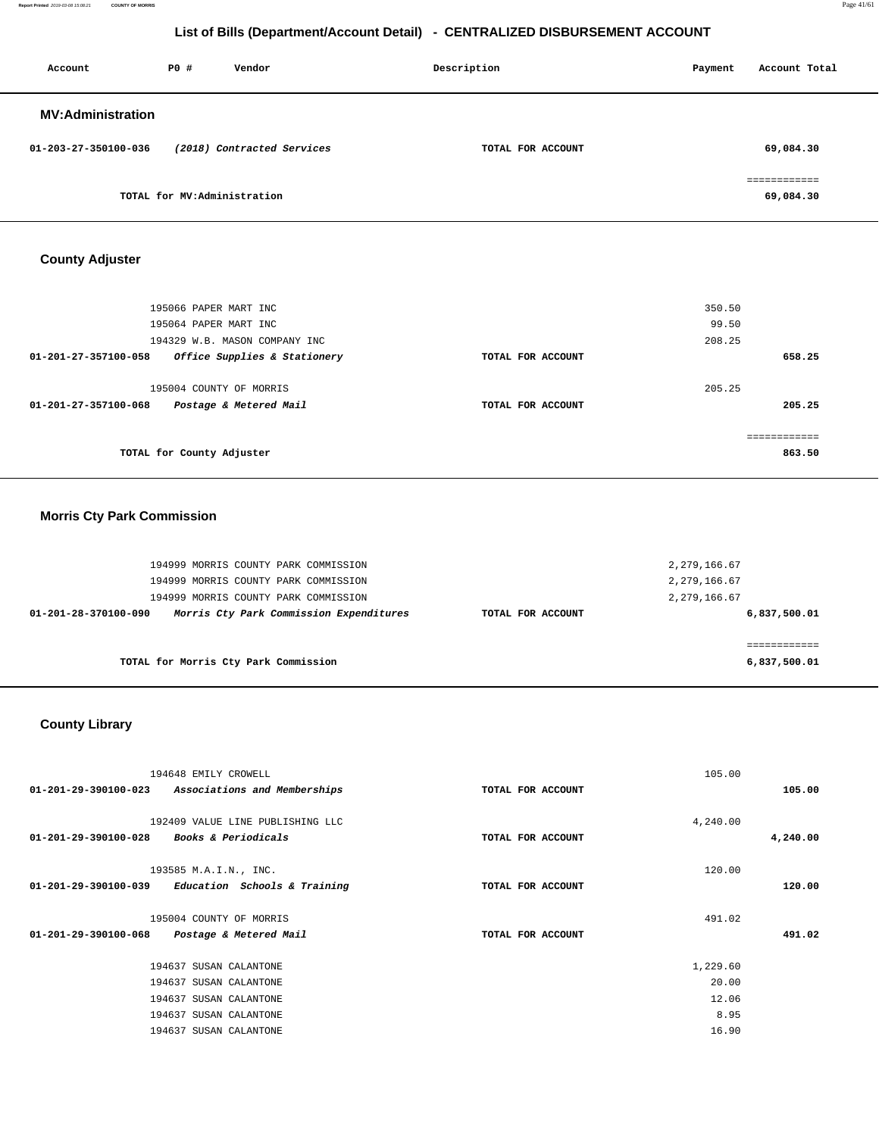**Report Printed** 2019-03-08 15:08:21 **COUNTY OF MORRIS** Page 41/61

## **List of Bills (Department/Account Detail) - CENTRALIZED DISBURSEMENT ACCOUNT**

| Account                  | PO#                         | Vendor                     | Description       | Payment | Account Total             |
|--------------------------|-----------------------------|----------------------------|-------------------|---------|---------------------------|
| <b>MV:Administration</b> |                             |                            |                   |         |                           |
| 01-203-27-350100-036     |                             | (2018) Contracted Services | TOTAL FOR ACCOUNT |         | 69,084.30                 |
|                          | TOTAL for MV:Administration |                            |                   |         | ============<br>69,084.30 |

## **County Adjuster**

| 195066 PAPER MART INC<br>195064 PAPER MART INC<br>194329 W.B. MASON COMPANY INC |                   | 350.50<br>99.50<br>208.25 |        |
|---------------------------------------------------------------------------------|-------------------|---------------------------|--------|
| 01-201-27-357100-058<br>Office Supplies & Stationery                            | TOTAL FOR ACCOUNT |                           | 658.25 |
| 195004 COUNTY OF MORRIS<br>01-201-27-357100-068<br>Postage & Metered Mail       | TOTAL FOR ACCOUNT | 205.25                    | 205.25 |
| TOTAL for County Adjuster                                                       |                   |                           | 863.50 |

## **Morris Cty Park Commission**

| 194999 MORRIS COUNTY PARK COMMISSION<br>194999 MORRIS COUNTY PARK COMMISSION<br>194999 MORRIS COUNTY PARK COMMISSION |                   | 2,279,166.67<br>2,279,166.67<br>2,279,166.67 |
|----------------------------------------------------------------------------------------------------------------------|-------------------|----------------------------------------------|
| Morris Cty Park Commission Expenditures<br>01-201-28-370100-090                                                      | TOTAL FOR ACCOUNT | 6,837,500.01                                 |
| TOTAL for Morris Cty Park Commission                                                                                 |                   | 6,837,500.01                                 |

## **County Library**

| 194648 EMILY CROWELL                                                                       |                   | 105.00   |          |
|--------------------------------------------------------------------------------------------|-------------------|----------|----------|
| 01-201-29-390100-023<br>Associations and Memberships                                       | TOTAL FOR ACCOUNT |          | 105.00   |
| 192409 VALUE LINE PUBLISHING LLC<br>01-201-29-390100-028<br><b>Books &amp; Periodicals</b> | TOTAL FOR ACCOUNT | 4,240.00 | 4,240.00 |
| 193585 M.A.I.N., INC.<br>01-201-29-390100-039<br>Education Schools & Training              | TOTAL FOR ACCOUNT | 120.00   | 120.00   |
| 195004 COUNTY OF MORRIS                                                                    |                   | 491.02   |          |
| 01-201-29-390100-068<br>Postage & Metered Mail                                             | TOTAL FOR ACCOUNT |          | 491.02   |
| 194637 SUSAN CALANTONE                                                                     |                   | 1,229.60 |          |
| 194637 SUSAN CALANTONE                                                                     |                   | 20.00    |          |
| 194637 SUSAN CALANTONE                                                                     |                   | 12.06    |          |
| 194637 SUSAN CALANTONE                                                                     |                   | 8.95     |          |
| 194637 SUSAN CALANTONE                                                                     |                   | 16.90    |          |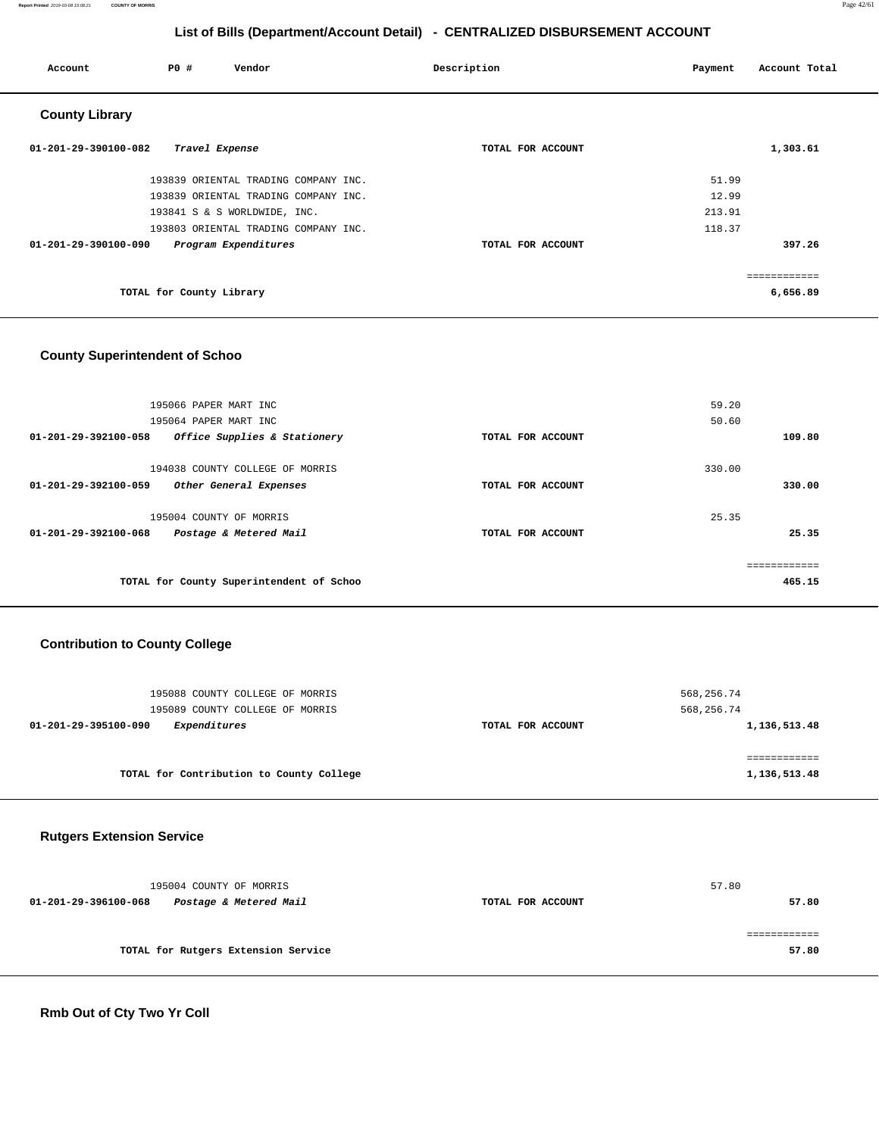**Report Printed** 2019-03-08 15:08:21 **COUNTY OF MORRIS** Page 42/61

## **List of Bills (Department/Account Detail) - CENTRALIZED DISBURSEMENT ACCOUNT**

| Account               | P0 #                     | Vendor                               | Description       | Account Total<br>Payment |  |
|-----------------------|--------------------------|--------------------------------------|-------------------|--------------------------|--|
| <b>County Library</b> |                          |                                      |                   |                          |  |
| 01-201-29-390100-082  | Travel Expense           |                                      | TOTAL FOR ACCOUNT | 1,303.61                 |  |
|                       |                          | 193839 ORIENTAL TRADING COMPANY INC. |                   | 51.99                    |  |
|                       |                          | 193839 ORIENTAL TRADING COMPANY INC. |                   | 12.99                    |  |
|                       |                          | 193841 S & S WORLDWIDE, INC.         |                   | 213.91                   |  |
|                       |                          | 193803 ORIENTAL TRADING COMPANY INC. |                   | 118.37                   |  |
| 01-201-29-390100-090  |                          | Program Expenditures                 | TOTAL FOR ACCOUNT | 397.26                   |  |
|                       |                          |                                      |                   | ============             |  |
|                       | TOTAL for County Library |                                      |                   | 6,656.89                 |  |

## **County Superintendent of Schoo**

| 195066 PAPER MART INC                                                             |                   | 59.20  |        |
|-----------------------------------------------------------------------------------|-------------------|--------|--------|
| 195064 PAPER MART INC                                                             |                   | 50.60  |        |
| Office Supplies & Stationery<br>01-201-29-392100-058                              | TOTAL FOR ACCOUNT |        | 109.80 |
| 194038 COUNTY COLLEGE OF MORRIS<br>01-201-29-392100-059<br>Other General Expenses | TOTAL FOR ACCOUNT | 330.00 | 330.00 |
| 195004 COUNTY OF MORRIS<br>Postage & Metered Mail<br>01-201-29-392100-068         | TOTAL FOR ACCOUNT | 25.35  | 25.35  |
| TOTAL for County Superintendent of Schoo                                          |                   |        | 465.15 |

## **Contribution to County College**

| 195088 COUNTY COLLEGE OF MORRIS<br>195089 COUNTY COLLEGE OF MORRIS |                   | 568,256.74<br>568,256.74 |
|--------------------------------------------------------------------|-------------------|--------------------------|
| Expenditures<br>01-201-29-395100-090                               | TOTAL FOR ACCOUNT | 1,136,513.48             |
| TOTAL for Contribution to County College                           |                   | 1,136,513.48             |

## **Rutgers Extension Service**

|                      | 195004 COUNTY OF MORRIS             |                   | 57.80 |       |
|----------------------|-------------------------------------|-------------------|-------|-------|
| 01-201-29-396100-068 | Postage & Metered Mail              | TOTAL FOR ACCOUNT |       |       |
|                      |                                     |                   |       |       |
|                      | TOTAL for Rutgers Extension Service |                   |       | 57.80 |
|                      |                                     |                   |       |       |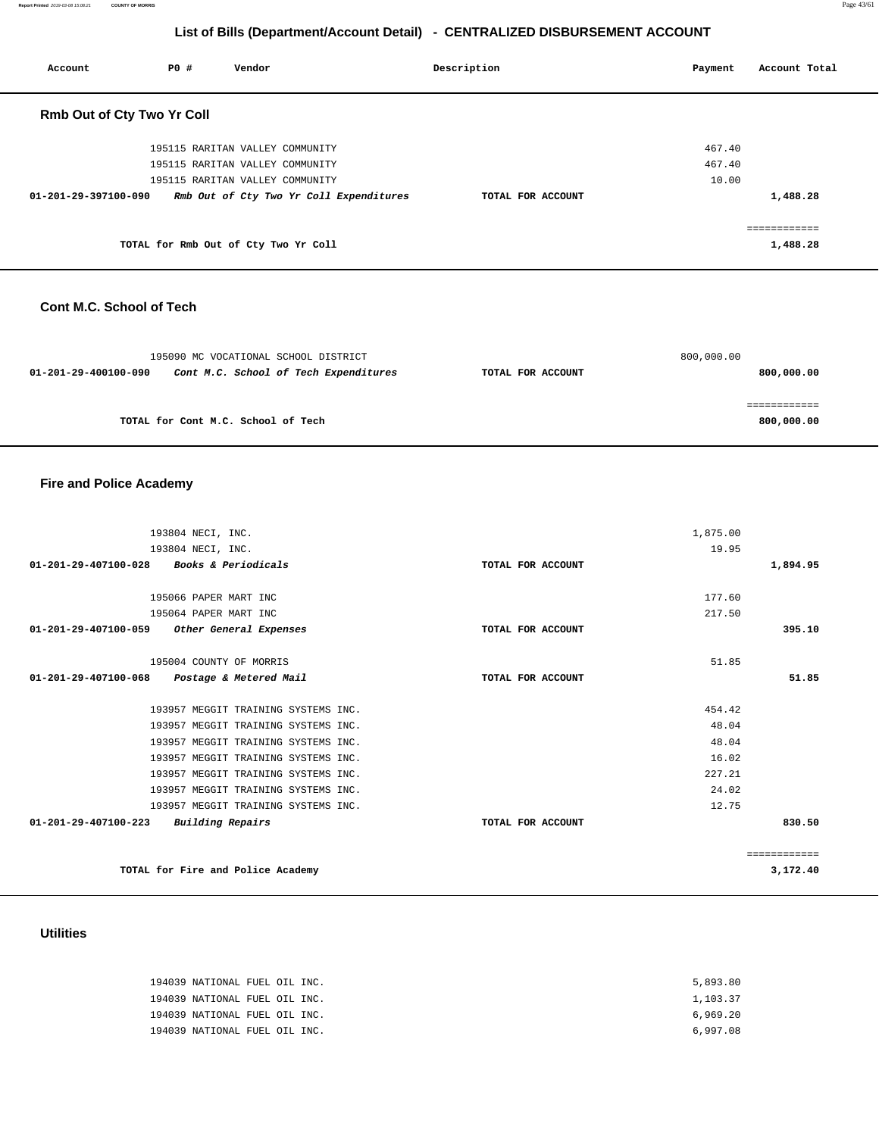**Report Printed** 2019-03-08 15:08:21 **COUNTY OF MORRIS** Page 43/61

## **List of Bills (Department/Account Detail) - CENTRALIZED DISBURSEMENT ACCOUNT**

| Account                           | PO# | Vendor                                  | Description       | Payment | Account Total |
|-----------------------------------|-----|-----------------------------------------|-------------------|---------|---------------|
| <b>Rmb Out of Cty Two Yr Coll</b> |     |                                         |                   |         |               |
|                                   |     | 195115 RARITAN VALLEY COMMUNITY         |                   | 467.40  |               |
|                                   |     | 195115 RARITAN VALLEY COMMUNITY         |                   | 467.40  |               |
|                                   |     | 195115 RARITAN VALLEY COMMUNITY         |                   | 10.00   |               |
| 01-201-29-397100-090              |     | Rmb Out of Cty Two Yr Coll Expenditures | TOTAL FOR ACCOUNT |         | 1,488.28      |
|                                   |     |                                         |                   |         |               |
|                                   |     | TOTAL for Rmb Out of Cty Two Yr Coll    |                   |         | 1,488.28      |

## **Cont M.C. School of Tech**

| 195090 MC VOCATIONAL SCHOOL DISTRICT                          |                   | 800,000.00 |
|---------------------------------------------------------------|-------------------|------------|
| Cont M.C. School of Tech Expenditures<br>01-201-29-400100-090 | TOTAL FOR ACCOUNT | 800,000.00 |
|                                                               |                   |            |
|                                                               |                   |            |
| TOTAL for Cont M.C. School of Tech                            |                   | 800,000.00 |

## **Fire and Police Academy**

| 193804 NECI, INC.                                  |                   | 1,875.00 |              |
|----------------------------------------------------|-------------------|----------|--------------|
| 193804 NECI, INC.                                  |                   | 19.95    |              |
| 01-201-29-407100-028 Books & Periodicals           | TOTAL FOR ACCOUNT |          | 1,894.95     |
|                                                    |                   |          |              |
| 195066 PAPER MART INC                              |                   | 177.60   |              |
| 195064 PAPER MART INC                              |                   | 217.50   |              |
| 01-201-29-407100-059<br>Other General Expenses     | TOTAL FOR ACCOUNT |          | 395.10       |
|                                                    |                   |          |              |
| 195004 COUNTY OF MORRIS                            |                   | 51.85    |              |
| 01-201-29-407100-068<br>Postage & Metered Mail     | TOTAL FOR ACCOUNT |          | 51.85        |
|                                                    |                   |          |              |
| 193957 MEGGIT TRAINING SYSTEMS INC.                |                   | 454.42   |              |
| 193957 MEGGIT TRAINING SYSTEMS INC.                |                   | 48.04    |              |
| 193957 MEGGIT TRAINING SYSTEMS INC.                |                   | 48.04    |              |
| 193957 MEGGIT TRAINING SYSTEMS INC.                |                   | 16.02    |              |
| 193957 MEGGIT TRAINING SYSTEMS INC.                |                   | 227.21   |              |
| 193957 MEGGIT TRAINING SYSTEMS INC.                |                   | 24.02    |              |
| 193957 MEGGIT TRAINING SYSTEMS INC.                |                   | 12.75    |              |
| $01 - 201 - 29 - 407100 - 223$<br>Building Repairs | TOTAL FOR ACCOUNT |          | 830.50       |
|                                                    |                   |          | ============ |
| TOTAL for Fire and Police Academy                  |                   |          | 3,172.40     |

## **Utilities**

| 194039 NATIONAL FUEL OIL INC. | 5,893.80 |
|-------------------------------|----------|
| 194039 NATIONAL FUEL OIL INC. | 1,103.37 |
| 194039 NATIONAL FUEL OIL INC. | 6,969.20 |
| 194039 NATIONAL FUEL OIL INC. | 6.997.08 |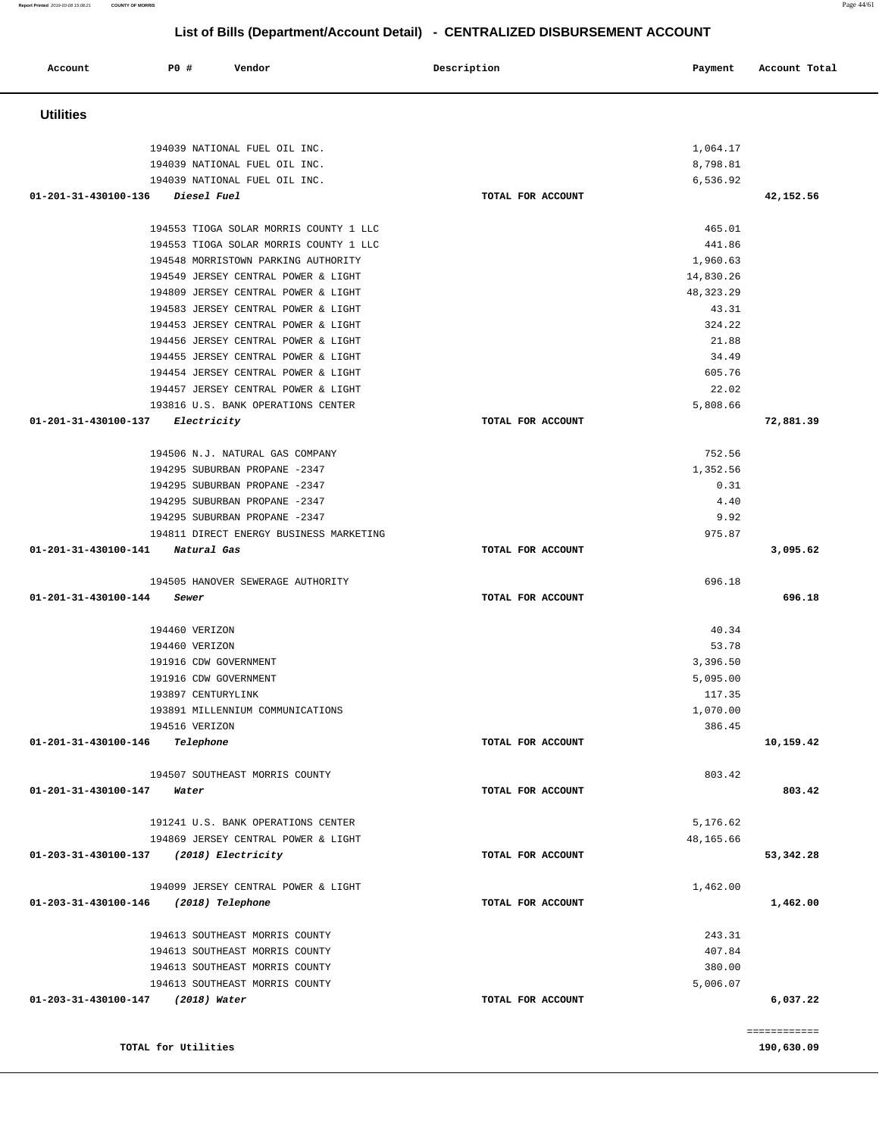**Report Printed** 2019-03-08 15:08:21 **COUNTY OF MORRIS** Page 44/61

# **List of Bills (Department/Account Detail) - CENTRALIZED DISBURSEMENT ACCOUNT**

| Account                                 | P0 #                | Vendor                                                                     | Description       | Payment              | Account Total |
|-----------------------------------------|---------------------|----------------------------------------------------------------------------|-------------------|----------------------|---------------|
| <b>Utilities</b>                        |                     |                                                                            |                   |                      |               |
|                                         |                     |                                                                            |                   |                      |               |
|                                         |                     | 194039 NATIONAL FUEL OIL INC.<br>194039 NATIONAL FUEL OIL INC.             |                   | 1,064.17<br>8,798.81 |               |
|                                         |                     | 194039 NATIONAL FUEL OIL INC.                                              |                   | 6,536.92             |               |
| 01-201-31-430100-136 Diesel Fuel        |                     |                                                                            | TOTAL FOR ACCOUNT |                      | 42,152.56     |
|                                         |                     |                                                                            |                   |                      |               |
|                                         |                     | 194553 TIOGA SOLAR MORRIS COUNTY 1 LLC                                     |                   | 465.01               |               |
|                                         |                     | 194553 TIOGA SOLAR MORRIS COUNTY 1 LLC                                     |                   | 441.86               |               |
|                                         |                     | 194548 MORRISTOWN PARKING AUTHORITY                                        |                   | 1,960.63             |               |
|                                         |                     | 194549 JERSEY CENTRAL POWER & LIGHT                                        |                   | 14,830.26            |               |
|                                         |                     | 194809 JERSEY CENTRAL POWER & LIGHT                                        |                   | 48, 323. 29          |               |
|                                         |                     | 194583 JERSEY CENTRAL POWER & LIGHT                                        |                   | 43.31                |               |
|                                         |                     | 194453 JERSEY CENTRAL POWER & LIGHT                                        |                   | 324.22               |               |
|                                         |                     | 194456 JERSEY CENTRAL POWER & LIGHT                                        |                   | 21.88                |               |
|                                         |                     | 194455 JERSEY CENTRAL POWER & LIGHT                                        |                   | 34.49<br>605.76      |               |
|                                         |                     | 194454 JERSEY CENTRAL POWER & LIGHT<br>194457 JERSEY CENTRAL POWER & LIGHT |                   | 22.02                |               |
|                                         |                     | 193816 U.S. BANK OPERATIONS CENTER                                         |                   | 5,808.66             |               |
| 01-201-31-430100-137 Electricity        |                     |                                                                            | TOTAL FOR ACCOUNT |                      | 72,881.39     |
|                                         |                     |                                                                            |                   |                      |               |
|                                         |                     | 194506 N.J. NATURAL GAS COMPANY                                            |                   | 752.56               |               |
|                                         |                     | 194295 SUBURBAN PROPANE -2347<br>194295 SUBURBAN PROPANE -2347             |                   | 1,352.56<br>0.31     |               |
|                                         |                     | 194295 SUBURBAN PROPANE -2347                                              |                   | 4.40                 |               |
|                                         |                     | 194295 SUBURBAN PROPANE -2347                                              |                   | 9.92                 |               |
|                                         |                     | 194811 DIRECT ENERGY BUSINESS MARKETING                                    |                   | 975.87               |               |
| 01-201-31-430100-141 Natural Gas        |                     |                                                                            | TOTAL FOR ACCOUNT |                      | 3,095.62      |
|                                         |                     |                                                                            |                   | 696.18               |               |
| 01-201-31-430100-144                    |                     | 194505 HANOVER SEWERAGE AUTHORITY<br>Sewer                                 | TOTAL FOR ACCOUNT |                      | 696.18        |
|                                         |                     |                                                                            |                   |                      |               |
|                                         |                     | 194460 VERIZON                                                             |                   | 40.34                |               |
|                                         |                     | 194460 VERIZON                                                             |                   | 53.78                |               |
|                                         |                     | 191916 CDW GOVERNMENT                                                      |                   | 3,396.50             |               |
|                                         |                     | 191916 CDW GOVERNMENT                                                      |                   | 5,095.00             |               |
|                                         |                     | 193897 CENTURYLINK                                                         |                   | 117.35               |               |
|                                         |                     | 193891 MILLENNIUM COMMUNICATIONS                                           |                   | 1,070.00             |               |
|                                         |                     | 194516 VERIZON                                                             |                   | 386.45               |               |
| 01-201-31-430100-146 Telephone          |                     |                                                                            | TOTAL FOR ACCOUNT |                      | 10,159.42     |
|                                         |                     | 194507 SOUTHEAST MORRIS COUNTY                                             |                   | 803.42               |               |
| 01-201-31-430100-147 Water              |                     |                                                                            | TOTAL FOR ACCOUNT |                      | 803.42        |
|                                         |                     |                                                                            |                   |                      |               |
|                                         |                     | 191241 U.S. BANK OPERATIONS CENTER                                         |                   | 5,176.62             |               |
|                                         |                     | 194869 JERSEY CENTRAL POWER & LIGHT                                        | TOTAL FOR ACCOUNT | 48,165.66            |               |
| 01-203-31-430100-137 (2018) Electricity |                     |                                                                            |                   |                      | 53,342.28     |
|                                         |                     | 194099 JERSEY CENTRAL POWER & LIGHT                                        |                   | 1,462.00             |               |
| 01-203-31-430100-146 (2018) Telephone   |                     |                                                                            | TOTAL FOR ACCOUNT |                      | 1,462.00      |
|                                         |                     | 194613 SOUTHEAST MORRIS COUNTY                                             |                   | 243.31               |               |
|                                         |                     | 194613 SOUTHEAST MORRIS COUNTY                                             |                   | 407.84               |               |
|                                         |                     | 194613 SOUTHEAST MORRIS COUNTY                                             |                   | 380.00               |               |
|                                         |                     | 194613 SOUTHEAST MORRIS COUNTY                                             |                   | 5,006.07             |               |
| 01-203-31-430100-147 (2018) Water       |                     |                                                                            | TOTAL FOR ACCOUNT |                      | 6,037.22      |
|                                         |                     |                                                                            |                   |                      | ============  |
|                                         | TOTAL for Utilities |                                                                            |                   |                      | 190,630.09    |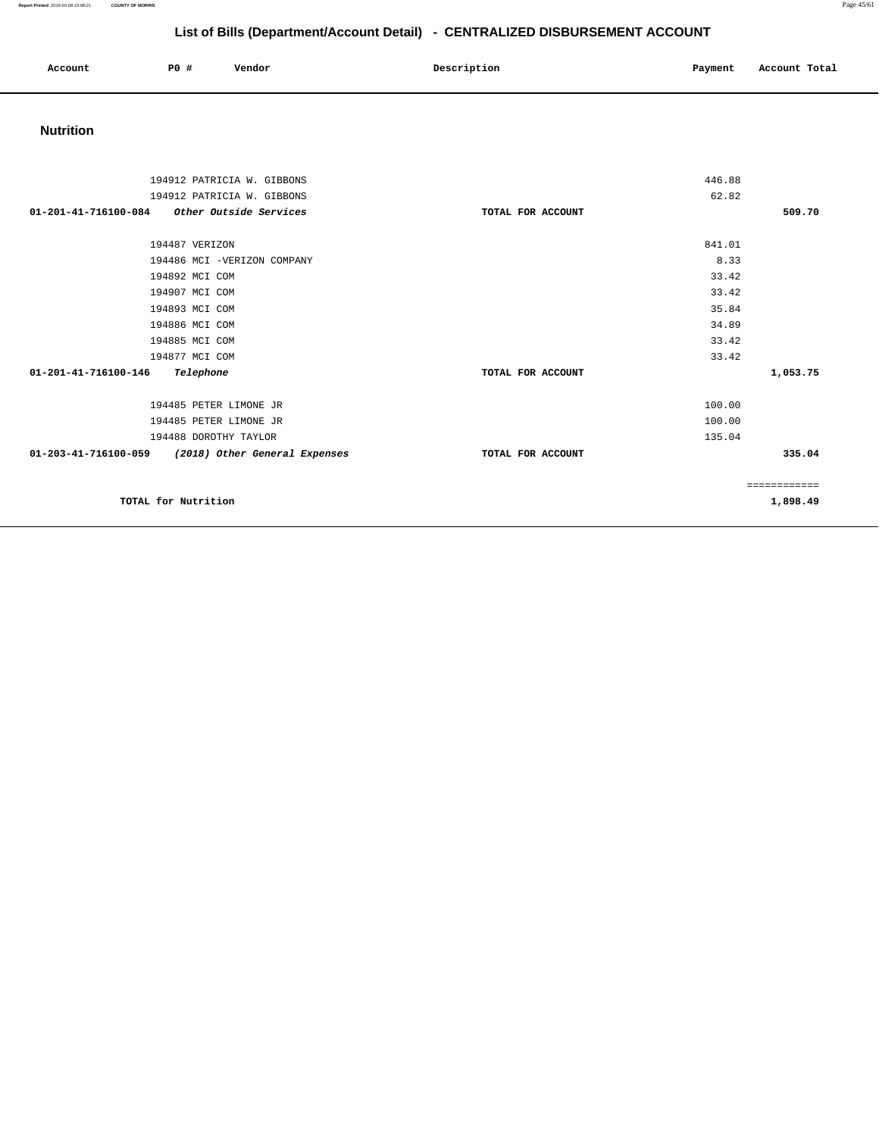**Report Printed** 2019-03-08 15:08:21 **COUNTY OF MORRIS** Page 45/61

# **List of Bills (Department/Account Detail) - CENTRALIZED DISBURSEMENT ACCOUNT**

| Account | P0 # | Vendor | Description | Payment | Account Total |
|---------|------|--------|-------------|---------|---------------|
|         |      |        |             |         |               |

## **Nutrition**

| 194912 PATRICIA W. GIBBONS                               |                   | 446.88       |  |
|----------------------------------------------------------|-------------------|--------------|--|
| 194912 PATRICIA W. GIBBONS                               |                   | 62.82        |  |
| $01 - 201 - 41 - 716100 - 084$<br>Other Outside Services | TOTAL FOR ACCOUNT | 509.70       |  |
|                                                          |                   |              |  |
| 194487 VERIZON                                           |                   | 841.01       |  |
| 194486 MCI -VERIZON COMPANY                              |                   | 8.33         |  |
| 194892 MCI COM                                           |                   | 33.42        |  |
| 194907 MCI COM                                           |                   | 33.42        |  |
| 194893 MCI COM                                           |                   | 35.84        |  |
| 194886 MCI COM                                           |                   | 34.89        |  |
| 194885 MCI COM                                           |                   | 33.42        |  |
| 194877 MCI COM                                           |                   | 33.42        |  |
| 01-201-41-716100-146<br>Telephone                        | TOTAL FOR ACCOUNT | 1,053.75     |  |
| 194485 PETER LIMONE JR                                   |                   | 100.00       |  |
| 194485 PETER LIMONE JR                                   |                   | 100.00       |  |
| 194488 DOROTHY TAYLOR                                    |                   | 135.04       |  |
| 01-203-41-716100-059 (2018) Other General Expenses       | TOTAL FOR ACCOUNT | 335.04       |  |
|                                                          |                   | ============ |  |
| TOTAL for Nutrition                                      |                   | 1,898.49     |  |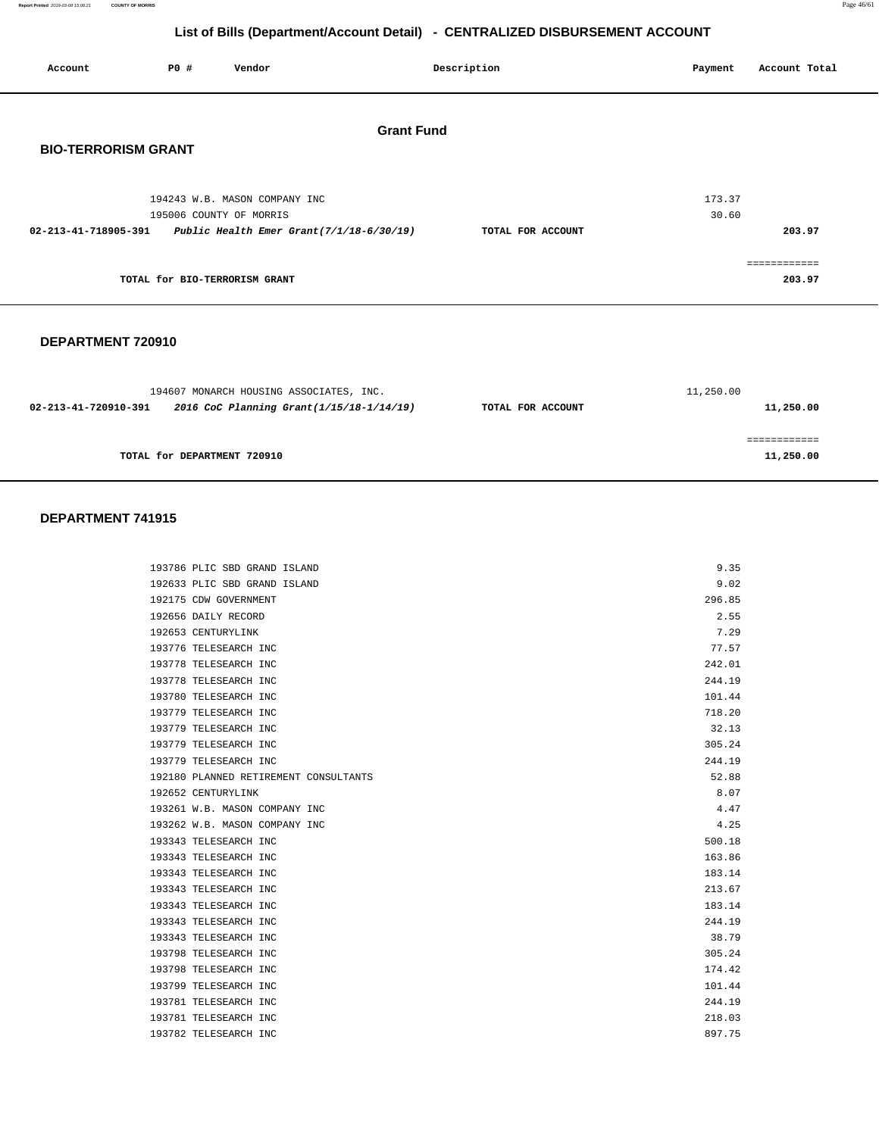| Page 46/61 |
|------------|
|            |

| Account                                                       | P0 #                          | Vendor                                                   |                   | Description       | Payment         | Account Total          |
|---------------------------------------------------------------|-------------------------------|----------------------------------------------------------|-------------------|-------------------|-----------------|------------------------|
| <b>BIO-TERRORISM GRANT</b>                                    |                               |                                                          | <b>Grant Fund</b> |                   |                 |                        |
|                                                               |                               | 194243 W.B. MASON COMPANY INC<br>195006 COUNTY OF MORRIS |                   |                   | 173.37<br>30.60 |                        |
| 02-213-41-718905-391 Public Health Emer Grant(7/1/18-6/30/19) |                               |                                                          |                   | TOTAL FOR ACCOUNT |                 | 203.97                 |
|                                                               | TOTAL for BIO-TERRORISM GRANT |                                                          |                   |                   |                 | ------------<br>203.97 |
|                                                               |                               |                                                          |                   |                   |                 |                        |

#### **DEPARTMENT 720910**

|                      | 194607 MONARCH HOUSING ASSOCIATES, INC.  |                   | 11,250.00 |
|----------------------|------------------------------------------|-------------------|-----------|
| 02-213-41-720910-391 | 2016 CoC Planning Grant(1/15/18-1/14/19) | TOTAL FOR ACCOUNT | 11,250.00 |
|                      |                                          |                   |           |
|                      | TOTAL for DEPARTMENT 720910              |                   | 11,250.00 |

| 193786 PLIC SBD GRAND ISLAND          | 9.35   |
|---------------------------------------|--------|
| 192633 PLIC SBD GRAND ISLAND          | 9.02   |
| 192175 CDW GOVERNMENT                 | 296.85 |
| 192656 DAILY RECORD                   | 2.55   |
| 192653 CENTURYLINK                    | 7.29   |
| 193776 TELESEARCH INC                 | 77.57  |
| 193778 TELESEARCH INC                 | 242.01 |
| 193778 TELESEARCH INC                 | 244.19 |
| 193780 TELESEARCH INC                 | 101.44 |
| 193779 TELESEARCH INC                 | 718.20 |
| 193779 TELESEARCH INC                 | 32.13  |
| 193779 TELESEARCH INC                 | 305.24 |
| 193779 TELESEARCH INC                 | 244.19 |
| 192180 PLANNED RETIREMENT CONSULTANTS | 52.88  |
| 192652 CENTURYLINK                    | 8.07   |
| 193261 W.B. MASON COMPANY INC         | 4.47   |
| 193262 W.B. MASON COMPANY INC         | 4.25   |
| 193343 TELESEARCH INC                 | 500.18 |
| 193343 TELESEARCH INC                 | 163.86 |
| 193343 TELESEARCH INC                 | 183.14 |
| 193343 TELESEARCH INC                 | 213.67 |
| 193343 TELESEARCH INC                 | 183.14 |
| 193343 TELESEARCH INC                 | 244.19 |
| 193343 TELESEARCH INC                 | 38.79  |
| 193798 TELESEARCH INC                 | 305.24 |
| 193798 TELESEARCH INC                 | 174.42 |
| 193799 TELESEARCH INC                 | 101.44 |
| 193781 TELESEARCH INC                 | 244.19 |
| 193781 TELESEARCH INC                 | 218.03 |
| 193782 TELESEARCH INC                 | 897.75 |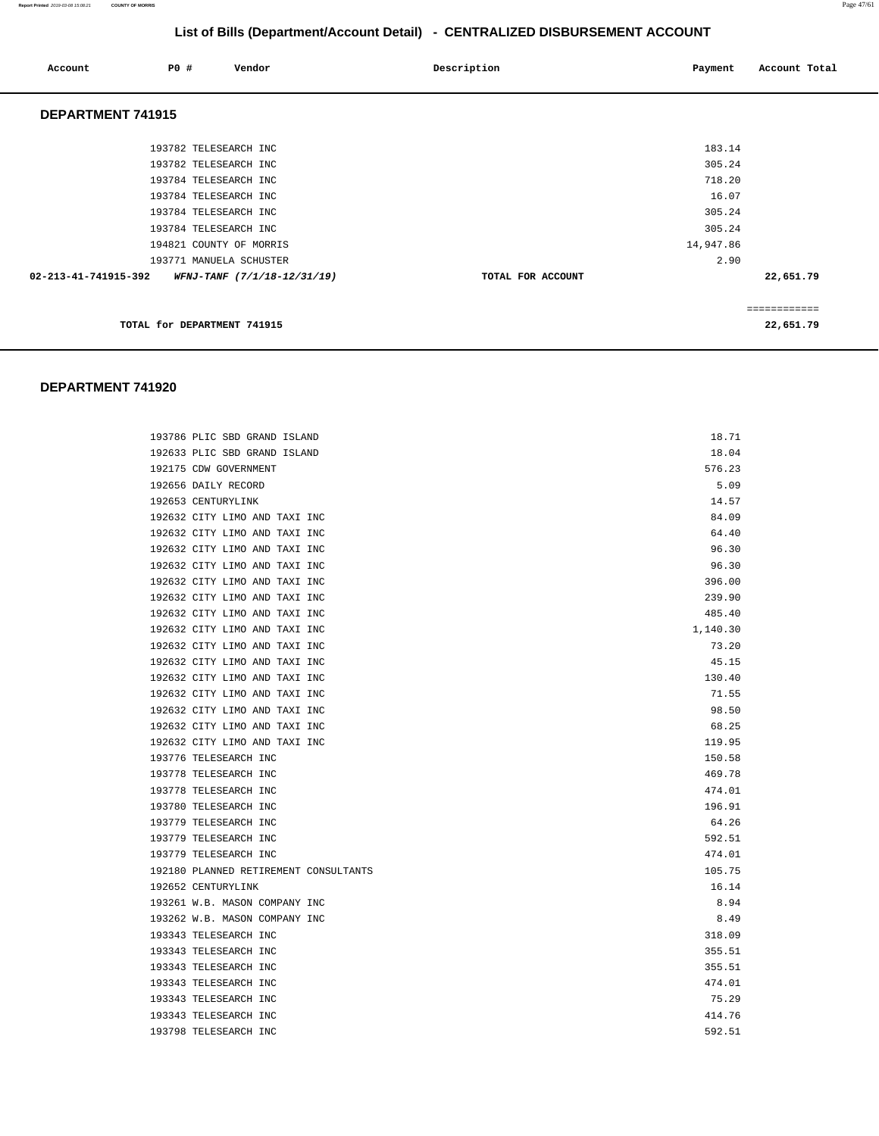| Account              | <b>PO #</b>                 | Vendor                             | Description       | Payment   | Account Total |
|----------------------|-----------------------------|------------------------------------|-------------------|-----------|---------------|
| DEPARTMENT 741915    |                             |                                    |                   |           |               |
|                      | 193782 TELESEARCH INC       |                                    |                   | 183.14    |               |
|                      | 193782 TELESEARCH INC       |                                    |                   | 305.24    |               |
|                      | 193784 TELESEARCH INC       |                                    |                   | 718.20    |               |
|                      | 193784 TELESEARCH INC       |                                    |                   | 16.07     |               |
|                      | 193784 TELESEARCH INC       |                                    |                   | 305.24    |               |
|                      | 193784 TELESEARCH INC       |                                    |                   | 305.24    |               |
|                      |                             | 194821 COUNTY OF MORRIS            |                   | 14,947.86 |               |
|                      |                             | 193771 MANUELA SCHUSTER            |                   | 2.90      |               |
| 02-213-41-741915-392 |                             | <i>WFNJ-TANF (7/1/18-12/31/19)</i> | TOTAL FOR ACCOUNT |           | 22,651.79     |
|                      |                             |                                    |                   |           |               |
|                      |                             |                                    |                   |           | ============  |
|                      | TOTAL for DEPARTMENT 741915 |                                    |                   |           | 22,651.79     |

| 193786 PLIC SBD GRAND ISLAND          | 18.71    |
|---------------------------------------|----------|
| 192633 PLIC SBD GRAND ISLAND          | 18.04    |
| 192175 CDW GOVERNMENT                 | 576.23   |
| 192656 DAILY RECORD                   | 5.09     |
| 192653 CENTURYLINK                    | 14.57    |
| 192632 CITY LIMO AND TAXI INC         | 84.09    |
| 192632 CITY LIMO AND TAXI INC         | 64.40    |
| 192632 CITY LIMO AND TAXI INC         | 96.30    |
| 192632 CITY LIMO AND TAXI INC         | 96.30    |
| 192632 CITY LIMO AND TAXI INC         | 396.00   |
| 192632 CITY LIMO AND TAXI INC         | 239.90   |
| 192632 CITY LIMO AND TAXI INC         | 485.40   |
| 192632 CITY LIMO AND TAXI INC         | 1,140.30 |
| 192632 CITY LIMO AND TAXI INC         | 73.20    |
| 192632 CITY LIMO AND TAXI INC         | 45.15    |
| 192632 CITY LIMO AND TAXI INC         | 130.40   |
| 192632 CITY LIMO AND TAXI INC         | 71.55    |
| 192632 CITY LIMO AND TAXI INC         | 98.50    |
| 192632 CITY LIMO AND TAXI INC         | 68.25    |
| 192632 CITY LIMO AND TAXI INC         | 119.95   |
| 193776 TELESEARCH INC                 | 150.58   |
| 193778 TELESEARCH INC                 | 469.78   |
| 193778 TELESEARCH INC                 | 474.01   |
| 193780 TELESEARCH INC                 | 196.91   |
| 193779 TELESEARCH INC                 | 64.26    |
| 193779 TELESEARCH INC                 | 592.51   |
| 193779 TELESEARCH INC                 | 474.01   |
| 192180 PLANNED RETIREMENT CONSULTANTS | 105.75   |
| 192652 CENTURYLINK                    | 16.14    |
| 193261 W.B. MASON COMPANY INC         | 8.94     |
| 193262 W.B. MASON COMPANY INC         | 8.49     |
| 193343 TELESEARCH INC                 | 318.09   |
| 193343 TELESEARCH INC                 | 355.51   |
| 193343 TELESEARCH INC                 | 355.51   |
| 193343 TELESEARCH INC                 | 474.01   |
| 193343 TELESEARCH INC                 | 75.29    |
| 193343 TELESEARCH INC                 | 414.76   |
| 193798 TELESEARCH INC                 | 592.51   |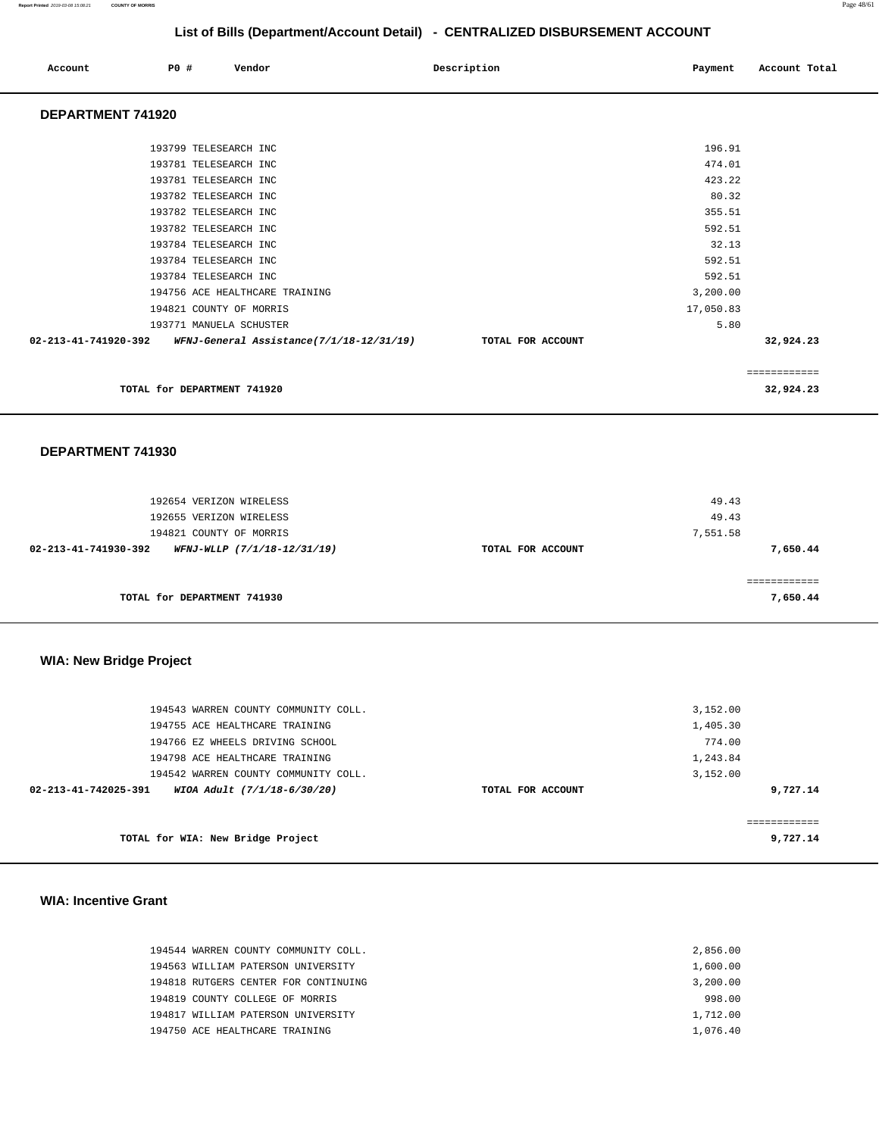| Account              | PO# | Vendor                         |                                          | Description       | Payment   | Account Total             |
|----------------------|-----|--------------------------------|------------------------------------------|-------------------|-----------|---------------------------|
| DEPARTMENT 741920    |     |                                |                                          |                   |           |                           |
|                      |     | 193799 TELESEARCH INC          |                                          |                   | 196.91    |                           |
|                      |     | 193781 TELESEARCH INC          |                                          |                   | 474.01    |                           |
|                      |     | 193781 TELESEARCH INC          |                                          |                   | 423.22    |                           |
|                      |     | 193782 TELESEARCH INC          |                                          |                   | 80.32     |                           |
|                      |     | 193782 TELESEARCH INC          |                                          |                   | 355.51    |                           |
|                      |     | 193782 TELESEARCH INC          |                                          |                   | 592.51    |                           |
|                      |     | 193784 TELESEARCH INC          |                                          |                   | 32.13     |                           |
|                      |     | 193784 TELESEARCH INC          |                                          |                   | 592.51    |                           |
|                      |     | 193784 TELESEARCH INC          |                                          |                   | 592.51    |                           |
|                      |     | 194756 ACE HEALTHCARE TRAINING |                                          |                   | 3,200.00  |                           |
|                      |     | 194821 COUNTY OF MORRIS        |                                          |                   | 17,050.83 |                           |
|                      |     | 193771 MANUELA SCHUSTER        |                                          |                   | 5.80      |                           |
| 02-213-41-741920-392 |     |                                | WFNJ-General Assistance(7/1/18-12/31/19) | TOTAL FOR ACCOUNT |           | 32,924.23                 |
|                      |     | TOTAL for DEPARTMENT 741920    |                                          |                   |           | ============<br>32,924.23 |
| DEPARTMENT 741930    |     |                                |                                          |                   |           |                           |

| 192654 VERIZON WIRELESS                             |                   | 49.43    |
|-----------------------------------------------------|-------------------|----------|
| 192655 VERIZON WIRELESS                             |                   | 49.43    |
| 194821 COUNTY OF MORRIS                             |                   | 7,551.58 |
| 02-213-41-741930-392<br>WFNJ-WLLP (7/1/18-12/31/19) | TOTAL FOR ACCOUNT | 7,650.44 |
|                                                     |                   |          |
|                                                     |                   |          |
| TOTAL for DEPARTMENT 741930                         |                   | 7,650.44 |

## **WIA: New Bridge Project**

| 194543 WARREN COUNTY COMMUNITY COLL.                |                   | 3,152.00 |
|-----------------------------------------------------|-------------------|----------|
| 194755 ACE HEALTHCARE TRAINING                      |                   | 1,405.30 |
| 194766 EZ WHEELS DRIVING SCHOOL                     |                   | 774.00   |
| 194798 ACE HEALTHCARE TRAINING                      |                   | 1,243.84 |
| 194542 WARREN COUNTY COMMUNITY COLL.                |                   | 3,152.00 |
| WIOA Adult (7/1/18-6/30/20)<br>02-213-41-742025-391 | TOTAL FOR ACCOUNT | 9,727.14 |
|                                                     |                   |          |
| TOTAL for WIA: New Bridge Project                   |                   | 9,727.14 |

#### **WIA: Incentive Grant**

| 194544 WARREN COUNTY COMMUNITY COLL. | 2,856.00 |
|--------------------------------------|----------|
| 194563 WILLIAM PATERSON UNIVERSITY   | 1,600.00 |
| 194818 RUTGERS CENTER FOR CONTINUING | 3,200.00 |
| 194819 COUNTY COLLEGE OF MORRIS      | 998.00   |
| 194817 WILLIAM PATERSON UNIVERSITY   | 1,712.00 |
| 194750 ACE HEALTHCARE TRAINING       | 1,076.40 |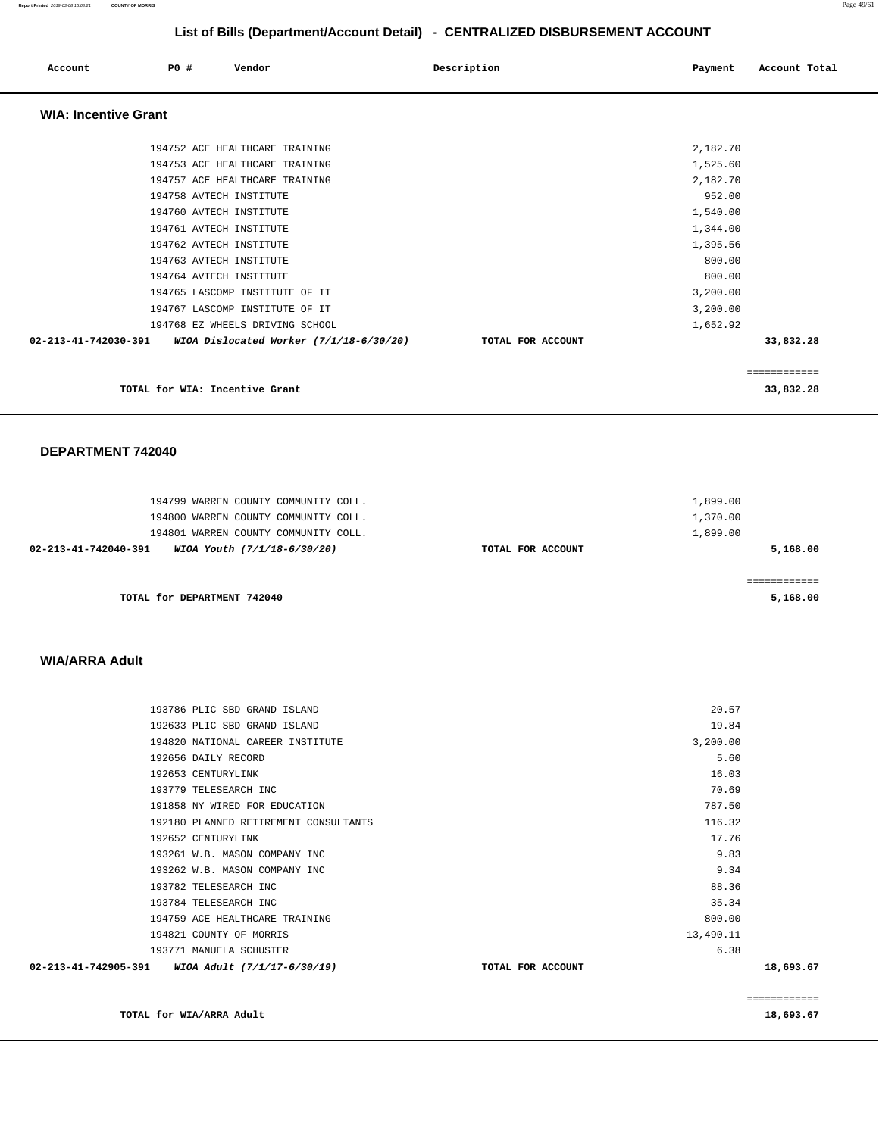| Account                                                      | PO# | Vendor                                                           |  | Description |                   |  | Payment              |              | Account Total |
|--------------------------------------------------------------|-----|------------------------------------------------------------------|--|-------------|-------------------|--|----------------------|--------------|---------------|
| <b>WIA: Incentive Grant</b>                                  |     |                                                                  |  |             |                   |  |                      |              |               |
|                                                              |     | 194752 ACE HEALTHCARE TRAINING<br>194753 ACE HEALTHCARE TRAINING |  |             |                   |  | 2,182.70<br>1,525.60 |              |               |
|                                                              |     | 194757 ACE HEALTHCARE TRAINING<br>194758 AVTECH INSTITUTE        |  |             |                   |  | 2,182.70<br>952.00   |              |               |
|                                                              |     | 194760 AVTECH INSTITUTE                                          |  |             |                   |  | 1,540.00             |              |               |
|                                                              |     | 194761 AVTECH INSTITUTE<br>194762 AVTECH INSTITUTE               |  |             |                   |  | 1,344.00<br>1,395.56 |              |               |
|                                                              |     | 194763 AVTECH INSTITUTE<br>194764 AVTECH INSTITUTE               |  |             |                   |  | 800.00<br>800.00     |              |               |
|                                                              |     | 194765 LASCOMP INSTITUTE OF IT<br>194767 LASCOMP INSTITUTE OF IT |  |             |                   |  | 3,200.00<br>3,200.00 |              |               |
| 02-213-41-742030-391 WIOA Dislocated Worker (7/1/18-6/30/20) |     | 194768 EZ WHEELS DRIVING SCHOOL                                  |  |             | TOTAL FOR ACCOUNT |  | 1,652.92             | 33,832.28    |               |
|                                                              |     |                                                                  |  |             |                   |  |                      | ============ |               |
|                                                              |     | TOTAL for WIA: Incentive Grant                                   |  |             |                   |  |                      | 33,832.28    |               |
|                                                              |     |                                                                  |  |             |                   |  |                      |              |               |

**DEPARTMENT 742040** 

| 194799 WARREN COUNTY COMMUNITY COLL.<br>194800 WARREN COUNTY COMMUNITY COLL.<br>194801 WARREN COUNTY COMMUNITY COLL. |                   | 1,899.00<br>1,370.00<br>1,899.00 |
|----------------------------------------------------------------------------------------------------------------------|-------------------|----------------------------------|
| 02-213-41-742040-391<br>WIOA Youth (7/1/18-6/30/20)                                                                  | TOTAL FOR ACCOUNT | 5,168.00                         |
| TOTAL for DEPARTMENT 742040                                                                                          |                   | 5,168.00                         |

#### **WIA/ARRA Adult**

|                      |                                       |                   |           | ============ |
|----------------------|---------------------------------------|-------------------|-----------|--------------|
| 02-213-41-742905-391 | WIOA Adult (7/1/17-6/30/19)           | TOTAL FOR ACCOUNT |           | 18,693.67    |
|                      | 193771 MANUELA SCHUSTER               |                   | 6.38      |              |
|                      | 194821 COUNTY OF MORRIS               |                   | 13,490.11 |              |
|                      | 194759 ACE HEALTHCARE TRAINING        |                   | 800.00    |              |
|                      | 193784 TELESEARCH INC                 |                   | 35.34     |              |
|                      | 193782 TELESEARCH INC                 |                   | 88.36     |              |
|                      | 193262 W.B. MASON COMPANY INC         |                   | 9.34      |              |
|                      | 193261 W.B. MASON COMPANY INC         |                   | 9.83      |              |
|                      | 192652 CENTURYLINK                    |                   | 17.76     |              |
|                      | 192180 PLANNED RETIREMENT CONSULTANTS |                   | 116.32    |              |
|                      | 191858 NY WIRED FOR EDUCATION         |                   | 787.50    |              |
|                      | 193779 TELESEARCH INC                 |                   | 70.69     |              |
|                      | 192653 CENTURYLINK                    |                   | 16.03     |              |
|                      | 192656 DAILY RECORD                   |                   | 5.60      |              |
|                      | 194820 NATIONAL CAREER INSTITUTE      |                   | 3,200.00  |              |
|                      | 192633 PLIC SBD GRAND ISLAND          |                   | 19.84     |              |
|                      | 193786 PLIC SBD GRAND ISLAND          |                   | 20.57     |              |
|                      |                                       |                   |           |              |

**TOTAL for WIA/ARRA Adult** 18,693.67 **18,693.67**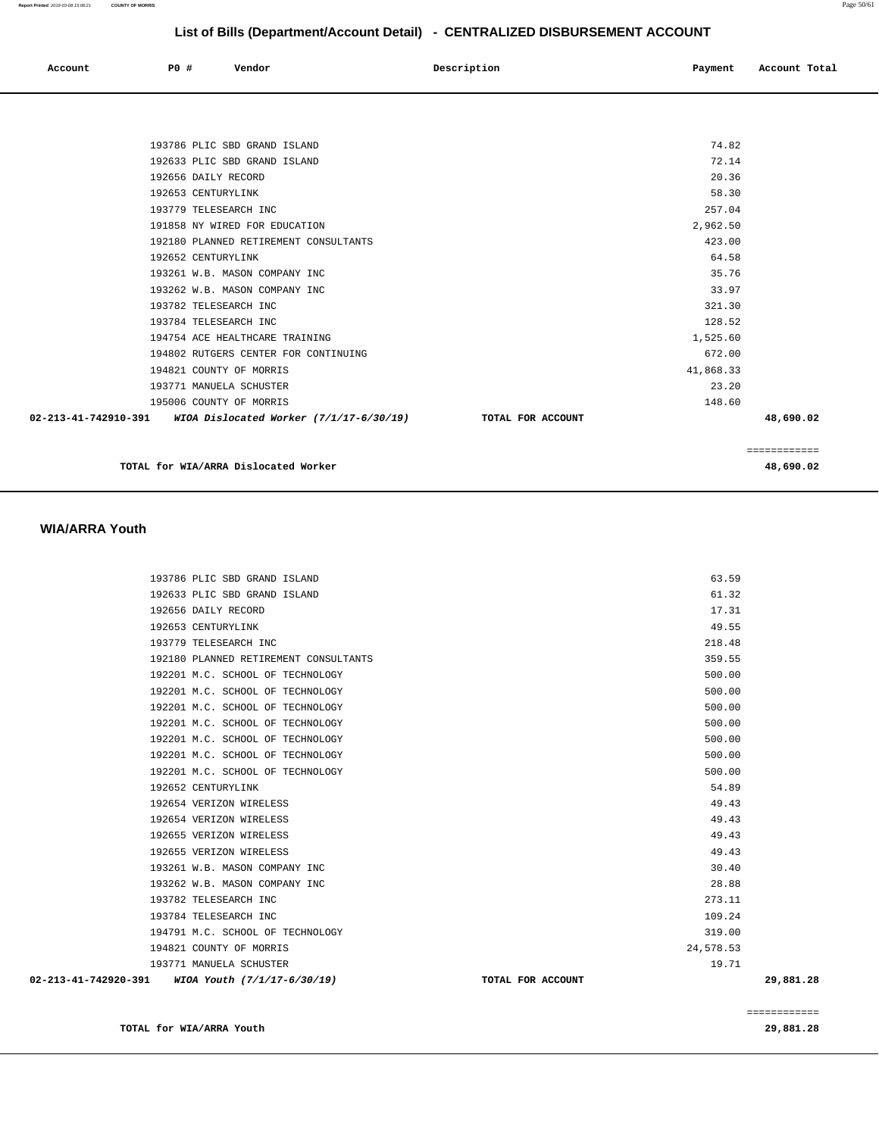| Account | P0 # | Vendor<br>. | Description | Payment | Account Total |
|---------|------|-------------|-------------|---------|---------------|
|         |      |             |             |         |               |

| 193786 PLIC SBD GRAND ISLAND                                           | 74.82             |           |
|------------------------------------------------------------------------|-------------------|-----------|
| 192633 PLIC SBD GRAND ISLAND                                           | 72.14             |           |
| 192656 DAILY RECORD                                                    | 20.36             |           |
| 192653 CENTURYLINK                                                     | 58.30             |           |
| 193779 TELESEARCH INC                                                  | 257.04            |           |
| 191858 NY WIRED FOR EDUCATION                                          | 2,962.50          |           |
| 192180 PLANNED RETIREMENT CONSULTANTS                                  | 423.00            |           |
| 192652 CENTURYLINK                                                     | 64.58             |           |
| 193261 W.B. MASON COMPANY INC                                          | 35.76             |           |
| 193262 W.B. MASON COMPANY INC                                          | 33.97             |           |
| 193782 TELESEARCH INC                                                  | 321.30            |           |
| 193784 TELESEARCH INC                                                  | 128.52            |           |
| 194754 ACE HEALTHCARE TRAINING                                         | 1,525.60          |           |
| 194802 RUTGERS CENTER FOR CONTINUING                                   | 672.00            |           |
| 194821 COUNTY OF MORRIS                                                | 41,868.33         |           |
| 193771 MANUELA SCHUSTER                                                | 23.20             |           |
| 195006 COUNTY OF MORRIS                                                | 148.60            |           |
| $02 - 213 - 41 - 742910 - 391$ WIOA Dislocated Worker (7/1/17-6/30/19) | TOTAL FOR ACCOUNT | 48,690.02 |

**TOTAL for WIA/ARRA Dislocated Worker 48,690.02** 

### **WIA/ARRA Youth**

| 02-213-41-742920-391 | WIOA Youth (7/1/17-6/30/19)           | TOTAL FOR ACCOUNT | 29,881.28 |
|----------------------|---------------------------------------|-------------------|-----------|
|                      | 193771 MANUELA SCHUSTER               | 19.71             |           |
|                      | 194821 COUNTY OF MORRIS               | 24,578.53         |           |
|                      | 194791 M.C. SCHOOL OF TECHNOLOGY      | 319.00            |           |
|                      | 193784 TELESEARCH INC                 | 109.24            |           |
|                      | 193782 TELESEARCH INC                 | 273.11            |           |
|                      | 193262 W.B. MASON COMPANY INC         | 28.88             |           |
|                      | 193261 W.B. MASON COMPANY INC         | 30.40             |           |
|                      | 192655 VERIZON WIRELESS               | 49.43             |           |
|                      | 192655 VERIZON WIRELESS               | 49.43             |           |
|                      | 192654 VERIZON WIRELESS               | 49.43             |           |
|                      | 192654 VERIZON WIRELESS               | 49.43             |           |
|                      | 192652 CENTURYLINK                    | 54.89             |           |
|                      | 192201 M.C. SCHOOL OF TECHNOLOGY      | 500.00            |           |
|                      | 192201 M.C. SCHOOL OF TECHNOLOGY      | 500.00            |           |
|                      | 192201 M.C. SCHOOL OF TECHNOLOGY      | 500.00            |           |
|                      | 192201 M.C. SCHOOL OF TECHNOLOGY      | 500.00            |           |
|                      | 192201 M.C. SCHOOL OF TECHNOLOGY      | 500.00            |           |
|                      | 192201 M.C. SCHOOL OF TECHNOLOGY      | 500.00            |           |
|                      | 192201 M.C. SCHOOL OF TECHNOLOGY      | 500.00            |           |
|                      | 192180 PLANNED RETIREMENT CONSULTANTS | 359.55            |           |
|                      | 193779 TELESEARCH INC                 | 218.48            |           |
|                      | 192653 CENTURYLINK                    | 49.55             |           |
|                      | 192656 DAILY RECORD                   | 17.31             |           |
|                      | 192633 PLIC SBD GRAND ISLAND          | 61.32             |           |
|                      | 193786 PLIC SBD GRAND ISLAND          | 63.59             |           |

============

============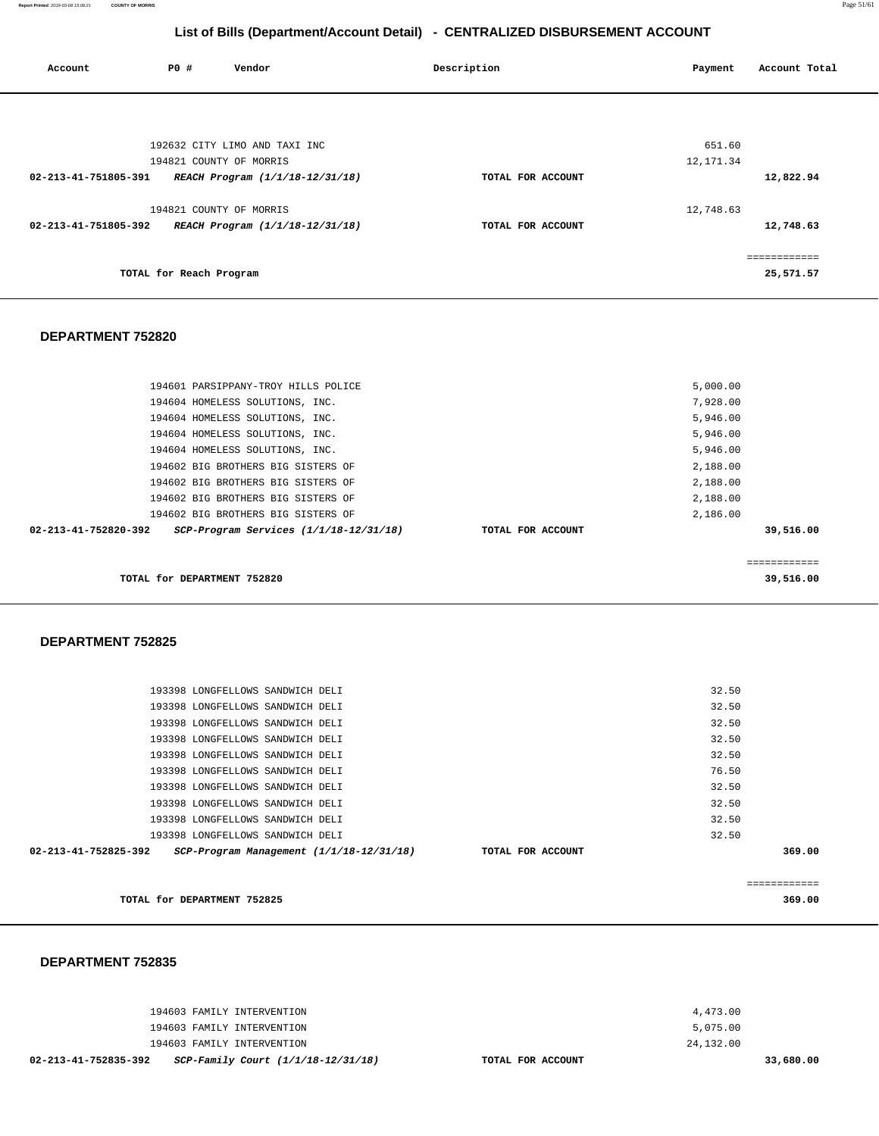| 02-213-41-752835-392 | SCP-Family Court (1/1/18-12/31/18) | TOTAL FOR ACCOUNT |           | 33,680.00 |
|----------------------|------------------------------------|-------------------|-----------|-----------|
|                      | 194603 FAMILY INTERVENTION         |                   | 24,132.00 |           |
|                      | 194603 FAMILY INTERVENTION         |                   | 5,075.00  |           |
|                      | 194603 FAMILY INTERVENTION         |                   | 4,473.00  |           |
|                      |                                    |                   |           |           |

#### **DEPARTMENT 752835**

|                      | TOTAL for DEPARTMENT 752825      |                                              |                   |       | 369.00 |
|----------------------|----------------------------------|----------------------------------------------|-------------------|-------|--------|
| 02-213-41-752825-392 |                                  | $SCP-Program$ Management $(1/1/18-12/31/18)$ | TOTAL FOR ACCOUNT |       | 369.00 |
|                      | 193398 LONGFELLOWS SANDWICH DELI |                                              |                   | 32.50 |        |
|                      | 193398 LONGFELLOWS SANDWICH DELI |                                              |                   | 32.50 |        |
|                      | 193398 LONGFELLOWS SANDWICH DELI |                                              |                   | 32.50 |        |
|                      | 193398 LONGFELLOWS SANDWICH DELI |                                              |                   | 32.50 |        |

**TOTAL for DEPARTMENT 752820 DEPARTMENT 752825**  193398 LONGFELLOWS SANDWICH DELI 32.50

> 193398 LONGFELLOWS SANDWICH DELI 193398 LONGFELLOWS SANDWICH DELI 193398 LONGFELLOWS SANDWICH DELI 193398 LONGFELLOWS SANDWICH DELI 193398 LONGFELLOWS SANDWICH DELI

#### 194601 PARSIPPANY-TROY HILLS POLICE 194604 HOMELESS SOLUTIONS, INC. 194604 HOMELESS SOLUTIONS, INC. 194604 HOMELESS SOLUTIONS, INC. 194604 HOMELESS SOLUTIONS, INC. 194602 BIG BROTHERS BIG SISTERS OF 194602 BIG BROTHERS BIG SISTERS OF 194602 BIG BROTHERS BIG SISTERS OF 194602 BIG BROTHERS BIG SISTERS OF **02-213-41-752820-392 SCP-Program Services (1/1/18-12/31/18) TOTAL FOR ACCOUNT**  5,000.00 7,928.00 5,946.00 5,946.00 5,946.00 2,188.00 2,188.00 2,188.00 2,186.00 **39,516.00**

#### **DEPARTMENT 752820**

| Account              | P0 #                    | Vendor                          | Description       | Account Total<br>Payment |  |
|----------------------|-------------------------|---------------------------------|-------------------|--------------------------|--|
|                      |                         |                                 |                   |                          |  |
|                      |                         |                                 |                   |                          |  |
|                      |                         |                                 |                   |                          |  |
|                      |                         |                                 |                   |                          |  |
|                      |                         | 192632 CITY LIMO AND TAXI INC   |                   | 651.60                   |  |
|                      |                         | 194821 COUNTY OF MORRIS         |                   | 12, 171.34               |  |
| 02-213-41-751805-391 |                         | REACH Program (1/1/18-12/31/18) | TOTAL FOR ACCOUNT | 12,822.94                |  |
|                      |                         | 194821 COUNTY OF MORRIS         |                   | 12,748.63                |  |
| 02-213-41-751805-392 |                         | REACH Program (1/1/18-12/31/18) | TOTAL FOR ACCOUNT | 12,748.63                |  |
|                      |                         |                                 |                   | ============             |  |
|                      | TOTAL for Reach Program |                                 |                   | 25,571.57                |  |

**List of Bills (Department/Account Detail) - CENTRALIZED DISBURSEMENT ACCOUNT**

============ **39,516.00** 

32.50 32.50 32.50 32.50 76.50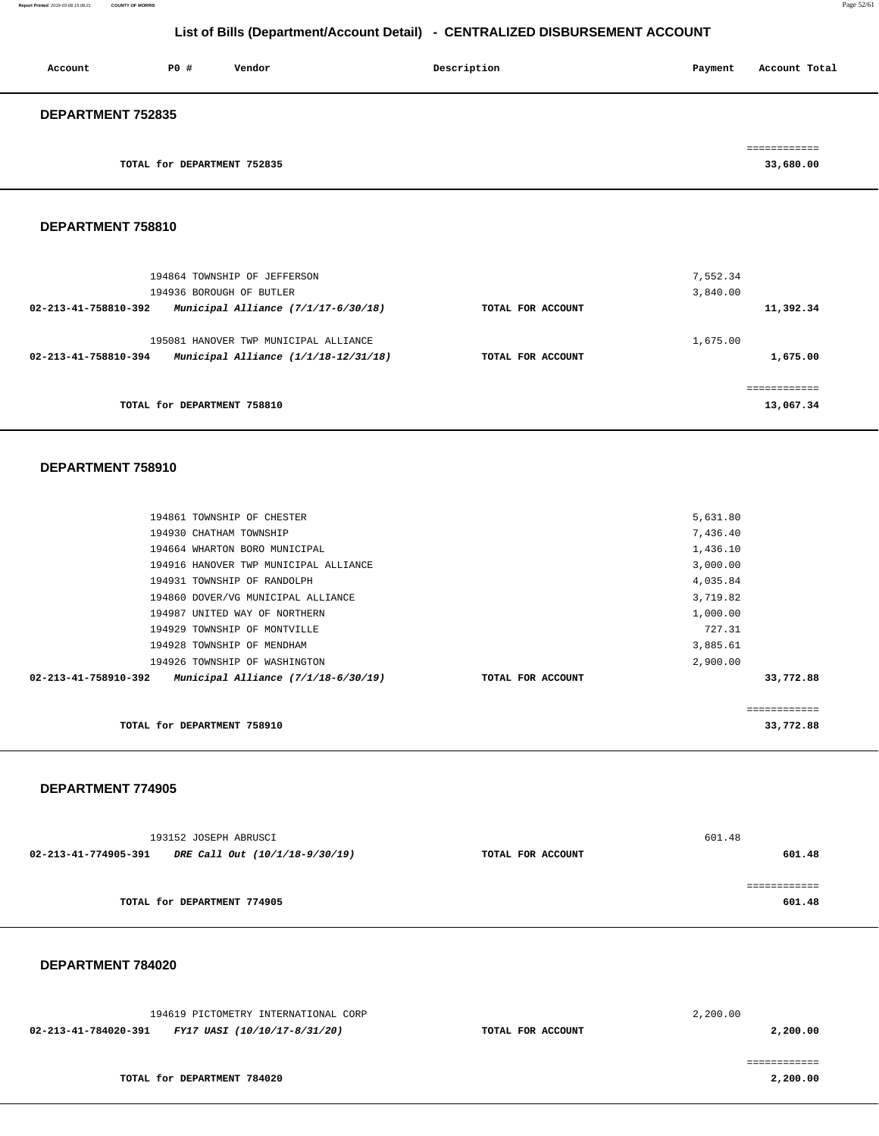| Account                  | <b>PO #</b>                 | Vendor | Description | Payment    | Account Total |
|--------------------------|-----------------------------|--------|-------------|------------|---------------|
| <b>DEPARTMENT 752835</b> |                             |        |             |            |               |
|                          |                             |        |             | ---------- |               |
|                          | TOTAL for DEPARTMENT 752835 |        |             |            | 33,680.00     |

**DEPARTMENT 758810** 

| 194864 TOWNSHIP OF JEFFERSON                                                                            |                   | 7,552.34                 |
|---------------------------------------------------------------------------------------------------------|-------------------|--------------------------|
| 194936 BOROUGH OF BUTLER                                                                                |                   | 3,840.00                 |
| Municipal Alliance $(7/1/17-6/30/18)$<br>02-213-41-758810-392                                           | TOTAL FOR ACCOUNT | 11,392.34                |
| 195081 HANOVER TWP MUNICIPAL ALLIANCE<br>02-213-41-758810-394<br>Municipal Alliance $(1/1/18-12/31/18)$ | TOTAL FOR ACCOUNT | 1,675.00<br>1,675.00     |
| TOTAL for DEPARTMENT 758810                                                                             |                   | ===========<br>13,067.34 |

#### **DEPARTMENT 758910**

| TOTAL for DEPARTMENT 758910                                 |                   | 33,772.88    |  |
|-------------------------------------------------------------|-------------------|--------------|--|
|                                                             |                   | ============ |  |
| 02-213-41-758910-392<br>Municipal Alliance (7/1/18-6/30/19) | TOTAL FOR ACCOUNT | 33,772.88    |  |
| 194926 TOWNSHIP OF WASHINGTON                               |                   | 2,900.00     |  |
| 194928 TOWNSHIP OF MENDHAM                                  |                   | 3,885.61     |  |
| 194929 TOWNSHIP OF MONTVILLE                                |                   | 727.31       |  |
| 194987 UNITED WAY OF NORTHERN                               |                   | 1,000.00     |  |
| 194860 DOVER/VG MUNICIPAL ALLIANCE                          |                   | 3,719.82     |  |
| 194931 TOWNSHIP OF RANDOLPH                                 |                   | 4,035.84     |  |
| 194916 HANOVER TWP MUNICIPAL ALLIANCE                       |                   | 3,000.00     |  |
| 194664 WHARTON BORO MUNICIPAL                               |                   | 1,436.10     |  |
| 194930 CHATHAM TOWNSHIP                                     |                   | 7,436.40     |  |
| 194861 TOWNSHIP OF CHESTER                                  |                   | 5,631.80     |  |
|                                                             |                   |              |  |

#### **DEPARTMENT 774905**

|                      | 193152 JOSEPH ABRUSCI          |                   | 601.48 |
|----------------------|--------------------------------|-------------------|--------|
| 02-213-41-774905-391 | DRE Call Out (10/1/18-9/30/19) | TOTAL FOR ACCOUNT | 601.48 |
|                      |                                |                   |        |
|                      |                                |                   |        |
|                      | TOTAL for DEPARTMENT 774905    |                   | 601.48 |
|                      |                                |                   |        |

| 194619 PICTOMETRY INTERNATIONAL CORP                 |                   | 2,200.00 |
|------------------------------------------------------|-------------------|----------|
| FY17 UASI (10/10/17-8/31/20)<br>02-213-41-784020-391 | TOTAL FOR ACCOUNT | 2,200.00 |
|                                                      |                   |          |
| TOTAL for DEPARTMENT 784020                          |                   | 2,200.00 |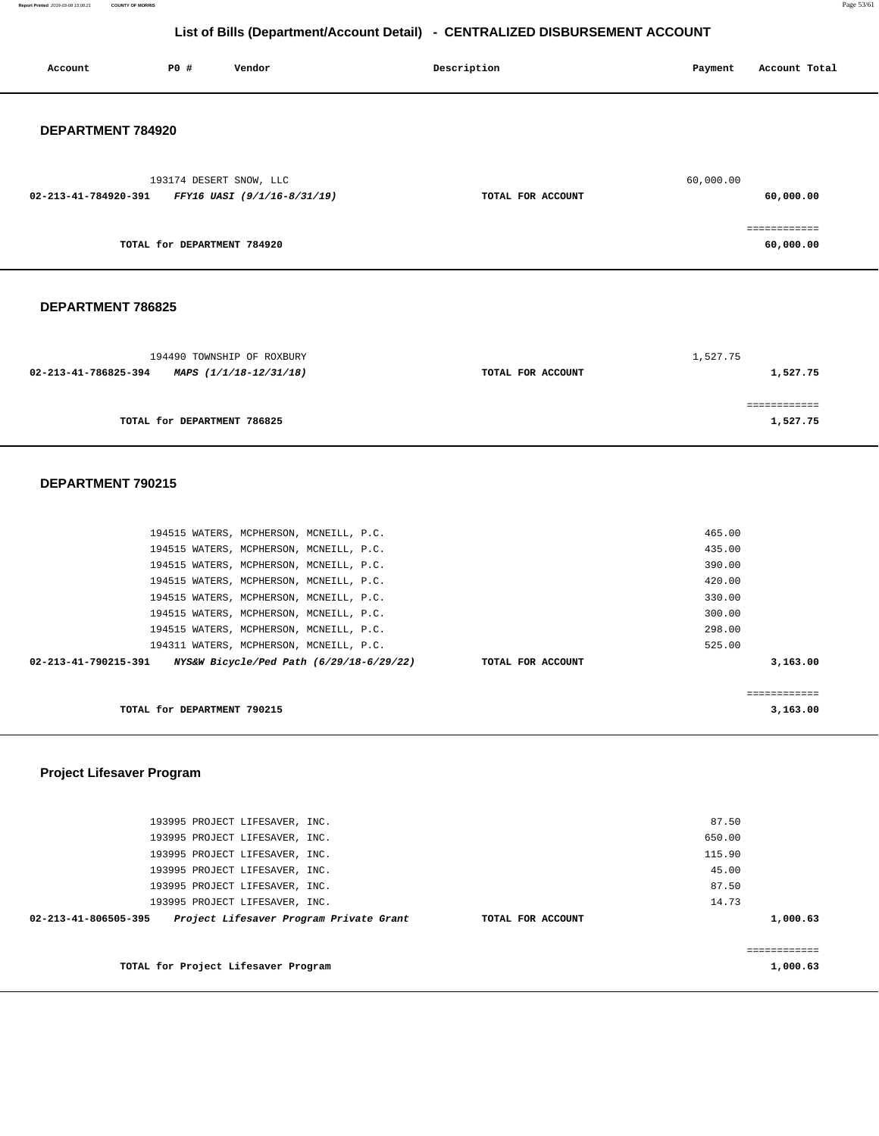**Report Printed** 2019-03-08 15:08:21 **COUNTY OF MORRIS** Page 53/61

## **List of Bills (Department/Account Detail) - CENTRALIZED DISBURSEMENT ACCOUNT**

| Account              | P0 #                        | Vendor                                                                                                                                                                                                                                                                                                                                               | Description       | Payment                                                                      | Account Total             |
|----------------------|-----------------------------|------------------------------------------------------------------------------------------------------------------------------------------------------------------------------------------------------------------------------------------------------------------------------------------------------------------------------------------------------|-------------------|------------------------------------------------------------------------------|---------------------------|
| DEPARTMENT 784920    |                             |                                                                                                                                                                                                                                                                                                                                                      |                   |                                                                              |                           |
| 02-213-41-784920-391 |                             | 193174 DESERT SNOW, LLC<br>FFY16 UASI (9/1/16-8/31/19)                                                                                                                                                                                                                                                                                               | TOTAL FOR ACCOUNT | 60,000.00                                                                    | 60,000.00                 |
|                      | TOTAL for DEPARTMENT 784920 |                                                                                                                                                                                                                                                                                                                                                      |                   |                                                                              | ------------<br>60,000.00 |
| DEPARTMENT 786825    |                             |                                                                                                                                                                                                                                                                                                                                                      |                   |                                                                              |                           |
| 02-213-41-786825-394 |                             | 194490 TOWNSHIP OF ROXBURY<br>MAPS (1/1/18-12/31/18)                                                                                                                                                                                                                                                                                                 | TOTAL FOR ACCOUNT | 1,527.75                                                                     | 1,527.75                  |
|                      | TOTAL for DEPARTMENT 786825 |                                                                                                                                                                                                                                                                                                                                                      |                   |                                                                              | ============<br>1,527.75  |
| DEPARTMENT 790215    |                             |                                                                                                                                                                                                                                                                                                                                                      |                   |                                                                              |                           |
|                      |                             | 194515 WATERS, MCPHERSON, MCNEILL, P.C.<br>194515 WATERS, MCPHERSON, MCNEILL, P.C.<br>194515 WATERS, MCPHERSON, MCNEILL, P.C.<br>194515 WATERS, MCPHERSON, MCNEILL, P.C.<br>194515 WATERS, MCPHERSON, MCNEILL, P.C.<br>194515 WATERS, MCPHERSON, MCNEILL, P.C.<br>194515 WATERS, MCPHERSON, MCNEILL, P.C.<br>194311 WATERS, MCPHERSON, MCNEILL, P.C. |                   | 465.00<br>435.00<br>390.00<br>420.00<br>330.00<br>300.00<br>298.00<br>525.00 |                           |
| 02-213-41-790215-391 |                             | NYS&W Bicycle/Ped Path (6/29/18-6/29/22)                                                                                                                                                                                                                                                                                                             | TOTAL FOR ACCOUNT |                                                                              | 3,163.00                  |
|                      | TOTAL for DEPARTMENT 790215 |                                                                                                                                                                                                                                                                                                                                                      |                   |                                                                              | ============<br>3,163.00  |

## **Project Lifesaver Program**

| 193995 PROJECT LIFESAVER, INC.<br>193995 PROJECT LIFESAVER, INC.                                   |                   | 87.50<br>650.00                   |
|----------------------------------------------------------------------------------------------------|-------------------|-----------------------------------|
| 193995 PROJECT LIFESAVER, INC.<br>193995 PROJECT LIFESAVER, INC.<br>193995 PROJECT LIFESAVER, INC. |                   | 115.90<br>45.00<br>87.50          |
| 193995 PROJECT LIFESAVER, INC.<br>Project Lifesaver Program Private Grant<br>02-213-41-806505-395  | TOTAL FOR ACCOUNT | 14.73<br>1,000.63                 |
| TOTAL for Project Lifesaver Program                                                                |                   | . = = = = = = = = = =<br>1,000.63 |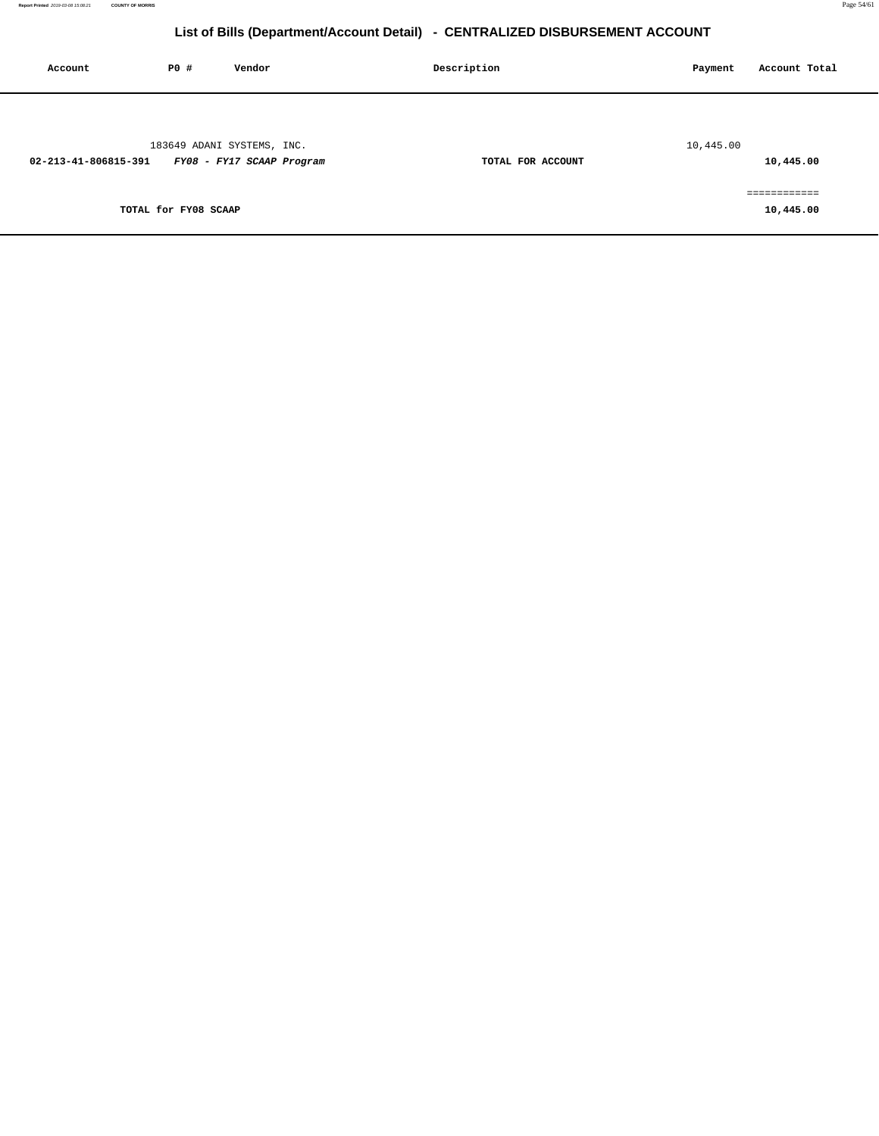| Account              | P0 #                 | Vendor                                                  | Description |                   | Payment   | Account Total             |
|----------------------|----------------------|---------------------------------------------------------|-------------|-------------------|-----------|---------------------------|
| 02-213-41-806815-391 |                      | 183649 ADANI SYSTEMS, INC.<br>FY08 - FY17 SCAAP Program |             | TOTAL FOR ACCOUNT | 10,445.00 | 10,445.00                 |
|                      | TOTAL for FY08 SCAAP |                                                         |             |                   |           | ============<br>10,445.00 |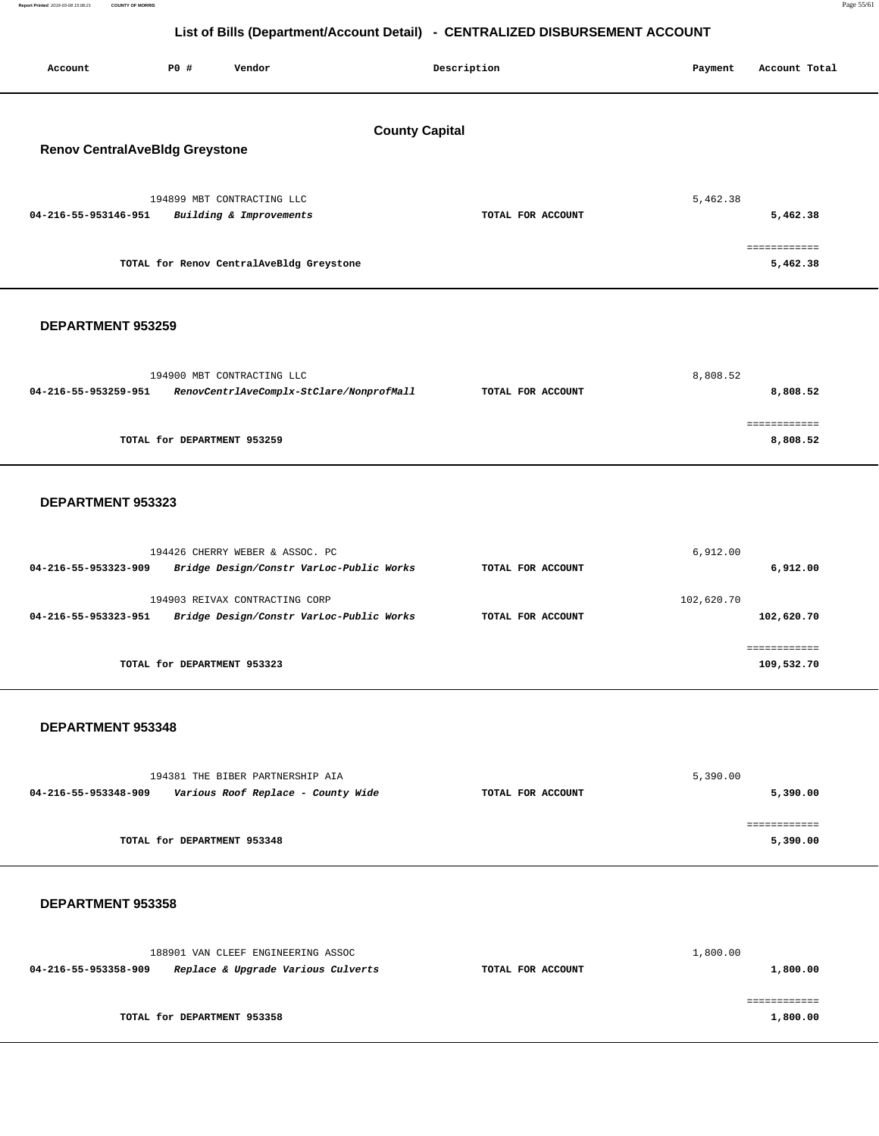| P0 #<br>Vendor<br>Account                                                     |                                          | Description       | Payment    | Account Total              |  |  |  |
|-------------------------------------------------------------------------------|------------------------------------------|-------------------|------------|----------------------------|--|--|--|
| <b>County Capital</b><br><b>Renov CentralAveBldg Greystone</b>                |                                          |                   |            |                            |  |  |  |
| 194899 MBT CONTRACTING LLC<br>04-216-55-953146-951<br>Building & Improvements |                                          | TOTAL FOR ACCOUNT | 5,462.38   | 5,462.38                   |  |  |  |
| TOTAL for Renov CentralAveBldg Greystone                                      |                                          |                   |            | ============<br>5,462.38   |  |  |  |
| DEPARTMENT 953259                                                             |                                          |                   |            |                            |  |  |  |
| 194900 MBT CONTRACTING LLC<br>04-216-55-953259-951                            | RenovCentrlAveComplx-StClare/NonprofMall | TOTAL FOR ACCOUNT | 8,808.52   | 8,808.52                   |  |  |  |
| TOTAL for DEPARTMENT 953259                                                   |                                          |                   |            | ============<br>8,808.52   |  |  |  |
| DEPARTMENT 953323                                                             |                                          |                   |            |                            |  |  |  |
| 194426 CHERRY WEBER & ASSOC. PC<br>04-216-55-953323-909                       | Bridge Design/Constr VarLoc-Public Works | TOTAL FOR ACCOUNT | 6,912.00   | 6,912.00                   |  |  |  |
| 194903 REIVAX CONTRACTING CORP<br>04-216-55-953323-951                        | Bridge Design/Constr VarLoc-Public Works | TOTAL FOR ACCOUNT | 102,620.70 | 102,620.70                 |  |  |  |
| TOTAL for DEPARTMENT 953323                                                   |                                          |                   |            | ============<br>109,532.70 |  |  |  |
| DEPARTMENT 953348                                                             |                                          |                   |            |                            |  |  |  |
| 194381 THE BIBER PARTNERSHIP AIA<br>04-216-55-953348-909                      | Various Roof Replace - County Wide       | TOTAL FOR ACCOUNT | 5,390.00   | 5,390.00                   |  |  |  |
| TOTAL for DEPARTMENT 953348                                                   |                                          |                   |            | ============<br>5,390.00   |  |  |  |
| DEPARTMENT 953358                                                             |                                          |                   |            |                            |  |  |  |
| 188901 VAN CLEEF ENGINEERING ASSOC<br>04-216-55-953358-909                    | Replace & Upgrade Various Culverts       | TOTAL FOR ACCOUNT | 1,800.00   | 1,800.00<br>============   |  |  |  |

**TOTAL for DEPARTMENT 953358** 

**1,800.00**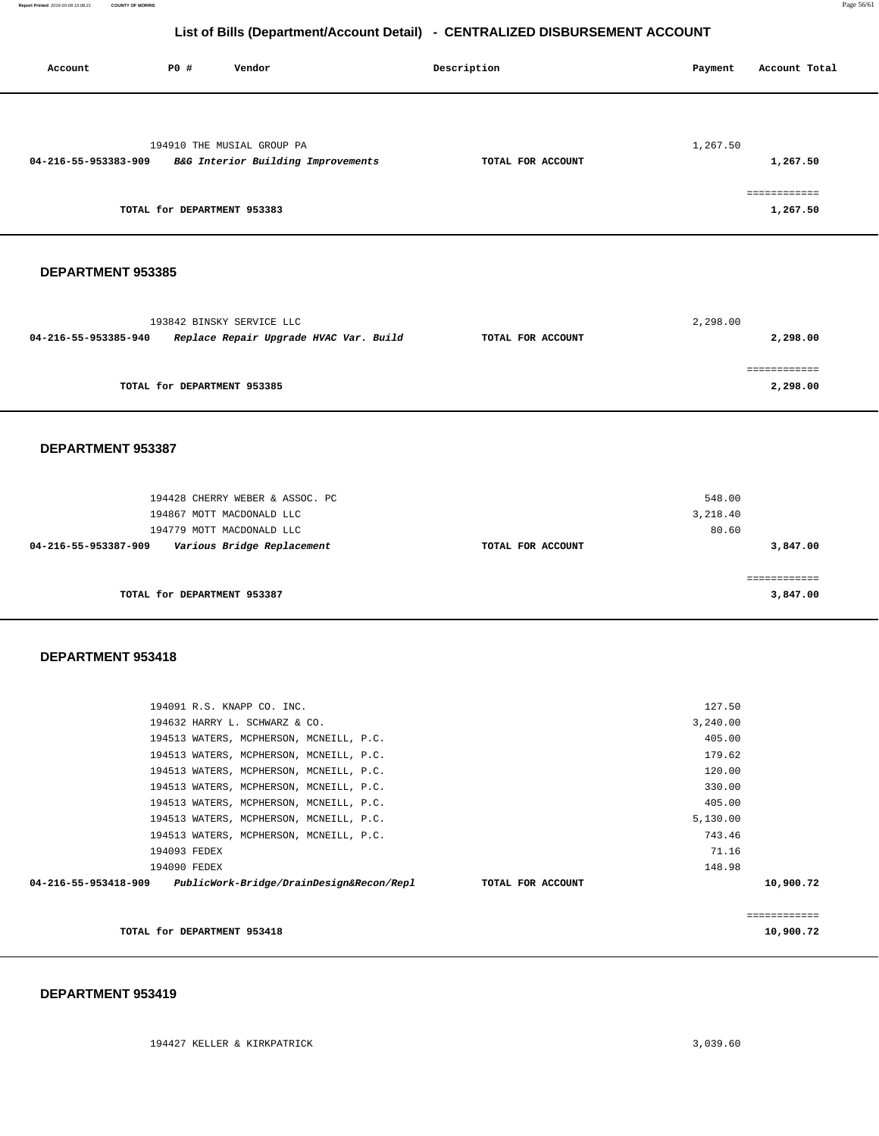| Account              | P0 #                        | Vendor                                                                                                                                                                   | Description       | Payment                              | Account Total                        |
|----------------------|-----------------------------|--------------------------------------------------------------------------------------------------------------------------------------------------------------------------|-------------------|--------------------------------------|--------------------------------------|
| 04-216-55-953383-909 | TOTAL for DEPARTMENT 953383 | 194910 THE MUSIAL GROUP PA<br>B&G Interior Building Improvements                                                                                                         | TOTAL FOR ACCOUNT | 1,267.50                             | 1,267.50<br>============<br>1,267.50 |
| DEPARTMENT 953385    |                             |                                                                                                                                                                          |                   |                                      |                                      |
| 04-216-55-953385-940 |                             | 193842 BINSKY SERVICE LLC<br>Replace Repair Upgrade HVAC Var. Build                                                                                                      | TOTAL FOR ACCOUNT | 2,298.00                             | 2,298.00                             |
|                      | TOTAL for DEPARTMENT 953385 |                                                                                                                                                                          |                   |                                      | 2,298.00                             |
| DEPARTMENT 953387    |                             |                                                                                                                                                                          |                   |                                      |                                      |
|                      |                             | 194428 CHERRY WEBER & ASSOC. PC<br>194867 MOTT MACDONALD LLC                                                                                                             |                   | 548.00<br>3,218.40                   |                                      |
| 04-216-55-953387-909 |                             | 194779 MOTT MACDONALD LLC<br>Various Bridge Replacement                                                                                                                  | TOTAL FOR ACCOUNT | 80.60                                | 3,847.00                             |
|                      | TOTAL for DEPARTMENT 953387 |                                                                                                                                                                          |                   |                                      | ============<br>3,847.00             |
| DEPARTMENT 953418    |                             |                                                                                                                                                                          |                   |                                      |                                      |
|                      |                             | 194091 R.S. KNAPP CO. INC.<br>194632 HARRY L. SCHWARZ & CO.                                                                                                              |                   | 127.50<br>3,240.00                   |                                      |
|                      |                             | 194513 WATERS, MCPHERSON, MCNEILL, P.C.<br>194513 WATERS, MCPHERSON, MCNEILL, P.C.<br>194513 WATERS, MCPHERSON, MCNEILL, P.C.                                            |                   | 405.00<br>179.62<br>120.00<br>330.00 |                                      |
|                      |                             | 194513 WATERS, MCPHERSON, MCNEILL, P.C.<br>194513 WATERS, MCPHERSON, MCNEILL, P.C.<br>194513 WATERS, MCPHERSON, MCNEILL, P.C.<br>194513 WATERS, MCPHERSON, MCNEILL, P.C. |                   | 405.00<br>5,130.00<br>743.46         |                                      |
|                      | 194093 FEDEX                |                                                                                                                                                                          |                   | 71.16                                |                                      |

| 148.98    |                   | 194090 FEDEX                             |                      |
|-----------|-------------------|------------------------------------------|----------------------|
| 10,900.72 | TOTAL FOR ACCOUNT | PublicWork-Bridge/DrainDesign&Recon/Repl | 04-216-55-953418-909 |
|           |                   |                                          |                      |
|           |                   |                                          |                      |
| 10,900.72 |                   | TOTAL for DEPARTMENT 953418              |                      |
|           |                   |                                          |                      |
|           |                   |                                          |                      |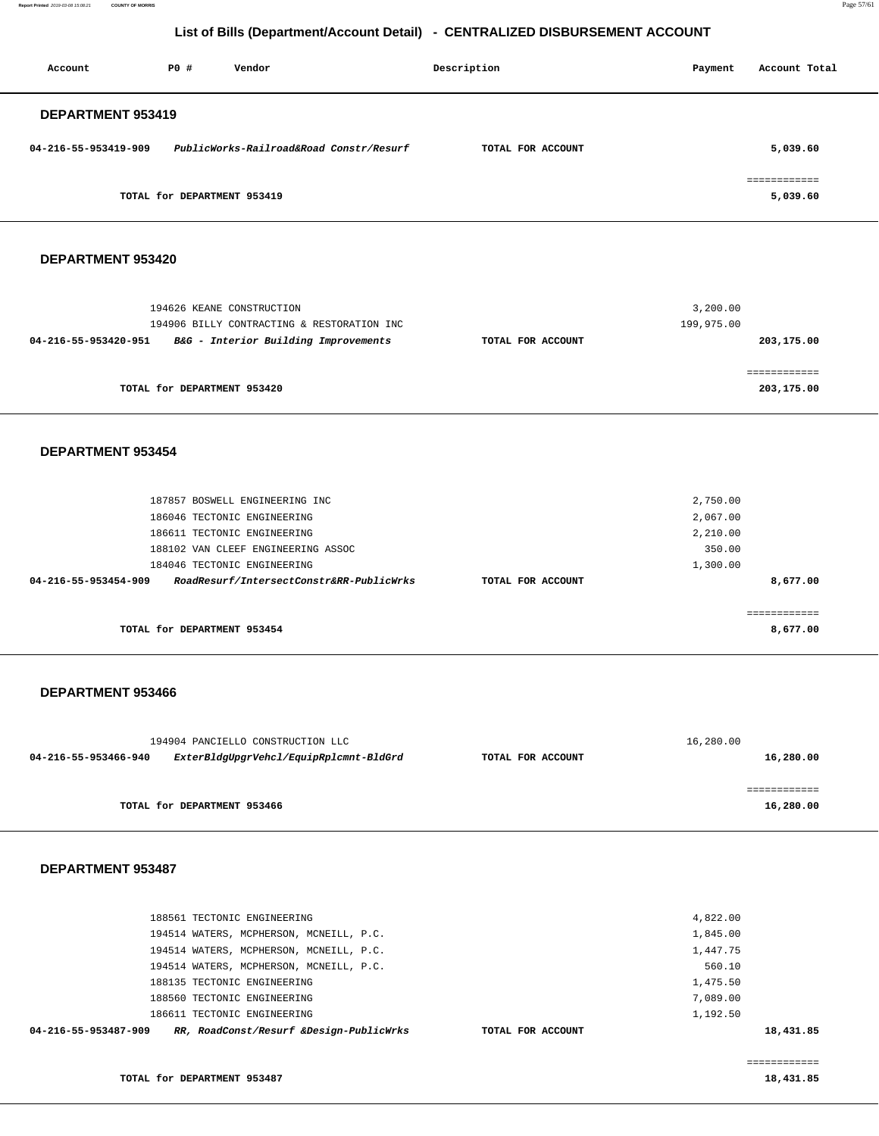**Report Printed** 2019-03-08 15:08:21 **COUNTY OF MORRIS** Page 57/61

## **List of Bills (Department/Account Detail) - CENTRALIZED DISBURSEMENT ACCOUNT**

| Account              | PO#                         | Description<br>Vendor                   |                   | Payment | Account Total           |
|----------------------|-----------------------------|-----------------------------------------|-------------------|---------|-------------------------|
| DEPARTMENT 953419    |                             |                                         |                   |         |                         |
| 04-216-55-953419-909 |                             | PublicWorks-Railroad&Road Constr/Resurf | TOTAL FOR ACCOUNT |         | 5,039.60                |
|                      |                             |                                         |                   |         | . = = = = = = = = = = = |
|                      | TOTAL for DEPARTMENT 953419 |                                         |                   |         | 5,039.60                |

#### **DEPARTMENT 953420**

|                   | 3,200.00   |
|-------------------|------------|
|                   | 199,975.00 |
| TOTAL FOR ACCOUNT | 203,175.00 |
|                   |            |
|                   |            |
|                   | 203,175.00 |
|                   |            |
|                   |            |
|                   |            |
|                   | 2,750.00   |
|                   | 2,067.00   |
|                   | 2,210.00   |
|                   |            |

| 188102 VAN CLEEF ENGINEERING ASSOC                                                    | 350.00   |
|---------------------------------------------------------------------------------------|----------|
| 184046 TECTONIC ENGINEERING                                                           | 1,300.00 |
| RoadResurf/IntersectConstr&RR-PublicWrks<br>04-216-55-953454-909<br>TOTAL FOR ACCOUNT | 8,677.00 |
|                                                                                       |          |
|                                                                                       |          |
| TOTAL for DEPARTMENT 953454                                                           | 8,677.00 |

#### **DEPARTMENT 953466**

| 194904 PANCIELLO CONSTRUCTION LLC | 16,280.00                              |                   |           |
|-----------------------------------|----------------------------------------|-------------------|-----------|
| 04-216-55-953466-940              | ExterBldgUpgrVehcl/EquipRplcmnt-BldGrd | TOTAL FOR ACCOUNT | 16,280.00 |
|                                   |                                        |                   |           |
|                                   |                                        |                   |           |
|                                   | TOTAL for DEPARTMENT 953466            |                   | 16,280.00 |
|                                   |                                        |                   |           |

#### **DEPARTMENT 953487**

| 04-216-55-953487-909<br>RR, RoadConst/Resurf &Design-PublicWrks<br>TOTAL FOR ACCOUNT | 18,431.85 |  |
|--------------------------------------------------------------------------------------|-----------|--|
| 186611 TECTONIC ENGINEERING                                                          | 1,192.50  |  |
| 188560 TECTONIC ENGINEERING                                                          | 7,089.00  |  |
| 188135 TECTONIC ENGINEERING                                                          | 1,475.50  |  |
| 194514 WATERS, MCPHERSON, MCNEILL, P.C.                                              | 560.10    |  |
| 194514 WATERS, MCPHERSON, MCNEILL, P.C.                                              | 1,447.75  |  |
| 194514 WATERS, MCPHERSON, MCNEILL, P.C.                                              | 1,845.00  |  |
| 188561 TECTONIC ENGINEERING                                                          | 4,822.00  |  |
|                                                                                      |           |  |

============

**18,431.85**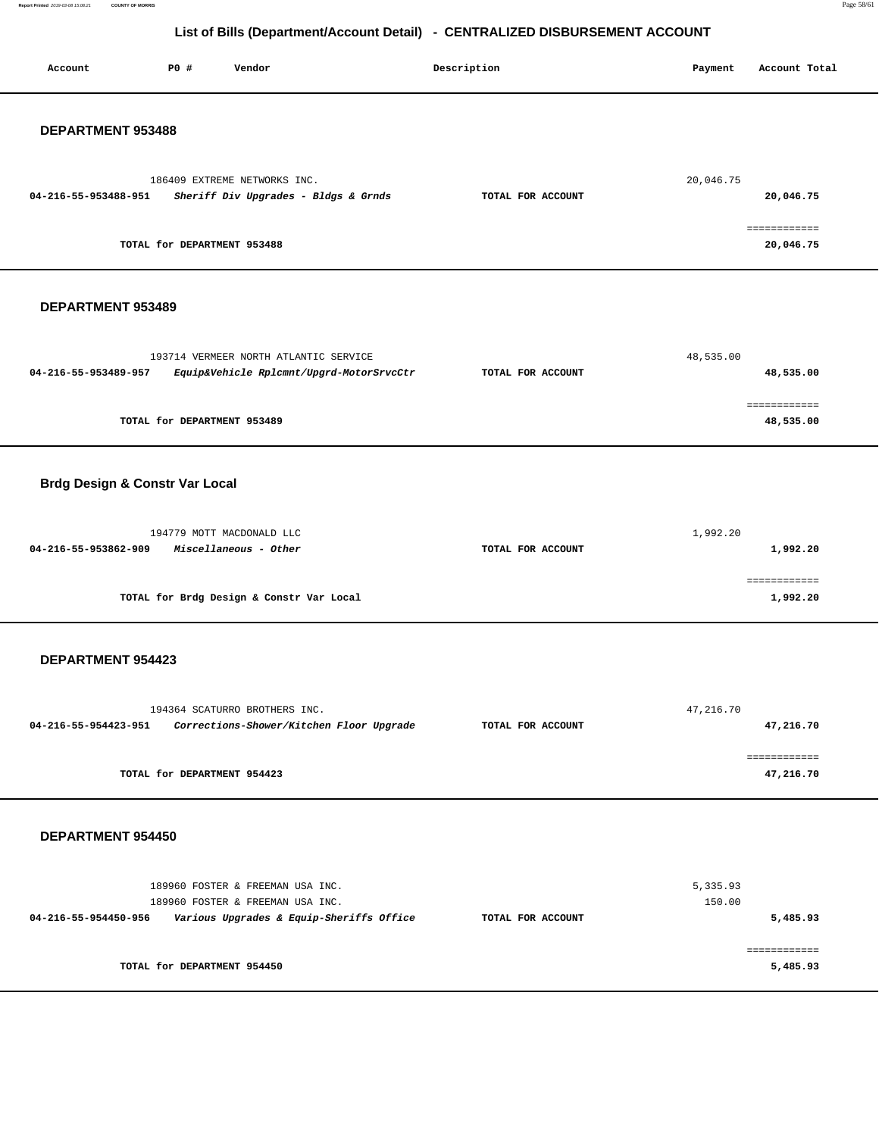**Report Printed** 2019-03-08 15:08:21 **COUNTY OF MORRIS** Page 58/61

# **List of Bills (Department/Account Detail) - CENTRALIZED DISBURSEMENT ACCOUNT**

| Account                                   | P0 #                        | Vendor                                                                                                           | Description       | Payment            | Account Total             |
|-------------------------------------------|-----------------------------|------------------------------------------------------------------------------------------------------------------|-------------------|--------------------|---------------------------|
| DEPARTMENT 953488                         |                             |                                                                                                                  |                   |                    |                           |
| 04-216-55-953488-951                      |                             | 186409 EXTREME NETWORKS INC.<br>Sheriff Div Upgrades - Bldgs & Grnds                                             | TOTAL FOR ACCOUNT | 20,046.75          | 20,046.75                 |
|                                           | TOTAL for DEPARTMENT 953488 |                                                                                                                  |                   |                    | ============<br>20,046.75 |
| DEPARTMENT 953489                         |                             |                                                                                                                  |                   |                    |                           |
| 04-216-55-953489-957                      |                             | 193714 VERMEER NORTH ATLANTIC SERVICE<br>Equip&Vehicle Rplcmnt/Upgrd-MotorSrvcCtr                                | TOTAL FOR ACCOUNT | 48,535.00          | 48,535.00                 |
|                                           | TOTAL for DEPARTMENT 953489 |                                                                                                                  |                   |                    | ============<br>48,535.00 |
| <b>Brdg Design &amp; Constr Var Local</b> |                             |                                                                                                                  |                   |                    |                           |
| 04-216-55-953862-909                      |                             | 194779 MOTT MACDONALD LLC<br>Miscellaneous - Other                                                               | TOTAL FOR ACCOUNT | 1,992.20           | 1,992.20                  |
|                                           |                             | TOTAL for Brdg Design & Constr Var Local                                                                         |                   |                    | ============<br>1,992.20  |
| <b>DEPARTMENT 954423</b>                  |                             |                                                                                                                  |                   |                    |                           |
| 04-216-55-954423-951                      |                             | 194364 SCATURRO BROTHERS INC.<br>Corrections-Shower/Kitchen Floor Upgrade                                        | TOTAL FOR ACCOUNT | 47,216.70          | 47,216.70                 |
|                                           | TOTAL for DEPARTMENT 954423 |                                                                                                                  |                   |                    | ============<br>47,216.70 |
| DEPARTMENT 954450                         |                             |                                                                                                                  |                   |                    |                           |
| 04-216-55-954450-956                      |                             | 189960 FOSTER & FREEMAN USA INC.<br>189960 FOSTER & FREEMAN USA INC.<br>Various Upgrades & Equip-Sheriffs Office | TOTAL FOR ACCOUNT | 5,335.93<br>150.00 | 5,485.93                  |
|                                           | TOTAL for DEPARTMENT 954450 |                                                                                                                  |                   |                    | ============<br>5,485.93  |
|                                           |                             |                                                                                                                  |                   |                    |                           |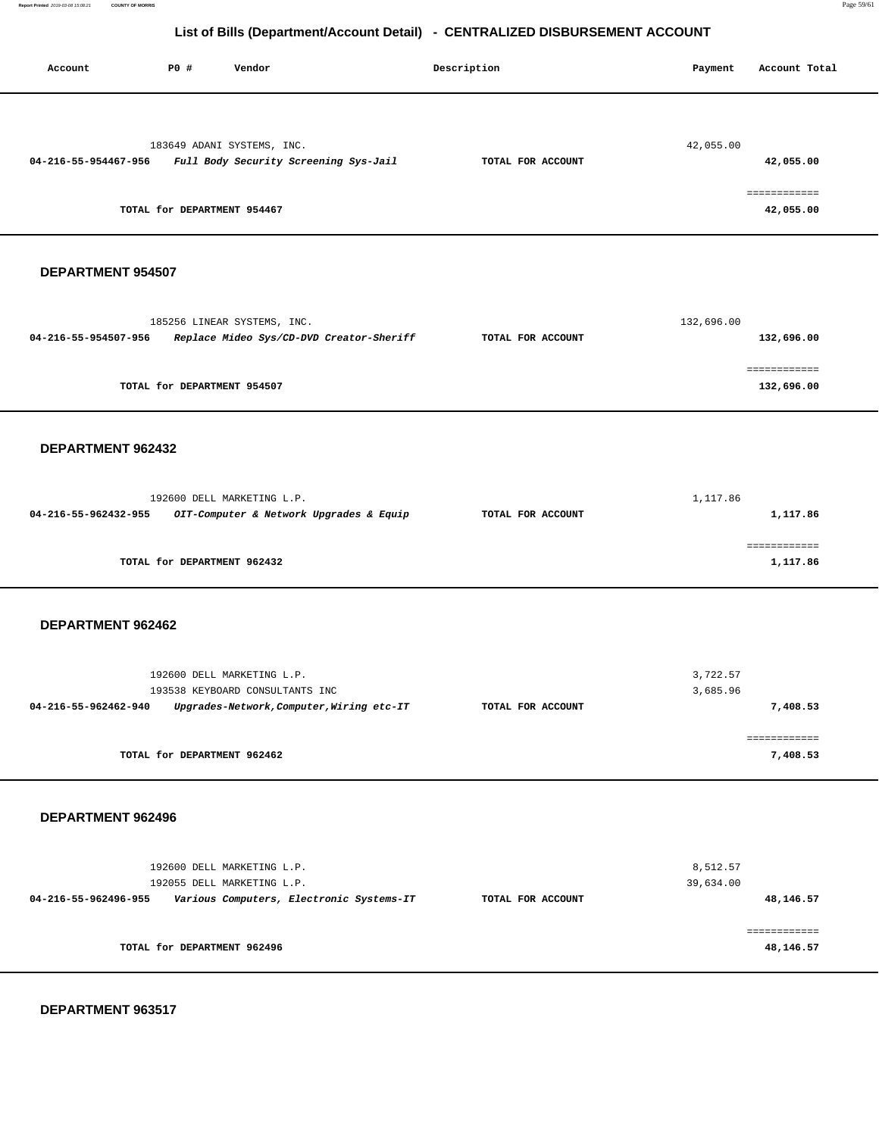**Report Printed** 2019-03-08 15:08:21 **COUNTY OF MORRIS** Page 59/61

## **List of Bills (Department/Account Detail) - CENTRALIZED DISBURSEMENT ACCOUNT**

| Account              | P0 #                        | Vendor                                                              |                                           | Description       | Payment               | Account Total                          |
|----------------------|-----------------------------|---------------------------------------------------------------------|-------------------------------------------|-------------------|-----------------------|----------------------------------------|
| 04-216-55-954467-956 | TOTAL for DEPARTMENT 954467 | 183649 ADANI SYSTEMS, INC.<br>Full Body Security Screening Sys-Jail |                                           | TOTAL FOR ACCOUNT | 42,055.00             | 42,055.00<br>============<br>42,055.00 |
| DEPARTMENT 954507    |                             |                                                                     |                                           |                   |                       |                                        |
| 04-216-55-954507-956 |                             | 185256 LINEAR SYSTEMS, INC.                                         | Replace Mideo Sys/CD-DVD Creator-Sheriff  | TOTAL FOR ACCOUNT | 132,696.00            | 132,696.00                             |
|                      | TOTAL for DEPARTMENT 954507 |                                                                     |                                           |                   |                       | 132,696.00                             |
| DEPARTMENT 962432    |                             |                                                                     |                                           |                   |                       |                                        |
| 04-216-55-962432-955 |                             | 192600 DELL MARKETING L.P.                                          | OIT-Computer & Network Upgrades & Equip   | TOTAL FOR ACCOUNT | 1,117.86              | 1,117.86                               |
|                      | TOTAL for DEPARTMENT 962432 |                                                                     |                                           |                   |                       | 1,117.86                               |
| DEPARTMENT 962462    |                             |                                                                     |                                           |                   |                       |                                        |
| 04-216-55-962462-940 |                             | 192600 DELL MARKETING L.P.<br>193538 KEYBOARD CONSULTANTS INC       | Upgrades-Network, Computer, Wiring etc-IT | TOTAL FOR ACCOUNT | 3,722.57<br>3,685.96  | 7,408.53                               |
|                      | TOTAL for DEPARTMENT 962462 |                                                                     |                                           |                   |                       | ============<br>7,408.53               |
| DEPARTMENT 962496    |                             |                                                                     |                                           |                   |                       |                                        |
| 04-216-55-962496-955 |                             | 192600 DELL MARKETING L.P.<br>192055 DELL MARKETING L.P.            | Various Computers, Electronic Systems-IT  | TOTAL FOR ACCOUNT | 8,512.57<br>39,634.00 | 48,146.57                              |
|                      | TOTAL for DEPARTMENT 962496 |                                                                     |                                           |                   |                       | ============<br>48,146.57              |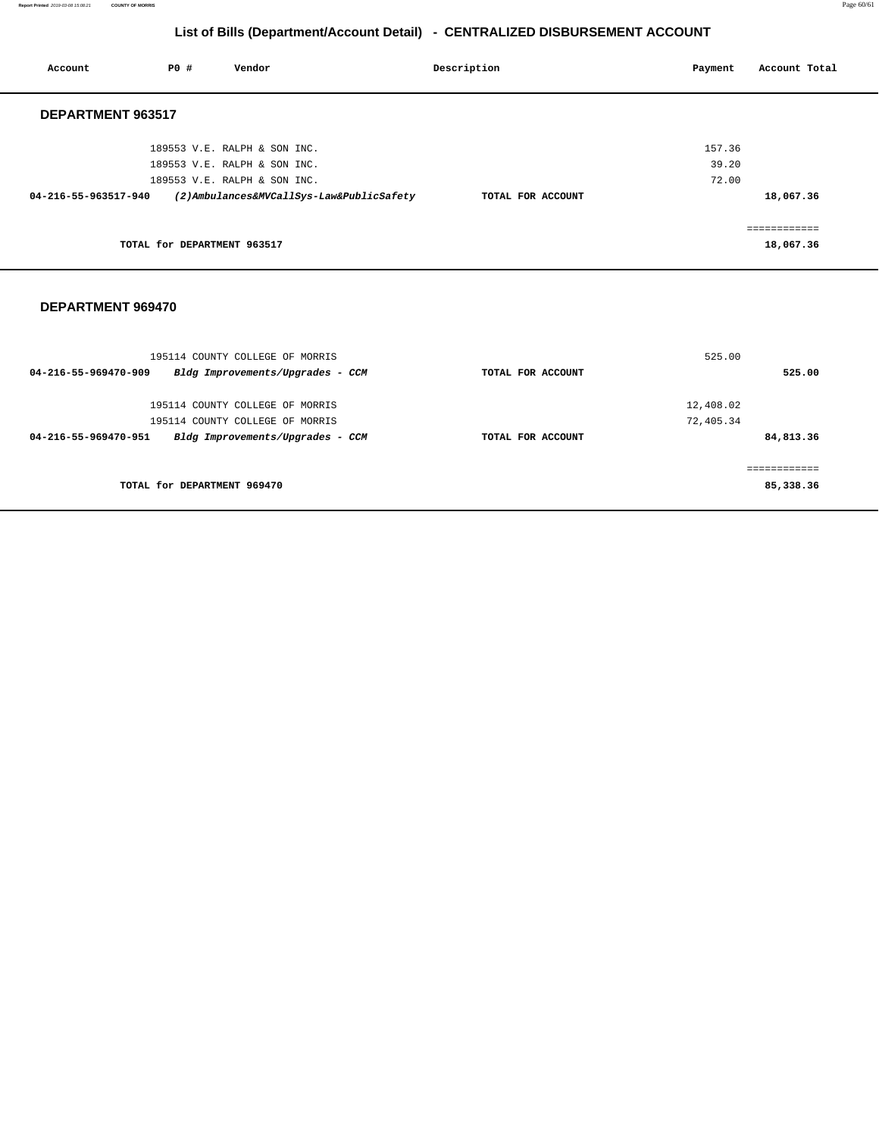**Report Printed** 2019-03-08 15:08:21 **COUNTY OF MORRIS** Page 60/61

# **List of Bills (Department/Account Detail) - CENTRALIZED DISBURSEMENT ACCOUNT**

|                                                                                                                                                                          |             | Account Total |
|--------------------------------------------------------------------------------------------------------------------------------------------------------------------------|-------------|---------------|
|                                                                                                                                                                          |             |               |
|                                                                                                                                                                          | 157.36      |               |
|                                                                                                                                                                          | 39.20       |               |
|                                                                                                                                                                          | 72.00       |               |
| TOTAL FOR ACCOUNT                                                                                                                                                        |             | 18,067.36     |
|                                                                                                                                                                          |             | ============  |
|                                                                                                                                                                          |             | 18,067.36     |
| 189553 V.E. RALPH & SON INC.<br>189553 V.E. RALPH & SON INC.<br>189553 V.E. RALPH & SON INC.<br>(2) Ambulances&MVCallSys-Law&PublicSafety<br>TOTAL for DEPARTMENT 963517 | Description | Payment       |

| 525.00<br>195114 COUNTY COLLEGE OF MORRIS                |                   |           |  |
|----------------------------------------------------------|-------------------|-----------|--|
| Bldg Improvements/Upgrades - CCM<br>04-216-55-969470-909 | TOTAL FOR ACCOUNT | 525.00    |  |
|                                                          |                   |           |  |
| 195114 COUNTY COLLEGE OF MORRIS                          | 12,408.02         |           |  |
| 195114 COUNTY COLLEGE OF MORRIS                          | 72,405.34         |           |  |
| 04-216-55-969470-951<br>Bldg Improvements/Upgrades - CCM | TOTAL FOR ACCOUNT | 84,813.36 |  |
|                                                          |                   |           |  |
| TOTAL for DEPARTMENT 969470                              |                   | 85,338.36 |  |
|                                                          |                   |           |  |